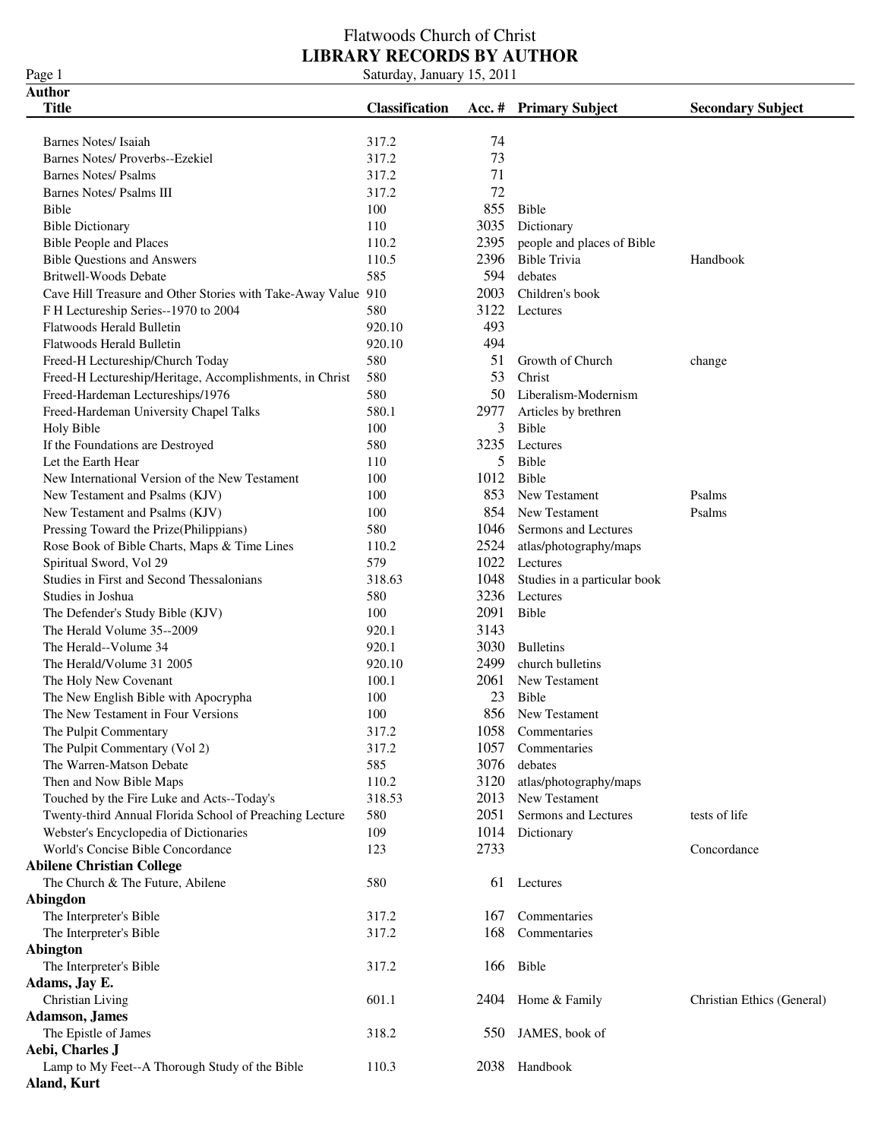**Page 1**<br>**Author** 

| <b>Title</b>                                                  | <b>Classification</b> |      | Acc. # Primary Subject       | <b>Secondary Subject</b>   |
|---------------------------------------------------------------|-----------------------|------|------------------------------|----------------------------|
| Barnes Notes/ Isaiah                                          | 317.2                 | 74   |                              |                            |
| Barnes Notes/ Proverbs--Ezekiel                               | 317.2                 | 73   |                              |                            |
| <b>Barnes Notes/ Psalms</b>                                   | 317.2                 | 71   |                              |                            |
| <b>Barnes Notes/ Psalms III</b>                               | 317.2                 | 72   |                              |                            |
| Bible                                                         | 100                   | 855  | Bible                        |                            |
| <b>Bible Dictionary</b>                                       | 110                   | 3035 | Dictionary                   |                            |
| <b>Bible People and Places</b>                                | 110.2                 | 2395 | people and places of Bible   |                            |
| <b>Bible Questions and Answers</b>                            | 110.5                 | 2396 | <b>Bible Trivia</b>          | Handbook                   |
| Britwell-Woods Debate                                         | 585                   | 594  | debates                      |                            |
| Cave Hill Treasure and Other Stories with Take-Away Value 910 |                       | 2003 | Children's book              |                            |
| F H Lectureship Series--1970 to 2004                          | 580                   | 3122 | Lectures                     |                            |
| Flatwoods Herald Bulletin                                     | 920.10                | 493  |                              |                            |
| Flatwoods Herald Bulletin                                     | 920.10                | 494  |                              |                            |
| Freed-H Lectureship/Church Today                              | 580                   | 51   | Growth of Church             | change                     |
| Freed-H Lectureship/Heritage, Accomplishments, in Christ      | 580                   | 53   | Christ                       |                            |
| Freed-Hardeman Lectureships/1976                              | 580                   | 50   | Liberalism-Modernism         |                            |
| Freed-Hardeman University Chapel Talks                        | 580.1                 | 2977 | Articles by brethren         |                            |
| <b>Holy Bible</b>                                             | 100                   | 3    | Bible                        |                            |
| If the Foundations are Destroyed                              | 580                   | 3235 | Lectures                     |                            |
| Let the Earth Hear                                            | 110                   | 5    | Bible                        |                            |
| New International Version of the New Testament                | 100                   | 1012 | Bible                        |                            |
| New Testament and Psalms (KJV)                                | 100                   | 853  | New Testament                | Psalms                     |
| New Testament and Psalms (KJV)                                | 100                   | 854  | New Testament                | Psalms                     |
| Pressing Toward the Prize(Philippians)                        | 580                   | 1046 | Sermons and Lectures         |                            |
| Rose Book of Bible Charts, Maps & Time Lines                  | 110.2                 | 2524 | atlas/photography/maps       |                            |
| Spiritual Sword, Vol 29                                       | 579                   |      | 1022 Lectures                |                            |
| Studies in First and Second Thessalonians                     | 318.63                | 1048 | Studies in a particular book |                            |
| Studies in Joshua                                             | 580                   | 3236 | Lectures                     |                            |
| The Defender's Study Bible (KJV)                              | 100                   | 2091 | Bible                        |                            |
| The Herald Volume 35--2009                                    | 920.1                 | 3143 |                              |                            |
| The Herald--Volume 34                                         | 920.1                 | 3030 | <b>Bulletins</b>             |                            |
| The Herald/Volume 31 2005                                     | 920.10                | 2499 | church bulletins             |                            |
| The Holy New Covenant                                         | 100.1                 | 2061 | New Testament                |                            |
| The New English Bible with Apocrypha                          | 100                   | 23   | Bible                        |                            |
| The New Testament in Four Versions                            | 100                   | 856  | New Testament                |                            |
| The Pulpit Commentary                                         | 317.2                 | 1058 | Commentaries                 |                            |
| The Pulpit Commentary (Vol 2)                                 | 317.2                 | 1057 | Commentaries                 |                            |
| The Warren-Matson Debate                                      | 585                   | 3076 | debates                      |                            |
| Then and Now Bible Maps                                       | 110.2                 | 3120 | atlas/photography/maps       |                            |
| Touched by the Fire Luke and Acts--Today's                    | 318.53                | 2013 | New Testament                |                            |
| Twenty-third Annual Florida School of Preaching Lecture       | 580                   | 2051 | Sermons and Lectures         | tests of life              |
| Webster's Encyclopedia of Dictionaries                        | 109                   | 1014 | Dictionary                   |                            |
| World's Concise Bible Concordance                             | 123                   | 2733 |                              | Concordance                |
| <b>Abilene Christian College</b>                              |                       |      |                              |                            |
| The Church & The Future, Abilene                              | 580                   | 61   | Lectures                     |                            |
| Abingdon                                                      |                       |      |                              |                            |
| The Interpreter's Bible                                       | 317.2                 | 167  | Commentaries                 |                            |
| The Interpreter's Bible                                       | 317.2                 | 168  | Commentaries                 |                            |
| <b>Abington</b>                                               |                       |      |                              |                            |
| The Interpreter's Bible                                       | 317.2                 |      | 166 Bible                    |                            |
| Adams, Jay E.                                                 |                       |      |                              |                            |
| <b>Christian Living</b>                                       | 601.1                 |      | 2404 Home & Family           | Christian Ethics (General) |
| <b>Adamson</b> , James                                        |                       |      |                              |                            |
| The Epistle of James                                          | 318.2                 | 550  | JAMES, book of               |                            |
| Aebi, Charles J                                               |                       |      |                              |                            |
| Lamp to My Feet--A Thorough Study of the Bible                | 110.3                 | 2038 | Handbook                     |                            |
| Aland, Kurt                                                   |                       |      |                              |                            |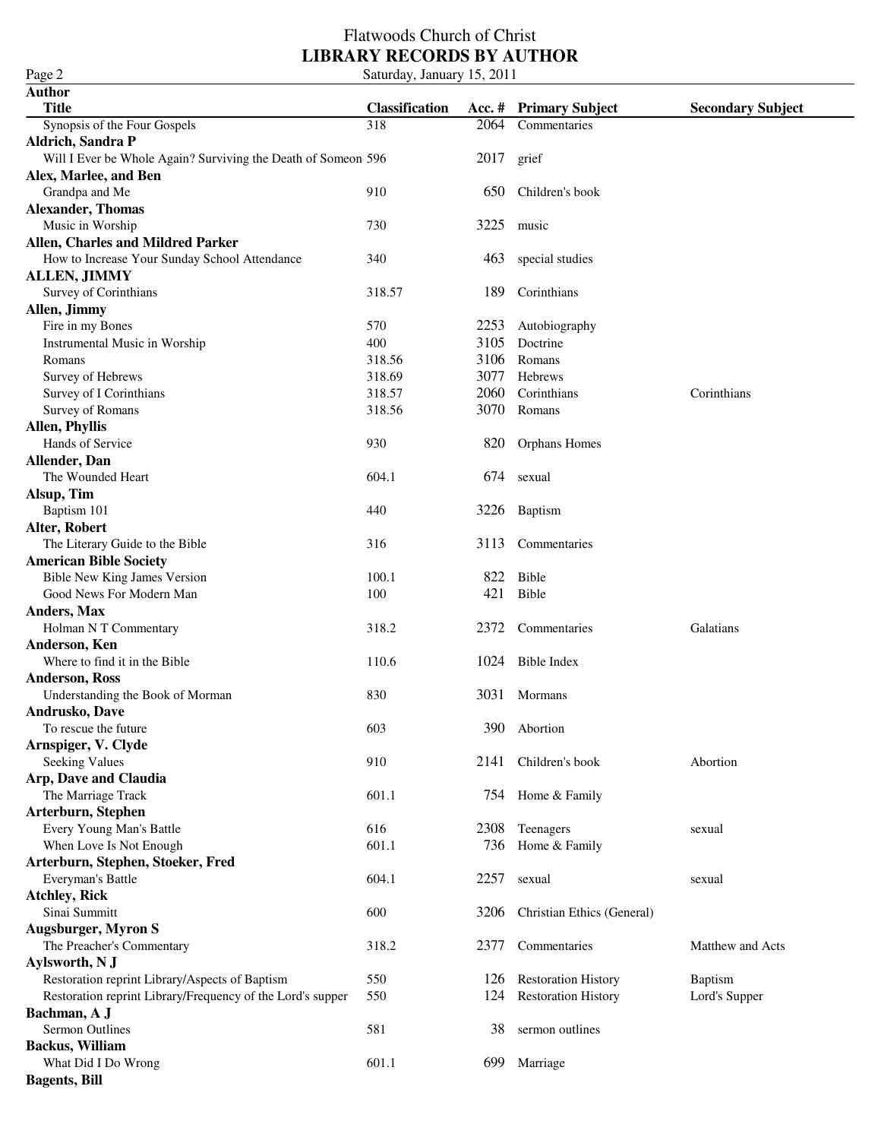| Page 2                                                        | Saturday, January 15, 2011 |      |                            |                          |
|---------------------------------------------------------------|----------------------------|------|----------------------------|--------------------------|
| <b>Author</b>                                                 |                            |      |                            |                          |
| <b>Title</b>                                                  | <b>Classification</b>      |      | Acc. # Primary Subject     | <b>Secondary Subject</b> |
| Synopsis of the Four Gospels                                  | 318                        | 2064 | Commentaries               |                          |
| <b>Aldrich, Sandra P</b>                                      |                            |      |                            |                          |
| Will I Ever be Whole Again? Surviving the Death of Someon 596 |                            | 2017 | grief                      |                          |
| Alex, Marlee, and Ben                                         |                            |      |                            |                          |
| Grandpa and Me                                                | 910                        | 650  | Children's book            |                          |
| <b>Alexander, Thomas</b>                                      |                            |      |                            |                          |
| Music in Worship                                              | 730                        | 3225 | music                      |                          |
| Allen, Charles and Mildred Parker                             |                            |      |                            |                          |
| How to Increase Your Sunday School Attendance                 | 340                        | 463  | special studies            |                          |
| <b>ALLEN, JIMMY</b>                                           |                            |      |                            |                          |
| Survey of Corinthians                                         | 318.57                     | 189  | Corinthians                |                          |
| Allen, Jimmy                                                  |                            |      |                            |                          |
| Fire in my Bones                                              | 570                        | 2253 | Autobiography              |                          |
| Instrumental Music in Worship                                 | 400                        | 3105 | Doctrine                   |                          |
| Romans                                                        | 318.56                     | 3106 | Romans                     |                          |
| Survey of Hebrews                                             | 318.69                     | 3077 | Hebrews                    |                          |
|                                                               | 318.57                     | 2060 | Corinthians                | Corinthians              |
| Survey of I Corinthians                                       |                            | 3070 |                            |                          |
| Survey of Romans                                              | 318.56                     |      | Romans                     |                          |
| <b>Allen, Phyllis</b>                                         |                            |      |                            |                          |
| Hands of Service                                              | 930                        | 820  | <b>Orphans Homes</b>       |                          |
| Allender, Dan                                                 |                            |      |                            |                          |
| The Wounded Heart                                             | 604.1                      | 674  | sexual                     |                          |
| Alsup, Tim                                                    |                            |      |                            |                          |
| Baptism 101                                                   | 440                        |      | 3226 Baptism               |                          |
| Alter, Robert                                                 |                            |      |                            |                          |
| The Literary Guide to the Bible                               | 316                        | 3113 | Commentaries               |                          |
| <b>American Bible Society</b>                                 |                            |      |                            |                          |
| Bible New King James Version                                  | 100.1                      | 822  | Bible                      |                          |
| Good News For Modern Man                                      | 100                        | 421  | Bible                      |                          |
| Anders, Max                                                   |                            |      |                            |                          |
| Holman N T Commentary                                         | 318.2                      | 2372 | Commentaries               | Galatians                |
| Anderson, Ken                                                 |                            |      |                            |                          |
| Where to find it in the Bible                                 | 110.6                      | 1024 | Bible Index                |                          |
| <b>Anderson, Ross</b>                                         |                            |      |                            |                          |
| Understanding the Book of Morman                              | 830                        |      | 3031 Mormans               |                          |
| Andrusko, Dave                                                |                            |      |                            |                          |
| To rescue the future                                          | 603                        | 390  | Abortion                   |                          |
| Arnspiger, V. Clyde                                           |                            |      |                            |                          |
| <b>Seeking Values</b>                                         | 910                        | 2141 | Children's book            | Abortion                 |
| <b>Arp, Dave and Claudia</b>                                  |                            |      |                            |                          |
| The Marriage Track                                            | 601.1                      | 754  | Home & Family              |                          |
| Arterburn, Stephen                                            |                            |      |                            |                          |
| Every Young Man's Battle                                      | 616                        | 2308 |                            |                          |
|                                                               |                            |      | Teenagers                  | sexual                   |
| When Love Is Not Enough                                       | 601.1                      | 736  | Home & Family              |                          |
| Arterburn, Stephen, Stoeker, Fred                             |                            |      |                            |                          |
| Everyman's Battle                                             | 604.1                      | 2257 | sexual                     | sexual                   |
| <b>Atchley, Rick</b>                                          |                            |      |                            |                          |
| Sinai Summitt                                                 | 600                        | 3206 | Christian Ethics (General) |                          |
| <b>Augsburger, Myron S</b>                                    |                            |      |                            |                          |
| The Preacher's Commentary                                     | 318.2                      | 2377 | Commentaries               | Matthew and Acts         |
| Aylsworth, N J                                                |                            |      |                            |                          |
| Restoration reprint Library/Aspects of Baptism                | 550                        | 126  | <b>Restoration History</b> | <b>Baptism</b>           |
| Restoration reprint Library/Frequency of the Lord's supper    | 550                        | 124  | <b>Restoration History</b> | Lord's Supper            |
| Bachman, A J                                                  |                            |      |                            |                          |
| Sermon Outlines                                               | 581                        | 38   | sermon outlines            |                          |
| <b>Backus</b> , William                                       |                            |      |                            |                          |
| What Did I Do Wrong                                           | 601.1                      | 699  | Marriage                   |                          |
| <b>Bagents</b> , Bill                                         |                            |      |                            |                          |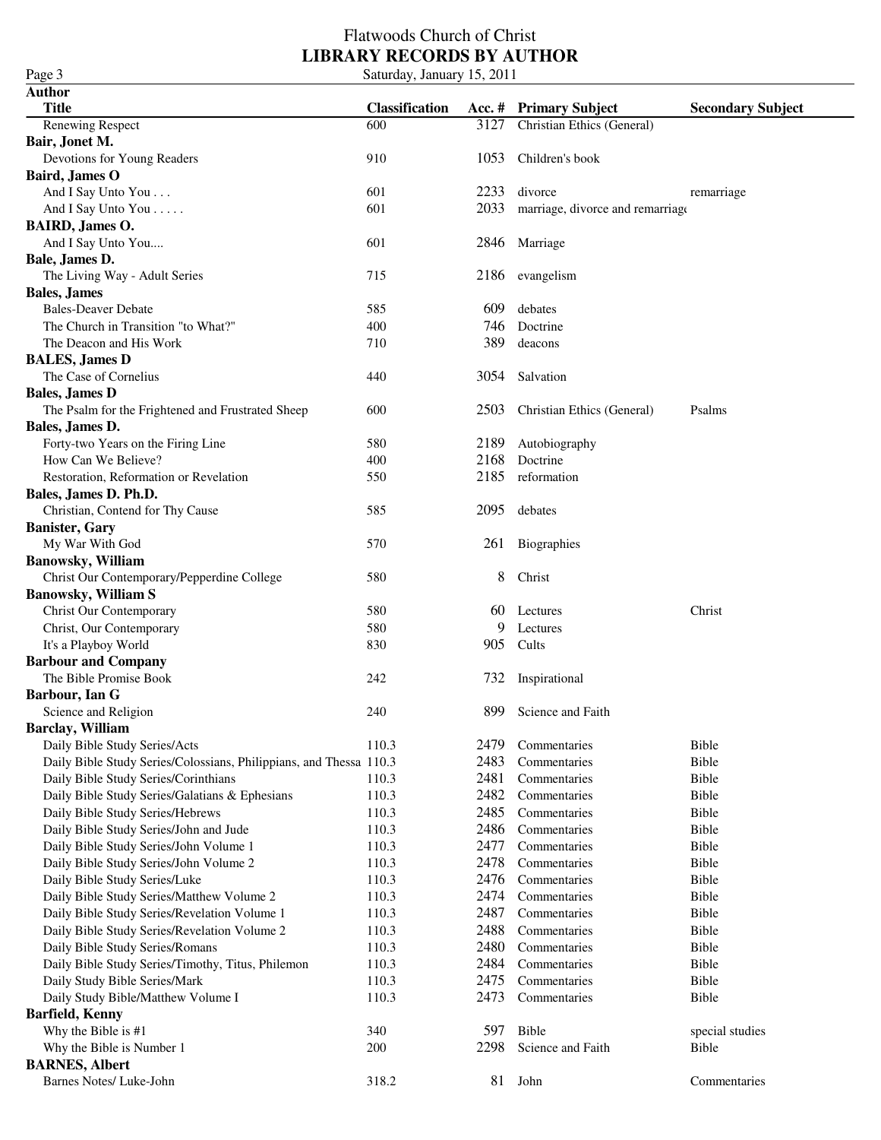| Page 3                                                             | Saturday, January 15, 2011 |      |                                  |                          |  |
|--------------------------------------------------------------------|----------------------------|------|----------------------------------|--------------------------|--|
| <b>Author</b>                                                      |                            |      |                                  |                          |  |
| <b>Title</b>                                                       | <b>Classification</b>      |      | Acc. # Primary Subject           | <b>Secondary Subject</b> |  |
| <b>Renewing Respect</b>                                            | 600                        | 3127 | Christian Ethics (General)       |                          |  |
| Bair, Jonet M.                                                     |                            |      |                                  |                          |  |
| Devotions for Young Readers                                        | 910                        | 1053 | Children's book                  |                          |  |
| Baird, James O                                                     |                            |      |                                  |                          |  |
| And I Say Unto You                                                 | 601                        | 2233 | divorce                          | remarriage               |  |
| And I Say Unto You                                                 | 601                        | 2033 | marriage, divorce and remarriage |                          |  |
| <b>BAIRD, James O.</b>                                             |                            |      |                                  |                          |  |
| And I Say Unto You                                                 | 601                        | 2846 | Marriage                         |                          |  |
| Bale, James D.                                                     |                            |      |                                  |                          |  |
| The Living Way - Adult Series                                      | 715                        | 2186 | evangelism                       |                          |  |
| <b>Bales, James</b>                                                |                            |      |                                  |                          |  |
| <b>Bales-Deaver Debate</b>                                         | 585                        | 609  | debates                          |                          |  |
| The Church in Transition "to What?"                                | 400                        | 746  | Doctrine                         |                          |  |
| The Deacon and His Work                                            | 710                        | 389  | deacons                          |                          |  |
| <b>BALES, James D</b>                                              |                            |      |                                  |                          |  |
| The Case of Cornelius                                              | 440                        | 3054 | Salvation                        |                          |  |
| <b>Bales, James D</b>                                              |                            |      |                                  |                          |  |
| The Psalm for the Frightened and Frustrated Sheep                  | 600                        | 2503 | Christian Ethics (General)       | Psalms                   |  |
| Bales, James D.                                                    |                            |      |                                  |                          |  |
| Forty-two Years on the Firing Line                                 | 580                        | 2189 | Autobiography                    |                          |  |
| How Can We Believe?                                                | 400                        | 2168 | Doctrine                         |                          |  |
| Restoration, Reformation or Revelation                             | 550                        | 2185 | reformation                      |                          |  |
| Bales, James D. Ph.D.                                              |                            |      |                                  |                          |  |
| Christian, Contend for Thy Cause                                   | 585                        | 2095 | debates                          |                          |  |
| <b>Banister, Gary</b>                                              |                            |      |                                  |                          |  |
| My War With God                                                    | 570                        | 261  | Biographies                      |                          |  |
| <b>Banowsky, William</b>                                           |                            |      |                                  |                          |  |
| Christ Our Contemporary/Pepperdine College                         | 580                        | 8    | Christ                           |                          |  |
| <b>Banowsky, William S</b>                                         |                            |      |                                  |                          |  |
| <b>Christ Our Contemporary</b>                                     | 580                        |      | 60 Lectures                      | Christ                   |  |
| Christ, Our Contemporary                                           | 580                        | 9    | Lectures                         |                          |  |
| It's a Playboy World                                               | 830                        | 905  | Cults                            |                          |  |
| <b>Barbour and Company</b>                                         |                            |      |                                  |                          |  |
| The Bible Promise Book                                             | 242                        |      | 732 Inspirational                |                          |  |
| Barbour, Ian G                                                     |                            |      |                                  |                          |  |
| Science and Religion                                               | 240                        |      | 899 Science and Faith            |                          |  |
| <b>Barclay</b> , William                                           |                            |      |                                  |                          |  |
| Daily Bible Study Series/Acts                                      | 110.3                      | 2479 | Commentaries                     | Bible                    |  |
| Daily Bible Study Series/Colossians, Philippians, and Thessa 110.3 |                            | 2483 | Commentaries                     | Bible                    |  |
| Daily Bible Study Series/Corinthians                               | 110.3                      | 2481 | Commentaries                     | Bible                    |  |
| Daily Bible Study Series/Galatians & Ephesians                     | 110.3                      | 2482 | Commentaries                     | Bible                    |  |
| Daily Bible Study Series/Hebrews                                   | 110.3                      | 2485 | Commentaries                     | Bible                    |  |
| Daily Bible Study Series/John and Jude                             | 110.3                      | 2486 | Commentaries                     | Bible                    |  |
| Daily Bible Study Series/John Volume 1                             | 110.3                      | 2477 | Commentaries                     | Bible                    |  |
| Daily Bible Study Series/John Volume 2                             | 110.3                      | 2478 | Commentaries                     | Bible                    |  |
| Daily Bible Study Series/Luke                                      | 110.3                      | 2476 | Commentaries                     | Bible                    |  |
| Daily Bible Study Series/Matthew Volume 2                          | 110.3                      | 2474 | Commentaries                     | Bible                    |  |
| Daily Bible Study Series/Revelation Volume 1                       | 110.3                      | 2487 | Commentaries                     | Bible                    |  |
| Daily Bible Study Series/Revelation Volume 2                       | 110.3                      | 2488 | Commentaries                     | Bible                    |  |
| Daily Bible Study Series/Romans                                    | 110.3                      | 2480 | Commentaries                     | Bible                    |  |
| Daily Bible Study Series/Timothy, Titus, Philemon                  | 110.3                      | 2484 | Commentaries                     | Bible                    |  |
| Daily Study Bible Series/Mark                                      | 110.3                      | 2475 | Commentaries                     | Bible                    |  |
| Daily Study Bible/Matthew Volume I                                 | 110.3                      | 2473 | Commentaries                     | Bible                    |  |
| <b>Barfield</b> , Kenny                                            |                            |      |                                  |                          |  |
| Why the Bible is #1                                                | 340                        | 597  | Bible                            | special studies          |  |
| Why the Bible is Number 1                                          | 200                        | 2298 | Science and Faith                | Bible                    |  |
| <b>BARNES, Albert</b>                                              |                            |      |                                  |                          |  |
| Barnes Notes/ Luke-John                                            | 318.2                      | 81   | John                             | Commentaries             |  |
|                                                                    |                            |      |                                  |                          |  |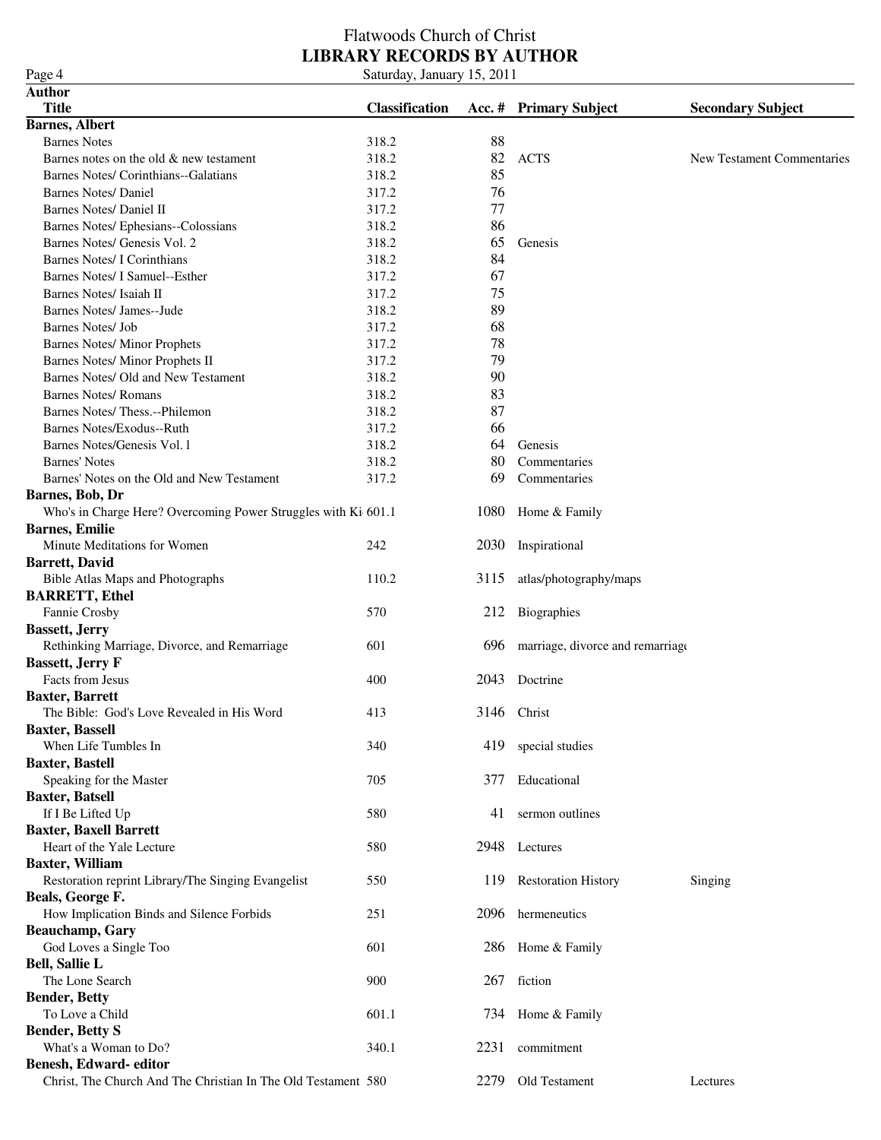#### Flatwoods Church of Christ **LIBRARY RECORDS BY AUTHOR** Page 4 Saturday, January 15, 2011

| 1 agu +                                                                      | Saturuay, Jamuar y 19, 2011 |      |                                  |                            |
|------------------------------------------------------------------------------|-----------------------------|------|----------------------------------|----------------------------|
| Author                                                                       |                             |      |                                  |                            |
| <b>Title</b>                                                                 | <b>Classification</b>       |      | Acc. # Primary Subject           | <b>Secondary Subject</b>   |
| <b>Barnes</b> , Albert<br><b>Barnes Notes</b>                                | 318.2                       | 88   |                                  |                            |
| Barnes notes on the old & new testament                                      | 318.2                       | 82   | <b>ACTS</b>                      | New Testament Commentaries |
| Barnes Notes/ Corinthians--Galatians                                         | 318.2                       | 85   |                                  |                            |
| <b>Barnes Notes/ Daniel</b>                                                  | 317.2                       | 76   |                                  |                            |
| Barnes Notes/ Daniel II                                                      | 317.2                       | 77   |                                  |                            |
| Barnes Notes/ Ephesians--Colossians                                          | 318.2                       | 86   |                                  |                            |
| Barnes Notes/ Genesis Vol. 2                                                 | 318.2                       | 65   | Genesis                          |                            |
| <b>Barnes Notes/I Corinthians</b>                                            | 318.2                       | 84   |                                  |                            |
| Barnes Notes/ I Samuel--Esther                                               | 317.2                       | 67   |                                  |                            |
| Barnes Notes/ Isaiah II                                                      | 317.2                       | 75   |                                  |                            |
| Barnes Notes/ James--Jude                                                    | 318.2                       | 89   |                                  |                            |
| Barnes Notes/ Job                                                            | 317.2                       | 68   |                                  |                            |
| <b>Barnes Notes/ Minor Prophets</b>                                          | 317.2                       | 78   |                                  |                            |
|                                                                              | 317.2                       | 79   |                                  |                            |
| Barnes Notes/ Minor Prophets II                                              |                             | 90   |                                  |                            |
| Barnes Notes/ Old and New Testament                                          | 318.2                       | 83   |                                  |                            |
| <b>Barnes Notes/ Romans</b>                                                  | 318.2                       | 87   |                                  |                            |
| Barnes Notes/Thess.--Philemon                                                | 318.2                       |      |                                  |                            |
| Barnes Notes/Exodus--Ruth                                                    | 317.2                       | 66   |                                  |                            |
| Barnes Notes/Genesis Vol. 1                                                  | 318.2                       | 64   | Genesis                          |                            |
| <b>Barnes' Notes</b>                                                         | 318.2                       | 80   | Commentaries                     |                            |
| Barnes' Notes on the Old and New Testament                                   | 317.2                       | 69   | Commentaries                     |                            |
| Barnes, Bob, Dr                                                              |                             |      |                                  |                            |
| Who's in Charge Here? Overcoming Power Struggles with Ki 601.1               |                             | 1080 | Home & Family                    |                            |
| <b>Barnes, Emilie</b>                                                        |                             |      |                                  |                            |
| Minute Meditations for Women                                                 | 242                         | 2030 | Inspirational                    |                            |
| <b>Barrett, David</b>                                                        |                             |      |                                  |                            |
| Bible Atlas Maps and Photographs                                             | 110.2                       | 3115 | atlas/photography/maps           |                            |
| <b>BARRETT, Ethel</b>                                                        |                             |      |                                  |                            |
| Fannie Crosby                                                                | 570                         |      | 212 Biographies                  |                            |
| <b>Bassett, Jerry</b>                                                        |                             |      |                                  |                            |
| Rethinking Marriage, Divorce, and Remarriage                                 | 601                         | 696  | marriage, divorce and remarriage |                            |
| <b>Bassett, Jerry F</b>                                                      |                             |      |                                  |                            |
| Facts from Jesus                                                             | 400                         | 2043 | Doctrine                         |                            |
| <b>Baxter, Barrett</b>                                                       |                             |      |                                  |                            |
| The Bible: God's Love Revealed in His Word                                   | 413                         |      | 3146 Christ                      |                            |
| <b>Baxter, Bassell</b>                                                       |                             |      |                                  |                            |
| When Life Tumbles In                                                         | 340                         | 419  | special studies                  |                            |
| <b>Baxter, Bastell</b>                                                       | 705                         | 377  | Educational                      |                            |
| Speaking for the Master                                                      |                             |      |                                  |                            |
| <b>Baxter, Batsell</b>                                                       |                             | 41   |                                  |                            |
| If I Be Lifted Up                                                            | 580                         |      | sermon outlines                  |                            |
| <b>Baxter, Baxell Barrett</b><br>Heart of the Yale Lecture                   |                             |      |                                  |                            |
|                                                                              | 580                         | 2948 | Lectures                         |                            |
| <b>Baxter, William</b><br>Restoration reprint Library/The Singing Evangelist | 550                         | 119  |                                  |                            |
| Beals, George F.                                                             |                             |      | <b>Restoration History</b>       | Singing                    |
|                                                                              | 251                         | 2096 | hermeneutics                     |                            |
| How Implication Binds and Silence Forbids<br><b>Beauchamp</b> , Gary         |                             |      |                                  |                            |
| God Loves a Single Too                                                       | 601                         |      |                                  |                            |
|                                                                              |                             | 286  | Home & Family                    |                            |
| <b>Bell, Sallie L</b><br>The Lone Search                                     | 900                         |      |                                  |                            |
|                                                                              |                             | 267  | fiction                          |                            |
| <b>Bender, Betty</b>                                                         |                             |      |                                  |                            |
| To Love a Child                                                              | 601.1                       | 734  | Home & Family                    |                            |
| <b>Bender, Betty S</b>                                                       |                             |      |                                  |                            |
| What's a Woman to Do?                                                        | 340.1                       | 2231 | commitment                       |                            |
| Benesh, Edward- editor                                                       |                             |      |                                  |                            |
| Christ, The Church And The Christian In The Old Testament 580                |                             | 2279 | Old Testament                    | Lectures                   |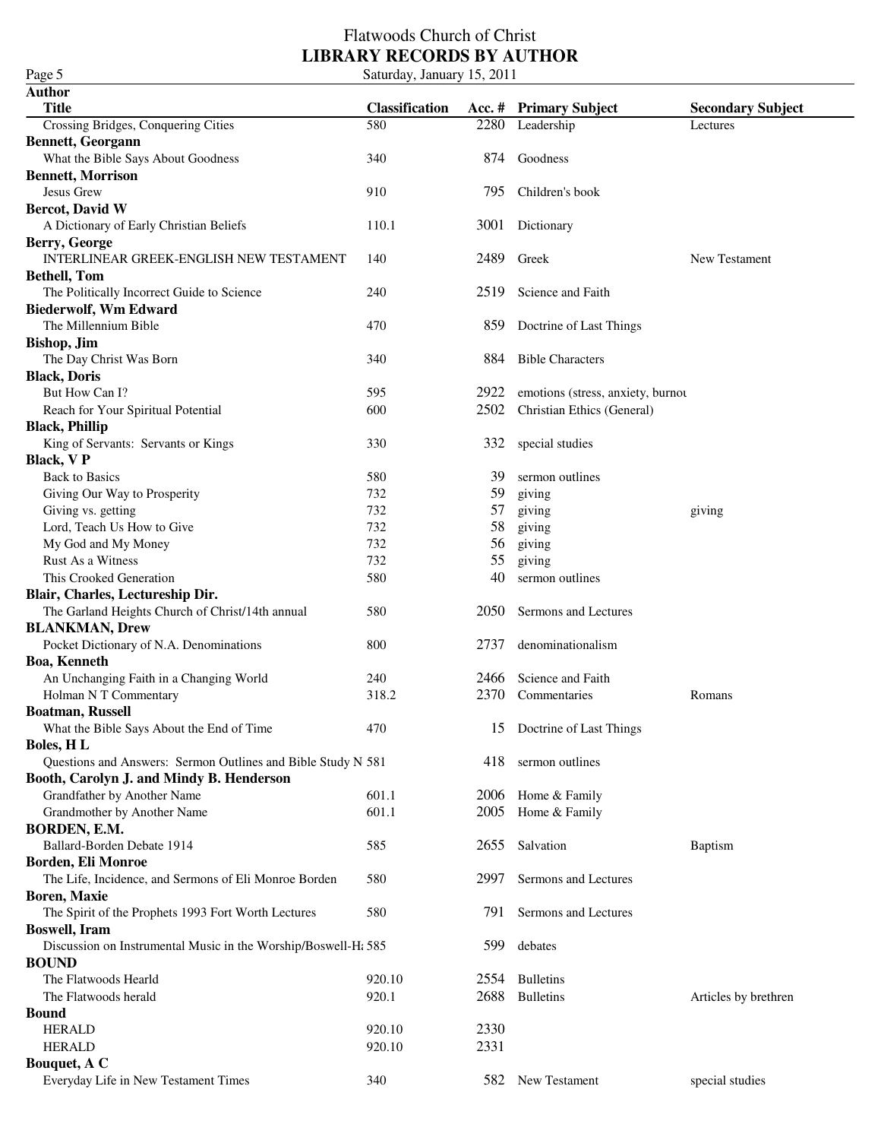#### Flatwoods Church of Christ **LIBRARY RECORDS BY AUTHOR** Page 5 Saturday, January 15, 2011

**Author Title Classification Acc. # Primary Subject Secondary Subject** Crossing Bridges, Conquering Cities 580 2280 Leadership Lectures **Bennett, Georgann** What the Bible Says About Goodness 340 874 Goodness **Bennett, Morrison** Jesus Grew 910 795 Children's book **Bercot, David W** A Dictionary of Early Christian Beliefs 110.1 3001 Dictionary **Berry, George** INTERLINEAR GREEK-ENGLISH NEW TESTAMENT 140 2489 Greek New Testament **Bethell, Tom** The Politically Incorrect Guide to Science 240 2519 Science and Faith **Biederwolf, Wm Edward** The Millennium Bible **470** 859 Doctrine of Last Things **Bishop, Jim** The Day Christ Was Born 340 340 884 Bible Characters **Black, Doris** But How Can I? 595 2922 emotions (stress, anxiety, burnout) Reach for Your Spiritual Potential 600 2502 Christian Ethics (General) **Black, Phillip** King of Servants: Servants or Kings 330 332 special studies **Black, V P** Back to Basics 580 39 sermon outlines Giving Our Way to Prosperity **732** 59 giving Giving vs. getting and the contract of the 732 57 giving giving giving giving giving giving giving giving giving giving giving giving giving giving giving giving giving giving giving giving giving giving giving giving givi Lord, Teach Us How to Give 732 58 giving My God and My Money 232 56 giving Rust As a Witness **732** 55 giving This Crooked Generation **1988** 580 40 sermon outlines **Blair, Charles, Lectureship Dir.** The Garland Heights Church of Christ/14th annual 580 2050 Sermons and Lectures **BLANKMAN, Drew** Pocket Dictionary of N.A. Denominations 800 2737 denominationalism **Boa, Kenneth** An Unchanging Faith in a Changing World 240 2466 Science and Faith Holman N T Commentary **318.2** 2370 Commentaries Romans **Boatman, Russell** What the Bible Says About the End of Time 470 15 Doctrine of Last Things **Boles, H L** Questions and Answers: Sermon Outlines and Bible Study N 581 418 sermon outlines **Booth, Carolyn J. and Mindy B. Henderson** Grandfather by Another Name 601.1 2006 Home & Family Grandmother by Another Name 601.1 2005 Home & Family **BORDEN, E.M.** Ballard-Borden Debate 1914 585 2655 Salvation Baptism **Borden, Eli Monroe** The Life, Incidence, and Sermons of Eli Monroe Borden 580 2997 Sermons and Lectures **Boren, Maxie** The Spirit of the Prophets 1993 Fort Worth Lectures 580 791 Sermons and Lectures **Boswell, Iram** Discussion on Instrumental Music in the Worship/Boswell-H<sub>i</sub> 585 599 debates **BOUND** The Flatwoods Hearld 920.10 2554 Bulletins The Flatwoods herald **920.1** 2688 Bulletins Articles by brethren **Bound** HERALD 920.10 2330 HERALD 920.10 2331 **Bouquet, A C** Everyday Life in New Testament Times 340 582 New Testament special studies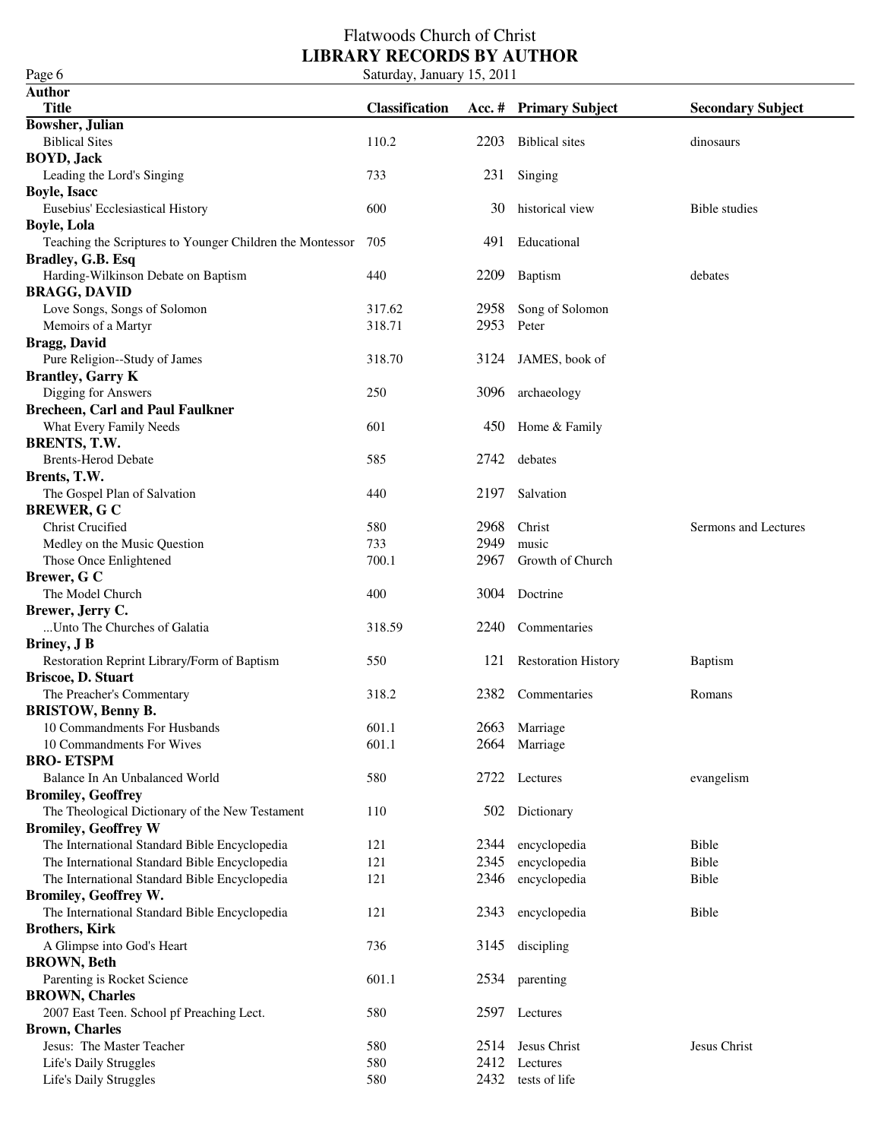#### Flatwoods Church of Christ **LIBRARY RECORDS BY AUTHOR** Page 6 Saturday, January 15, 2011

**Author Title Classification Acc. # Primary Subject Secondary Subject Bowsher, Julian** Biblical Sites dinosaurs 110.2 2203 Biblical sites dinosaurs **BOYD, Jack** Leading the Lord's Singing 231 Singing 733 231 Singing **Boyle, Isacc** Eusebius' Ecclesiastical History 600 30 historical view Bible studies **Boyle, Lola** Teaching the Scriptures to Younger Children the Montessor 705 491 Educational **Bradley, G.B. Esq** Harding-Wilkinson Debate on Baptism 440 2209 Baptism debates **BRAGG, DAVID** Love Songs, Songs of Solomon 317.62 2958 Song of Solomon Memoirs of a Martyr 318.71 2953 Peter **Bragg, David** Pure Religion--Study of James 318.70 3124 JAMES, book of **Brantley, Garry K** Digging for Answers 250 3096 archaeology **Brecheen, Carl and Paul Faulkner** What Every Family Needs 601 450 Home & Family **BRENTS, T.W.** Brents-Herod Debate 585 2742 debates **Brents, T.W.** The Gospel Plan of Salvation **440** 2197 Salvation **BREWER, G C** Christ Crucified 580 2968 Christ Sermons and Lectures Medley on the Music Question 733 2949 music Those Once Enlightened 700.1 2967 Growth of Church **Brewer, G C** The Model Church **1990** 400 400 3004 Doctrine **Brewer, Jerry C.** ...Unto The Churches of Galatia 318.59 2240 Commentaries **Briney, J B** Restoration Reprint Library/Form of Baptism 550 121 Restoration History Baptism **Briscoe, D. Stuart** The Preacher's Commentary **318.2** 2382 Commentaries Romans **BRISTOW, Benny B.** 10 Commandments For Husbands 601.1 2663 Marriage 10 Commandments For Wives 601.1 2664 Marriage **BRO- ETSPM** Balance In An Unbalanced World 580 2722 Lectures evangelism **Bromiley, Geoffrey** The Theological Dictionary of the New Testament 110 502 Dictionary **Bromiley, Geoffrey W** The International Standard Bible Encyclopedia 121 2344 encyclopedia Bible The International Standard Bible Encyclopedia 121 2345 encyclopedia Bible The International Standard Bible Encyclopedia 121 2346 encyclopedia Bible **Bromiley, Geoffrey W.** The International Standard Bible Encyclopedia 121 2343 encyclopedia Bible **Brothers, Kirk** A Glimpse into God's Heart 736 3145 discipling **BROWN, Beth** Parenting is Rocket Science 601.1 2534 parenting **BROWN, Charles** 2007 East Teen. School pf Preaching Lect. 580 2597 Lectures **Brown, Charles** Jesus: The Master Teacher 580 2514 Jesus Christ Jesus Christ Life's Daily Struggles 580 2412 Lectures Life's Daily Struggles 580 2432 tests of life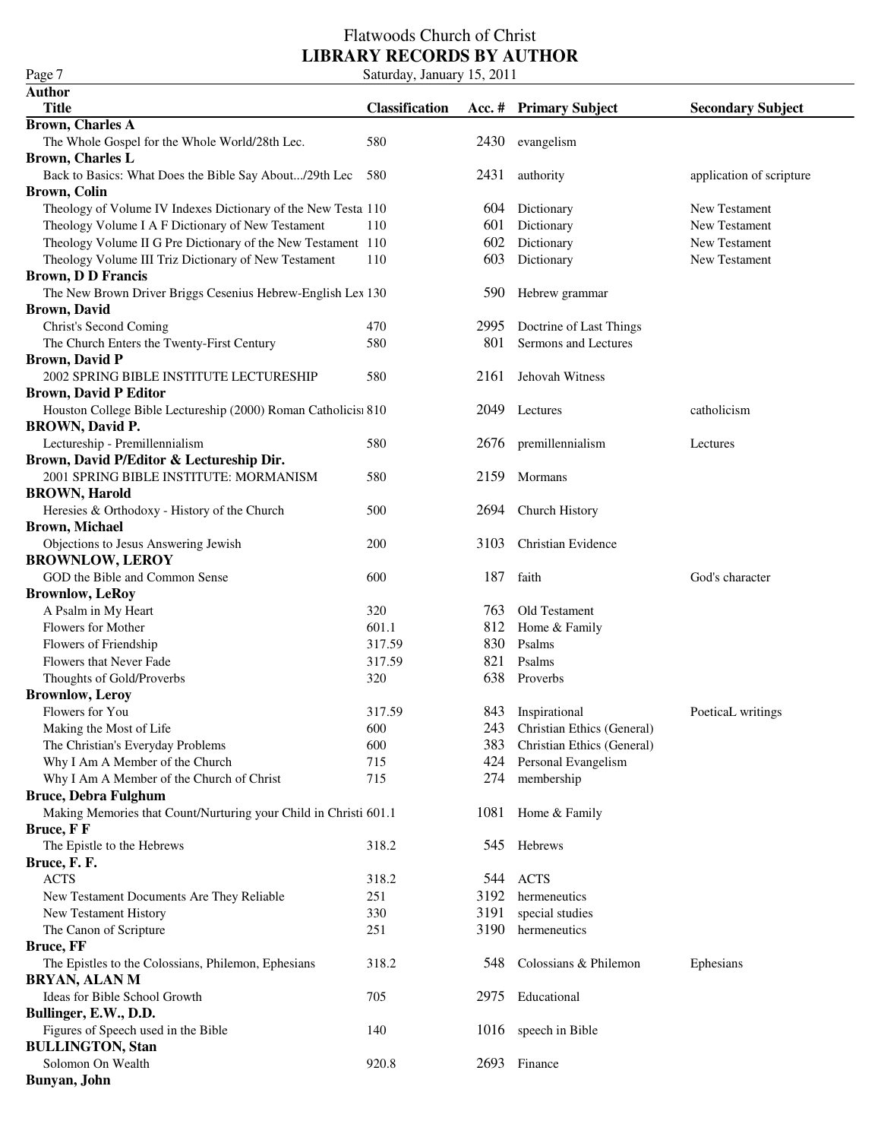| Page 7                                                                      | Saturday, January 15, 2011 |      |                                |                          |  |  |
|-----------------------------------------------------------------------------|----------------------------|------|--------------------------------|--------------------------|--|--|
| <b>Author</b>                                                               |                            |      |                                |                          |  |  |
| <b>Title</b>                                                                | <b>Classification</b>      |      | Acc. # Primary Subject         | <b>Secondary Subject</b> |  |  |
| <b>Brown, Charles A</b>                                                     |                            |      |                                |                          |  |  |
| The Whole Gospel for the Whole World/28th Lec.                              | 580                        | 2430 | evangelism                     |                          |  |  |
| <b>Brown, Charles L</b>                                                     |                            |      |                                |                          |  |  |
| Back to Basics: What Does the Bible Say About/29th Lec                      | 580                        |      | 2431 authority                 | application of scripture |  |  |
| <b>Brown, Colin</b>                                                         |                            |      |                                |                          |  |  |
| Theology of Volume IV Indexes Dictionary of the New Testa 110               |                            |      | 604 Dictionary                 | New Testament            |  |  |
| Theology Volume I A F Dictionary of New Testament                           | 110                        | 601  | Dictionary                     | New Testament            |  |  |
| Theology Volume II G Pre Dictionary of the New Testament 110                |                            | 602  | Dictionary                     | New Testament            |  |  |
| Theology Volume III Triz Dictionary of New Testament                        | 110                        | 603  | Dictionary                     | New Testament            |  |  |
| <b>Brown, D D Francis</b>                                                   |                            |      |                                |                          |  |  |
| The New Brown Driver Briggs Cesenius Hebrew-English Lex 130                 |                            | 590  | Hebrew grammar                 |                          |  |  |
| <b>Brown, David</b>                                                         |                            |      |                                |                          |  |  |
| Christ's Second Coming                                                      | 470                        | 2995 | Doctrine of Last Things        |                          |  |  |
| The Church Enters the Twenty-First Century                                  | 580                        | 801  | Sermons and Lectures           |                          |  |  |
| <b>Brown, David P</b>                                                       |                            |      |                                |                          |  |  |
| 2002 SPRING BIBLE INSTITUTE LECTURESHIP                                     | 580                        | 2161 | Jehovah Witness                |                          |  |  |
| <b>Brown, David P Editor</b>                                                |                            |      |                                |                          |  |  |
| Houston College Bible Lectureship (2000) Roman Catholicis: 810              |                            |      | 2049 Lectures                  | catholicism              |  |  |
| <b>BROWN</b> , David P.                                                     |                            |      |                                |                          |  |  |
| Lectureship - Premillennialism                                              | 580                        |      | 2676 premillennialism          | Lectures                 |  |  |
| Brown, David P/Editor & Lectureship Dir.                                    |                            |      |                                |                          |  |  |
| 2001 SPRING BIBLE INSTITUTE: MORMANISM                                      | 580                        | 2159 | Mormans                        |                          |  |  |
| <b>BROWN, Harold</b>                                                        |                            |      |                                |                          |  |  |
| Heresies & Orthodoxy - History of the Church                                | 500                        |      | 2694 Church History            |                          |  |  |
| <b>Brown, Michael</b>                                                       |                            |      |                                |                          |  |  |
| Objections to Jesus Answering Jewish                                        | 200                        | 3103 | Christian Evidence             |                          |  |  |
| <b>BROWNLOW, LEROY</b>                                                      |                            |      |                                |                          |  |  |
| GOD the Bible and Common Sense                                              | 600                        | 187  | faith                          | God's character          |  |  |
| <b>Brownlow, LeRoy</b>                                                      |                            |      |                                |                          |  |  |
| A Psalm in My Heart                                                         | 320                        | 763  | Old Testament                  |                          |  |  |
| Flowers for Mother                                                          | 601.1                      | 812  | Home & Family                  |                          |  |  |
| Flowers of Friendship                                                       | 317.59                     | 830  | Psalms                         |                          |  |  |
| Flowers that Never Fade                                                     | 317.59                     | 821  | Psalms                         |                          |  |  |
| Thoughts of Gold/Proverbs                                                   | 320                        | 638  | Proverbs                       |                          |  |  |
| <b>Brownlow, Leroy</b>                                                      |                            |      |                                |                          |  |  |
| Flowers for You                                                             | 317.59                     |      | 843 Inspirational              | PoeticaL writings        |  |  |
| Making the Most of Life                                                     | 600                        |      | 243 Christian Ethics (General) |                          |  |  |
| The Christian's Everyday Problems                                           | 600                        | 383  | Christian Ethics (General)     |                          |  |  |
| Why I Am A Member of the Church                                             | 715                        | 424  | Personal Evangelism            |                          |  |  |
| Why I Am A Member of the Church of Christ                                   | 715                        | 274  | membership                     |                          |  |  |
| <b>Bruce, Debra Fulghum</b>                                                 |                            |      |                                |                          |  |  |
| Making Memories that Count/Nurturing your Child in Christi 601.1            |                            |      | 1081 Home & Family             |                          |  |  |
| Bruce, F F                                                                  |                            |      |                                |                          |  |  |
| The Epistle to the Hebrews                                                  | 318.2                      |      | 545 Hebrews                    |                          |  |  |
| Bruce, F. F.                                                                |                            |      |                                |                          |  |  |
| <b>ACTS</b>                                                                 | 318.2                      | 544  | <b>ACTS</b>                    |                          |  |  |
| New Testament Documents Are They Reliable                                   | 251                        | 3192 | hermeneutics                   |                          |  |  |
| New Testament History                                                       | 330                        | 3191 | special studies                |                          |  |  |
| The Canon of Scripture                                                      | 251                        | 3190 | hermeneutics                   |                          |  |  |
| <b>Bruce</b> , FF                                                           |                            |      |                                |                          |  |  |
|                                                                             | 318.2                      | 548  | Colossians & Philemon          |                          |  |  |
| The Epistles to the Colossians, Philemon, Ephesians<br><b>BRYAN, ALAN M</b> |                            |      |                                | Ephesians                |  |  |
| Ideas for Bible School Growth                                               | 705                        | 2975 | Educational                    |                          |  |  |
| Bullinger, E.W., D.D.                                                       |                            |      |                                |                          |  |  |
|                                                                             |                            |      |                                |                          |  |  |
| Figures of Speech used in the Bible                                         | 140                        |      | 1016 speech in Bible           |                          |  |  |
| <b>BULLINGTON, Stan</b><br>Solomon On Wealth                                |                            |      |                                |                          |  |  |
| Bunyan, John                                                                | 920.8                      |      | 2693 Finance                   |                          |  |  |
|                                                                             |                            |      |                                |                          |  |  |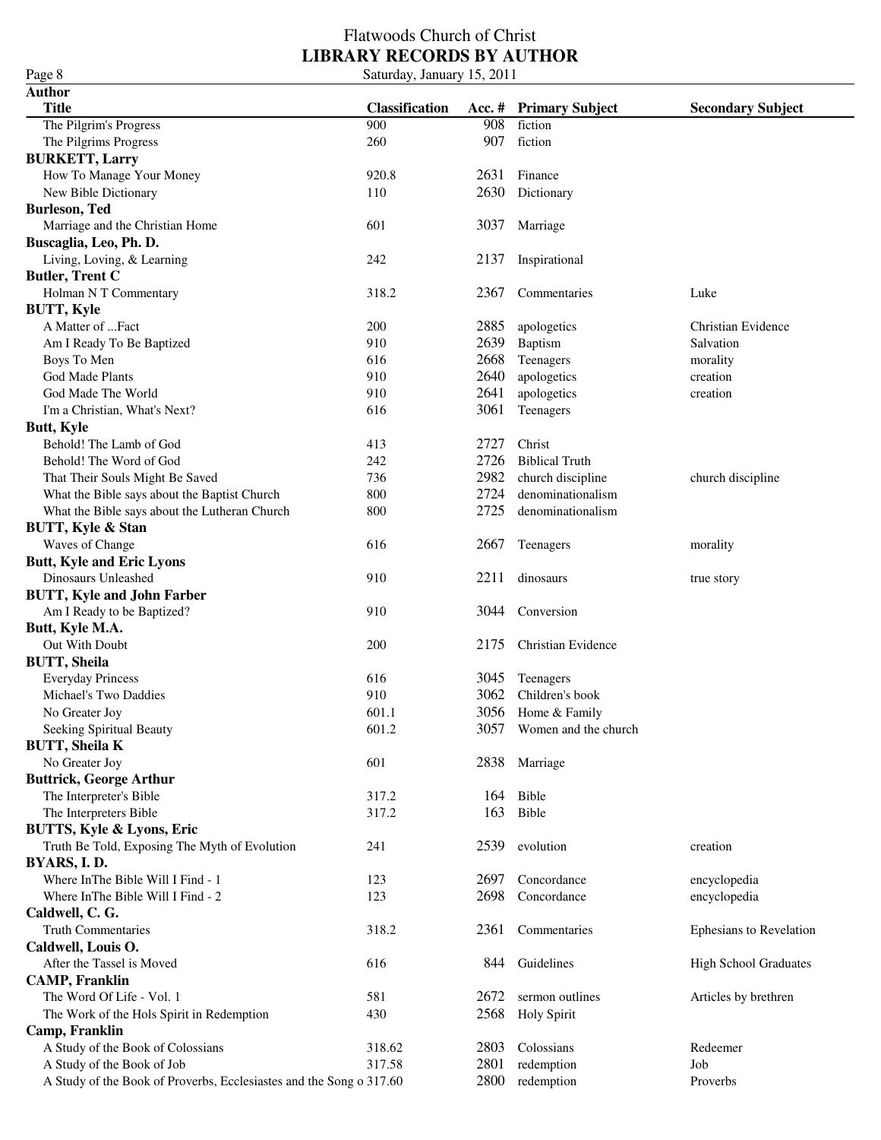| Page 8 |  |
|--------|--|
| Author |  |
| Title  |  |

| <b>Title</b>                                                        | <b>Classification</b> | Acc. $#$ | <b>Primary Subject</b> | <b>Secondary Subject</b>     |
|---------------------------------------------------------------------|-----------------------|----------|------------------------|------------------------------|
| The Pilgrim's Progress                                              | 900                   | 908      | fiction                |                              |
| The Pilgrims Progress                                               | 260                   | 907      | fiction                |                              |
| <b>BURKETT, Larry</b>                                               |                       |          |                        |                              |
| How To Manage Your Money                                            | 920.8                 | 2631     | Finance                |                              |
| New Bible Dictionary                                                | 110                   | 2630     | Dictionary             |                              |
| <b>Burleson, Ted</b>                                                |                       |          |                        |                              |
| Marriage and the Christian Home                                     | 601                   | 3037     | Marriage               |                              |
| Buscaglia, Leo, Ph. D.                                              |                       |          |                        |                              |
| Living, Loving, & Learning                                          | 242                   | 2137     | Inspirational          |                              |
| <b>Butler, Trent C</b>                                              |                       |          |                        |                              |
| Holman N T Commentary                                               | 318.2                 | 2367     | Commentaries           | Luke                         |
| <b>BUTT, Kyle</b>                                                   |                       |          |                        |                              |
| A Matter of Fact                                                    | 200                   | 2885     | apologetics            | Christian Evidence           |
|                                                                     | 910                   | 2639     |                        | Salvation                    |
| Am I Ready To Be Baptized                                           |                       |          | Baptism                |                              |
| Boys To Men                                                         | 616                   | 2668     | Teenagers              | morality                     |
| God Made Plants                                                     | 910                   | 2640     | apologetics            | creation                     |
| God Made The World                                                  | 910                   | 2641     | apologetics            | creation                     |
| I'm a Christian, What's Next?                                       | 616                   | 3061     | Teenagers              |                              |
| Butt, Kyle                                                          |                       |          |                        |                              |
| Behold! The Lamb of God                                             | 413                   | 2727     | Christ                 |                              |
| Behold! The Word of God                                             | 242                   | 2726     | <b>Biblical Truth</b>  |                              |
| That Their Souls Might Be Saved                                     | 736                   | 2982     | church discipline      | church discipline            |
| What the Bible says about the Baptist Church                        | 800                   | 2724     | denominationalism      |                              |
| What the Bible says about the Lutheran Church                       | 800                   | 2725     | denominationalism      |                              |
| <b>BUTT, Kyle &amp; Stan</b>                                        |                       |          |                        |                              |
| Waves of Change                                                     | 616                   | 2667     | Teenagers              | morality                     |
| <b>Butt, Kyle and Eric Lyons</b>                                    |                       |          |                        |                              |
| Dinosaurs Unleashed                                                 | 910                   | 2211     | dinosaurs              | true story                   |
| <b>BUTT, Kyle and John Farber</b>                                   |                       |          |                        |                              |
| Am I Ready to be Baptized?                                          | 910                   | 3044     | Conversion             |                              |
| Butt, Kyle M.A.                                                     |                       |          |                        |                              |
| Out With Doubt                                                      | 200                   | 2175     | Christian Evidence     |                              |
| <b>BUTT, Sheila</b>                                                 |                       |          |                        |                              |
| <b>Everyday Princess</b>                                            | 616                   | 3045     | Teenagers              |                              |
| Michael's Two Daddies                                               | 910                   | 3062     | Children's book        |                              |
| No Greater Joy                                                      | 601.1                 | 3056     | Home & Family          |                              |
| Seeking Spiritual Beauty                                            | 601.2                 | 3057     | Women and the church   |                              |
| <b>BUTT, Sheila K</b>                                               |                       |          |                        |                              |
| No Greater Joy                                                      | 601                   | 2838     | Marriage               |                              |
| <b>Buttrick, George Arthur</b>                                      |                       |          |                        |                              |
| The Interpreter's Bible                                             | 317.2                 | 164      | Bible                  |                              |
| The Interpreters Bible                                              | 317.2                 | 163      | Bible                  |                              |
| BUTTS, Kyle & Lyons, Eric                                           |                       |          |                        |                              |
| Truth Be Told, Exposing The Myth of Evolution                       | 241                   | 2539     | evolution              | creation                     |
| BYARS, I.D.                                                         |                       |          |                        |                              |
| Where InThe Bible Will I Find - 1                                   | 123                   | 2697     | Concordance            | encyclopedia                 |
| Where InThe Bible Will I Find - 2                                   | 123                   | 2698     | Concordance            | encyclopedia                 |
| Caldwell, C. G.                                                     |                       |          |                        |                              |
| <b>Truth Commentaries</b>                                           | 318.2                 | 2361     | Commentaries           | Ephesians to Revelation      |
| Caldwell, Louis O.                                                  |                       |          |                        |                              |
| After the Tassel is Moved                                           | 616                   | 844      | Guidelines             |                              |
| <b>CAMP, Franklin</b>                                               |                       |          |                        | <b>High School Graduates</b> |
|                                                                     |                       |          |                        |                              |
| The Word Of Life - Vol. 1                                           | 581                   | 2672     | sermon outlines        | Articles by brethren         |
| The Work of the Hols Spirit in Redemption                           | 430                   | 2568     | <b>Holy Spirit</b>     |                              |
| Camp, Franklin                                                      |                       |          |                        |                              |
| A Study of the Book of Colossians                                   | 318.62                | 2803     | Colossians             | Redeemer                     |
| A Study of the Book of Job                                          | 317.58                | 2801     | redemption             | Job                          |
| A Study of the Book of Proverbs, Ecclesiastes and the Song o 317.60 |                       | 2800     | redemption             | Proverbs                     |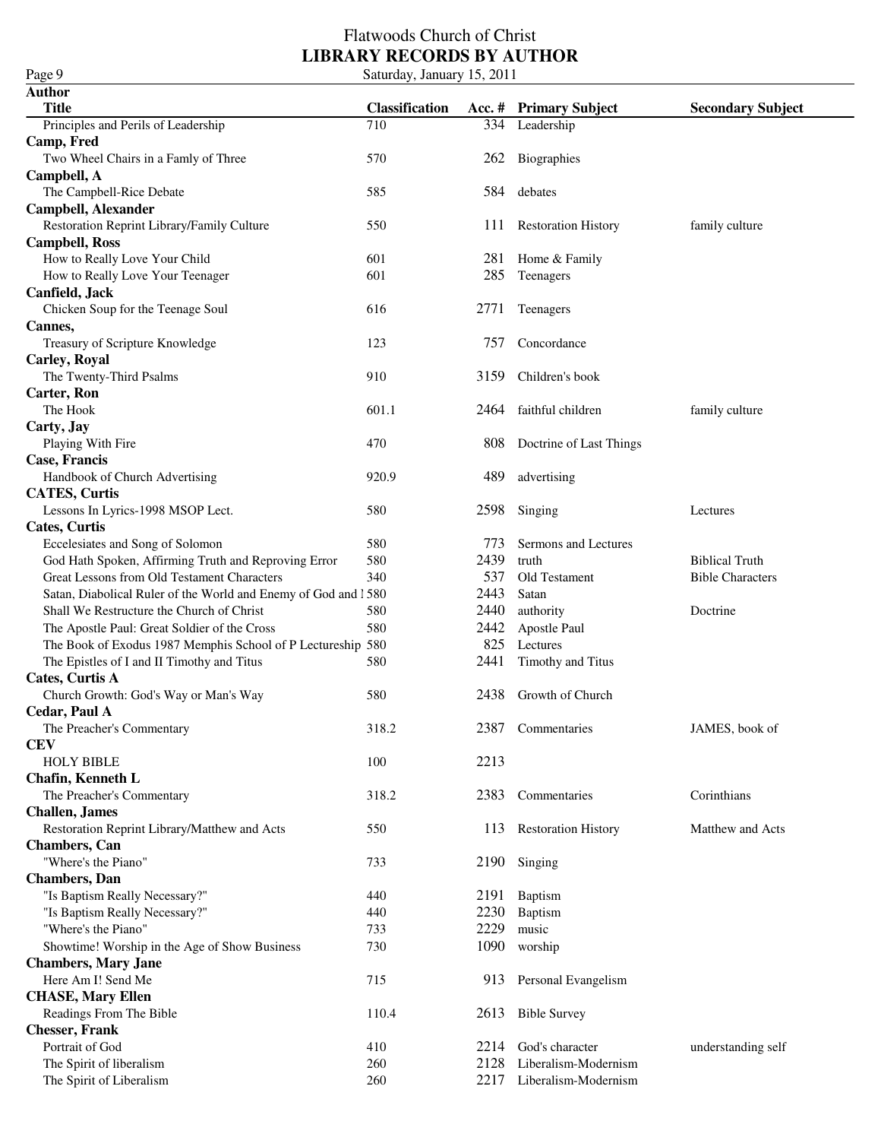| Page 9                                                         | Saturday, January 15, 2011 |      |                            |                          |  |
|----------------------------------------------------------------|----------------------------|------|----------------------------|--------------------------|--|
| <b>Author</b>                                                  |                            |      |                            |                          |  |
| <b>Title</b>                                                   | <b>Classification</b>      |      | Acc. # Primary Subject     | <b>Secondary Subject</b> |  |
| Principles and Perils of Leadership                            | 710                        | 334  | Leadership                 |                          |  |
| Camp, Fred                                                     |                            |      |                            |                          |  |
| Two Wheel Chairs in a Famly of Three                           | 570                        | 262  | Biographies                |                          |  |
| Campbell, A                                                    |                            |      |                            |                          |  |
| The Campbell-Rice Debate                                       | 585                        | 584  | debates                    |                          |  |
| <b>Campbell, Alexander</b>                                     |                            |      |                            |                          |  |
| Restoration Reprint Library/Family Culture                     | 550                        | 111  | <b>Restoration History</b> | family culture           |  |
| <b>Campbell, Ross</b>                                          |                            |      |                            |                          |  |
| How to Really Love Your Child                                  | 601                        | 281  | Home & Family              |                          |  |
| How to Really Love Your Teenager                               | 601                        | 285  | Teenagers                  |                          |  |
| Canfield, Jack                                                 |                            |      |                            |                          |  |
| Chicken Soup for the Teenage Soul                              | 616                        | 2771 | Teenagers                  |                          |  |
| Cannes,                                                        |                            |      |                            |                          |  |
| Treasury of Scripture Knowledge                                | 123                        | 757  | Concordance                |                          |  |
| <b>Carley, Royal</b>                                           |                            |      |                            |                          |  |
| The Twenty-Third Psalms                                        | 910                        | 3159 | Children's book            |                          |  |
| <b>Carter, Ron</b>                                             |                            |      |                            |                          |  |
| The Hook                                                       | 601.1                      | 2464 | faithful children          | family culture           |  |
| Carty, Jay                                                     |                            |      |                            |                          |  |
| Playing With Fire                                              | 470                        | 808  | Doctrine of Last Things    |                          |  |
| Case, Francis                                                  |                            |      |                            |                          |  |
| Handbook of Church Advertising                                 | 920.9                      | 489  | advertising                |                          |  |
| <b>CATES, Curtis</b>                                           |                            |      |                            |                          |  |
| Lessons In Lyrics-1998 MSOP Lect.                              | 580                        | 2598 | Singing                    | Lectures                 |  |
| <b>Cates, Curtis</b>                                           |                            |      |                            |                          |  |
| Eccelesiates and Song of Solomon                               | 580                        | 773  | Sermons and Lectures       |                          |  |
| God Hath Spoken, Affirming Truth and Reproving Error           | 580                        | 2439 | truth                      | <b>Biblical Truth</b>    |  |
| Great Lessons from Old Testament Characters                    | 340                        | 537  | Old Testament              | <b>Bible Characters</b>  |  |
| Satan, Diabolical Ruler of the World and Enemy of God and 1580 |                            | 2443 | Satan                      |                          |  |
| Shall We Restructure the Church of Christ                      | 580                        | 2440 | authority                  | Doctrine                 |  |
| The Apostle Paul: Great Soldier of the Cross                   | 580                        | 2442 | Apostle Paul               |                          |  |
| The Book of Exodus 1987 Memphis School of P Lectureship 580    |                            | 825  | Lectures                   |                          |  |
| The Epistles of I and II Timothy and Titus                     | 580                        | 2441 | Timothy and Titus          |                          |  |
| Cates, Curtis A                                                |                            | 2438 | Growth of Church           |                          |  |
| Church Growth: God's Way or Man's Way<br>Cedar, Paul A         | 580                        |      |                            |                          |  |
|                                                                | 318.2                      | 2387 | Commentaries               | JAMES, book of           |  |
| The Preacher's Commentary<br><b>CEV</b>                        |                            |      |                            |                          |  |
| <b>HOLY BIBLE</b>                                              | 100                        | 2213 |                            |                          |  |
| Chafin, Kenneth L                                              |                            |      |                            |                          |  |
| The Preacher's Commentary                                      | 318.2                      | 2383 | Commentaries               | Corinthians              |  |
| <b>Challen</b> , James                                         |                            |      |                            |                          |  |
| Restoration Reprint Library/Matthew and Acts                   | 550                        | 113  | <b>Restoration History</b> | Matthew and Acts         |  |
| <b>Chambers</b> , Can                                          |                            |      |                            |                          |  |
| "Where's the Piano"                                            | 733                        | 2190 | Singing                    |                          |  |
| <b>Chambers</b> , Dan                                          |                            |      |                            |                          |  |
| "Is Baptism Really Necessary?"                                 | 440                        | 2191 | Baptism                    |                          |  |
| "Is Baptism Really Necessary?"                                 | 440                        | 2230 | Baptism                    |                          |  |
| "Where's the Piano"                                            | 733                        | 2229 | music                      |                          |  |
| Showtime! Worship in the Age of Show Business                  | 730                        | 1090 | worship                    |                          |  |
| <b>Chambers, Mary Jane</b>                                     |                            |      |                            |                          |  |
| Here Am I! Send Me                                             | 715                        | 913  | Personal Evangelism        |                          |  |
| <b>CHASE, Mary Ellen</b>                                       |                            |      |                            |                          |  |
| Readings From The Bible                                        | 110.4                      | 2613 | <b>Bible Survey</b>        |                          |  |
| <b>Chesser, Frank</b>                                          |                            |      |                            |                          |  |
| Portrait of God                                                | 410                        | 2214 | God's character            | understanding self       |  |
| The Spirit of liberalism                                       | 260                        | 2128 | Liberalism-Modernism       |                          |  |
| The Spirit of Liberalism                                       | 260                        | 2217 | Liberalism-Modernism       |                          |  |
|                                                                |                            |      |                            |                          |  |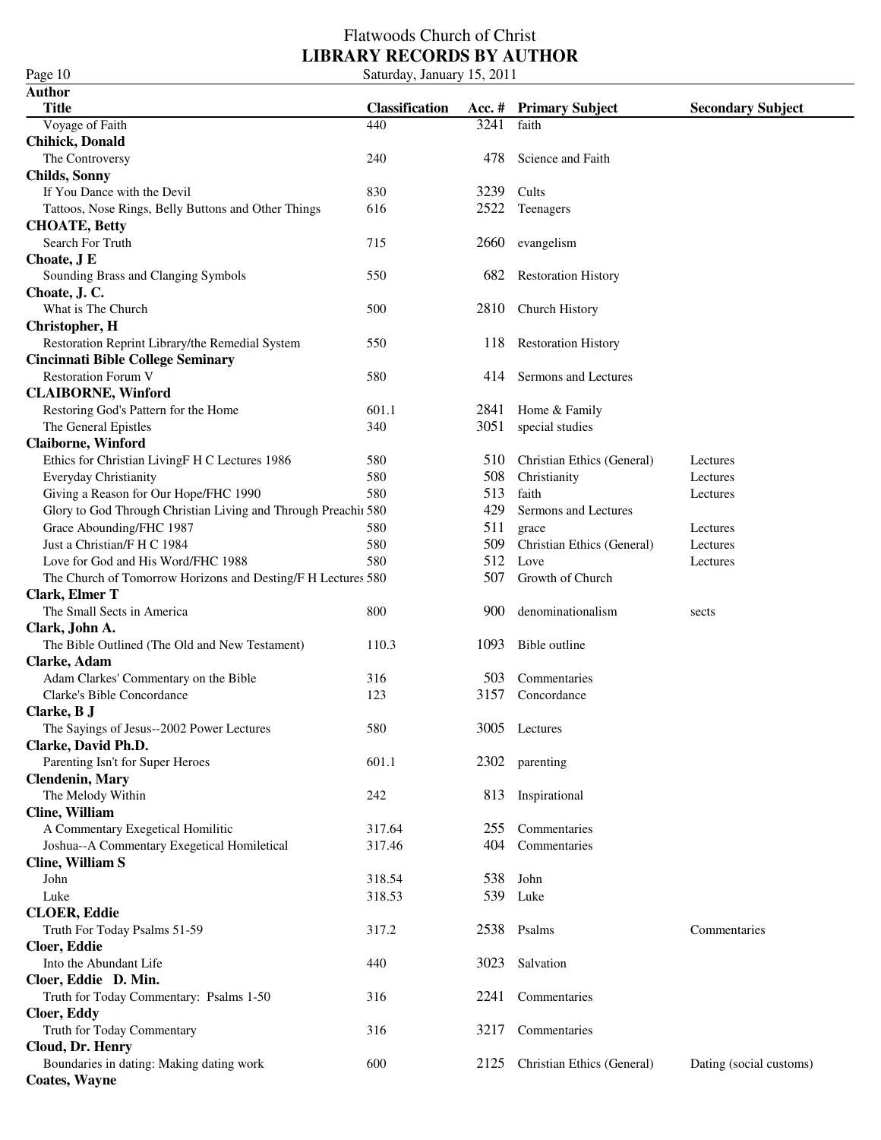Page 10<br>**Author** 

| Page 10 | Saturday, January 15, 2011 |
|---------|----------------------------|
|---------|----------------------------|

| Acc. # Primary Subject<br>Voyage of Faith<br>3241<br>440<br>faith<br><b>Chihick, Donald</b><br>The Controversy<br>240<br>478<br>Science and Faith<br>If You Dance with the Devil<br>830<br>3239<br>Cults<br>2522<br>Tattoos, Nose Rings, Belly Buttons and Other Things<br>616<br>Teenagers<br><b>CHOATE, Betty</b><br>Search For Truth<br>715<br>2660<br>evangelism<br>Choate, J E<br>Sounding Brass and Clanging Symbols<br>550<br>682<br><b>Restoration History</b><br>Choate, J.C.<br>What is The Church<br>500<br>2810<br><b>Church History</b><br>Christopher, H<br>Restoration Reprint Library/the Remedial System<br>550<br>118<br><b>Restoration History</b><br><b>Cincinnati Bible College Seminary</b><br><b>Restoration Forum V</b><br>580<br>414<br>Sermons and Lectures<br><b>CLAIBORNE, Winford</b><br>Restoring God's Pattern for the Home<br>601.1<br>2841<br>Home & Family<br>The General Epistles<br>340<br>3051<br>special studies<br>Ethics for Christian LivingF H C Lectures 1986<br>580<br>510<br>Christian Ethics (General)<br>Lectures<br>508<br>Everyday Christianity<br>580<br>Christianity<br>Lectures<br>513<br>faith<br>Giving a Reason for Our Hope/FHC 1990<br>580<br>Lectures<br>429<br>Glory to God Through Christian Living and Through Preachii 580<br>Sermons and Lectures<br>Grace Abounding/FHC 1987<br>511<br>580<br>grace<br>Lectures<br>Just a Christian/F H C 1984<br>580<br>509<br>Christian Ethics (General)<br>Lectures<br>512<br>Love<br>Love for God and His Word/FHC 1988<br>580<br>Lectures<br>507<br>The Church of Tomorrow Horizons and Desting/F H Lectures 580<br>Growth of Church<br>Clark, Elmer T<br>800<br>The Small Sects in America<br>900<br>denominationalism<br>sects<br>Clark, John A.<br>110.3<br>1093<br>The Bible Outlined (The Old and New Testament)<br>Bible outline<br>Clarke, Adam<br>Adam Clarkes' Commentary on the Bible<br>316<br>503<br>Commentaries<br>3157<br>Clarke's Bible Concordance<br>123<br>Concordance<br>The Sayings of Jesus--2002 Power Lectures<br>580<br>3005 Lectures<br>Parenting Isn't for Super Heroes<br>601.1<br>2302 parenting<br><b>Clendenin</b> , Mary<br>The Melody Within<br>813<br>Inspirational<br>242<br>Cline, William<br>Commentaries<br>A Commentary Exegetical Homilitic<br>317.64<br>255<br>Joshua--A Commentary Exegetical Homiletical<br>404<br>317.46<br>Commentaries<br>Cline, William S<br>318.54<br>538<br>John<br>John<br>539<br>Luke<br>318.53<br>Luke<br><b>CLOER, Eddie</b><br>2538<br>Truth For Today Psalms 51-59<br>317.2<br>Psalms<br>Commentaries<br><b>Cloer, Eddie</b><br>Into the Abundant Life<br>3023<br>440<br>Salvation<br>Truth for Today Commentary: Psalms 1-50<br>2241<br>Commentaries<br>316<br>Truth for Today Commentary<br>316<br>3217<br>Commentaries<br>Cloud, Dr. Henry<br>Boundaries in dating: Making dating work<br>600<br>2125<br>Christian Ethics (General)<br>Dating (social customs) |                           |                       |  |                          |
|-----------------------------------------------------------------------------------------------------------------------------------------------------------------------------------------------------------------------------------------------------------------------------------------------------------------------------------------------------------------------------------------------------------------------------------------------------------------------------------------------------------------------------------------------------------------------------------------------------------------------------------------------------------------------------------------------------------------------------------------------------------------------------------------------------------------------------------------------------------------------------------------------------------------------------------------------------------------------------------------------------------------------------------------------------------------------------------------------------------------------------------------------------------------------------------------------------------------------------------------------------------------------------------------------------------------------------------------------------------------------------------------------------------------------------------------------------------------------------------------------------------------------------------------------------------------------------------------------------------------------------------------------------------------------------------------------------------------------------------------------------------------------------------------------------------------------------------------------------------------------------------------------------------------------------------------------------------------------------------------------------------------------------------------------------------------------------------------------------------------------------------------------------------------------------------------------------------------------------------------------------------------------------------------------------------------------------------------------------------------------------------------------------------------------------------------------------------------------------------------------------------------------------------------------------------------------------------------------------------------------------------------------------------------------------------------------------------------------------------------------------------------------------------------------------------------------------------------------------------------------------------------------------------------------------------------------|---------------------------|-----------------------|--|--------------------------|
|                                                                                                                                                                                                                                                                                                                                                                                                                                                                                                                                                                                                                                                                                                                                                                                                                                                                                                                                                                                                                                                                                                                                                                                                                                                                                                                                                                                                                                                                                                                                                                                                                                                                                                                                                                                                                                                                                                                                                                                                                                                                                                                                                                                                                                                                                                                                                                                                                                                                                                                                                                                                                                                                                                                                                                                                                                                                                                                                               | <b>Title</b>              | <b>Classification</b> |  | <b>Secondary Subject</b> |
|                                                                                                                                                                                                                                                                                                                                                                                                                                                                                                                                                                                                                                                                                                                                                                                                                                                                                                                                                                                                                                                                                                                                                                                                                                                                                                                                                                                                                                                                                                                                                                                                                                                                                                                                                                                                                                                                                                                                                                                                                                                                                                                                                                                                                                                                                                                                                                                                                                                                                                                                                                                                                                                                                                                                                                                                                                                                                                                                               |                           |                       |  |                          |
|                                                                                                                                                                                                                                                                                                                                                                                                                                                                                                                                                                                                                                                                                                                                                                                                                                                                                                                                                                                                                                                                                                                                                                                                                                                                                                                                                                                                                                                                                                                                                                                                                                                                                                                                                                                                                                                                                                                                                                                                                                                                                                                                                                                                                                                                                                                                                                                                                                                                                                                                                                                                                                                                                                                                                                                                                                                                                                                                               |                           |                       |  |                          |
|                                                                                                                                                                                                                                                                                                                                                                                                                                                                                                                                                                                                                                                                                                                                                                                                                                                                                                                                                                                                                                                                                                                                                                                                                                                                                                                                                                                                                                                                                                                                                                                                                                                                                                                                                                                                                                                                                                                                                                                                                                                                                                                                                                                                                                                                                                                                                                                                                                                                                                                                                                                                                                                                                                                                                                                                                                                                                                                                               |                           |                       |  |                          |
|                                                                                                                                                                                                                                                                                                                                                                                                                                                                                                                                                                                                                                                                                                                                                                                                                                                                                                                                                                                                                                                                                                                                                                                                                                                                                                                                                                                                                                                                                                                                                                                                                                                                                                                                                                                                                                                                                                                                                                                                                                                                                                                                                                                                                                                                                                                                                                                                                                                                                                                                                                                                                                                                                                                                                                                                                                                                                                                                               | <b>Childs, Sonny</b>      |                       |  |                          |
|                                                                                                                                                                                                                                                                                                                                                                                                                                                                                                                                                                                                                                                                                                                                                                                                                                                                                                                                                                                                                                                                                                                                                                                                                                                                                                                                                                                                                                                                                                                                                                                                                                                                                                                                                                                                                                                                                                                                                                                                                                                                                                                                                                                                                                                                                                                                                                                                                                                                                                                                                                                                                                                                                                                                                                                                                                                                                                                                               |                           |                       |  |                          |
|                                                                                                                                                                                                                                                                                                                                                                                                                                                                                                                                                                                                                                                                                                                                                                                                                                                                                                                                                                                                                                                                                                                                                                                                                                                                                                                                                                                                                                                                                                                                                                                                                                                                                                                                                                                                                                                                                                                                                                                                                                                                                                                                                                                                                                                                                                                                                                                                                                                                                                                                                                                                                                                                                                                                                                                                                                                                                                                                               |                           |                       |  |                          |
|                                                                                                                                                                                                                                                                                                                                                                                                                                                                                                                                                                                                                                                                                                                                                                                                                                                                                                                                                                                                                                                                                                                                                                                                                                                                                                                                                                                                                                                                                                                                                                                                                                                                                                                                                                                                                                                                                                                                                                                                                                                                                                                                                                                                                                                                                                                                                                                                                                                                                                                                                                                                                                                                                                                                                                                                                                                                                                                                               |                           |                       |  |                          |
|                                                                                                                                                                                                                                                                                                                                                                                                                                                                                                                                                                                                                                                                                                                                                                                                                                                                                                                                                                                                                                                                                                                                                                                                                                                                                                                                                                                                                                                                                                                                                                                                                                                                                                                                                                                                                                                                                                                                                                                                                                                                                                                                                                                                                                                                                                                                                                                                                                                                                                                                                                                                                                                                                                                                                                                                                                                                                                                                               |                           |                       |  |                          |
|                                                                                                                                                                                                                                                                                                                                                                                                                                                                                                                                                                                                                                                                                                                                                                                                                                                                                                                                                                                                                                                                                                                                                                                                                                                                                                                                                                                                                                                                                                                                                                                                                                                                                                                                                                                                                                                                                                                                                                                                                                                                                                                                                                                                                                                                                                                                                                                                                                                                                                                                                                                                                                                                                                                                                                                                                                                                                                                                               |                           |                       |  |                          |
|                                                                                                                                                                                                                                                                                                                                                                                                                                                                                                                                                                                                                                                                                                                                                                                                                                                                                                                                                                                                                                                                                                                                                                                                                                                                                                                                                                                                                                                                                                                                                                                                                                                                                                                                                                                                                                                                                                                                                                                                                                                                                                                                                                                                                                                                                                                                                                                                                                                                                                                                                                                                                                                                                                                                                                                                                                                                                                                                               |                           |                       |  |                          |
|                                                                                                                                                                                                                                                                                                                                                                                                                                                                                                                                                                                                                                                                                                                                                                                                                                                                                                                                                                                                                                                                                                                                                                                                                                                                                                                                                                                                                                                                                                                                                                                                                                                                                                                                                                                                                                                                                                                                                                                                                                                                                                                                                                                                                                                                                                                                                                                                                                                                                                                                                                                                                                                                                                                                                                                                                                                                                                                                               |                           |                       |  |                          |
|                                                                                                                                                                                                                                                                                                                                                                                                                                                                                                                                                                                                                                                                                                                                                                                                                                                                                                                                                                                                                                                                                                                                                                                                                                                                                                                                                                                                                                                                                                                                                                                                                                                                                                                                                                                                                                                                                                                                                                                                                                                                                                                                                                                                                                                                                                                                                                                                                                                                                                                                                                                                                                                                                                                                                                                                                                                                                                                                               |                           |                       |  |                          |
|                                                                                                                                                                                                                                                                                                                                                                                                                                                                                                                                                                                                                                                                                                                                                                                                                                                                                                                                                                                                                                                                                                                                                                                                                                                                                                                                                                                                                                                                                                                                                                                                                                                                                                                                                                                                                                                                                                                                                                                                                                                                                                                                                                                                                                                                                                                                                                                                                                                                                                                                                                                                                                                                                                                                                                                                                                                                                                                                               |                           |                       |  |                          |
|                                                                                                                                                                                                                                                                                                                                                                                                                                                                                                                                                                                                                                                                                                                                                                                                                                                                                                                                                                                                                                                                                                                                                                                                                                                                                                                                                                                                                                                                                                                                                                                                                                                                                                                                                                                                                                                                                                                                                                                                                                                                                                                                                                                                                                                                                                                                                                                                                                                                                                                                                                                                                                                                                                                                                                                                                                                                                                                                               |                           |                       |  |                          |
|                                                                                                                                                                                                                                                                                                                                                                                                                                                                                                                                                                                                                                                                                                                                                                                                                                                                                                                                                                                                                                                                                                                                                                                                                                                                                                                                                                                                                                                                                                                                                                                                                                                                                                                                                                                                                                                                                                                                                                                                                                                                                                                                                                                                                                                                                                                                                                                                                                                                                                                                                                                                                                                                                                                                                                                                                                                                                                                                               |                           |                       |  |                          |
|                                                                                                                                                                                                                                                                                                                                                                                                                                                                                                                                                                                                                                                                                                                                                                                                                                                                                                                                                                                                                                                                                                                                                                                                                                                                                                                                                                                                                                                                                                                                                                                                                                                                                                                                                                                                                                                                                                                                                                                                                                                                                                                                                                                                                                                                                                                                                                                                                                                                                                                                                                                                                                                                                                                                                                                                                                                                                                                                               |                           |                       |  |                          |
|                                                                                                                                                                                                                                                                                                                                                                                                                                                                                                                                                                                                                                                                                                                                                                                                                                                                                                                                                                                                                                                                                                                                                                                                                                                                                                                                                                                                                                                                                                                                                                                                                                                                                                                                                                                                                                                                                                                                                                                                                                                                                                                                                                                                                                                                                                                                                                                                                                                                                                                                                                                                                                                                                                                                                                                                                                                                                                                                               |                           |                       |  |                          |
|                                                                                                                                                                                                                                                                                                                                                                                                                                                                                                                                                                                                                                                                                                                                                                                                                                                                                                                                                                                                                                                                                                                                                                                                                                                                                                                                                                                                                                                                                                                                                                                                                                                                                                                                                                                                                                                                                                                                                                                                                                                                                                                                                                                                                                                                                                                                                                                                                                                                                                                                                                                                                                                                                                                                                                                                                                                                                                                                               |                           |                       |  |                          |
|                                                                                                                                                                                                                                                                                                                                                                                                                                                                                                                                                                                                                                                                                                                                                                                                                                                                                                                                                                                                                                                                                                                                                                                                                                                                                                                                                                                                                                                                                                                                                                                                                                                                                                                                                                                                                                                                                                                                                                                                                                                                                                                                                                                                                                                                                                                                                                                                                                                                                                                                                                                                                                                                                                                                                                                                                                                                                                                                               |                           |                       |  |                          |
|                                                                                                                                                                                                                                                                                                                                                                                                                                                                                                                                                                                                                                                                                                                                                                                                                                                                                                                                                                                                                                                                                                                                                                                                                                                                                                                                                                                                                                                                                                                                                                                                                                                                                                                                                                                                                                                                                                                                                                                                                                                                                                                                                                                                                                                                                                                                                                                                                                                                                                                                                                                                                                                                                                                                                                                                                                                                                                                                               |                           |                       |  |                          |
|                                                                                                                                                                                                                                                                                                                                                                                                                                                                                                                                                                                                                                                                                                                                                                                                                                                                                                                                                                                                                                                                                                                                                                                                                                                                                                                                                                                                                                                                                                                                                                                                                                                                                                                                                                                                                                                                                                                                                                                                                                                                                                                                                                                                                                                                                                                                                                                                                                                                                                                                                                                                                                                                                                                                                                                                                                                                                                                                               | <b>Claiborne, Winford</b> |                       |  |                          |
|                                                                                                                                                                                                                                                                                                                                                                                                                                                                                                                                                                                                                                                                                                                                                                                                                                                                                                                                                                                                                                                                                                                                                                                                                                                                                                                                                                                                                                                                                                                                                                                                                                                                                                                                                                                                                                                                                                                                                                                                                                                                                                                                                                                                                                                                                                                                                                                                                                                                                                                                                                                                                                                                                                                                                                                                                                                                                                                                               |                           |                       |  |                          |
|                                                                                                                                                                                                                                                                                                                                                                                                                                                                                                                                                                                                                                                                                                                                                                                                                                                                                                                                                                                                                                                                                                                                                                                                                                                                                                                                                                                                                                                                                                                                                                                                                                                                                                                                                                                                                                                                                                                                                                                                                                                                                                                                                                                                                                                                                                                                                                                                                                                                                                                                                                                                                                                                                                                                                                                                                                                                                                                                               |                           |                       |  |                          |
|                                                                                                                                                                                                                                                                                                                                                                                                                                                                                                                                                                                                                                                                                                                                                                                                                                                                                                                                                                                                                                                                                                                                                                                                                                                                                                                                                                                                                                                                                                                                                                                                                                                                                                                                                                                                                                                                                                                                                                                                                                                                                                                                                                                                                                                                                                                                                                                                                                                                                                                                                                                                                                                                                                                                                                                                                                                                                                                                               |                           |                       |  |                          |
|                                                                                                                                                                                                                                                                                                                                                                                                                                                                                                                                                                                                                                                                                                                                                                                                                                                                                                                                                                                                                                                                                                                                                                                                                                                                                                                                                                                                                                                                                                                                                                                                                                                                                                                                                                                                                                                                                                                                                                                                                                                                                                                                                                                                                                                                                                                                                                                                                                                                                                                                                                                                                                                                                                                                                                                                                                                                                                                                               |                           |                       |  |                          |
|                                                                                                                                                                                                                                                                                                                                                                                                                                                                                                                                                                                                                                                                                                                                                                                                                                                                                                                                                                                                                                                                                                                                                                                                                                                                                                                                                                                                                                                                                                                                                                                                                                                                                                                                                                                                                                                                                                                                                                                                                                                                                                                                                                                                                                                                                                                                                                                                                                                                                                                                                                                                                                                                                                                                                                                                                                                                                                                                               |                           |                       |  |                          |
|                                                                                                                                                                                                                                                                                                                                                                                                                                                                                                                                                                                                                                                                                                                                                                                                                                                                                                                                                                                                                                                                                                                                                                                                                                                                                                                                                                                                                                                                                                                                                                                                                                                                                                                                                                                                                                                                                                                                                                                                                                                                                                                                                                                                                                                                                                                                                                                                                                                                                                                                                                                                                                                                                                                                                                                                                                                                                                                                               |                           |                       |  |                          |
|                                                                                                                                                                                                                                                                                                                                                                                                                                                                                                                                                                                                                                                                                                                                                                                                                                                                                                                                                                                                                                                                                                                                                                                                                                                                                                                                                                                                                                                                                                                                                                                                                                                                                                                                                                                                                                                                                                                                                                                                                                                                                                                                                                                                                                                                                                                                                                                                                                                                                                                                                                                                                                                                                                                                                                                                                                                                                                                                               |                           |                       |  |                          |
|                                                                                                                                                                                                                                                                                                                                                                                                                                                                                                                                                                                                                                                                                                                                                                                                                                                                                                                                                                                                                                                                                                                                                                                                                                                                                                                                                                                                                                                                                                                                                                                                                                                                                                                                                                                                                                                                                                                                                                                                                                                                                                                                                                                                                                                                                                                                                                                                                                                                                                                                                                                                                                                                                                                                                                                                                                                                                                                                               |                           |                       |  |                          |
|                                                                                                                                                                                                                                                                                                                                                                                                                                                                                                                                                                                                                                                                                                                                                                                                                                                                                                                                                                                                                                                                                                                                                                                                                                                                                                                                                                                                                                                                                                                                                                                                                                                                                                                                                                                                                                                                                                                                                                                                                                                                                                                                                                                                                                                                                                                                                                                                                                                                                                                                                                                                                                                                                                                                                                                                                                                                                                                                               |                           |                       |  |                          |
|                                                                                                                                                                                                                                                                                                                                                                                                                                                                                                                                                                                                                                                                                                                                                                                                                                                                                                                                                                                                                                                                                                                                                                                                                                                                                                                                                                                                                                                                                                                                                                                                                                                                                                                                                                                                                                                                                                                                                                                                                                                                                                                                                                                                                                                                                                                                                                                                                                                                                                                                                                                                                                                                                                                                                                                                                                                                                                                                               |                           |                       |  |                          |
|                                                                                                                                                                                                                                                                                                                                                                                                                                                                                                                                                                                                                                                                                                                                                                                                                                                                                                                                                                                                                                                                                                                                                                                                                                                                                                                                                                                                                                                                                                                                                                                                                                                                                                                                                                                                                                                                                                                                                                                                                                                                                                                                                                                                                                                                                                                                                                                                                                                                                                                                                                                                                                                                                                                                                                                                                                                                                                                                               |                           |                       |  |                          |
|                                                                                                                                                                                                                                                                                                                                                                                                                                                                                                                                                                                                                                                                                                                                                                                                                                                                                                                                                                                                                                                                                                                                                                                                                                                                                                                                                                                                                                                                                                                                                                                                                                                                                                                                                                                                                                                                                                                                                                                                                                                                                                                                                                                                                                                                                                                                                                                                                                                                                                                                                                                                                                                                                                                                                                                                                                                                                                                                               |                           |                       |  |                          |
|                                                                                                                                                                                                                                                                                                                                                                                                                                                                                                                                                                                                                                                                                                                                                                                                                                                                                                                                                                                                                                                                                                                                                                                                                                                                                                                                                                                                                                                                                                                                                                                                                                                                                                                                                                                                                                                                                                                                                                                                                                                                                                                                                                                                                                                                                                                                                                                                                                                                                                                                                                                                                                                                                                                                                                                                                                                                                                                                               |                           |                       |  |                          |
|                                                                                                                                                                                                                                                                                                                                                                                                                                                                                                                                                                                                                                                                                                                                                                                                                                                                                                                                                                                                                                                                                                                                                                                                                                                                                                                                                                                                                                                                                                                                                                                                                                                                                                                                                                                                                                                                                                                                                                                                                                                                                                                                                                                                                                                                                                                                                                                                                                                                                                                                                                                                                                                                                                                                                                                                                                                                                                                                               |                           |                       |  |                          |
|                                                                                                                                                                                                                                                                                                                                                                                                                                                                                                                                                                                                                                                                                                                                                                                                                                                                                                                                                                                                                                                                                                                                                                                                                                                                                                                                                                                                                                                                                                                                                                                                                                                                                                                                                                                                                                                                                                                                                                                                                                                                                                                                                                                                                                                                                                                                                                                                                                                                                                                                                                                                                                                                                                                                                                                                                                                                                                                                               |                           |                       |  |                          |
|                                                                                                                                                                                                                                                                                                                                                                                                                                                                                                                                                                                                                                                                                                                                                                                                                                                                                                                                                                                                                                                                                                                                                                                                                                                                                                                                                                                                                                                                                                                                                                                                                                                                                                                                                                                                                                                                                                                                                                                                                                                                                                                                                                                                                                                                                                                                                                                                                                                                                                                                                                                                                                                                                                                                                                                                                                                                                                                                               |                           |                       |  |                          |
|                                                                                                                                                                                                                                                                                                                                                                                                                                                                                                                                                                                                                                                                                                                                                                                                                                                                                                                                                                                                                                                                                                                                                                                                                                                                                                                                                                                                                                                                                                                                                                                                                                                                                                                                                                                                                                                                                                                                                                                                                                                                                                                                                                                                                                                                                                                                                                                                                                                                                                                                                                                                                                                                                                                                                                                                                                                                                                                                               | Clarke, B J               |                       |  |                          |
|                                                                                                                                                                                                                                                                                                                                                                                                                                                                                                                                                                                                                                                                                                                                                                                                                                                                                                                                                                                                                                                                                                                                                                                                                                                                                                                                                                                                                                                                                                                                                                                                                                                                                                                                                                                                                                                                                                                                                                                                                                                                                                                                                                                                                                                                                                                                                                                                                                                                                                                                                                                                                                                                                                                                                                                                                                                                                                                                               |                           |                       |  |                          |
|                                                                                                                                                                                                                                                                                                                                                                                                                                                                                                                                                                                                                                                                                                                                                                                                                                                                                                                                                                                                                                                                                                                                                                                                                                                                                                                                                                                                                                                                                                                                                                                                                                                                                                                                                                                                                                                                                                                                                                                                                                                                                                                                                                                                                                                                                                                                                                                                                                                                                                                                                                                                                                                                                                                                                                                                                                                                                                                                               | Clarke, David Ph.D.       |                       |  |                          |
|                                                                                                                                                                                                                                                                                                                                                                                                                                                                                                                                                                                                                                                                                                                                                                                                                                                                                                                                                                                                                                                                                                                                                                                                                                                                                                                                                                                                                                                                                                                                                                                                                                                                                                                                                                                                                                                                                                                                                                                                                                                                                                                                                                                                                                                                                                                                                                                                                                                                                                                                                                                                                                                                                                                                                                                                                                                                                                                                               |                           |                       |  |                          |
|                                                                                                                                                                                                                                                                                                                                                                                                                                                                                                                                                                                                                                                                                                                                                                                                                                                                                                                                                                                                                                                                                                                                                                                                                                                                                                                                                                                                                                                                                                                                                                                                                                                                                                                                                                                                                                                                                                                                                                                                                                                                                                                                                                                                                                                                                                                                                                                                                                                                                                                                                                                                                                                                                                                                                                                                                                                                                                                                               |                           |                       |  |                          |
|                                                                                                                                                                                                                                                                                                                                                                                                                                                                                                                                                                                                                                                                                                                                                                                                                                                                                                                                                                                                                                                                                                                                                                                                                                                                                                                                                                                                                                                                                                                                                                                                                                                                                                                                                                                                                                                                                                                                                                                                                                                                                                                                                                                                                                                                                                                                                                                                                                                                                                                                                                                                                                                                                                                                                                                                                                                                                                                                               |                           |                       |  |                          |
|                                                                                                                                                                                                                                                                                                                                                                                                                                                                                                                                                                                                                                                                                                                                                                                                                                                                                                                                                                                                                                                                                                                                                                                                                                                                                                                                                                                                                                                                                                                                                                                                                                                                                                                                                                                                                                                                                                                                                                                                                                                                                                                                                                                                                                                                                                                                                                                                                                                                                                                                                                                                                                                                                                                                                                                                                                                                                                                                               |                           |                       |  |                          |
|                                                                                                                                                                                                                                                                                                                                                                                                                                                                                                                                                                                                                                                                                                                                                                                                                                                                                                                                                                                                                                                                                                                                                                                                                                                                                                                                                                                                                                                                                                                                                                                                                                                                                                                                                                                                                                                                                                                                                                                                                                                                                                                                                                                                                                                                                                                                                                                                                                                                                                                                                                                                                                                                                                                                                                                                                                                                                                                                               |                           |                       |  |                          |
|                                                                                                                                                                                                                                                                                                                                                                                                                                                                                                                                                                                                                                                                                                                                                                                                                                                                                                                                                                                                                                                                                                                                                                                                                                                                                                                                                                                                                                                                                                                                                                                                                                                                                                                                                                                                                                                                                                                                                                                                                                                                                                                                                                                                                                                                                                                                                                                                                                                                                                                                                                                                                                                                                                                                                                                                                                                                                                                                               |                           |                       |  |                          |
|                                                                                                                                                                                                                                                                                                                                                                                                                                                                                                                                                                                                                                                                                                                                                                                                                                                                                                                                                                                                                                                                                                                                                                                                                                                                                                                                                                                                                                                                                                                                                                                                                                                                                                                                                                                                                                                                                                                                                                                                                                                                                                                                                                                                                                                                                                                                                                                                                                                                                                                                                                                                                                                                                                                                                                                                                                                                                                                                               |                           |                       |  |                          |
|                                                                                                                                                                                                                                                                                                                                                                                                                                                                                                                                                                                                                                                                                                                                                                                                                                                                                                                                                                                                                                                                                                                                                                                                                                                                                                                                                                                                                                                                                                                                                                                                                                                                                                                                                                                                                                                                                                                                                                                                                                                                                                                                                                                                                                                                                                                                                                                                                                                                                                                                                                                                                                                                                                                                                                                                                                                                                                                                               |                           |                       |  |                          |
|                                                                                                                                                                                                                                                                                                                                                                                                                                                                                                                                                                                                                                                                                                                                                                                                                                                                                                                                                                                                                                                                                                                                                                                                                                                                                                                                                                                                                                                                                                                                                                                                                                                                                                                                                                                                                                                                                                                                                                                                                                                                                                                                                                                                                                                                                                                                                                                                                                                                                                                                                                                                                                                                                                                                                                                                                                                                                                                                               |                           |                       |  |                          |
|                                                                                                                                                                                                                                                                                                                                                                                                                                                                                                                                                                                                                                                                                                                                                                                                                                                                                                                                                                                                                                                                                                                                                                                                                                                                                                                                                                                                                                                                                                                                                                                                                                                                                                                                                                                                                                                                                                                                                                                                                                                                                                                                                                                                                                                                                                                                                                                                                                                                                                                                                                                                                                                                                                                                                                                                                                                                                                                                               |                           |                       |  |                          |
|                                                                                                                                                                                                                                                                                                                                                                                                                                                                                                                                                                                                                                                                                                                                                                                                                                                                                                                                                                                                                                                                                                                                                                                                                                                                                                                                                                                                                                                                                                                                                                                                                                                                                                                                                                                                                                                                                                                                                                                                                                                                                                                                                                                                                                                                                                                                                                                                                                                                                                                                                                                                                                                                                                                                                                                                                                                                                                                                               |                           |                       |  |                          |
|                                                                                                                                                                                                                                                                                                                                                                                                                                                                                                                                                                                                                                                                                                                                                                                                                                                                                                                                                                                                                                                                                                                                                                                                                                                                                                                                                                                                                                                                                                                                                                                                                                                                                                                                                                                                                                                                                                                                                                                                                                                                                                                                                                                                                                                                                                                                                                                                                                                                                                                                                                                                                                                                                                                                                                                                                                                                                                                                               |                           |                       |  |                          |
|                                                                                                                                                                                                                                                                                                                                                                                                                                                                                                                                                                                                                                                                                                                                                                                                                                                                                                                                                                                                                                                                                                                                                                                                                                                                                                                                                                                                                                                                                                                                                                                                                                                                                                                                                                                                                                                                                                                                                                                                                                                                                                                                                                                                                                                                                                                                                                                                                                                                                                                                                                                                                                                                                                                                                                                                                                                                                                                                               |                           |                       |  |                          |
|                                                                                                                                                                                                                                                                                                                                                                                                                                                                                                                                                                                                                                                                                                                                                                                                                                                                                                                                                                                                                                                                                                                                                                                                                                                                                                                                                                                                                                                                                                                                                                                                                                                                                                                                                                                                                                                                                                                                                                                                                                                                                                                                                                                                                                                                                                                                                                                                                                                                                                                                                                                                                                                                                                                                                                                                                                                                                                                                               |                           |                       |  |                          |
|                                                                                                                                                                                                                                                                                                                                                                                                                                                                                                                                                                                                                                                                                                                                                                                                                                                                                                                                                                                                                                                                                                                                                                                                                                                                                                                                                                                                                                                                                                                                                                                                                                                                                                                                                                                                                                                                                                                                                                                                                                                                                                                                                                                                                                                                                                                                                                                                                                                                                                                                                                                                                                                                                                                                                                                                                                                                                                                                               | Cloer, Eddie D. Min.      |                       |  |                          |
|                                                                                                                                                                                                                                                                                                                                                                                                                                                                                                                                                                                                                                                                                                                                                                                                                                                                                                                                                                                                                                                                                                                                                                                                                                                                                                                                                                                                                                                                                                                                                                                                                                                                                                                                                                                                                                                                                                                                                                                                                                                                                                                                                                                                                                                                                                                                                                                                                                                                                                                                                                                                                                                                                                                                                                                                                                                                                                                                               |                           |                       |  |                          |
|                                                                                                                                                                                                                                                                                                                                                                                                                                                                                                                                                                                                                                                                                                                                                                                                                                                                                                                                                                                                                                                                                                                                                                                                                                                                                                                                                                                                                                                                                                                                                                                                                                                                                                                                                                                                                                                                                                                                                                                                                                                                                                                                                                                                                                                                                                                                                                                                                                                                                                                                                                                                                                                                                                                                                                                                                                                                                                                                               | <b>Cloer, Eddy</b>        |                       |  |                          |
|                                                                                                                                                                                                                                                                                                                                                                                                                                                                                                                                                                                                                                                                                                                                                                                                                                                                                                                                                                                                                                                                                                                                                                                                                                                                                                                                                                                                                                                                                                                                                                                                                                                                                                                                                                                                                                                                                                                                                                                                                                                                                                                                                                                                                                                                                                                                                                                                                                                                                                                                                                                                                                                                                                                                                                                                                                                                                                                                               |                           |                       |  |                          |
|                                                                                                                                                                                                                                                                                                                                                                                                                                                                                                                                                                                                                                                                                                                                                                                                                                                                                                                                                                                                                                                                                                                                                                                                                                                                                                                                                                                                                                                                                                                                                                                                                                                                                                                                                                                                                                                                                                                                                                                                                                                                                                                                                                                                                                                                                                                                                                                                                                                                                                                                                                                                                                                                                                                                                                                                                                                                                                                                               |                           |                       |  |                          |
|                                                                                                                                                                                                                                                                                                                                                                                                                                                                                                                                                                                                                                                                                                                                                                                                                                                                                                                                                                                                                                                                                                                                                                                                                                                                                                                                                                                                                                                                                                                                                                                                                                                                                                                                                                                                                                                                                                                                                                                                                                                                                                                                                                                                                                                                                                                                                                                                                                                                                                                                                                                                                                                                                                                                                                                                                                                                                                                                               |                           |                       |  |                          |
|                                                                                                                                                                                                                                                                                                                                                                                                                                                                                                                                                                                                                                                                                                                                                                                                                                                                                                                                                                                                                                                                                                                                                                                                                                                                                                                                                                                                                                                                                                                                                                                                                                                                                                                                                                                                                                                                                                                                                                                                                                                                                                                                                                                                                                                                                                                                                                                                                                                                                                                                                                                                                                                                                                                                                                                                                                                                                                                                               | <b>Coates, Wayne</b>      |                       |  |                          |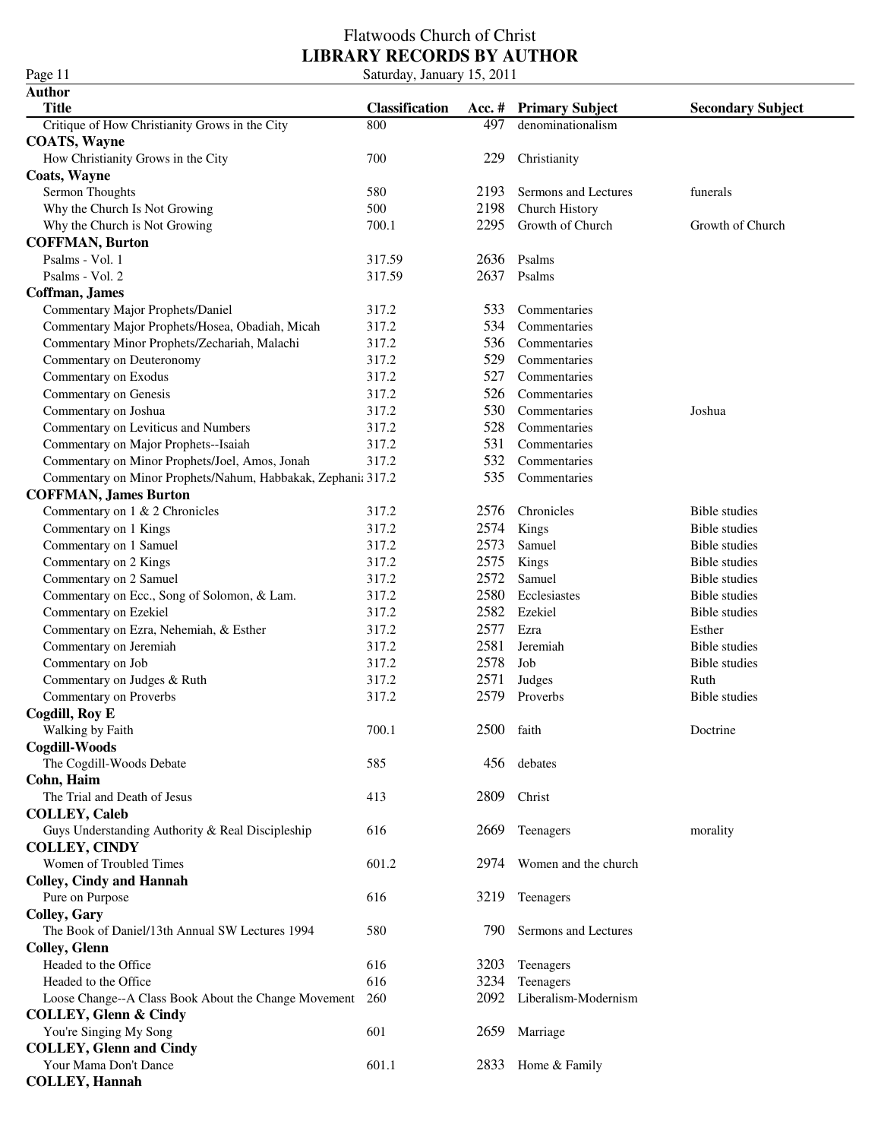Page 11<br>**Author** 

| <b>Title</b>                                                 | <b>Classification</b> |            | Acc. # Primary Subject | <b>Secondary Subject</b> |
|--------------------------------------------------------------|-----------------------|------------|------------------------|--------------------------|
| Critique of How Christianity Grows in the City               | 800                   | 497        | denominationalism      |                          |
| <b>COATS, Wayne</b>                                          |                       |            |                        |                          |
| How Christianity Grows in the City                           | 700                   | 229        | Christianity           |                          |
| <b>Coats, Wayne</b>                                          |                       |            |                        |                          |
| Sermon Thoughts                                              | 580                   | 2193       | Sermons and Lectures   | funerals                 |
| Why the Church Is Not Growing                                | 500                   | 2198       | Church History         |                          |
| Why the Church is Not Growing                                | 700.1                 | 2295       | Growth of Church       | Growth of Church         |
| <b>COFFMAN, Burton</b>                                       |                       |            |                        |                          |
| Psalms - Vol. 1                                              | 317.59                | 2636       | Psalms                 |                          |
| Psalms - Vol. 2                                              | 317.59                | 2637       | Psalms                 |                          |
| Coffman, James                                               |                       |            |                        |                          |
| Commentary Major Prophets/Daniel                             | 317.2                 | 533        | Commentaries           |                          |
| Commentary Major Prophets/Hosea, Obadiah, Micah              | 317.2                 | 534        | Commentaries           |                          |
| Commentary Minor Prophets/Zechariah, Malachi                 | 317.2                 | 536        | Commentaries           |                          |
| Commentary on Deuteronomy                                    | 317.2                 | 529        | Commentaries           |                          |
| Commentary on Exodus                                         | 317.2                 | 527        | Commentaries           |                          |
| Commentary on Genesis                                        | 317.2                 | 526        | Commentaries           |                          |
| Commentary on Joshua                                         | 317.2                 | 530        | Commentaries           | Joshua                   |
| Commentary on Leviticus and Numbers                          | 317.2                 | 528        | Commentaries           |                          |
| Commentary on Major Prophets--Isaiah                         | 317.2                 | 531        | Commentaries           |                          |
| Commentary on Minor Prophets/Joel, Amos, Jonah               | 317.2                 | 532        | Commentaries           |                          |
| Commentary on Minor Prophets/Nahum, Habbakak, Zephani: 317.2 |                       | 535        | Commentaries           |                          |
| <b>COFFMAN, James Burton</b>                                 |                       |            |                        |                          |
| Commentary on 1 & 2 Chronicles                               | 317.2                 | 2576       | Chronicles             | <b>Bible</b> studies     |
|                                                              | 317.2                 | 2574       | Kings                  | <b>Bible</b> studies     |
| Commentary on 1 Kings                                        |                       |            |                        |                          |
| Commentary on 1 Samuel                                       | 317.2                 | 2573       | Samuel                 | <b>Bible</b> studies     |
| Commentary on 2 Kings                                        | 317.2                 | 2575       | Kings                  | <b>Bible</b> studies     |
| Commentary on 2 Samuel                                       | 317.2                 | 2572       | Samuel                 | <b>Bible</b> studies     |
| Commentary on Ecc., Song of Solomon, & Lam.                  | 317.2                 | 2580       | Ecclesiastes           | <b>Bible</b> studies     |
| Commentary on Ezekiel                                        | 317.2                 | 2582       | Ezekiel                | <b>Bible</b> studies     |
| Commentary on Ezra, Nehemiah, & Esther                       | 317.2                 | 2577       | Ezra                   | Esther                   |
| Commentary on Jeremiah                                       | 317.2                 | 2581       | Jeremiah               | <b>Bible</b> studies     |
| Commentary on Job                                            | 317.2                 | 2578       | Job                    | <b>Bible</b> studies     |
| Commentary on Judges & Ruth                                  | 317.2                 | 2571       | Judges                 | Ruth                     |
| Commentary on Proverbs                                       | 317.2                 | 2579       | Proverbs               | <b>Bible</b> studies     |
| Cogdill, Roy E                                               |                       |            |                        |                          |
| Walking by Faith                                             | 700.1                 | 2500 faith |                        | Doctrine                 |
| <b>Cogdill-Woods</b>                                         |                       |            |                        |                          |
| The Cogdill-Woods Debate                                     | 585                   |            | 456 debates            |                          |
| Cohn, Haim                                                   |                       |            |                        |                          |
| The Trial and Death of Jesus                                 | 413                   | 2809       | Christ                 |                          |
| <b>COLLEY, Caleb</b>                                         |                       |            |                        |                          |
| Guys Understanding Authority & Real Discipleship             | 616                   | 2669       | Teenagers              | morality                 |
| <b>COLLEY, CINDY</b>                                         |                       |            |                        |                          |
| Women of Troubled Times                                      | 601.2                 | 2974       | Women and the church   |                          |
| <b>Colley, Cindy and Hannah</b>                              |                       |            |                        |                          |
| Pure on Purpose                                              | 616                   | 3219       | Teenagers              |                          |
| <b>Colley, Gary</b>                                          |                       |            |                        |                          |
| The Book of Daniel/13th Annual SW Lectures 1994              | 580                   | 790        | Sermons and Lectures   |                          |
| <b>Colley</b> , Glenn                                        |                       |            |                        |                          |
| Headed to the Office                                         | 616                   | 3203       | Teenagers              |                          |
| Headed to the Office                                         | 616                   | 3234       | Teenagers              |                          |
| Loose Change--A Class Book About the Change Movement         | 260                   | 2092       | Liberalism-Modernism   |                          |
| <b>COLLEY, Glenn &amp; Cindy</b>                             |                       |            |                        |                          |
| You're Singing My Song                                       | 601                   | 2659       | Marriage               |                          |
| <b>COLLEY, Glenn and Cindy</b>                               |                       |            |                        |                          |
| Your Mama Don't Dance                                        | 601.1                 | 2833       | Home & Family          |                          |
| <b>COLLEY, Hannah</b>                                        |                       |            |                        |                          |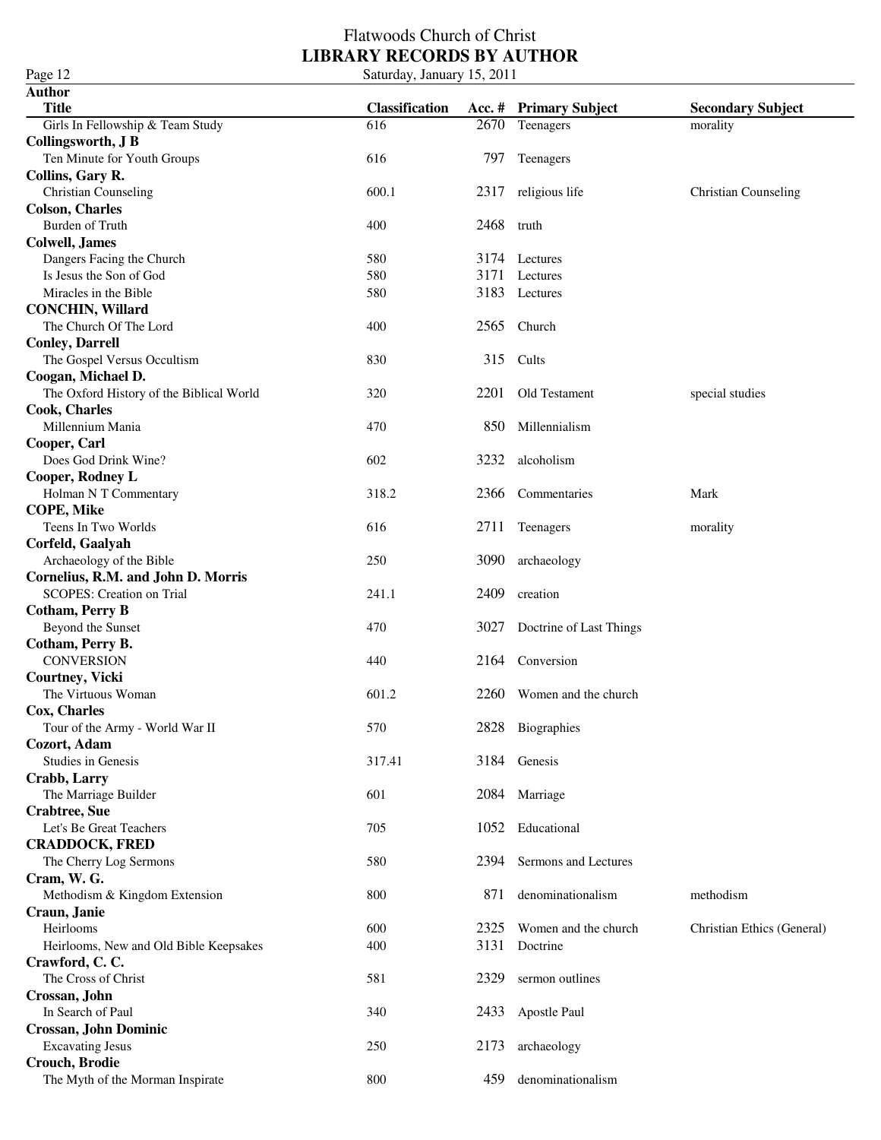| Page 12                                  | Saturday, January 15, 2011 |      |                         |                             |
|------------------------------------------|----------------------------|------|-------------------------|-----------------------------|
| <b>Author</b>                            |                            |      |                         |                             |
| <b>Title</b>                             | <b>Classification</b>      |      | Acc. # Primary Subject  | <b>Secondary Subject</b>    |
| Girls In Fellowship & Team Study         | 616                        | 2670 | Teenagers               | morality                    |
| Collingsworth, J B                       |                            |      |                         |                             |
| Ten Minute for Youth Groups              | 616                        | 797  | Teenagers               |                             |
| Collins, Gary R.                         |                            |      |                         |                             |
| <b>Christian Counseling</b>              | 600.1                      | 2317 | religious life          | <b>Christian Counseling</b> |
| <b>Colson, Charles</b>                   |                            |      |                         |                             |
| <b>Burden of Truth</b>                   | 400                        | 2468 | truth                   |                             |
| <b>Colwell</b> , James                   |                            |      |                         |                             |
| Dangers Facing the Church                | 580                        |      | 3174 Lectures           |                             |
| Is Jesus the Son of God                  | 580                        | 3171 | Lectures                |                             |
| Miracles in the Bible                    | 580                        | 3183 | Lectures                |                             |
| <b>CONCHIN, Willard</b>                  |                            |      |                         |                             |
| The Church Of The Lord                   | 400                        | 2565 | Church                  |                             |
| <b>Conley, Darrell</b>                   |                            |      |                         |                             |
| The Gospel Versus Occultism              | 830                        |      | 315 Cults               |                             |
| Coogan, Michael D.                       |                            |      |                         |                             |
| The Oxford History of the Biblical World | 320                        | 2201 | Old Testament           | special studies             |
| <b>Cook, Charles</b><br>Millennium Mania | 470                        | 850  | Millennialism           |                             |
| Cooper, Carl                             |                            |      |                         |                             |
| Does God Drink Wine?                     | 602                        | 3232 | alcoholism              |                             |
| Cooper, Rodney L                         |                            |      |                         |                             |
| Holman N T Commentary                    | 318.2                      | 2366 | Commentaries            | Mark                        |
| <b>COPE, Mike</b>                        |                            |      |                         |                             |
| Teens In Two Worlds                      | 616                        | 2711 | Teenagers               | morality                    |
| Corfeld, Gaalyah                         |                            |      |                         |                             |
| Archaeology of the Bible                 | 250                        | 3090 | archaeology             |                             |
| Cornelius, R.M. and John D. Morris       |                            |      |                         |                             |
| <b>SCOPES: Creation on Trial</b>         | 241.1                      | 2409 | creation                |                             |
| <b>Cotham, Perry B</b>                   |                            |      |                         |                             |
| Beyond the Sunset                        | 470                        | 3027 | Doctrine of Last Things |                             |
| Cotham, Perry B.                         |                            |      |                         |                             |
| <b>CONVERSION</b>                        | 440                        | 2164 | Conversion              |                             |
| <b>Courtney, Vicki</b>                   |                            |      |                         |                             |
| The Virtuous Woman                       | 601.2                      | 2260 | Women and the church    |                             |
| <b>Cox, Charles</b>                      |                            |      |                         |                             |
| Tour of the Army - World War II          | 570                        | 2828 | <b>Biographies</b>      |                             |
| Cozort, Adam                             |                            |      |                         |                             |
| <b>Studies in Genesis</b>                | 317.41                     |      | 3184 Genesis            |                             |
| Crabb, Larry                             |                            |      |                         |                             |
| The Marriage Builder                     | 601                        | 2084 | Marriage                |                             |
| <b>Crabtree, Sue</b>                     |                            |      |                         |                             |
| Let's Be Great Teachers                  | 705                        | 1052 | Educational             |                             |
| <b>CRADDOCK, FRED</b>                    |                            |      |                         |                             |
| The Cherry Log Sermons                   | 580                        | 2394 | Sermons and Lectures    |                             |
| Cram, W. G.                              |                            |      |                         |                             |
| Methodism & Kingdom Extension            | 800                        | 871  | denominationalism       | methodism                   |
| Craun, Janie                             |                            |      |                         |                             |
| Heirlooms                                | 600                        | 2325 | Women and the church    | Christian Ethics (General)  |
| Heirlooms, New and Old Bible Keepsakes   | 400                        | 3131 | Doctrine                |                             |
| Crawford, C.C.                           |                            |      |                         |                             |
| The Cross of Christ                      | 581                        | 2329 | sermon outlines         |                             |
| Crossan, John                            |                            |      |                         |                             |
| In Search of Paul                        | 340                        | 2433 | Apostle Paul            |                             |
| <b>Crossan, John Dominic</b>             |                            |      |                         |                             |
| <b>Excavating Jesus</b>                  | 250                        | 2173 | archaeology             |                             |
| Crouch, Brodie                           |                            |      |                         |                             |
| The Myth of the Morman Inspirate         | 800                        | 459  | denominationalism       |                             |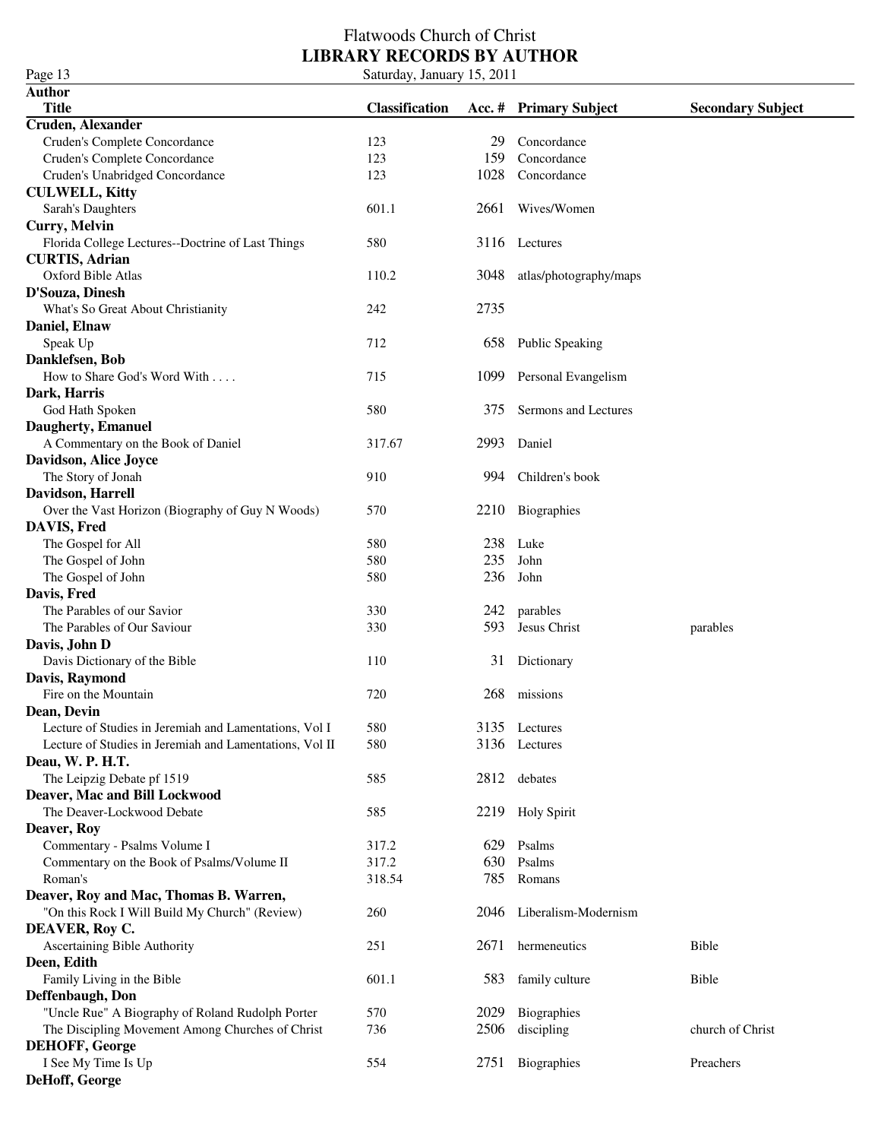#### Flatwoods Church of Christ **LIBRARY RECORDS BY AUTHOR** Page 13 Saturday, January 15, 2011

| $I$ agu $I$                                             | Saturuay, Jamuary IJ, 2011 |      |                        |                          |
|---------------------------------------------------------|----------------------------|------|------------------------|--------------------------|
| <b>Author</b><br><b>Title</b>                           |                            |      |                        |                          |
| Cruden, Alexander                                       | <b>Classification</b>      |      | Acc. # Primary Subject | <b>Secondary Subject</b> |
| Cruden's Complete Concordance                           | 123                        | 29   | Concordance            |                          |
| Cruden's Complete Concordance                           | 123                        | 159  | Concordance            |                          |
| Cruden's Unabridged Concordance                         | 123                        | 1028 | Concordance            |                          |
| <b>CULWELL, Kitty</b>                                   |                            |      |                        |                          |
| <b>Sarah's Daughters</b>                                | 601.1                      | 2661 | Wives/Women            |                          |
| Curry, Melvin                                           |                            |      |                        |                          |
| Florida College Lectures--Doctrine of Last Things       | 580                        |      | 3116 Lectures          |                          |
| <b>CURTIS, Adrian</b>                                   |                            |      |                        |                          |
| Oxford Bible Atlas                                      | 110.2                      | 3048 | atlas/photography/maps |                          |
| D'Souza, Dinesh                                         |                            |      |                        |                          |
| What's So Great About Christianity                      | 242                        | 2735 |                        |                          |
| Daniel, Elnaw                                           |                            |      |                        |                          |
| Speak Up                                                | 712                        | 658  | <b>Public Speaking</b> |                          |
| Danklefsen, Bob                                         |                            |      |                        |                          |
| How to Share God's Word With                            | 715                        | 1099 | Personal Evangelism    |                          |
| Dark, Harris                                            |                            |      |                        |                          |
| God Hath Spoken                                         | 580                        | 375  | Sermons and Lectures   |                          |
| Daugherty, Emanuel                                      |                            |      |                        |                          |
| A Commentary on the Book of Daniel                      | 317.67                     | 2993 | Daniel                 |                          |
| Davidson, Alice Joyce                                   |                            |      |                        |                          |
| The Story of Jonah                                      | 910                        | 994  | Children's book        |                          |
|                                                         |                            |      |                        |                          |
| Davidson, Harrell                                       |                            |      |                        |                          |
| Over the Vast Horizon (Biography of Guy N Woods)        | 570                        | 2210 | Biographies            |                          |
| DAVIS, Fred                                             |                            |      |                        |                          |
| The Gospel for All                                      | 580                        | 238  | Luke                   |                          |
| The Gospel of John                                      | 580                        | 235  | John                   |                          |
| The Gospel of John                                      | 580                        | 236  | John                   |                          |
| Davis, Fred                                             |                            |      |                        |                          |
| The Parables of our Savior                              | 330                        | 242  | parables               |                          |
| The Parables of Our Saviour                             | 330                        | 593  | Jesus Christ           | parables                 |
| Davis, John D                                           |                            |      |                        |                          |
| Davis Dictionary of the Bible                           | 110                        | 31   | Dictionary             |                          |
| Davis, Raymond                                          |                            |      |                        |                          |
| Fire on the Mountain                                    | 720                        | 268  | missions               |                          |
| Dean, Devin                                             |                            |      |                        |                          |
| Lecture of Studies in Jeremiah and Lamentations, Vol I  | 580                        |      | 3135 Lectures          |                          |
| Lecture of Studies in Jeremiah and Lamentations, Vol II | 580                        |      | 3136 Lectures          |                          |
| Deau, W. P. H.T.                                        |                            |      |                        |                          |
| The Leipzig Debate pf 1519                              | 585                        | 2812 | debates                |                          |
| Deaver, Mac and Bill Lockwood                           |                            |      |                        |                          |
| The Deaver-Lockwood Debate                              | 585                        |      | 2219 Holy Spirit       |                          |
| <b>Deaver, Roy</b>                                      |                            |      |                        |                          |
| Commentary - Psalms Volume I                            | 317.2                      | 629  | Psalms                 |                          |
| Commentary on the Book of Psalms/Volume II              | 317.2                      | 630  | Psalms                 |                          |
| Roman's                                                 | 318.54                     | 785  | Romans                 |                          |
| Deaver, Roy and Mac, Thomas B. Warren,                  |                            |      |                        |                          |
| "On this Rock I Will Build My Church" (Review)          | 260                        | 2046 | Liberalism-Modernism   |                          |
| DEAVER, Roy C.                                          |                            |      |                        |                          |
| Ascertaining Bible Authority                            | 251                        | 2671 | hermeneutics           | Bible                    |
| Deen, Edith                                             |                            |      |                        |                          |
| Family Living in the Bible                              | 601.1                      | 583  | family culture         | Bible                    |
| Deffenbaugh, Don                                        |                            |      |                        |                          |
| "Uncle Rue" A Biography of Roland Rudolph Porter        | 570                        | 2029 | Biographies            |                          |
| The Discipling Movement Among Churches of Christ        | 736                        | 2506 | discipling             | church of Christ         |
| <b>DEHOFF, George</b>                                   |                            |      |                        |                          |
| I See My Time Is Up                                     | 554                        |      | 2751 Biographies       | Preachers                |
| DeHoff, George                                          |                            |      |                        |                          |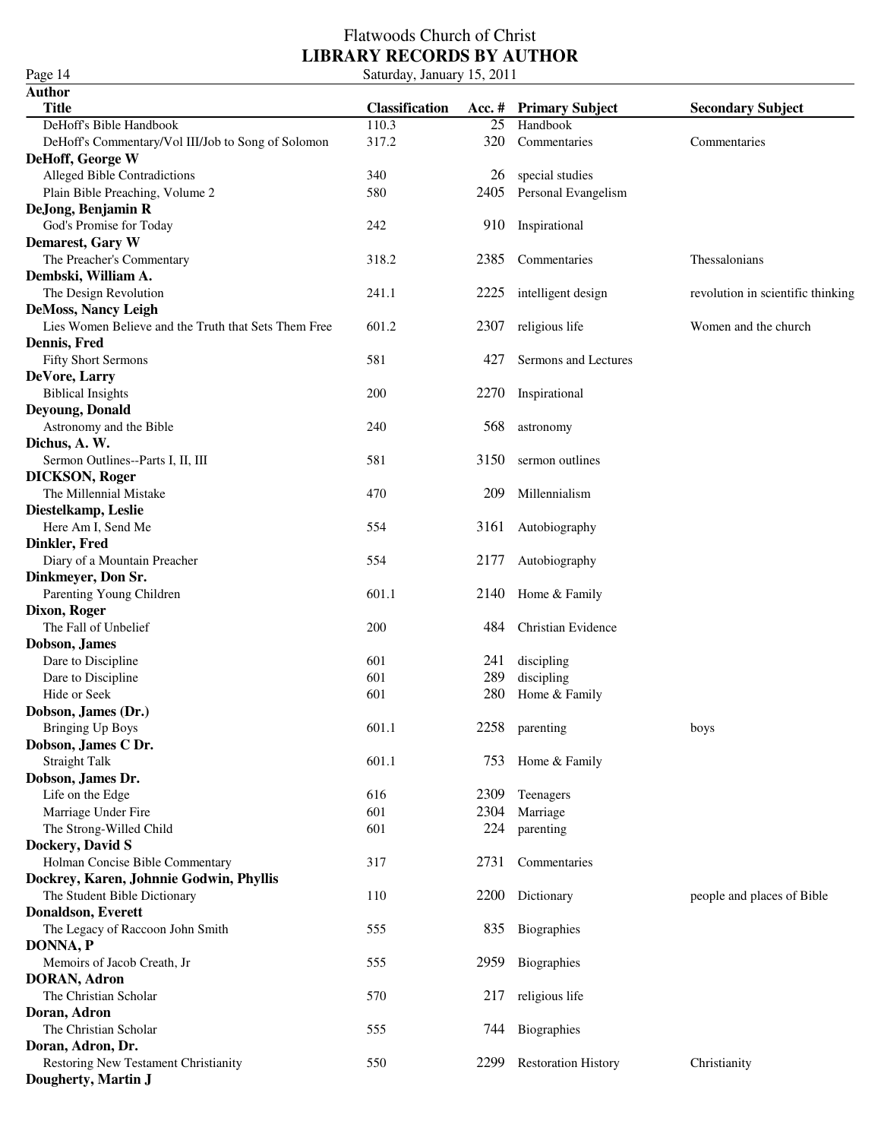#### Flatwoods Church of Christ **LIBRARY RECORDS BY AUTHOR** Page 14 Saturday, January 15, 2011

**Author Title Classification Acc. # Primary Subject Secondary Subject** DeHoff's Bible Handbook 110.3 25 Handbook 25 Handbook DeHoff's Commentary/Vol III/Job to Song of Solomon 317.2 320 Commentaries Commentaries **DeHoff, George W** Alleged Bible Contradictions 340 26 special studies Plain Bible Preaching, Volume 2 580 2405 Personal Evangelism **DeJong, Benjamin R** God's Promise for Today 242 910 Inspirational **Demarest, Gary W** The Preacher's Commentary Thessalonians 318.2 2385 Commentaries Thessalonians **Dembski, William A.** The Design Revolution 241.1 2225 intelligent design revolution in scientific thinking **DeMoss, Nancy Leigh** Lies Women Believe and the Truth that Sets Them Free 601.2 2307 religious life Women and the church **Dennis, Fred** Fifty Short Sermons **Figure 2018** 581 427 Sermons and Lectures **DeVore, Larry** Biblical Insights 200 2270 Inspirational **Deyoung, Donald** Astronomy and the Bible 240 568 astronomy **Dichus, A. W.** Sermon Outlines--Parts I, II, III 581 581 3150 sermon outlines **DICKSON, Roger** The Millennial Mistake **1998** Millennialism **1998** Millennialism **Diestelkamp, Leslie** Here Am I, Send Me 554 3161 Autobiography **Dinkler, Fred** Diary of a Mountain Preacher **554** 2177 Autobiography **Dinkmeyer, Don Sr.** Parenting Young Children **601.1** 2140 Home & Family **Dixon, Roger** The Fall of Unbelief 200 484 Christian Evidence **Dobson, James** Dare to Discipline 601 241 discipline 601 241 discipling Dare to Discipline 601 289 discipline 601 Hide or Seek 601 280 Home & Family **Dobson, James (Dr.)** Bringing Up Boys boys 601.1 2258 parenting boys **Dobson, James C Dr.** Straight Talk 601.1 753 Home & Family **Dobson, James Dr.** Life on the Edge 616 616 2309 Teenagers Marriage Under Fire **601** 2304 Marriage 1 The Strong-Willed Child 601 601 224 parenting **Dockery, David S** Holman Concise Bible Commentary 317 2731 Commentaries **Dockrey, Karen, Johnnie Godwin, Phyllis** The Student Bible Dictionary 110 2200 Dictionary people and places of Bible **Donaldson, Everett** The Legacy of Raccoon John Smith 555 835 Biographies **DONNA, P** Memoirs of Jacob Creath, Jr 555 2959 Biographies **DORAN, Adron** The Christian Scholar 570 217 religious life **Doran, Adron** The Christian Scholar 555 744 Biographies **Doran, Adron, Dr.** Restoring New Testament Christianity 550 2299 Restoration History Christianity **Dougherty, Martin J**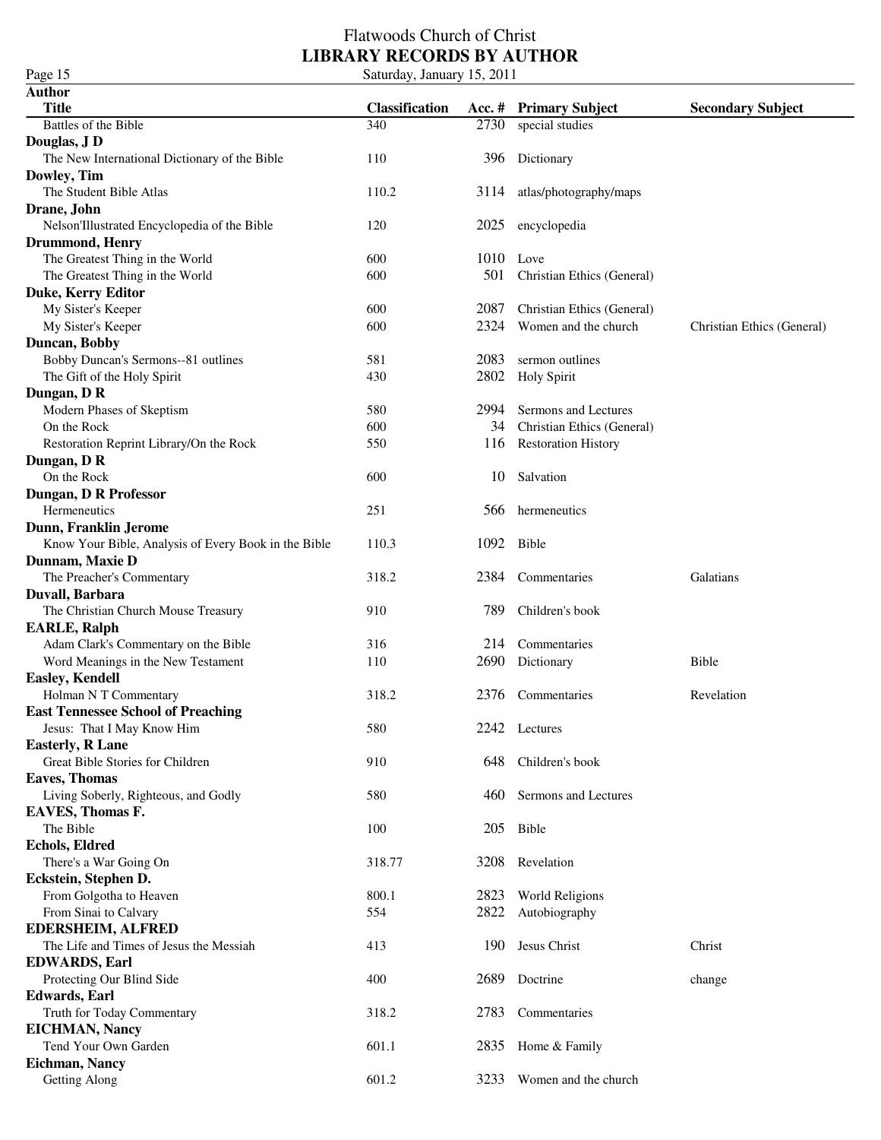Page 15 Saturday, January 15, 2011 **Author Title Classification Acc. # Primary Subject Secondary Subject** Battles of the Bible 340 2730 special studies **Douglas, J D** The New International Dictionary of the Bible 110 396 Dictionary **Dowley, Tim**  $110.2$   $3114$  atlas/photography/maps **Drane, John** Nelson'Illustrated Encyclopedia of the Bible 120 2025 encyclopedia **Drummond, Henry** The Greatest Thing in the World 600 1010 Love The Greatest Thing in the World 600 501 Christian Ethics (General) **Duke, Kerry Editor** 600 2087 Christian Ethics (General) My Sister's Keeper **600** 600 2324 Women and the church Christian Ethics (General) **Duncan, Bobby** Bobby Duncan's Sermons--81 outlines 581 2083 sermon outlines The Gift of the Holy Spirit 430 2802 Holy Spirit **Dungan, D R** Modern Phases of Skeptism 580 2994 Sermons and Lectures On the Rock 600 34 Christian Ethics (General) Restoration Reprint Library/On the Rock 550 116 Restoration History **Dungan, D R** On the Rock 600 10 Salvation **Dungan, D R Professor** Hermeneutics 251 566 hermeneutics **Dunn, Franklin Jerome** Know Your Bible, Analysis of Every Book in the Bible 110.3 1092 Bible **Dunnam, Maxie D** The Preacher's Commentary The Preacher's Commentary 318.2 2384 Commentaries Galatians **Duvall, Barbara** The Christian Church Mouse Treasury 910 789 Children's book **EARLE, Ralph** Adam Clark's Commentary on the Bible 316 316 214 Commentaries Word Meanings in the New Testament 110 10 2690 Dictionary Bible **Easley, Kendell** Holman N T Commentary 318.2 2376 Commentaries Revelation **East Tennessee School of Preaching** Jesus: That I May Know Him 580 2242 Lectures **Easterly, R Lane** Great Bible Stories for Children 910 910 648 Children's book **Eaves, Thomas** Living Soberly, Righteous, and Godly 580 460 Sermons and Lectures **EAVES, Thomas F.** The Bible 205 Bible 205 Bible **Echols, Eldred** There's a War Going On 318.77 3208 Revelation **Eckstein, Stephen D.** From Golgotha to Heaven 800.1 2823 World Religions From Sinai to Calvary **554** 554 2822 Autobiography **EDERSHEIM, ALFRED** The Life and Times of Jesus the Messiah 413 190 Jesus Christ Christ Christ **EDWARDS, Earl** Protecting Our Blind Side  $\frac{400}{2689}$  Doctrine change **Edwards, Earl** Truth for Today Commentary 318.2 2783 Commentaries

Tend Your Own Garden 601.1 2835 Home & Family Getting Along 601.2 3233 Women and the church

**EICHMAN, Nancy**

**Eichman, Nancy**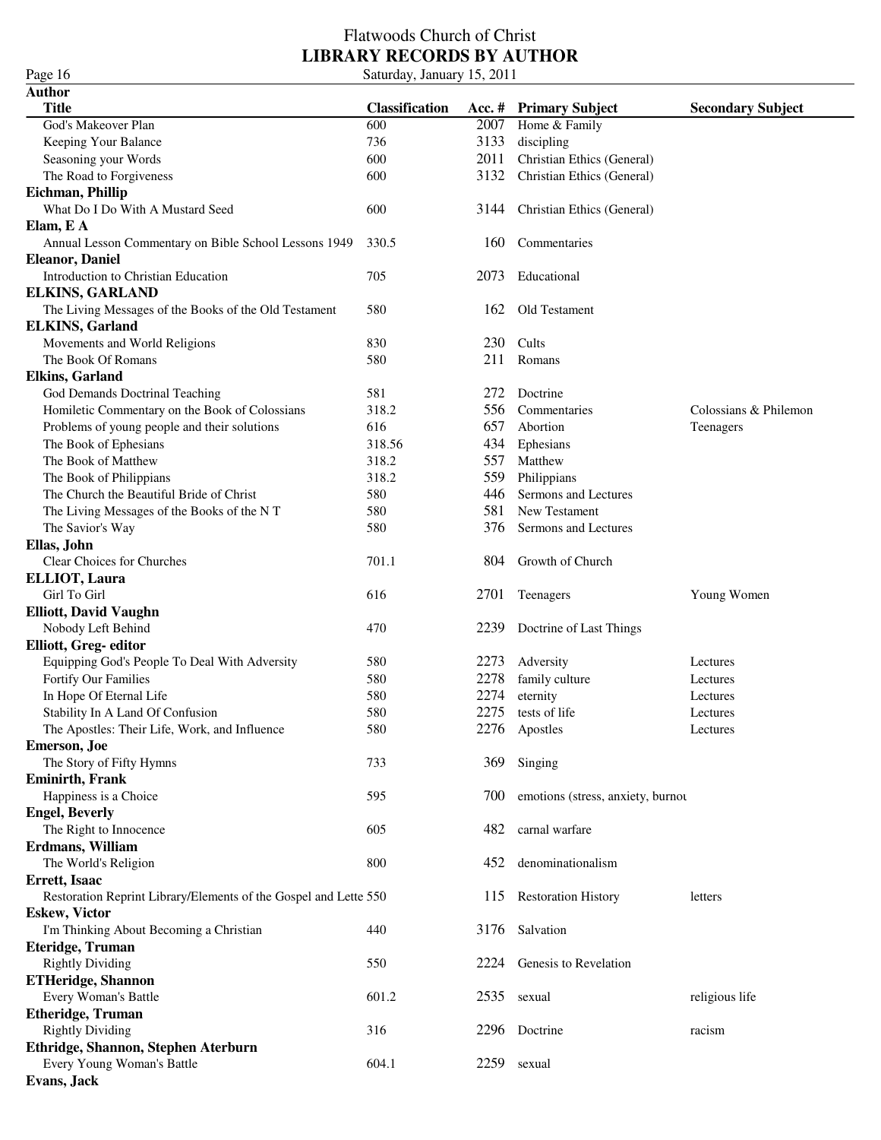| <b>Title</b>                                                     | <b>Classification</b> |      | Acc. # Primary Subject            | <b>Secondary Subject</b> |
|------------------------------------------------------------------|-----------------------|------|-----------------------------------|--------------------------|
| God's Makeover Plan                                              | 600                   | 2007 | Home & Family                     |                          |
|                                                                  |                       |      |                                   |                          |
| Keeping Your Balance                                             | 736                   | 3133 | discipling                        |                          |
| Seasoning your Words                                             | 600                   | 2011 | Christian Ethics (General)        |                          |
| The Road to Forgiveness                                          | 600                   | 3132 | Christian Ethics (General)        |                          |
| Eichman, Phillip                                                 |                       |      |                                   |                          |
| What Do I Do With A Mustard Seed                                 | 600                   | 3144 | Christian Ethics (General)        |                          |
| Elam, E A                                                        |                       |      |                                   |                          |
| Annual Lesson Commentary on Bible School Lessons 1949            | 330.5                 | 160  | Commentaries                      |                          |
| <b>Eleanor</b> , Daniel                                          |                       |      |                                   |                          |
| Introduction to Christian Education                              | 705                   | 2073 | Educational                       |                          |
| <b>ELKINS, GARLAND</b>                                           |                       |      |                                   |                          |
| The Living Messages of the Books of the Old Testament            | 580                   | 162  | Old Testament                     |                          |
| <b>ELKINS, Garland</b>                                           |                       |      |                                   |                          |
| Movements and World Religions                                    | 830                   | 230  | Cults                             |                          |
|                                                                  |                       |      |                                   |                          |
| The Book Of Romans                                               | 580                   | 211  | Romans                            |                          |
| <b>Elkins, Garland</b>                                           |                       |      |                                   |                          |
| God Demands Doctrinal Teaching                                   | 581                   | 272  | Doctrine                          |                          |
| Homiletic Commentary on the Book of Colossians                   | 318.2                 | 556  | Commentaries                      | Colossians & Philemon    |
| Problems of young people and their solutions                     | 616                   | 657  | Abortion                          | Teenagers                |
| The Book of Ephesians                                            | 318.56                | 434  | Ephesians                         |                          |
| The Book of Matthew                                              | 318.2                 | 557  | Matthew                           |                          |
| The Book of Philippians                                          | 318.2                 | 559  | Philippians                       |                          |
| The Church the Beautiful Bride of Christ                         | 580                   | 446  | Sermons and Lectures              |                          |
| The Living Messages of the Books of the NT                       | 580                   | 581  | New Testament                     |                          |
| The Savior's Way                                                 | 580                   | 376  | Sermons and Lectures              |                          |
|                                                                  |                       |      |                                   |                          |
| Ellas, John                                                      |                       |      |                                   |                          |
| <b>Clear Choices for Churches</b>                                | 701.1                 | 804  | Growth of Church                  |                          |
| ELLIOT, Laura                                                    |                       |      |                                   |                          |
| Girl To Girl                                                     | 616                   | 2701 | Teenagers                         | Young Women              |
| <b>Elliott, David Vaughn</b>                                     |                       |      |                                   |                          |
| Nobody Left Behind                                               | 470                   | 2239 | Doctrine of Last Things           |                          |
| Elliott, Greg-editor                                             |                       |      |                                   |                          |
| Equipping God's People To Deal With Adversity                    | 580                   | 2273 | Adversity                         | Lectures                 |
| Fortify Our Families                                             | 580                   | 2278 | family culture                    | Lectures                 |
| In Hope Of Eternal Life                                          | 580                   | 2274 | eternity                          | Lectures                 |
| Stability In A Land Of Confusion                                 | 580                   | 2275 | tests of life                     | Lectures                 |
| The Apostles: Their Life, Work, and Influence                    | 580                   | 2276 | Apostles                          | Lectures                 |
| <b>Emerson</b> , Joe                                             |                       |      |                                   |                          |
|                                                                  | 733                   | 369  |                                   |                          |
| The Story of Fifty Hymns                                         |                       |      | Singing                           |                          |
| <b>Eminirth, Frank</b>                                           |                       |      |                                   |                          |
| Happiness is a Choice                                            | 595                   | 700  | emotions (stress, anxiety, burnou |                          |
| <b>Engel, Beverly</b>                                            |                       |      |                                   |                          |
| The Right to Innocence                                           | 605                   | 482  | carnal warfare                    |                          |
| <b>Erdmans</b> , William                                         |                       |      |                                   |                          |
| The World's Religion                                             | 800                   | 452  | denominationalism                 |                          |
| Errett, Isaac                                                    |                       |      |                                   |                          |
| Restoration Reprint Library/Elements of the Gospel and Lette 550 |                       | 115  | <b>Restoration History</b>        | letters                  |
| <b>Eskew, Victor</b>                                             |                       |      |                                   |                          |
| I'm Thinking About Becoming a Christian                          | 440                   | 3176 | Salvation                         |                          |
| <b>Eteridge, Truman</b>                                          |                       |      |                                   |                          |
| <b>Rightly Dividing</b>                                          | 550                   | 2224 | Genesis to Revelation             |                          |
|                                                                  |                       |      |                                   |                          |
| <b>ETHeridge, Shannon</b>                                        |                       |      |                                   |                          |
| Every Woman's Battle                                             | 601.2                 | 2535 | sexual                            | religious life           |
| <b>Etheridge, Truman</b>                                         |                       |      |                                   |                          |
| <b>Rightly Dividing</b>                                          | 316                   | 2296 | Doctrine                          | racism                   |
| Ethridge, Shannon, Stephen Aterburn                              |                       |      |                                   |                          |
| Every Young Woman's Battle                                       | 604.1                 | 2259 | sexual                            |                          |
| Evans, Jack                                                      |                       |      |                                   |                          |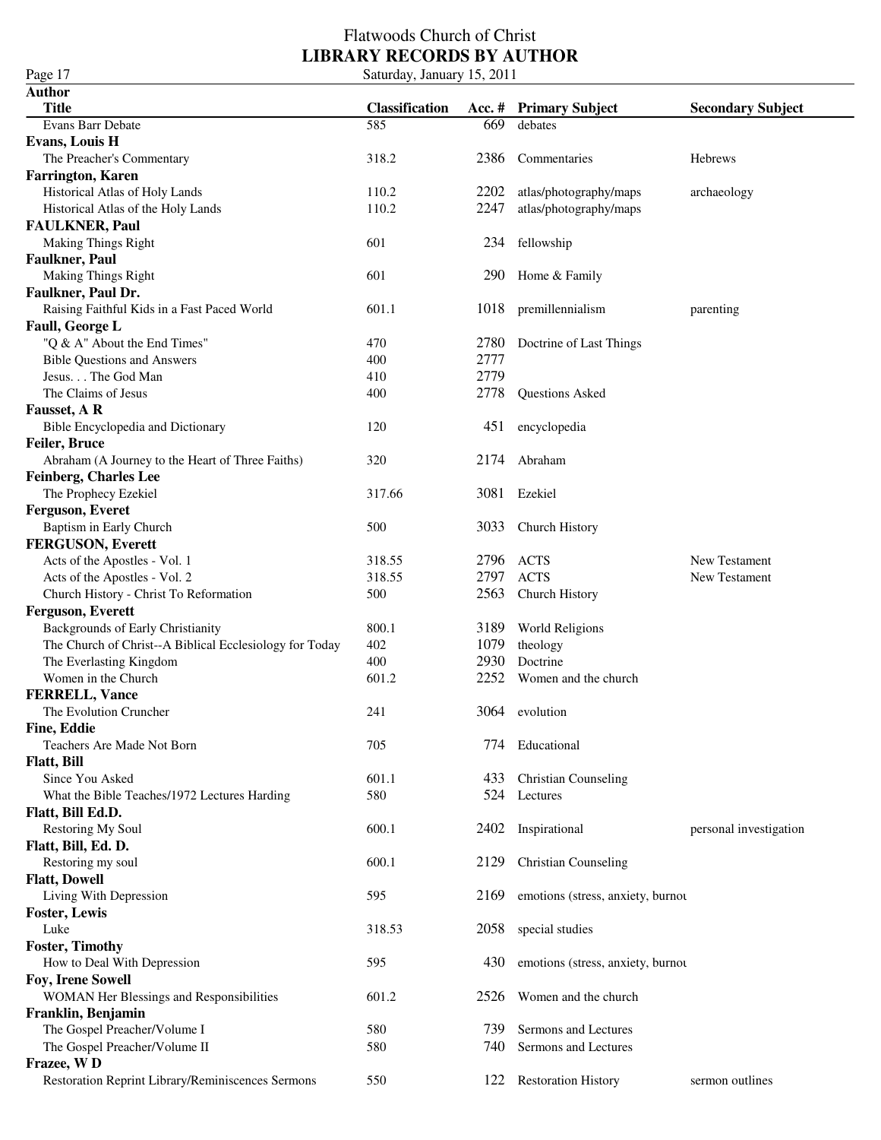| Page 17                                                 | Saturday, January 15, 2011 |      |                                         |                          |
|---------------------------------------------------------|----------------------------|------|-----------------------------------------|--------------------------|
| <b>Author</b>                                           |                            |      |                                         |                          |
| <b>Title</b>                                            | <b>Classification</b>      |      | Acc. # Primary Subject                  | <b>Secondary Subject</b> |
| Evans Barr Debate                                       | 585                        | 669  | debates                                 |                          |
| <b>Evans, Louis H</b>                                   |                            |      |                                         |                          |
| The Preacher's Commentary                               | 318.2                      | 2386 | Commentaries                            | Hebrews                  |
| <b>Farrington</b> , Karen                               |                            |      |                                         |                          |
| Historical Atlas of Holy Lands                          | 110.2                      | 2202 | atlas/photography/maps                  | archaeology              |
| Historical Atlas of the Holy Lands                      | 110.2                      | 2247 | atlas/photography/maps                  |                          |
| <b>FAULKNER, Paul</b>                                   |                            |      |                                         |                          |
| <b>Making Things Right</b>                              | 601                        |      | 234 fellowship                          |                          |
| <b>Faulkner</b> , Paul                                  |                            |      |                                         |                          |
| <b>Making Things Right</b>                              | 601                        | 290  | Home & Family                           |                          |
| Faulkner, Paul Dr.                                      |                            |      |                                         |                          |
| Raising Faithful Kids in a Fast Paced World             | 601.1                      | 1018 | premillennialism                        | parenting                |
| Faull, George L                                         |                            |      |                                         |                          |
| "Q & A" About the End Times"                            | 470                        |      | 2780 Doctrine of Last Things            |                          |
| <b>Bible Questions and Answers</b>                      | 400                        | 2777 |                                         |                          |
| Jesus. The God Man                                      | 410                        | 2779 |                                         |                          |
| The Claims of Jesus                                     | 400                        | 2778 | <b>Questions Asked</b>                  |                          |
| <b>Fausset, A R</b>                                     |                            |      |                                         |                          |
| Bible Encyclopedia and Dictionary                       | 120                        | 451  | encyclopedia                            |                          |
| Feiler, Bruce                                           |                            |      |                                         |                          |
| Abraham (A Journey to the Heart of Three Faiths)        | 320                        | 2174 | Abraham                                 |                          |
| <b>Feinberg, Charles Lee</b>                            |                            |      |                                         |                          |
| The Prophecy Ezekiel                                    | 317.66                     | 3081 | Ezekiel                                 |                          |
| Ferguson, Everet                                        |                            |      |                                         |                          |
| Baptism in Early Church                                 | 500                        | 3033 | Church History                          |                          |
| <b>FERGUSON, Everett</b>                                |                            |      |                                         |                          |
| Acts of the Apostles - Vol. 1                           | 318.55                     | 2796 | <b>ACTS</b>                             | New Testament            |
| Acts of the Apostles - Vol. 2                           | 318.55                     | 2797 | <b>ACTS</b>                             | New Testament            |
| Church History - Christ To Reformation                  | 500                        | 2563 | Church History                          |                          |
| Ferguson, Everett                                       |                            |      |                                         |                          |
| <b>Backgrounds of Early Christianity</b>                | 800.1                      |      | 3189 World Religions                    |                          |
| The Church of Christ--A Biblical Ecclesiology for Today | 402                        | 1079 | theology                                |                          |
| The Everlasting Kingdom                                 | 400                        | 2930 | Doctrine                                |                          |
| Women in the Church                                     | 601.2                      | 2252 | Women and the church                    |                          |
|                                                         |                            |      |                                         |                          |
| <b>FERRELL, Vance</b><br>The Evolution Cruncher         | 241                        |      | 3064 evolution                          |                          |
| <b>Fine, Eddie</b>                                      |                            |      |                                         |                          |
| Teachers Are Made Not Born                              | 705                        |      |                                         |                          |
|                                                         |                            | 774  | Educational                             |                          |
| <b>Flatt, Bill</b><br>Since You Asked                   |                            |      |                                         |                          |
|                                                         | 601.1                      | 433  | <b>Christian Counseling</b><br>Lectures |                          |
| What the Bible Teaches/1972 Lectures Harding            | 580                        | 524  |                                         |                          |
| Flatt, Bill Ed.D.                                       |                            |      |                                         |                          |
| Restoring My Soul                                       | 600.1                      |      | 2402 Inspirational                      | personal investigation   |
| Flatt, Bill, Ed. D.                                     |                            |      |                                         |                          |
| Restoring my soul                                       | 600.1                      | 2129 | <b>Christian Counseling</b>             |                          |
| <b>Flatt, Dowell</b>                                    |                            |      |                                         |                          |
| Living With Depression                                  | 595                        | 2169 | emotions (stress, anxiety, burnor       |                          |
| <b>Foster, Lewis</b>                                    |                            |      |                                         |                          |
| Luke                                                    | 318.53                     | 2058 | special studies                         |                          |
| <b>Foster, Timothy</b>                                  |                            |      |                                         |                          |
| How to Deal With Depression                             | 595                        | 430  | emotions (stress, anxiety, burnou       |                          |
| <b>Foy, Irene Sowell</b>                                |                            |      |                                         |                          |
| WOMAN Her Blessings and Responsibilities                | 601.2                      | 2526 | Women and the church                    |                          |
| Franklin, Benjamin                                      |                            |      |                                         |                          |
| The Gospel Preacher/Volume I                            | 580                        | 739  | Sermons and Lectures                    |                          |
| The Gospel Preacher/Volume II                           | 580                        | 740  | Sermons and Lectures                    |                          |
| Frazee, WD                                              |                            |      |                                         |                          |
| Restoration Reprint Library/Reminiscences Sermons       | 550                        |      | 122 Restoration History                 | sermon outlines          |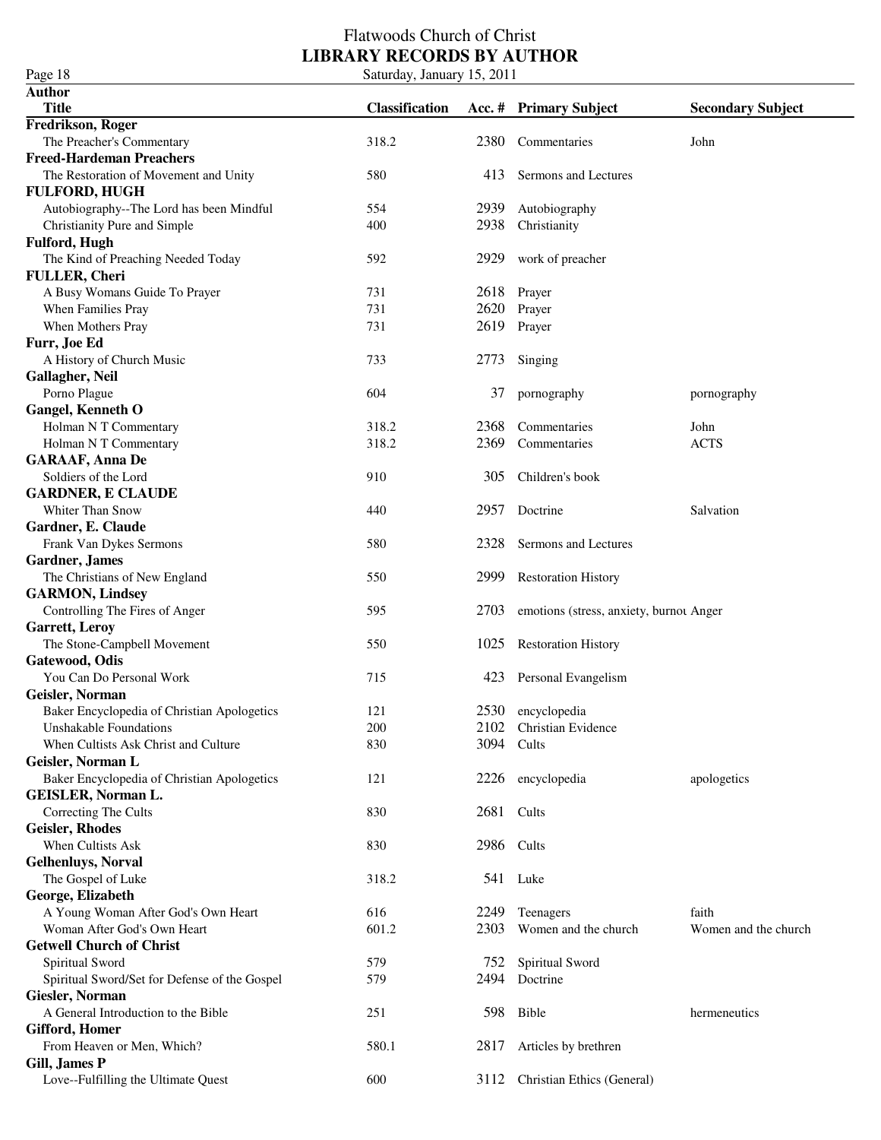| Page 18                                       | Saturday, January 15, 2011 |      |                                         |                          |
|-----------------------------------------------|----------------------------|------|-----------------------------------------|--------------------------|
| <b>Author</b>                                 |                            |      |                                         |                          |
| <b>Title</b>                                  | <b>Classification</b>      |      | Acc. # Primary Subject                  | <b>Secondary Subject</b> |
| <b>Fredrikson, Roger</b>                      |                            |      |                                         |                          |
| The Preacher's Commentary                     | 318.2                      | 2380 | Commentaries                            | John                     |
| <b>Freed-Hardeman Preachers</b>               |                            |      |                                         |                          |
| The Restoration of Movement and Unity         | 580                        | 413  | Sermons and Lectures                    |                          |
| <b>FULFORD, HUGH</b>                          |                            |      |                                         |                          |
| Autobiography--The Lord has been Mindful      | 554                        | 2939 | Autobiography                           |                          |
| Christianity Pure and Simple                  | 400                        | 2938 | Christianity                            |                          |
| Fulford, Hugh                                 |                            |      |                                         |                          |
| The Kind of Preaching Needed Today            | 592                        | 2929 | work of preacher                        |                          |
| <b>FULLER, Cheri</b>                          |                            |      |                                         |                          |
| A Busy Womans Guide To Prayer                 | 731                        | 2618 | Prayer                                  |                          |
| When Families Pray                            | 731                        | 2620 | Prayer                                  |                          |
| When Mothers Pray                             | 731                        | 2619 | Prayer                                  |                          |
| Furr, Joe Ed                                  |                            |      |                                         |                          |
| A History of Church Music                     | 733                        | 2773 | Singing                                 |                          |
| Gallagher, Neil                               |                            |      |                                         |                          |
| Porno Plague                                  | 604                        | 37   | pornography                             | pornography              |
| Gangel, Kenneth O                             |                            |      |                                         |                          |
| Holman N T Commentary                         | 318.2                      | 2368 | Commentaries                            | John                     |
| Holman N T Commentary                         | 318.2                      | 2369 | Commentaries                            | <b>ACTS</b>              |
| <b>GARAAF, Anna De</b>                        |                            |      |                                         |                          |
| Soldiers of the Lord                          | 910                        | 305  | Children's book                         |                          |
| <b>GARDNER, E CLAUDE</b>                      |                            |      |                                         |                          |
| Whiter Than Snow                              | 440                        | 2957 | Doctrine                                | Salvation                |
| Gardner, E. Claude<br>Frank Van Dykes Sermons | 580                        | 2328 | Sermons and Lectures                    |                          |
| <b>Gardner</b> , James                        |                            |      |                                         |                          |
| The Christians of New England                 | 550                        | 2999 | <b>Restoration History</b>              |                          |
| <b>GARMON, Lindsey</b>                        |                            |      |                                         |                          |
| Controlling The Fires of Anger                | 595                        | 2703 |                                         |                          |
| Garrett, Leroy                                |                            |      | emotions (stress, anxiety, burnor Anger |                          |
| The Stone-Campbell Movement                   | 550                        | 1025 | <b>Restoration History</b>              |                          |
| Gatewood, Odis                                |                            |      |                                         |                          |
| You Can Do Personal Work                      | 715                        |      | 423 Personal Evangelism                 |                          |
| Geisler, Norman                               |                            |      |                                         |                          |
| Baker Encyclopedia of Christian Apologetics   | 121                        |      | 2530 encyclopedia                       |                          |
| <b>Unshakable Foundations</b>                 | 200                        |      | 2102 Christian Evidence                 |                          |
| When Cultists Ask Christ and Culture          | 830                        | 3094 | Cults                                   |                          |
| Geisler, Norman L                             |                            |      |                                         |                          |
| Baker Encyclopedia of Christian Apologetics   | 121                        | 2226 | encyclopedia                            | apologetics              |
| GEISLER, Norman L.                            |                            |      |                                         |                          |
| Correcting The Cults                          | 830                        |      | 2681 Cults                              |                          |
| <b>Geisler, Rhodes</b>                        |                            |      |                                         |                          |
| When Cultists Ask                             | 830                        |      | 2986 Cults                              |                          |
| <b>Gelhenluys, Norval</b>                     |                            |      |                                         |                          |
| The Gospel of Luke                            | 318.2                      |      | 541 Luke                                |                          |
| George, Elizabeth                             |                            |      |                                         |                          |
| A Young Woman After God's Own Heart           | 616                        | 2249 | Teenagers                               | faith                    |
| Woman After God's Own Heart                   | 601.2                      | 2303 | Women and the church                    | Women and the church     |
| <b>Getwell Church of Christ</b>               |                            |      |                                         |                          |
| Spiritual Sword                               | 579                        | 752  | <b>Spiritual Sword</b>                  |                          |
| Spiritual Sword/Set for Defense of the Gospel | 579                        |      | 2494 Doctrine                           |                          |
| Giesler, Norman                               |                            |      |                                         |                          |
| A General Introduction to the Bible           | 251                        | 598  | Bible                                   | hermeneutics             |
| <b>Gifford, Homer</b>                         |                            |      |                                         |                          |
| From Heaven or Men, Which?                    | 580.1                      | 2817 | Articles by brethren                    |                          |
| Gill, James P                                 |                            |      |                                         |                          |
| Love--Fulfilling the Ultimate Quest           | 600                        | 3112 | Christian Ethics (General)              |                          |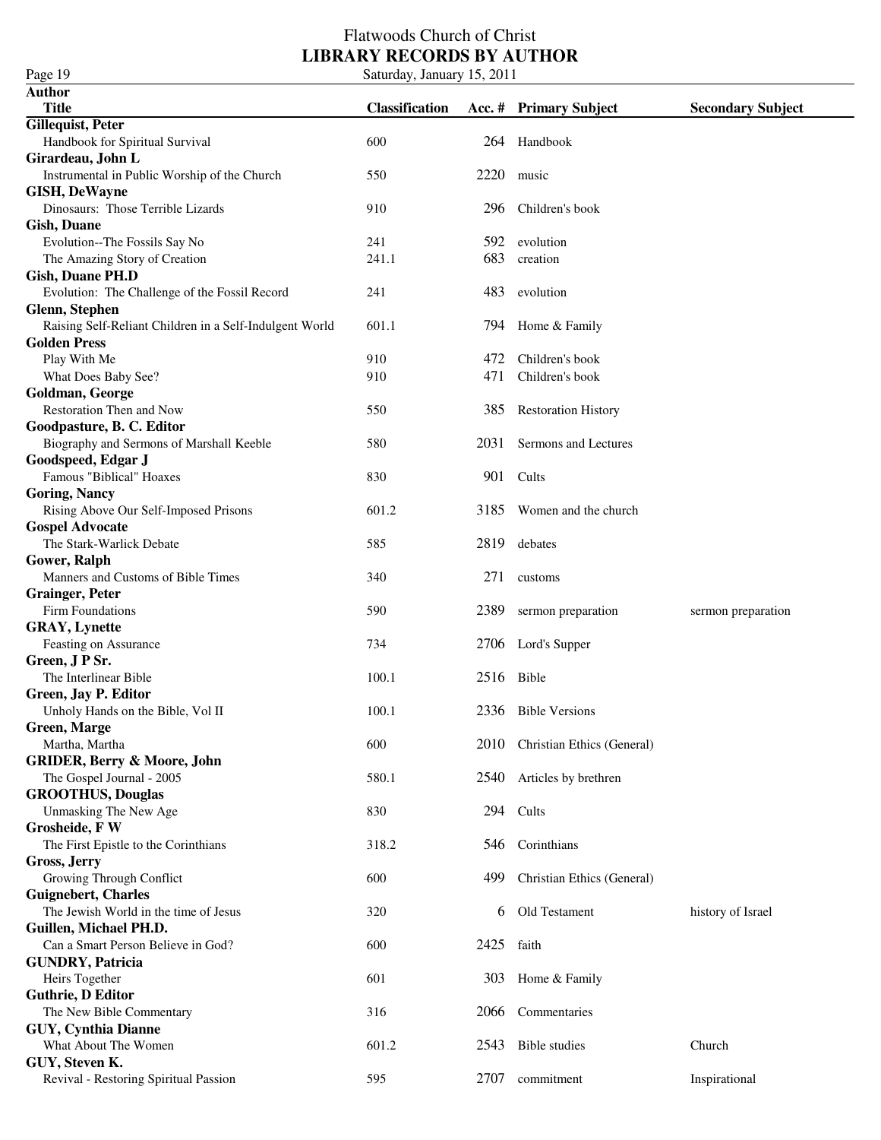#### Flatwoods Church of Christ **LIBRARY RECORDS BY AUTHOR** Page 19 Saturday, January 15, 2011

**Author Title Classification Acc. # Primary Subject Secondary Subject Gillequist, Peter** Handbook for Spiritual Survival 600 600 264 Handbook **Girardeau, John L** Instrumental in Public Worship of the Church 550 2220 music **GISH, DeWayne** Dinosaurs: Those Terrible Lizards 910 296 Children's book **Gish, Duane** Evolution--The Fossils Say No 241 592 evolution The Amazing Story of Creation 241.1 683 creation 241.1 683 creation **Gish, Duane PH.D** Evolution: The Challenge of the Fossil Record 241 483 evolution **Glenn, Stephen** Raising Self-Reliant Children in a Self-Indulgent World 601.1 794 Home & Family **Golden Press** Play With Me 910 910 472 Children's book What Does Baby See? 910 910 471 Children's book **Goldman, George** Restoration Then and Now 550 385 Restoration History **Goodpasture, B. C. Editor** Biography and Sermons of Marshall Keeble 580 2031 Sermons and Lectures **Goodspeed, Edgar J** Famous "Biblical" Hoaxes 830 901 Cults **Goring, Nancy** Rising Above Our Self-Imposed Prisons 601.2 3185 Women and the church **Gospel Advocate** The Stark-Warlick Debate 685 2819 debates 585 2819 debates **Gower, Ralph** Manners and Customs of Bible Times 340 271 customs **Grainger, Peter** Firm Foundations 590 2389 sermon preparation sermon preparation **GRAY, Lynette** Feasting on Assurance 734 2706 Lord's Supper **Green, J P Sr.** The Interlinear Bible 100.1 2516 Bible 100.1 2516 Bible **Green, Jay P. Editor** Unholy Hands on the Bible, Vol II 100.1 2336 Bible Versions **Green, Marge** Martha, Martha 600 2010 Christian Ethics (General) **GRIDER, Berry & Moore, John** 580.1 2540 Articles by brethren **GROOTHUS, Douglas** Unmasking The New Age 294 Cults **Grosheide, F W** The First Epistle to the Corinthians 318.2 546 Corinthians 318.2 **Gross, Jerry** Growing Through Conflict **600** 499 Christian Ethics (General) **Guignebert, Charles** The Jewish World in the time of Jesus 320 320 6 Old Testament history of Israel **Guillen, Michael PH.D.** Can a Smart Person Believe in God? 600 600 2425 faith **GUNDRY, Patricia** Heirs Together 601 601 303 Home & Family **Guthrie, D Editor** The New Bible Commentary 2006 Commentaries **GUY, Cynthia Dianne** What About The Women **601.2** 2543 Bible studies Church **GUY, Steven K.**

Revival - Restoring Spiritual Passion 595 2707 commitment Inspirational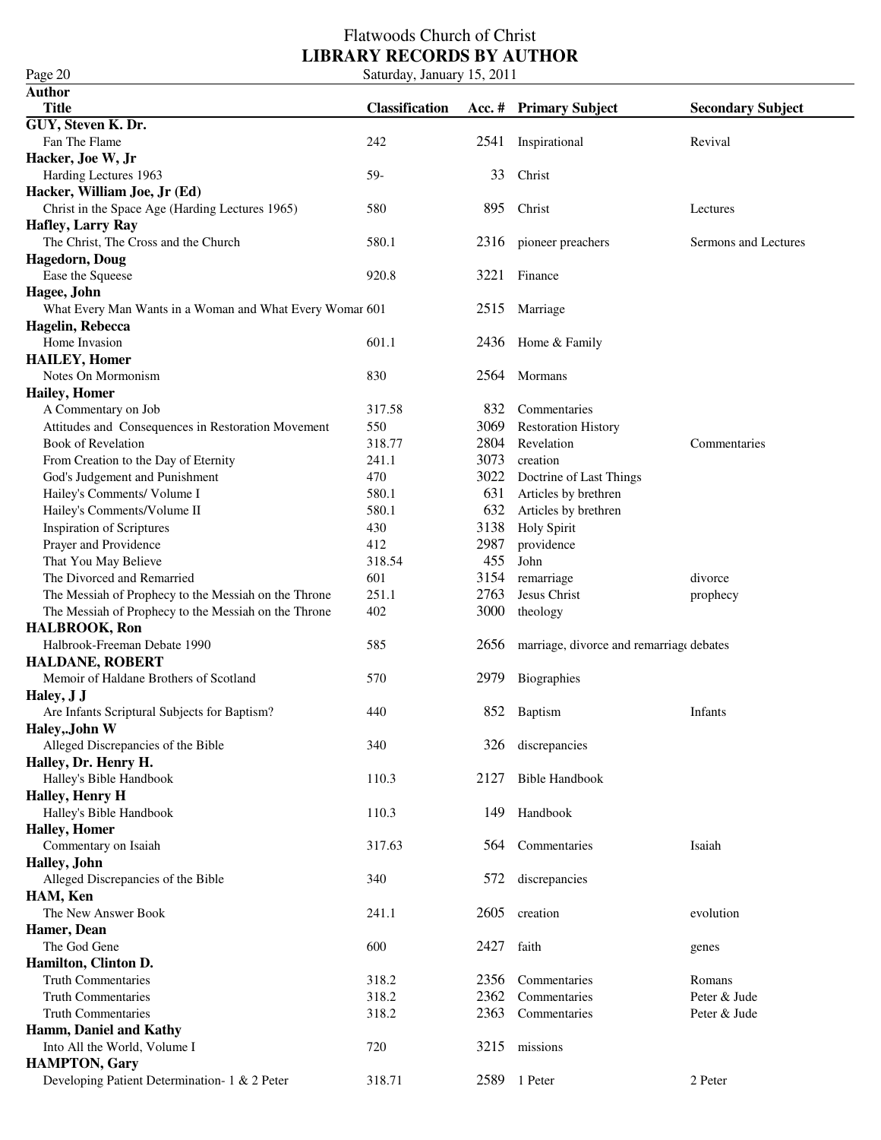Page 20 Saturday, January 15, 2011 **Author Title Classification Acc. # Primary Subject Secondary Subject GUY, Steven K. Dr.** Fan The Flame 242 2541 Inspirational Revival **Hacker, Joe W, Jr** Harding Lectures 1963 **59-** 59- 33 Christ **Hacker, William Joe, Jr (Ed)** Christ in the Space Age (Harding Lectures 1965) 580 895 Christ Lectures **Hafley, Larry Ray** The Christ, The Cross and the Church 580.1 2316 pioneer preachers Sermons and Lectures **Hagedorn, Doug** Ease the Squeese 6 and 120 and 13221 Finance 920.8 3221 Finance **Hagee, John** What Every Man Wants in a Woman and What Every Womar 601 2515 Marriage **Hagelin, Rebecca** Home Invasion 601.1 2436 Home & Family **HAILEY, Homer** Notes On Mormonism 830 2564 Mormans **Hailey, Homer** A Commentary on Job 317.58 832 Commentaries Attitudes and Consequences in Restoration Movement 550 3069 Restoration History Book of Revelation 318.77 2804 Revelation Commentaries From Creation to the Day of Eternity 241.1 3073 creation God's Judgement and Punishment 1992 2008 and 2009 3022 Doctrine of Last Things Hailey's Comments/ Volume I 580.1 631 Articles by brethren Hailey's Comments/Volume II 580.1 632 Articles by brethren Inspiration of Scriptures 430 430 3138 Holy Spirit Prayer and Providence **412** 2987 providence That You May Believe 318.54 455 John The Divorced and Remarried **601** 3154 remarriage divorce The Messiah of Prophecy to the Messiah on the Throne 251.1 2763 Jesus Christ prophecy The Messiah of Prophecy to the Messiah on the Throne 402 3000 theology **HALBROOK, Ron** Halbrook-Freeman Debate 1990 585 585 2656 marriage, divorce and remarriage debates **HALDANE, ROBERT** Memoir of Haldane Brothers of Scotland 570 2979 Biographies **Haley, J J** Are Infants Scriptural Subjects for Baptism? 440 852 Baptism Infants **Haley,.John W** Alleged Discrepancies of the Bible 340 326 discrepancies **Halley, Dr. Henry H.** Halley's Bible Handbook 110.3 2127 Bible Handbook **Halley, Henry H** Halley's Bible Handbook 110.3 149 Handbook **Halley, Homer** Commentary on Isaiah 317.63 564 Commentaries Isaiah **Halley, John** Alleged Discrepancies of the Bible 340 572 discrepancies **HAM, Ken** The New Answer Book 241.1 2605 creation evolution **Hamer, Dean** The God Gene 600 2427 faith genes **Hamilton, Clinton D.** Truth Commentaries 318.2 2356 Commentaries Romans Truth Commentaries 318.2 2362 Commentaries Peter & Jude Truth Commentaries 318.2 2363 Commentaries Peter & Jude **Hamm, Daniel and Kathy** Into All the World, Volume I 720 3215 missions

**HAMPTON, Gary**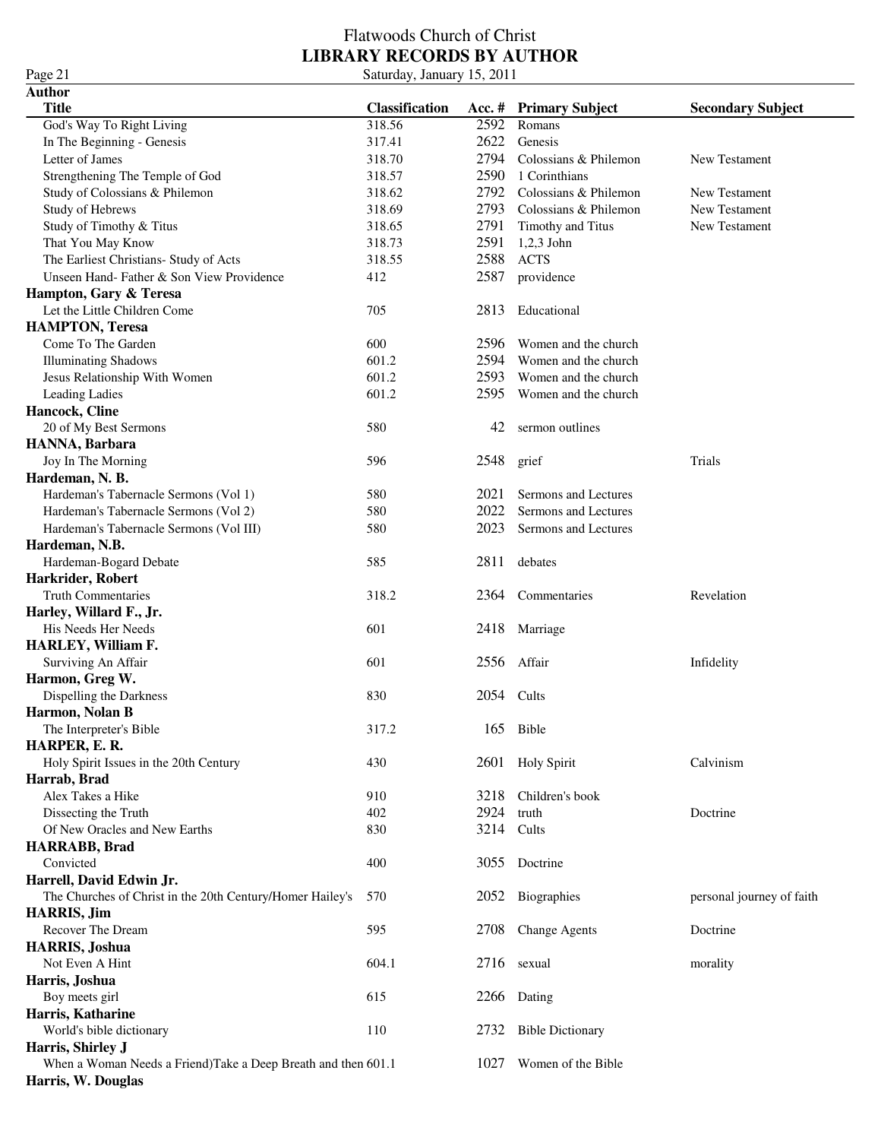### Flatwoods Church of Christ **LIBRARY RECORDS BY AUTHOR** Saturday, January 15, 2011

 $\frac{\text{Page 21}}{\text{Author}}$ 

| Autnor                                                        |                       |      |                          |                           |
|---------------------------------------------------------------|-----------------------|------|--------------------------|---------------------------|
| <b>Title</b>                                                  | <b>Classification</b> |      | Acc. # Primary Subject   | <b>Secondary Subject</b>  |
| God's Way To Right Living                                     | 318.56                |      | $\overline{259}2$ Romans |                           |
| In The Beginning - Genesis                                    | 317.41                |      | 2622 Genesis             |                           |
| Letter of James                                               | 318.70                | 2794 | Colossians & Philemon    | New Testament             |
| Strengthening The Temple of God                               | 318.57                | 2590 | 1 Corinthians            |                           |
| Study of Colossians & Philemon                                | 318.62                | 2792 | Colossians & Philemon    | New Testament             |
| Study of Hebrews                                              | 318.69                | 2793 | Colossians & Philemon    | New Testament             |
| Study of Timothy & Titus                                      | 318.65                | 2791 | Timothy and Titus        | New Testament             |
| That You May Know                                             | 318.73                | 2591 | $1,2,3$ John             |                           |
| The Earliest Christians- Study of Acts                        | 318.55                | 2588 | <b>ACTS</b>              |                           |
| Unseen Hand-Father & Son View Providence                      | 412                   | 2587 | providence               |                           |
| Hampton, Gary & Teresa                                        |                       |      |                          |                           |
| Let the Little Children Come                                  | 705                   | 2813 | Educational              |                           |
| <b>HAMPTON, Teresa</b>                                        |                       |      |                          |                           |
| Come To The Garden                                            | 600                   | 2596 |                          |                           |
|                                                               |                       |      | Women and the church     |                           |
| <b>Illuminating Shadows</b>                                   | 601.2                 | 2594 | Women and the church     |                           |
| Jesus Relationship With Women                                 | 601.2                 | 2593 | Women and the church     |                           |
| Leading Ladies                                                | 601.2                 | 2595 | Women and the church     |                           |
| Hancock, Cline                                                |                       |      |                          |                           |
| 20 of My Best Sermons                                         | 580                   | 42   | sermon outlines          |                           |
| HANNA, Barbara                                                |                       |      |                          |                           |
| Joy In The Morning                                            | 596                   | 2548 | grief                    | Trials                    |
| Hardeman, N. B.                                               |                       |      |                          |                           |
| Hardeman's Tabernacle Sermons (Vol 1)                         | 580                   | 2021 | Sermons and Lectures     |                           |
| Hardeman's Tabernacle Sermons (Vol 2)                         | 580                   | 2022 | Sermons and Lectures     |                           |
| Hardeman's Tabernacle Sermons (Vol III)                       | 580                   | 2023 | Sermons and Lectures     |                           |
| Hardeman, N.B.                                                |                       |      |                          |                           |
| Hardeman-Bogard Debate                                        | 585                   | 2811 | debates                  |                           |
| Harkrider, Robert                                             |                       |      |                          |                           |
| <b>Truth Commentaries</b>                                     | 318.2                 | 2364 | Commentaries             | Revelation                |
| Harley, Willard F., Jr.                                       |                       |      |                          |                           |
| His Needs Her Needs                                           | 601                   | 2418 | Marriage                 |                           |
| <b>HARLEY, William F.</b>                                     |                       |      |                          |                           |
| Surviving An Affair                                           | 601                   | 2556 | Affair                   | Infidelity                |
| Harmon, Greg W.                                               |                       |      |                          |                           |
| Dispelling the Darkness                                       | 830                   |      | 2054 Cults               |                           |
| Harmon, Nolan B                                               |                       |      |                          |                           |
| The Interpreter's Bible                                       | 317.2                 |      | 165 Bible                |                           |
| HARPER, E. R.                                                 |                       |      |                          |                           |
| Holy Spirit Issues in the 20th Century                        | 430                   |      | 2601 Holy Spirit         | Calvinism                 |
| Harrab, Brad                                                  |                       |      |                          |                           |
| Alex Takes a Hike                                             | 910                   | 3218 | Children's book          |                           |
|                                                               | 402                   | 2924 | truth                    | Doctrine                  |
| Dissecting the Truth                                          |                       | 3214 |                          |                           |
| Of New Oracles and New Earths                                 | 830                   |      | Cults                    |                           |
| <b>HARRABB</b> , Brad                                         |                       |      |                          |                           |
| Convicted                                                     | 400                   | 3055 | Doctrine                 |                           |
| Harrell, David Edwin Jr.                                      |                       |      |                          |                           |
| The Churches of Christ in the 20th Century/Homer Hailey's     | 570                   | 2052 | Biographies              | personal journey of faith |
| <b>HARRIS, Jim</b>                                            |                       |      |                          |                           |
| Recover The Dream                                             | 595                   | 2708 | Change Agents            | Doctrine                  |
| <b>HARRIS</b> , Joshua                                        |                       |      |                          |                           |
| Not Even A Hint                                               | 604.1                 | 2716 | sexual                   | morality                  |
| Harris, Joshua                                                |                       |      |                          |                           |
| Boy meets girl                                                | 615                   | 2266 | Dating                   |                           |
| Harris, Katharine                                             |                       |      |                          |                           |
| World's bible dictionary                                      | 110                   | 2732 | <b>Bible Dictionary</b>  |                           |
| Harris, Shirley J                                             |                       |      |                          |                           |
| When a Woman Needs a Friend)Take a Deep Breath and then 601.1 |                       | 1027 | Women of the Bible       |                           |
| Harris, W. Douglas                                            |                       |      |                          |                           |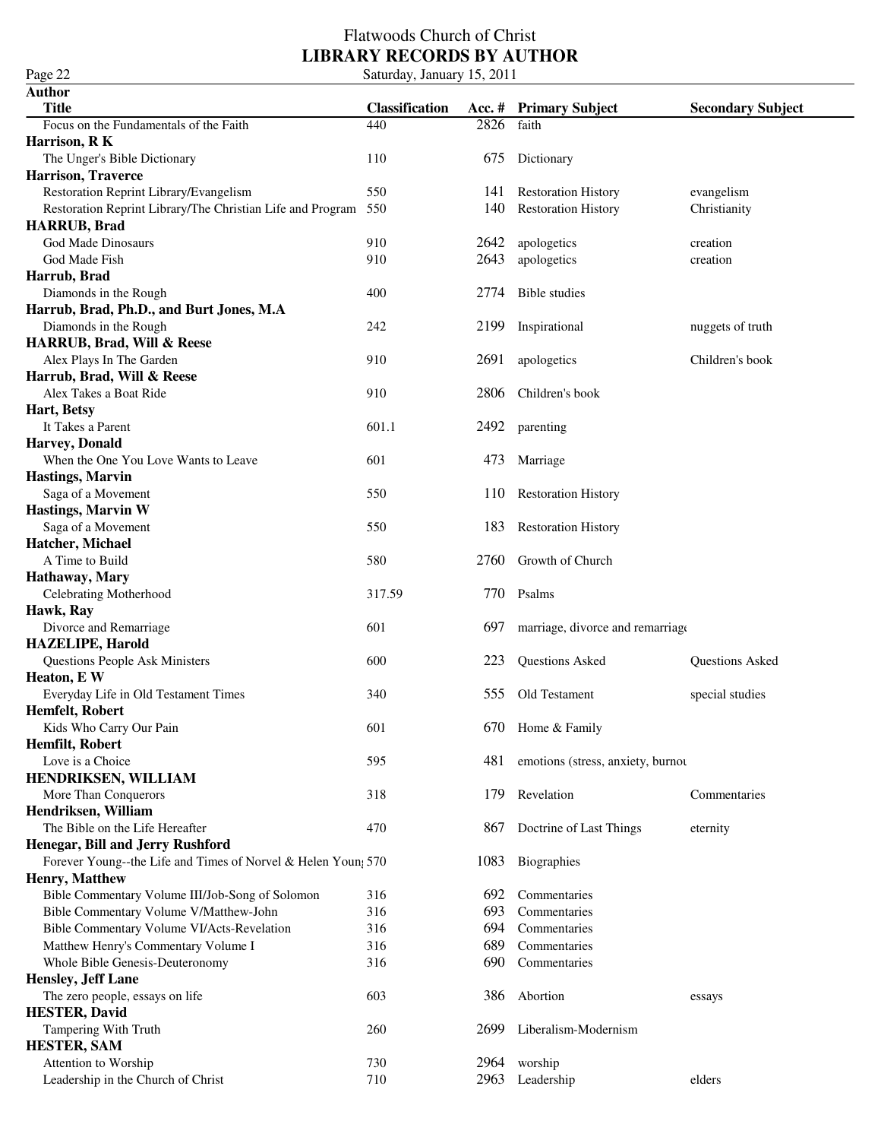| 1ge 22 |  |
|--------|--|
| Author |  |

| <b>Title</b>                                                   | <b>Classification</b> | Acc. $#$ | <b>Primary Subject</b>            | <b>Secondary Subject</b> |
|----------------------------------------------------------------|-----------------------|----------|-----------------------------------|--------------------------|
| Focus on the Fundamentals of the Faith                         | 440                   | 2826     | faith                             |                          |
| Harrison, R K                                                  |                       |          |                                   |                          |
| The Unger's Bible Dictionary                                   | 110                   | 675      | Dictionary                        |                          |
| Harrison, Traverce                                             |                       |          |                                   |                          |
| Restoration Reprint Library/Evangelism                         | 550                   | 141      | <b>Restoration History</b>        | evangelism               |
| Restoration Reprint Library/The Christian Life and Program 550 |                       | 140      | <b>Restoration History</b>        | Christianity             |
| <b>HARRUB</b> , Brad                                           |                       |          |                                   |                          |
| God Made Dinosaurs                                             | 910                   | 2642     | apologetics                       | creation                 |
| God Made Fish                                                  | 910                   | 2643     | apologetics                       | creation                 |
| Harrub, Brad                                                   |                       |          |                                   |                          |
| Diamonds in the Rough                                          | 400                   | 2774     | <b>Bible</b> studies              |                          |
| Harrub, Brad, Ph.D., and Burt Jones, M.A                       |                       |          |                                   |                          |
| Diamonds in the Rough                                          | 242                   | 2199     | Inspirational                     | nuggets of truth         |
| HARRUB, Brad, Will & Reese                                     |                       |          |                                   |                          |
| Alex Plays In The Garden                                       | 910                   | 2691     | apologetics                       | Children's book          |
| Harrub, Brad, Will & Reese                                     |                       |          |                                   |                          |
| Alex Takes a Boat Ride                                         | 910                   | 2806     | Children's book                   |                          |
| Hart, Betsy                                                    |                       |          |                                   |                          |
| It Takes a Parent                                              | 601.1                 | 2492     | parenting                         |                          |
| <b>Harvey</b> , Donald                                         |                       |          |                                   |                          |
| When the One You Love Wants to Leave                           | 601                   | 473      | Marriage                          |                          |
| <b>Hastings, Marvin</b>                                        |                       |          |                                   |                          |
| Saga of a Movement                                             | 550                   | 110      | <b>Restoration History</b>        |                          |
| Hastings, Marvin W                                             |                       |          |                                   |                          |
| Saga of a Movement                                             | 550                   | 183      | <b>Restoration History</b>        |                          |
| Hatcher, Michael                                               |                       |          |                                   |                          |
| A Time to Build                                                | 580                   | 2760     | Growth of Church                  |                          |
| Hathaway, Mary                                                 |                       |          |                                   |                          |
| <b>Celebrating Motherhood</b>                                  | 317.59                | 770      | Psalms                            |                          |
| Hawk, Ray                                                      |                       |          |                                   |                          |
| Divorce and Remarriage                                         | 601                   | 697      | marriage, divorce and remarriage  |                          |
| <b>HAZELIPE, Harold</b>                                        |                       |          |                                   |                          |
| <b>Questions People Ask Ministers</b>                          | 600                   | 223      | Questions Asked                   | Questions Asked          |
| Heaton, E W                                                    |                       |          |                                   |                          |
| Everyday Life in Old Testament Times                           | 340                   | 555      | Old Testament                     | special studies          |
| Hemfelt, Robert                                                |                       |          |                                   |                          |
| Kids Who Carry Our Pain                                        | 601                   |          | 670 Home & Family                 |                          |
| <b>Hemfilt, Robert</b>                                         |                       |          |                                   |                          |
| Love is a Choice                                               | 595                   | 481      | emotions (stress, anxiety, burnor |                          |
| HENDRIKSEN, WILLIAM                                            |                       |          |                                   |                          |
| More Than Conquerors                                           | 318                   | 179      | Revelation                        | Commentaries             |
| Hendriksen, William                                            |                       |          |                                   |                          |
| The Bible on the Life Hereafter                                | 470                   | 867      | Doctrine of Last Things           | eternity                 |
| Henegar, Bill and Jerry Rushford                               |                       |          |                                   |                          |
| Forever Young--the Life and Times of Norvel & Helen Youn; 570  |                       | 1083     | <b>Biographies</b>                |                          |
| <b>Henry, Matthew</b>                                          |                       |          |                                   |                          |
| Bible Commentary Volume III/Job-Song of Solomon                | 316                   | 692      | Commentaries                      |                          |
| Bible Commentary Volume V/Matthew-John                         | 316                   | 693      | Commentaries                      |                          |
| Bible Commentary Volume VI/Acts-Revelation                     | 316                   | 694      | Commentaries                      |                          |
| Matthew Henry's Commentary Volume I                            | 316                   | 689      | Commentaries                      |                          |
| Whole Bible Genesis-Deuteronomy                                | 316                   | 690      | Commentaries                      |                          |
| Hensley, Jeff Lane                                             |                       |          |                                   |                          |
| The zero people, essays on life                                | 603                   | 386      | Abortion                          | essays                   |
| <b>HESTER, David</b>                                           |                       |          |                                   |                          |
| Tampering With Truth                                           | 260                   | 2699     | Liberalism-Modernism              |                          |
| <b>HESTER, SAM</b>                                             |                       |          |                                   |                          |
| Attention to Worship                                           | 730                   | 2964     | worship                           |                          |
| Leadership in the Church of Christ                             | 710                   | 2963     | Leadership                        | elders                   |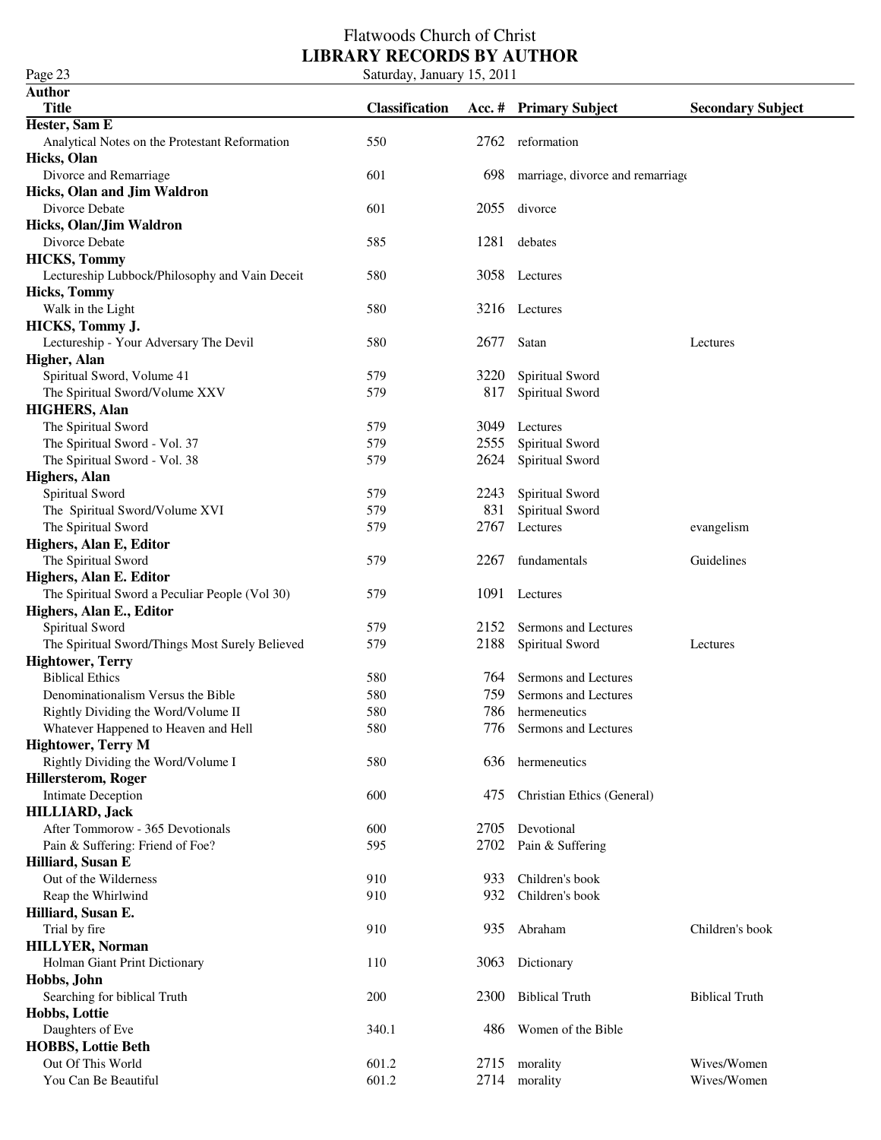| Page 23                                         | Saturday, January 15, 2011 |      |                                  |                          |
|-------------------------------------------------|----------------------------|------|----------------------------------|--------------------------|
| <b>Author</b>                                   |                            |      |                                  |                          |
| <b>Title</b>                                    | <b>Classification</b>      |      | Acc. # Primary Subject           | <b>Secondary Subject</b> |
| Hester, Sam E                                   |                            |      |                                  |                          |
| Analytical Notes on the Protestant Reformation  | 550                        |      | 2762 reformation                 |                          |
| Hicks, Olan                                     |                            |      |                                  |                          |
| Divorce and Remarriage                          | 601                        | 698  | marriage, divorce and remarriage |                          |
| Hicks, Olan and Jim Waldron                     |                            |      |                                  |                          |
| Divorce Debate                                  | 601                        | 2055 | divorce                          |                          |
| Hicks, Olan/Jim Waldron                         |                            |      |                                  |                          |
| Divorce Debate                                  | 585                        | 1281 | debates                          |                          |
| <b>HICKS</b> , Tommy                            |                            |      |                                  |                          |
| Lectureship Lubbock/Philosophy and Vain Deceit  | 580                        |      | 3058 Lectures                    |                          |
| <b>Hicks, Tommy</b>                             |                            |      |                                  |                          |
|                                                 |                            |      |                                  |                          |
| Walk in the Light                               | 580                        |      | 3216 Lectures                    |                          |
| HICKS, Tommy J.                                 |                            |      |                                  |                          |
| Lectureship - Your Adversary The Devil          | 580                        | 2677 | Satan                            | Lectures                 |
| Higher, Alan                                    |                            |      |                                  |                          |
| Spiritual Sword, Volume 41                      | 579                        | 3220 | Spiritual Sword                  |                          |
| The Spiritual Sword/Volume XXV                  | 579                        | 817  | Spiritual Sword                  |                          |
| <b>HIGHERS</b> , Alan                           |                            |      |                                  |                          |
| The Spiritual Sword                             | 579                        | 3049 | Lectures                         |                          |
| The Spiritual Sword - Vol. 37                   | 579                        | 2555 | Spiritual Sword                  |                          |
| The Spiritual Sword - Vol. 38                   | 579                        | 2624 | Spiritual Sword                  |                          |
| <b>Highers</b> , Alan                           |                            |      |                                  |                          |
| Spiritual Sword                                 | 579                        | 2243 | Spiritual Sword                  |                          |
| The Spiritual Sword/Volume XVI                  | 579                        | 831  | Spiritual Sword                  |                          |
| The Spiritual Sword                             | 579                        | 2767 | Lectures                         | evangelism               |
| Highers, Alan E, Editor                         |                            |      |                                  |                          |
| The Spiritual Sword                             | 579                        | 2267 | fundamentals                     | Guidelines               |
| Highers, Alan E. Editor                         |                            |      |                                  |                          |
|                                                 | 579                        |      | 1091 Lectures                    |                          |
| The Spiritual Sword a Peculiar People (Vol 30)  |                            |      |                                  |                          |
| Highers, Alan E., Editor                        |                            |      |                                  |                          |
| Spiritual Sword                                 | 579                        | 2152 | Sermons and Lectures             |                          |
| The Spiritual Sword/Things Most Surely Believed | 579                        | 2188 | Spiritual Sword                  | Lectures                 |
| <b>Hightower</b> , Terry                        |                            |      |                                  |                          |
| <b>Biblical Ethics</b>                          | 580                        | 764  | Sermons and Lectures             |                          |
| Denominationalism Versus the Bible              | 580                        | 759  | Sermons and Lectures             |                          |
| Rightly Dividing the Word/Volume II             | 580                        |      | 786 hermeneutics                 |                          |
| Whatever Happened to Heaven and Hell            | 580                        | 776  | Sermons and Lectures             |                          |
| <b>Hightower, Terry M</b>                       |                            |      |                                  |                          |
| Rightly Dividing the Word/Volume I              | 580                        | 636  | hermeneutics                     |                          |
| Hillersterom, Roger                             |                            |      |                                  |                          |
| <b>Intimate Deception</b>                       | 600                        | 475  | Christian Ethics (General)       |                          |
| <b>HILLIARD</b> , Jack                          |                            |      |                                  |                          |
| After Tommorow - 365 Devotionals                | 600                        | 2705 | Devotional                       |                          |
| Pain & Suffering: Friend of Foe?                | 595                        | 2702 | Pain & Suffering                 |                          |
| Hilliard, Susan E                               |                            |      |                                  |                          |
| Out of the Wilderness                           | 910                        | 933  | Children's book                  |                          |
| Reap the Whirlwind                              | 910                        | 932  | Children's book                  |                          |
| Hilliard, Susan E.                              |                            |      |                                  |                          |
| Trial by fire                                   | 910                        | 935  | Abraham                          | Children's book          |
| <b>HILLYER, Norman</b>                          |                            |      |                                  |                          |
|                                                 | 110                        |      |                                  |                          |
| Holman Giant Print Dictionary                   |                            | 3063 | Dictionary                       |                          |
| Hobbs, John                                     |                            |      |                                  |                          |
| Searching for biblical Truth                    | 200                        | 2300 | <b>Biblical Truth</b>            | <b>Biblical Truth</b>    |
| Hobbs, Lottie                                   |                            |      |                                  |                          |
| Daughters of Eve                                | 340.1                      | 486  | Women of the Bible               |                          |
| <b>HOBBS, Lottie Beth</b>                       |                            |      |                                  |                          |
| Out Of This World                               | 601.2                      | 2715 | morality                         | Wives/Women              |
| You Can Be Beautiful                            | 601.2                      | 2714 | morality                         | Wives/Women              |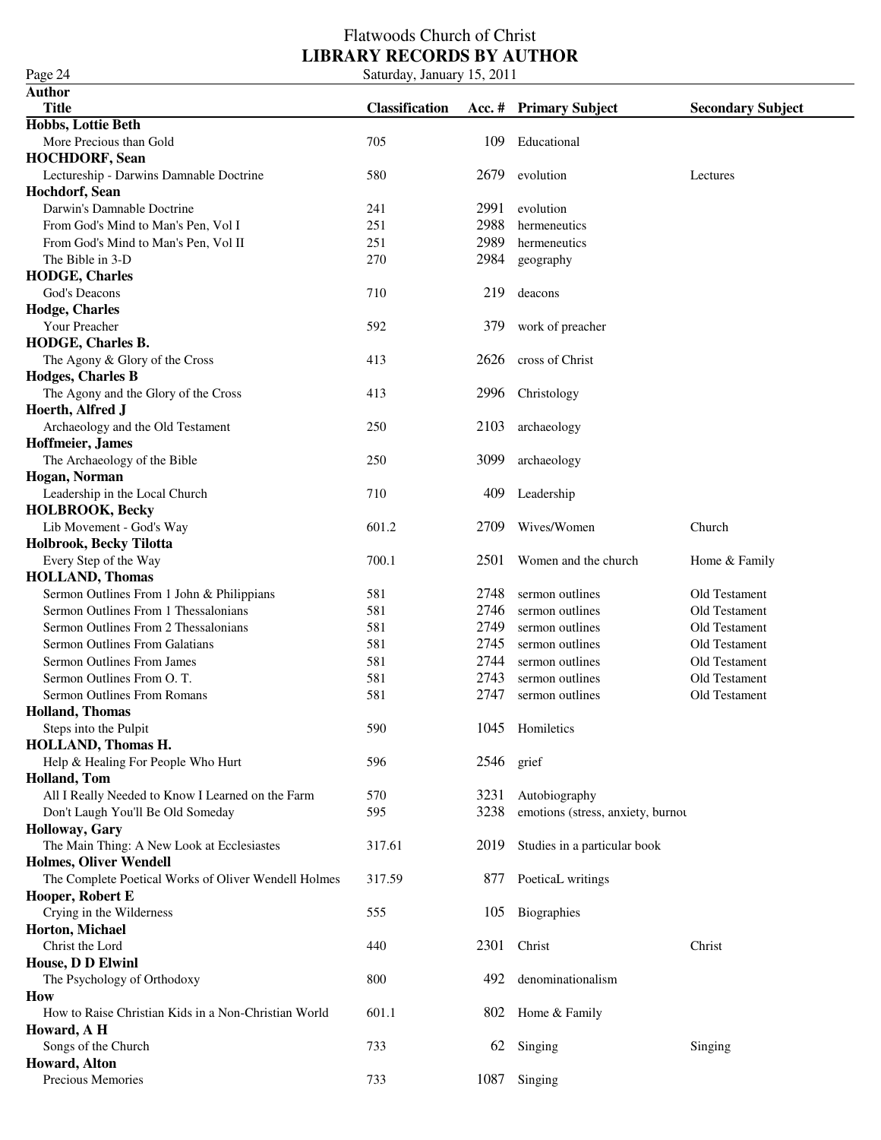Page 24 Saturday, January 15, 2011 **Author Title Classification Acc. # Primary Subject Secondary Subject Hobbs, Lottie Beth** More Precious than Gold 705 705 109 Educational **HOCHDORF, Sean** Lectureship - Darwins Damnable Doctrine 580 2679 evolution Lectures **Hochdorf, Sean** Darwin's Damnable Doctrine 241 2991 evolution From God's Mind to Man's Pen, Vol I 251 2988 hermeneutics From God's Mind to Man's Pen, Vol II 251 2989 hermeneutics The Bible in 3-D 270 2984 geography **HODGE, Charles** God's Deacons 219 deacons 219 deacons 219 deacons **Hodge, Charles** Your Preacher 592 379 work of preacher **HODGE, Charles B.** The Agony & Glory of the Cross 2626 cross of Christ **Hodges, Charles B** The Agony and the Glory of the Cross 413 2996 Christology **Hoerth, Alfred J** Archaeology and the Old Testament 250 2103 archaeology **Hoffmeier, James** The Archaeology of the Bible 250 250 3099 archaeology **Hogan, Norman** Leadership in the Local Church 710 710 409 Leadership **HOLBROOK, Becky** Lib Movement - God's Way 601.2 2709 Wives/Women Church **Holbrook, Becky Tilotta** Every Step of the Way 700.1 2501 Women and the church Home & Family **HOLLAND, Thomas** Sermon Outlines From 1 John & Philippians 581 2748 sermon outlines Old Testament Sermon Outlines From 1 Thessalonians 581 581 2746 sermon outlines 581 911 Old Testament Sermon Outlines From 2 Thessalonians 581 581 2749 sermon outlines 581 911 2749 sermon outlines Sermon Outlines From Galatians 581 2745 sermon outlines Old Testament Sermon Outlines From James 581 2744 sermon outlines Old Testament Sermon Outlines From O. T. 2743 sermon outlines Cold Testament Sermon Outlines From Romans 581 2747 sermon outlines Old Testament **Holland, Thomas** Steps into the Pulpit 590 1045 Homiletics **HOLLAND, Thomas H.** Help & Healing For People Who Hurt 596 596 2546 grief **Holland, Tom** All I Really Needed to Know I Learned on the Farm 570 3231 Autobiography Don't Laugh You'll Be Old Someday 595 3238 emotions (stress, anxiety, burnout) **Holloway, Gary** The Main Thing: A New Look at Ecclesiastes 317.61 2019 Studies in a particular book **Holmes, Oliver Wendell** The Complete Poetical Works of Oliver Wendell Holmes 317.59 877 PoeticaL writings **Hooper, Robert E** Crying in the Wilderness 555 105 Biographies **Horton, Michael** Christ the Lord Christ Christ Christ Christ Christ Christ Christ Christ Christ Christ Christ Christ Christ Christ Christ Christ Christ Christ Christ Christ Christ Christ Christ Christ Christ Christ Christ Christ Christ Chr **House, D D Elwinl** The Psychology of Orthodoxy 800 492 denominationalism

Precious Memories **1087** Singing

**How**

**Howard, A H**

**Howard, Alton**

How to Raise Christian Kids in a Non-Christian World 601.1 802 Home & Family Songs of the Church 733 62 Singing Singing Singing Singing Singing Singing Singing Singing Singing Singing Singing Singing Singing Singing Singing Singing Singing Singing Singing Singing Singing Singing Singing Singing Sin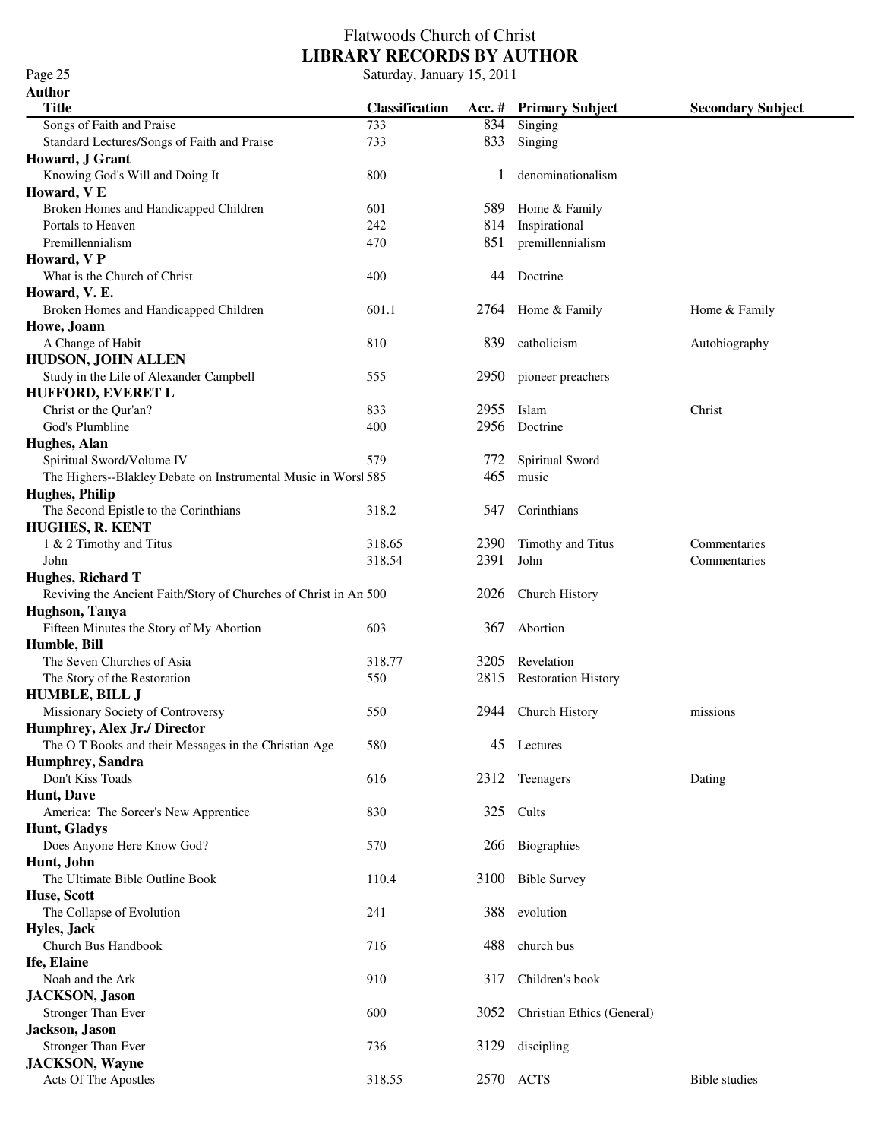| $\sigma e$ .<br>μ, |  |
|--------------------|--|
| Author             |  |

| <b>Title</b>                                                                     | <b>Classification</b> |      | Acc. # Primary Subject     | <b>Secondary Subject</b> |
|----------------------------------------------------------------------------------|-----------------------|------|----------------------------|--------------------------|
| Songs of Faith and Praise                                                        | 733                   | 834  | Singing                    |                          |
| Standard Lectures/Songs of Faith and Praise                                      | 733                   | 833  | Singing                    |                          |
| Howard, J Grant                                                                  |                       |      |                            |                          |
| Knowing God's Will and Doing It                                                  | 800                   |      | denominationalism          |                          |
| Howard, V E                                                                      |                       |      |                            |                          |
| Broken Homes and Handicapped Children                                            | 601                   | 589  | Home & Family              |                          |
| Portals to Heaven                                                                | 242                   | 814  | Inspirational              |                          |
| Premillennialism                                                                 | 470                   | 851  | premillennialism           |                          |
| Howard, V P                                                                      |                       |      |                            |                          |
| What is the Church of Christ                                                     | 400                   |      | 44 Doctrine                |                          |
| Howard, V. E.                                                                    |                       |      |                            |                          |
| Broken Homes and Handicapped Children                                            | 601.1                 |      | 2764 Home & Family         | Home & Family            |
| Howe, Joann                                                                      |                       |      |                            |                          |
| A Change of Habit                                                                | 810                   | 839  | catholicism                | Autobiography            |
| HUDSON, JOHN ALLEN                                                               |                       |      |                            |                          |
| Study in the Life of Alexander Campbell<br>HUFFORD, EVERET L                     | 555                   | 2950 | pioneer preachers          |                          |
| Christ or the Qur'an?                                                            | 833                   | 2955 | Islam                      | Christ                   |
| God's Plumbline                                                                  | 400                   | 2956 | Doctrine                   |                          |
| Hughes, Alan                                                                     |                       |      |                            |                          |
| Spiritual Sword/Volume IV                                                        | 579                   | 772  | Spiritual Sword            |                          |
| The Highers--Blakley Debate on Instrumental Music in Worsl 585                   |                       | 465  | music                      |                          |
| <b>Hughes, Philip</b>                                                            |                       |      |                            |                          |
| The Second Epistle to the Corinthians                                            | 318.2                 | 547  | Corinthians                |                          |
| HUGHES, R. KENT                                                                  |                       |      |                            |                          |
| 1 & 2 Timothy and Titus                                                          | 318.65                | 2390 | Timothy and Titus          | Commentaries             |
| John                                                                             | 318.54                | 2391 | John                       | Commentaries             |
| Hughes, Richard T                                                                |                       |      |                            |                          |
| Reviving the Ancient Faith/Story of Churches of Christ in An 500                 |                       | 2026 | Church History             |                          |
| Hughson, Tanya                                                                   |                       |      |                            |                          |
| Fifteen Minutes the Story of My Abortion                                         | 603                   | 367  | Abortion                   |                          |
| Humble, Bill                                                                     |                       |      |                            |                          |
| The Seven Churches of Asia                                                       | 318.77                | 3205 | Revelation                 |                          |
| The Story of the Restoration                                                     | 550                   | 2815 | <b>Restoration History</b> |                          |
| <b>HUMBLE, BILL J</b>                                                            |                       |      |                            |                          |
| Missionary Society of Controversy                                                | 550                   |      | 2944 Church History        | missions                 |
| Humphrey, Alex Jr./ Director                                                     |                       | 45   |                            |                          |
| The OT Books and their Messages in the Christian Age<br><b>Humphrey</b> , Sandra | 580                   |      | Lectures                   |                          |
| Don't Kiss Toads                                                                 | 616                   | 2312 | Teenagers                  | Dating                   |
| Hunt, Dave                                                                       |                       |      |                            |                          |
| America: The Sorcer's New Apprentice                                             | 830                   | 325  | Cults                      |                          |
| Hunt, Gladys                                                                     |                       |      |                            |                          |
| Does Anyone Here Know God?                                                       | 570                   | 266  | Biographies                |                          |
| Hunt, John                                                                       |                       |      |                            |                          |
| The Ultimate Bible Outline Book                                                  | 110.4                 | 3100 | <b>Bible Survey</b>        |                          |
| Huse, Scott                                                                      |                       |      |                            |                          |
| The Collapse of Evolution                                                        | 241                   | 388  | evolution                  |                          |
| Hyles, Jack                                                                      |                       |      |                            |                          |
| Church Bus Handbook                                                              | 716                   | 488  | church bus                 |                          |
| Ife, Elaine                                                                      |                       |      |                            |                          |
| Noah and the Ark                                                                 | 910                   | 317  | Children's book            |                          |
| <b>JACKSON</b> , Jason                                                           |                       |      |                            |                          |
| <b>Stronger Than Ever</b>                                                        | 600                   | 3052 | Christian Ethics (General) |                          |
| Jackson, Jason                                                                   |                       |      |                            |                          |
| <b>Stronger Than Ever</b>                                                        | 736                   | 3129 | discipling                 |                          |
| <b>JACKSON</b> , Wayne                                                           |                       |      |                            |                          |
| Acts Of The Apostles                                                             | 318.55                | 2570 | <b>ACTS</b>                | <b>Bible</b> studies     |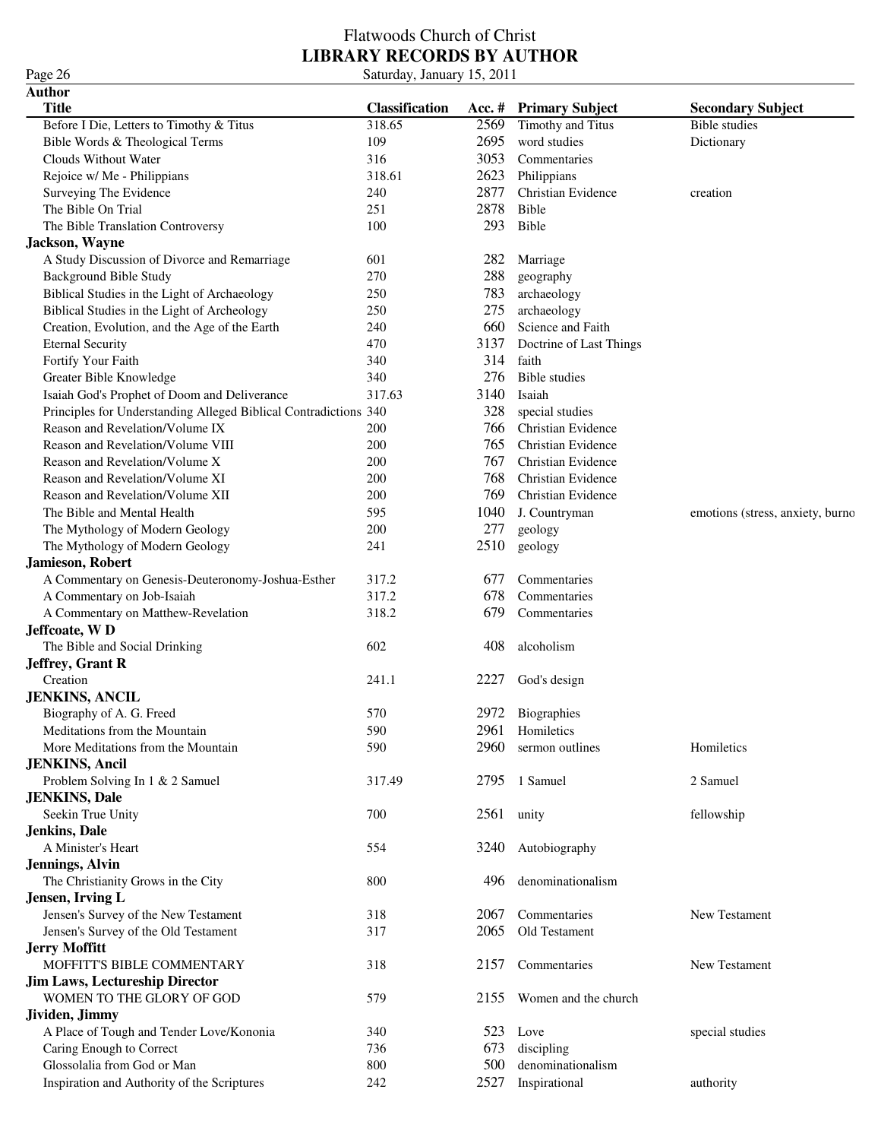Page 26<br>**Author** 

| <b>Title</b>                                                     | <b>Classification</b> |      | Acc. # Primary Subject  | <b>Secondary Subject</b>         |
|------------------------------------------------------------------|-----------------------|------|-------------------------|----------------------------------|
| Before I Die, Letters to Timothy & Titus                         | 318.65                | 2569 | Timothy and Titus       | <b>Bible</b> studies             |
| Bible Words & Theological Terms                                  | 109                   | 2695 | word studies            | Dictionary                       |
| Clouds Without Water                                             | 316                   | 3053 | Commentaries            |                                  |
| Rejoice w/ Me - Philippians                                      | 318.61                | 2623 | Philippians             |                                  |
| Surveying The Evidence                                           | 240                   | 2877 | Christian Evidence      | creation                         |
| The Bible On Trial                                               | 251                   | 2878 | Bible                   |                                  |
| The Bible Translation Controversy                                | 100                   | 293  | Bible                   |                                  |
| Jackson, Wayne                                                   |                       |      |                         |                                  |
| A Study Discussion of Divorce and Remarriage                     | 601                   | 282  | Marriage                |                                  |
|                                                                  |                       |      |                         |                                  |
| <b>Background Bible Study</b>                                    | 270                   | 288  | geography               |                                  |
| Biblical Studies in the Light of Archaeology                     | 250                   | 783  | archaeology             |                                  |
| Biblical Studies in the Light of Archeology                      | 250                   | 275  | archaeology             |                                  |
| Creation, Evolution, and the Age of the Earth                    | 240                   | 660  | Science and Faith       |                                  |
| <b>Eternal Security</b>                                          | 470                   | 3137 | Doctrine of Last Things |                                  |
| Fortify Your Faith                                               | 340                   | 314  | faith                   |                                  |
| Greater Bible Knowledge                                          | 340                   | 276  | <b>Bible</b> studies    |                                  |
| Isaiah God's Prophet of Doom and Deliverance                     | 317.63                | 3140 | Isaiah                  |                                  |
| Principles for Understanding Alleged Biblical Contradictions 340 |                       | 328  | special studies         |                                  |
| Reason and Revelation/Volume IX                                  | 200                   | 766  | Christian Evidence      |                                  |
| Reason and Revelation/Volume VIII                                | 200                   | 765  | Christian Evidence      |                                  |
| Reason and Revelation/Volume X                                   | 200                   | 767  | Christian Evidence      |                                  |
| Reason and Revelation/Volume XI                                  | 200                   | 768  | Christian Evidence      |                                  |
| Reason and Revelation/Volume XII                                 | 200                   | 769  | Christian Evidence      |                                  |
| The Bible and Mental Health                                      | 595                   | 1040 | J. Countryman           | emotions (stress, anxiety, burno |
| The Mythology of Modern Geology                                  | 200                   | 277  | geology                 |                                  |
| The Mythology of Modern Geology                                  | 241                   | 2510 | geology                 |                                  |
| Jamieson, Robert                                                 |                       |      |                         |                                  |
| A Commentary on Genesis-Deuteronomy-Joshua-Esther                | 317.2                 | 677  | Commentaries            |                                  |
| A Commentary on Job-Isaiah                                       | 317.2                 | 678  | Commentaries            |                                  |
|                                                                  | 318.2                 | 679  | Commentaries            |                                  |
| A Commentary on Matthew-Revelation                               |                       |      |                         |                                  |
| Jeffcoate, WD                                                    |                       |      |                         |                                  |
| The Bible and Social Drinking                                    | 602                   | 408  | alcoholism              |                                  |
| <b>Jeffrey, Grant R</b>                                          |                       |      |                         |                                  |
| Creation                                                         | 241.1                 | 2227 | God's design            |                                  |
| <b>JENKINS, ANCIL</b>                                            |                       |      |                         |                                  |
| Biography of A. G. Freed                                         | 570                   |      | 2972 Biographies        |                                  |
| Meditations from the Mountain                                    | 590                   |      | 2961 Homiletics         |                                  |
| More Meditations from the Mountain                               | 590                   |      | 2960 sermon outlines    | Homiletics                       |
| <b>JENKINS</b> , Ancil                                           |                       |      |                         |                                  |
| Problem Solving In 1 & 2 Samuel                                  | 317.49                | 2795 | 1 Samuel                | 2 Samuel                         |
| <b>JENKINS</b> , Dale                                            |                       |      |                         |                                  |
| Seekin True Unity                                                | 700                   |      | $2561$ unity            | fellowship                       |
| <b>Jenkins, Dale</b>                                             |                       |      |                         |                                  |
| A Minister's Heart                                               | 554                   | 3240 | Autobiography           |                                  |
| <b>Jennings</b> , Alvin                                          |                       |      |                         |                                  |
| The Christianity Grows in the City                               | 800                   | 496  | denominationalism       |                                  |
| Jensen, Irving L                                                 |                       |      |                         |                                  |
| Jensen's Survey of the New Testament                             | 318                   | 2067 | Commentaries            | New Testament                    |
| Jensen's Survey of the Old Testament                             | 317                   | 2065 | Old Testament           |                                  |
| <b>Jerry Moffitt</b>                                             |                       |      |                         |                                  |
| MOFFITT'S BIBLE COMMENTARY                                       | 318                   | 2157 | Commentaries            | New Testament                    |
| <b>Jim Laws, Lectureship Director</b>                            |                       |      |                         |                                  |
| WOMEN TO THE GLORY OF GOD                                        | 579                   | 2155 | Women and the church    |                                  |
|                                                                  |                       |      |                         |                                  |
| Jividen, Jimmy                                                   |                       |      |                         |                                  |
| A Place of Tough and Tender Love/Kononia                         | 340                   |      | 523 Love                | special studies                  |
| Caring Enough to Correct                                         | 736                   | 673  | discipling              |                                  |
| Glossolalia from God or Man                                      | 800                   | 500  | denominationalism       |                                  |
| Inspiration and Authority of the Scriptures                      | 242                   | 2527 | Inspirational           | authority                        |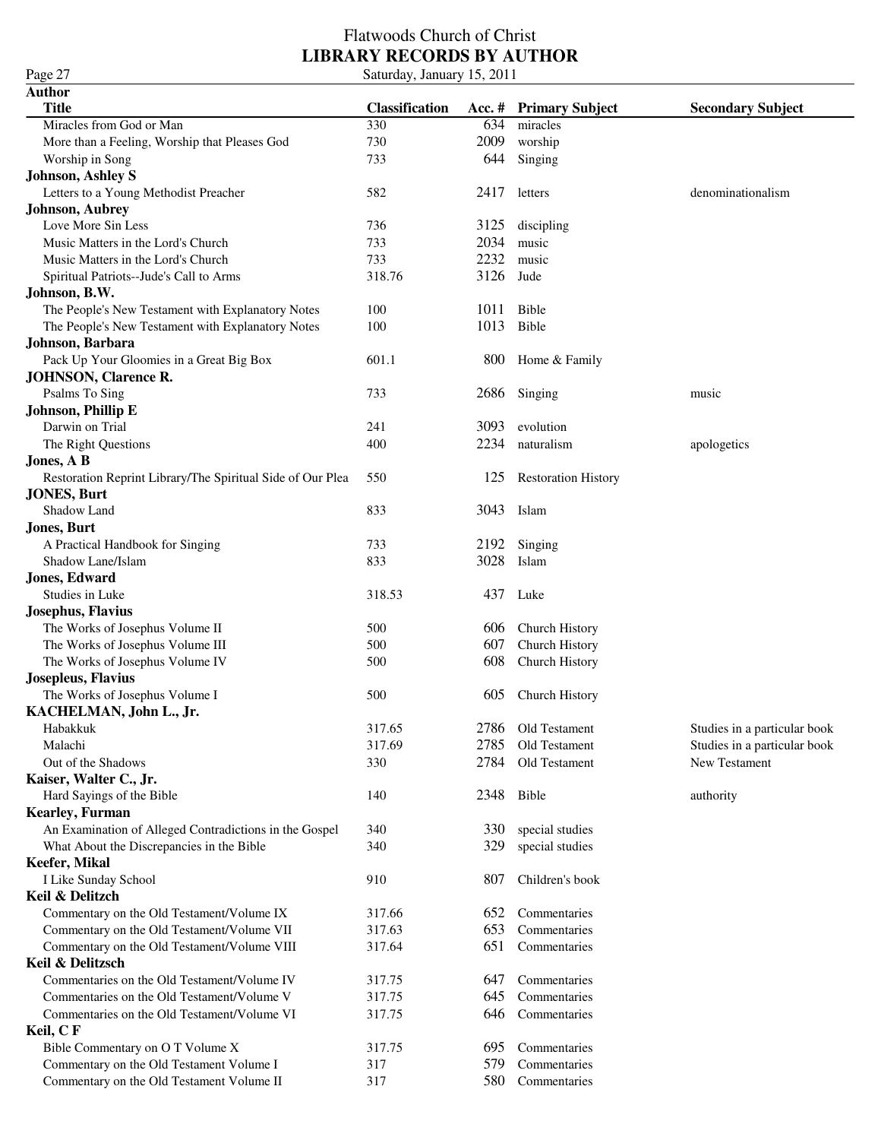Page 27<br>**Author** 

| <b>Title</b>                                                    | <b>Classification</b> | Acc. $#$ | <b>Primary Subject</b>     | <b>Secondary Subject</b>     |
|-----------------------------------------------------------------|-----------------------|----------|----------------------------|------------------------------|
| Miracles from God or Man                                        | 330                   | 634      | miracles                   |                              |
| More than a Feeling, Worship that Pleases God                   | 730                   | 2009     | worship                    |                              |
| Worship in Song                                                 | 733                   | 644      | Singing                    |                              |
| <b>Johnson, Ashley S</b>                                        |                       |          |                            |                              |
| Letters to a Young Methodist Preacher                           | 582                   | 2417     | letters                    | denominationalism            |
| <b>Johnson</b> , Aubrey                                         |                       |          |                            |                              |
| Love More Sin Less                                              | 736                   | 3125     | discipling                 |                              |
| Music Matters in the Lord's Church                              | 733                   | 2034     | music                      |                              |
| Music Matters in the Lord's Church                              | 733                   | 2232     | music                      |                              |
| Spiritual Patriots--Jude's Call to Arms                         | 318.76                | 3126     | Jude                       |                              |
| Johnson, B.W.                                                   |                       |          |                            |                              |
| The People's New Testament with Explanatory Notes               | 100                   | 1011     | Bible                      |                              |
| The People's New Testament with Explanatory Notes               | 100                   | 1013     | Bible                      |                              |
| Johnson, Barbara                                                |                       |          |                            |                              |
| Pack Up Your Gloomies in a Great Big Box                        | 601.1                 | 800      | Home & Family              |                              |
| <b>JOHNSON, Clarence R.</b>                                     |                       |          |                            |                              |
| Psalms To Sing                                                  | 733                   | 2686     | Singing                    | music                        |
| Johnson, Phillip E                                              |                       |          |                            |                              |
| Darwin on Trial                                                 | 241                   | 3093     | evolution                  |                              |
| The Right Questions                                             | 400                   | 2234     | naturalism                 | apologetics                  |
| Jones, A B                                                      |                       |          |                            |                              |
| Restoration Reprint Library/The Spiritual Side of Our Plea      | 550                   | 125      | <b>Restoration History</b> |                              |
| <b>JONES, Burt</b>                                              |                       |          |                            |                              |
| Shadow Land                                                     | 833                   | 3043     | Islam                      |                              |
| <b>Jones</b> , Burt                                             |                       |          |                            |                              |
| A Practical Handbook for Singing                                | 733                   | 2192     | Singing                    |                              |
| Shadow Lane/Islam                                               | 833                   | 3028     | Islam                      |                              |
| <b>Jones, Edward</b>                                            |                       |          |                            |                              |
| Studies in Luke                                                 | 318.53                | 437      | Luke                       |                              |
| Josephus, Flavius                                               |                       |          |                            |                              |
| The Works of Josephus Volume II                                 | 500                   | 606      | Church History             |                              |
| The Works of Josephus Volume III                                | 500                   | 607      | Church History             |                              |
| The Works of Josephus Volume IV                                 | 500                   | 608      | Church History             |                              |
| Josepleus, Flavius                                              |                       |          |                            |                              |
| The Works of Josephus Volume I                                  | 500                   | 605      | Church History             |                              |
| KACHELMAN, John L., Jr.                                         |                       |          |                            |                              |
| Habakkuk                                                        | 317.65                |          | 2786 Old Testament         | Studies in a particular book |
| Malachi                                                         | 317.69                | 2785     | Old Testament              | Studies in a particular book |
| Out of the Shadows                                              | 330                   | 2784     | Old Testament              | New Testament                |
| Kaiser, Walter C., Jr.                                          |                       |          |                            |                              |
| Hard Sayings of the Bible                                       | 140                   | 2348     | Bible                      | authority                    |
| Kearley, Furman                                                 |                       |          |                            |                              |
| An Examination of Alleged Contradictions in the Gospel          | 340                   | 330      | special studies            |                              |
| What About the Discrepancies in the Bible                       | 340                   | 329      | special studies            |                              |
| Keefer, Mikal                                                   |                       |          |                            |                              |
| I Like Sunday School                                            | 910                   | 807      | Children's book            |                              |
| Keil & Delitzch                                                 |                       |          |                            |                              |
| Commentary on the Old Testament/Volume IX                       | 317.66                | 652      | Commentaries               |                              |
| Commentary on the Old Testament/Volume VII                      | 317.63                | 653      | Commentaries               |                              |
|                                                                 | 317.64                | 651      | Commentaries               |                              |
| Commentary on the Old Testament/Volume VIII<br>Keil & Delitzsch |                       |          |                            |                              |
| Commentaries on the Old Testament/Volume IV                     | 317.75                | 647      | Commentaries               |                              |
| Commentaries on the Old Testament/Volume V                      | 317.75                | 645      | Commentaries               |                              |
| Commentaries on the Old Testament/Volume VI                     |                       | 646      | Commentaries               |                              |
|                                                                 | 317.75                |          |                            |                              |
| Keil, CF                                                        |                       |          |                            |                              |
| Bible Commentary on O T Volume X                                | 317.75                | 695      | Commentaries               |                              |
| Commentary on the Old Testament Volume I                        | 317                   | 579      | Commentaries               |                              |
| Commentary on the Old Testament Volume II                       | 317                   | 580      | Commentaries               |                              |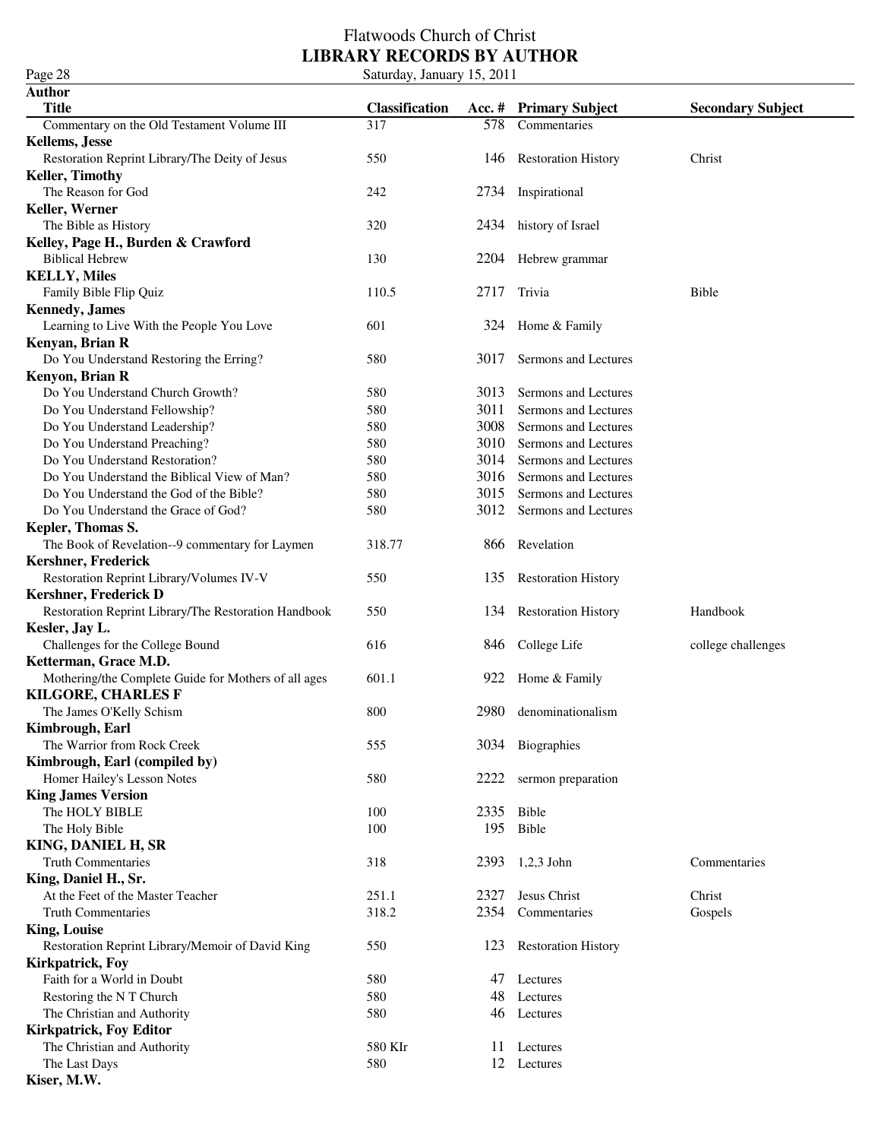| Page 28                                              | Saturday, January 15, 2011 |      |                            |                          |  |
|------------------------------------------------------|----------------------------|------|----------------------------|--------------------------|--|
| <b>Author</b>                                        |                            |      |                            |                          |  |
| <b>Title</b>                                         | <b>Classification</b>      |      | Acc. # Primary Subject     | <b>Secondary Subject</b> |  |
| Commentary on the Old Testament Volume III           | 317                        | 578  | Commentaries               |                          |  |
| <b>Kellems</b> , Jesse                               |                            |      |                            |                          |  |
| Restoration Reprint Library/The Deity of Jesus       | 550                        | 146  | <b>Restoration History</b> | Christ                   |  |
| <b>Keller, Timothy</b>                               |                            |      |                            |                          |  |
| The Reason for God                                   | 242                        |      | 2734 Inspirational         |                          |  |
| Keller, Werner                                       |                            |      |                            |                          |  |
| The Bible as History                                 | 320                        |      | 2434 history of Israel     |                          |  |
| Kelley, Page H., Burden & Crawford                   |                            |      |                            |                          |  |
| <b>Biblical Hebrew</b>                               | 130                        |      | 2204 Hebrew grammar        |                          |  |
| <b>KELLY, Miles</b>                                  |                            |      |                            |                          |  |
| Family Bible Flip Quiz                               | 110.5                      | 2717 | Trivia                     | <b>Bible</b>             |  |
| <b>Kennedy</b> , James                               |                            |      |                            |                          |  |
| Learning to Live With the People You Love            | 601                        |      | 324 Home & Family          |                          |  |
| Kenyan, Brian R                                      |                            |      |                            |                          |  |
| Do You Understand Restoring the Erring?              | 580                        | 3017 | Sermons and Lectures       |                          |  |
| Kenyon, Brian R                                      |                            |      |                            |                          |  |
| Do You Understand Church Growth?                     | 580                        | 3013 | Sermons and Lectures       |                          |  |
| Do You Understand Fellowship?                        | 580                        | 3011 | Sermons and Lectures       |                          |  |
| Do You Understand Leadership?                        | 580                        | 3008 | Sermons and Lectures       |                          |  |
| Do You Understand Preaching?                         | 580                        | 3010 | Sermons and Lectures       |                          |  |
| Do You Understand Restoration?                       | 580                        | 3014 | Sermons and Lectures       |                          |  |
| Do You Understand the Biblical View of Man?          | 580                        | 3016 | Sermons and Lectures       |                          |  |
| Do You Understand the God of the Bible?              | 580                        | 3015 | Sermons and Lectures       |                          |  |
| Do You Understand the Grace of God?                  | 580                        | 3012 | Sermons and Lectures       |                          |  |
| Kepler, Thomas S.                                    |                            |      |                            |                          |  |
| The Book of Revelation--9 commentary for Laymen      | 318.77                     | 866  | Revelation                 |                          |  |
| Kershner, Frederick                                  |                            |      |                            |                          |  |
| Restoration Reprint Library/Volumes IV-V             | 550                        | 135  | <b>Restoration History</b> |                          |  |
| <b>Kershner, Frederick D</b>                         |                            |      |                            |                          |  |
| Restoration Reprint Library/The Restoration Handbook | 550                        | 134  | <b>Restoration History</b> | Handbook                 |  |
| Kesler, Jay L.                                       |                            |      |                            |                          |  |
| Challenges for the College Bound                     | 616                        |      | 846 College Life           | college challenges       |  |
| Ketterman, Grace M.D.                                |                            |      |                            |                          |  |
| Mothering/the Complete Guide for Mothers of all ages | 601.1                      |      | 922 Home & Family          |                          |  |
| <b>KILGORE, CHARLES F</b>                            |                            |      |                            |                          |  |
| The James O'Kelly Schism                             | 800                        |      | 2980 denominationalism     |                          |  |
| Kimbrough, Earl                                      |                            |      |                            |                          |  |
| The Warrior from Rock Creek                          | 555                        | 3034 | Biographies                |                          |  |
| Kimbrough, Earl (compiled by)                        |                            |      |                            |                          |  |
| Homer Hailey's Lesson Notes                          | 580                        | 2222 | sermon preparation         |                          |  |
| <b>King James Version</b>                            |                            |      |                            |                          |  |
| The HOLY BIBLE                                       | 100                        | 2335 | Bible                      |                          |  |
| The Holy Bible                                       | 100                        | 195  | Bible                      |                          |  |
| KING, DANIEL H, SR                                   |                            |      |                            |                          |  |
| <b>Truth Commentaries</b>                            | 318                        |      | 2393 1,2,3 John            | Commentaries             |  |
| King, Daniel H., Sr.                                 |                            |      |                            |                          |  |
| At the Feet of the Master Teacher                    | 251.1                      | 2327 | Jesus Christ               | Christ                   |  |
| <b>Truth Commentaries</b>                            | 318.2                      | 2354 | Commentaries               | Gospels                  |  |
| <b>King, Louise</b>                                  |                            |      |                            |                          |  |
| Restoration Reprint Library/Memoir of David King     | 550                        | 123  | <b>Restoration History</b> |                          |  |
| <b>Kirkpatrick, Foy</b>                              |                            |      |                            |                          |  |
| Faith for a World in Doubt                           | 580                        | 47   | Lectures                   |                          |  |
| Restoring the NT Church                              | 580                        | 48   | Lectures                   |                          |  |
| The Christian and Authority                          | 580                        | 46   | Lectures                   |                          |  |
| <b>Kirkpatrick, Foy Editor</b>                       |                            |      |                            |                          |  |
| The Christian and Authority                          | 580 KIr                    | 11   | Lectures                   |                          |  |
| The Last Days                                        | 580                        | 12   | Lectures                   |                          |  |
| Kiser, M.W.                                          |                            |      |                            |                          |  |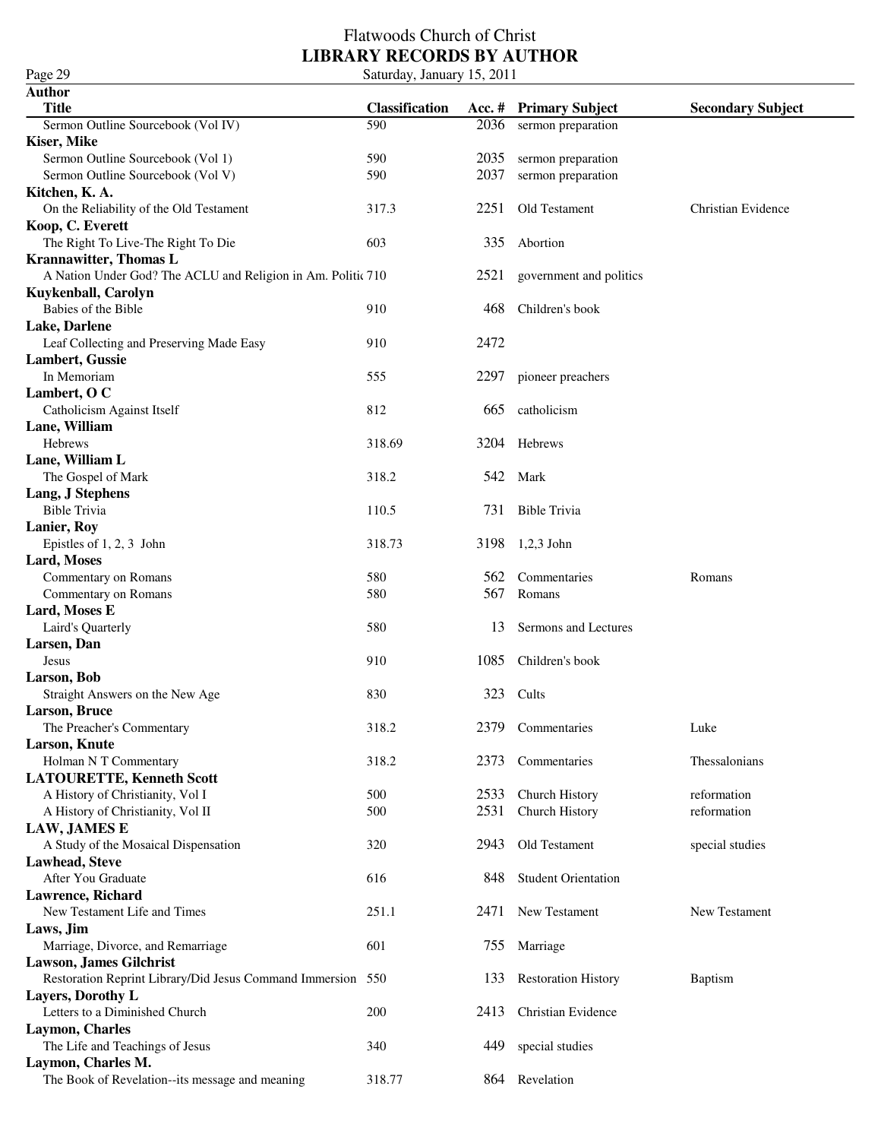#### Flatwoods Church of Christ **LIBRARY RECORDS BY AUTHOR** Page 29 Saturday, January 15, 2011

**Author Title Classification Acc. # Primary Subject Secondary Subject** Sermon Outline Sourcebook (Vol IV) 590 2036 sermon preparation **Kiser, Mike** Sermon Outline Sourcebook (Vol 1) 590 2035 sermon preparation Sermon Outline Sourcebook (Vol V) 590 2037 sermon preparation **Kitchen, K. A.** On the Reliability of the Old Testament 317.3 2251 Old Testament Christian Evidence **Koop, C. Everett** The Right To Live-The Right To Die 603 335 Abortion **Krannawitter, Thomas L** A Nation Under God? The ACLU and Religion in Am. Politic 710 2521 government and politics **Kuykenball, Carolyn** Babies of the Bible 910 910 468 Children's book **Lake, Darlene** Leaf Collecting and Preserving Made Easy 910 2472 **Lambert, Gussie** In Memoriam 555 2297 pioneer preachers **Lambert, O C** Catholicism Against Itself 812 665 catholicism **Lane, William** Hebrews 318.69 3204 Hebrews **Lane, William L** The Gospel of Mark 318.2 542 Mark **Lang, J Stephens** Bible Trivia 110.5 731 Bible Trivia **Lanier, Roy** Epistles of 1, 2, 3 John 318.73 3198 1, 2, 3 John **Lard, Moses** Commentary on Romans 580 562 Commentaries Romans Romans Commentary on Romans 580 567 Romans **Lard, Moses E** Laird's Quarterly 580 13 Sermons and Lectures **Larsen, Dan** Jesus 910 1085 Children's book **Larson, Bob** Straight Answers on the New Age 830 830 323 Cults **Larson, Bruce** The Preacher's Commentary **318.2** 2379 Commentaries Luke **Larson, Knute** Holman N T Commentary 318.2 2373 Commentaries Thessalonians **LATOURETTE, Kenneth Scott** A History of Christianity, Vol I 500 2533 Church History reformation A History of Christianity, Vol II 500 2531 Church History reformation **LAW, JAMES E** A Study of the Mosaical Dispensation 320 2943 Old Testament special studies **Lawhead, Steve** After You Graduate **616** 616 848 Student Orientation **Lawrence, Richard** New Testament Life and Times 251.1 2471 New Testament New Testament **Laws, Jim** Marriage, Divorce, and Remarriage 601 601 755 Marriage **Lawson, James Gilchrist** Restoration Reprint Library/Did Jesus Command Immersion 550 133 Restoration History Baptism **Layers, Dorothy L** Letters to a Diminished Church 200 2413 Christian Evidence **Laymon, Charles** The Life and Teachings of Jesus 340 449 special studies **Laymon, Charles M.** The Book of Revelation--its message and meaning 318.77 864 Revelation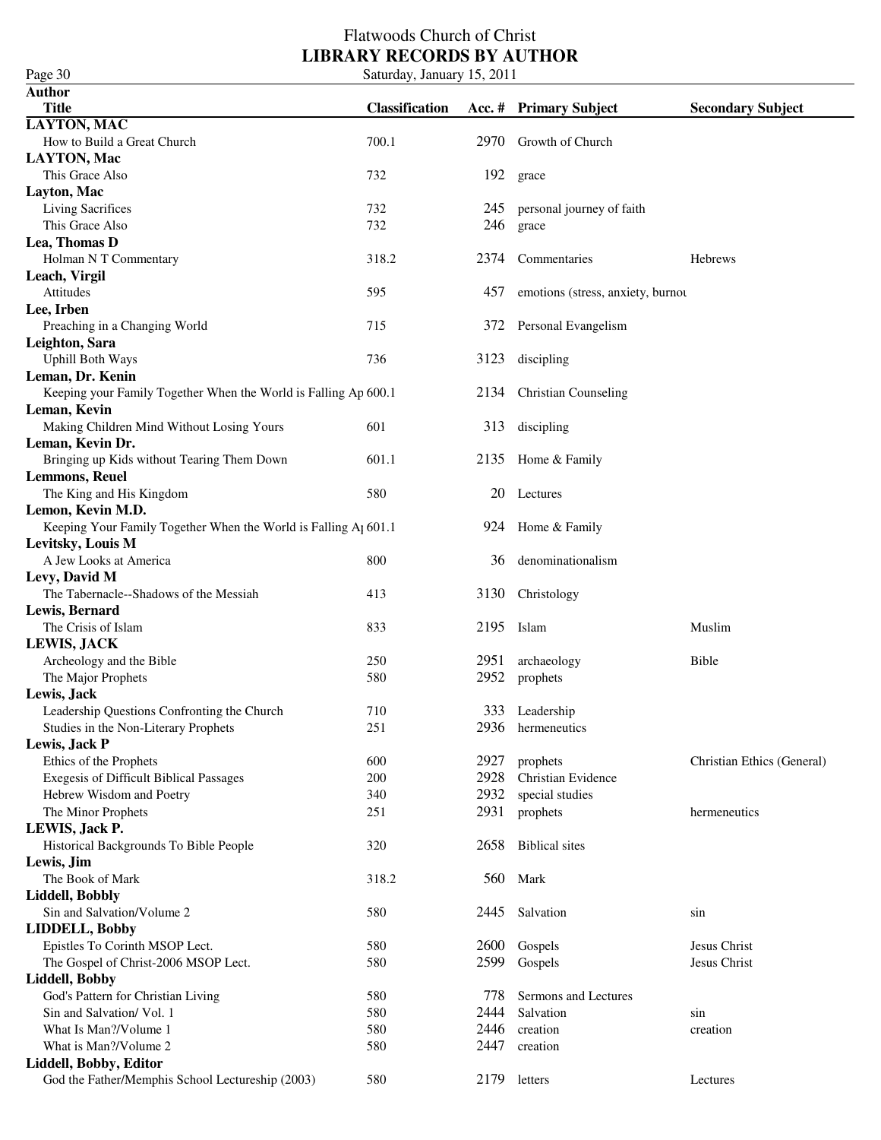Page 30 Saturday, January 15, 2011

| Author                                                                      |                       |      |                                   |                            |
|-----------------------------------------------------------------------------|-----------------------|------|-----------------------------------|----------------------------|
| <b>Title</b>                                                                | <b>Classification</b> |      | Acc. # Primary Subject            | <b>Secondary Subject</b>   |
| LAYTON, MAC                                                                 |                       |      |                                   |                            |
| How to Build a Great Church                                                 | 700.1                 | 2970 | Growth of Church                  |                            |
| <b>LAYTON, Mac</b>                                                          |                       |      |                                   |                            |
| This Grace Also                                                             | 732                   | 192  | grace                             |                            |
| Layton, Mac                                                                 |                       |      |                                   |                            |
| Living Sacrifices                                                           | 732                   | 245  | personal journey of faith         |                            |
| This Grace Also                                                             | 732                   | 246  | grace                             |                            |
| Lea, Thomas D                                                               |                       |      |                                   |                            |
| Holman N T Commentary                                                       | 318.2                 | 2374 | Commentaries                      | <b>Hebrews</b>             |
| Leach, Virgil                                                               |                       |      |                                   |                            |
| Attitudes                                                                   | 595                   | 457  | emotions (stress, anxiety, burnou |                            |
| Lee, Irben                                                                  |                       |      |                                   |                            |
| Preaching in a Changing World                                               | 715                   | 372  | Personal Evangelism               |                            |
| Leighton, Sara                                                              |                       |      |                                   |                            |
| <b>Uphill Both Ways</b>                                                     | 736                   | 3123 | discipling                        |                            |
| Leman, Dr. Kenin                                                            |                       |      |                                   |                            |
| Keeping your Family Together When the World is Falling Ap 600.1             |                       | 2134 | <b>Christian Counseling</b>       |                            |
| Leman, Kevin                                                                |                       |      |                                   |                            |
| Making Children Mind Without Losing Yours                                   | 601                   | 313  | discipling                        |                            |
| Leman, Kevin Dr.                                                            |                       |      |                                   |                            |
| Bringing up Kids without Tearing Them Down                                  | 601.1                 |      | 2135 Home & Family                |                            |
| <b>Lemmons, Reuel</b>                                                       |                       |      |                                   |                            |
| The King and His Kingdom                                                    | 580                   |      | 20 Lectures                       |                            |
| Lemon, Kevin M.D.                                                           |                       |      |                                   |                            |
| Keeping Your Family Together When the World is Falling A <sub>1</sub> 601.1 |                       |      | 924 Home & Family                 |                            |
| Levitsky, Louis M                                                           |                       |      |                                   |                            |
| A Jew Looks at America                                                      | 800                   | 36   | denominationalism                 |                            |
| Levy, David M                                                               |                       |      |                                   |                            |
| The Tabernacle--Shadows of the Messiah                                      | 413                   | 3130 | Christology                       |                            |
| Lewis, Bernard                                                              |                       |      |                                   |                            |
| The Crisis of Islam                                                         | 833                   | 2195 | Islam                             | Muslim                     |
| <b>LEWIS, JACK</b>                                                          |                       |      |                                   |                            |
| Archeology and the Bible                                                    | 250                   | 2951 | archaeology                       | Bible                      |
| The Major Prophets                                                          | 580                   | 2952 | prophets                          |                            |
| Lewis, Jack                                                                 |                       |      |                                   |                            |
| Leadership Questions Confronting the Church                                 | 710                   |      | 333 Leadership                    |                            |
| Studies in the Non-Literary Prophets                                        | 251                   |      | 2936 hermeneutics                 |                            |
| Lewis, Jack P                                                               |                       |      |                                   |                            |
| Ethics of the Prophets                                                      | 600                   | 2927 | prophets                          | Christian Ethics (General) |
| <b>Exegesis of Difficult Biblical Passages</b>                              | 200                   | 2928 | Christian Evidence                |                            |
| Hebrew Wisdom and Poetry                                                    | 340                   | 2932 | special studies                   |                            |
| The Minor Prophets                                                          | 251                   | 2931 | prophets                          | hermeneutics               |
| LEWIS, Jack P.                                                              |                       |      |                                   |                            |
| Historical Backgrounds To Bible People                                      | 320                   | 2658 | <b>Biblical</b> sites             |                            |
| Lewis, Jim                                                                  |                       |      |                                   |                            |
| The Book of Mark                                                            | 318.2                 | 560  | Mark                              |                            |
| <b>Liddell, Bobbly</b>                                                      |                       |      |                                   |                            |
| Sin and Salvation/Volume 2                                                  | 580                   | 2445 | Salvation                         | sin                        |
| <b>LIDDELL, Bobby</b>                                                       |                       |      |                                   |                            |
| Epistles To Corinth MSOP Lect.                                              | 580                   | 2600 | Gospels                           | Jesus Christ               |
| The Gospel of Christ-2006 MSOP Lect.                                        | 580                   | 2599 | Gospels                           | Jesus Christ               |
| Liddell, Bobby                                                              |                       |      |                                   |                            |
| God's Pattern for Christian Living                                          | 580                   | 778  | Sermons and Lectures              |                            |
| Sin and Salvation/Vol. 1                                                    | 580                   | 2444 | Salvation                         | sin                        |
| What Is Man?/Volume 1                                                       | 580                   | 2446 | creation                          | creation                   |
| What is Man?/Volume 2                                                       | 580                   | 2447 | creation                          |                            |
| Liddell, Bobby, Editor                                                      |                       |      |                                   |                            |
| God the Father/Memphis School Lectureship (2003)                            | 580                   | 2179 | letters                           | Lectures                   |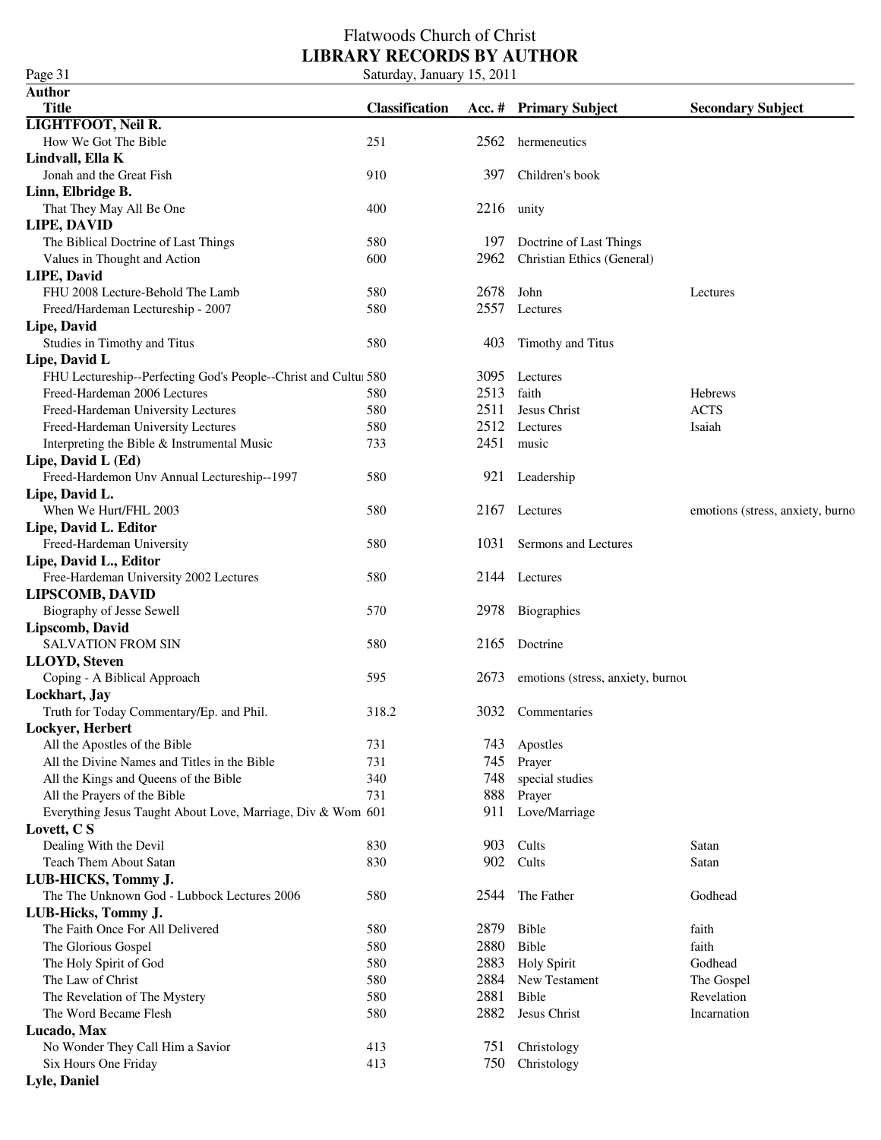Page 31 Saturday, January 15, 2011

| Author                                                          |                       |      |                                   |                                  |
|-----------------------------------------------------------------|-----------------------|------|-----------------------------------|----------------------------------|
| <b>Title</b>                                                    | <b>Classification</b> |      | Acc. # Primary Subject            | <b>Secondary Subject</b>         |
| LIGHTFOOT, Neil R.                                              |                       |      |                                   |                                  |
| How We Got The Bible                                            | 251                   | 2562 | hermeneutics                      |                                  |
| Lindvall, Ella K                                                |                       |      |                                   |                                  |
| Jonah and the Great Fish                                        | 910                   | 397  | Children's book                   |                                  |
| Linn, Elbridge B.                                               |                       |      |                                   |                                  |
| That They May All Be One                                        | 400                   |      | $2216$ unity                      |                                  |
| LIPE, DAVID                                                     |                       |      |                                   |                                  |
| The Biblical Doctrine of Last Things                            | 580                   |      | 197 Doctrine of Last Things       |                                  |
| Values in Thought and Action                                    | 600                   | 2962 | Christian Ethics (General)        |                                  |
| LIPE, David                                                     |                       |      |                                   |                                  |
| FHU 2008 Lecture-Behold The Lamb                                | 580                   | 2678 | John                              | Lectures                         |
| Freed/Hardeman Lectureship - 2007                               | 580                   | 2557 | Lectures                          |                                  |
| Lipe, David                                                     |                       |      |                                   |                                  |
| Studies in Timothy and Titus                                    | 580                   | 403  | Timothy and Titus                 |                                  |
| Lipe, David L                                                   |                       |      |                                   |                                  |
| FHU Lectureship--Perfecting God's People--Christ and Cultu: 580 |                       | 3095 | Lectures                          |                                  |
| Freed-Hardeman 2006 Lectures                                    | 580                   | 2513 | faith                             | <b>Hebrews</b>                   |
|                                                                 |                       | 2511 |                                   |                                  |
| Freed-Hardeman University Lectures                              | 580                   |      | Jesus Christ                      | <b>ACTS</b>                      |
| Freed-Hardeman University Lectures                              | 580                   | 2512 | Lectures                          | Isaiah                           |
| Interpreting the Bible & Instrumental Music                     | 733                   | 2451 | music                             |                                  |
| Lipe, David L (Ed)                                              |                       |      |                                   |                                  |
| Freed-Hardemon Unv Annual Lectureship--1997                     | 580                   | 921  | Leadership                        |                                  |
| Lipe, David L.                                                  |                       |      |                                   |                                  |
| When We Hurt/FHL 2003                                           | 580                   |      | 2167 Lectures                     | emotions (stress, anxiety, burno |
| Lipe, David L. Editor                                           |                       |      |                                   |                                  |
| Freed-Hardeman University                                       | 580                   | 1031 | Sermons and Lectures              |                                  |
| Lipe, David L., Editor                                          |                       |      |                                   |                                  |
| Free-Hardeman University 2002 Lectures                          | 580                   |      | 2144 Lectures                     |                                  |
| <b>LIPSCOMB, DAVID</b>                                          |                       |      |                                   |                                  |
| Biography of Jesse Sewell                                       | 570                   | 2978 | Biographies                       |                                  |
| Lipscomb, David                                                 |                       |      |                                   |                                  |
| <b>SALVATION FROM SIN</b>                                       | 580                   | 2165 | Doctrine                          |                                  |
| <b>LLOYD, Steven</b>                                            |                       |      |                                   |                                  |
| Coping - A Biblical Approach                                    | 595                   | 2673 | emotions (stress, anxiety, burnou |                                  |
| Lockhart, Jay                                                   |                       |      |                                   |                                  |
| Truth for Today Commentary/Ep. and Phil.                        | 318.2                 | 3032 | Commentaries                      |                                  |
| Lockyer, Herbert                                                |                       |      |                                   |                                  |
| All the Apostles of the Bible                                   | 731                   |      | 743 Apostles                      |                                  |
| All the Divine Names and Titles in the Bible                    | 731                   | 745  | Prayer                            |                                  |
| All the Kings and Queens of the Bible                           | 340                   | 748  | special studies                   |                                  |
| All the Prayers of the Bible                                    | 731                   | 888  | Prayer                            |                                  |
| Everything Jesus Taught About Love, Marriage, Div & Wom 601     |                       |      | 911 Love/Marriage                 |                                  |
| Lovett, CS                                                      |                       |      |                                   |                                  |
|                                                                 | 830                   |      | 903 Cults                         | Satan                            |
| Dealing With the Devil                                          |                       |      | 902 Cults                         |                                  |
| Teach Them About Satan                                          | 830                   |      |                                   | Satan                            |
| LUB-HICKS, Tommy J.                                             |                       |      |                                   |                                  |
| The The Unknown God - Lubbock Lectures 2006                     | 580                   | 2544 | The Father                        | Godhead                          |
| LUB-Hicks, Tommy J.                                             |                       |      |                                   |                                  |
| The Faith Once For All Delivered                                | 580                   | 2879 | Bible                             | faith                            |
| The Glorious Gospel                                             | 580                   | 2880 | Bible                             | faith                            |
| The Holy Spirit of God                                          | 580                   | 2883 | <b>Holy Spirit</b>                | Godhead                          |
| The Law of Christ                                               | 580                   | 2884 | New Testament                     | The Gospel                       |
| The Revelation of The Mystery                                   | 580                   | 2881 | Bible                             | Revelation                       |
| The Word Became Flesh                                           | 580                   | 2882 | Jesus Christ                      | Incarnation                      |
| Lucado, Max                                                     |                       |      |                                   |                                  |
| No Wonder They Call Him a Savior                                | 413                   | 751  | Christology                       |                                  |
| Six Hours One Friday                                            | 413                   | 750  | Christology                       |                                  |
| Lyle, Daniel                                                    |                       |      |                                   |                                  |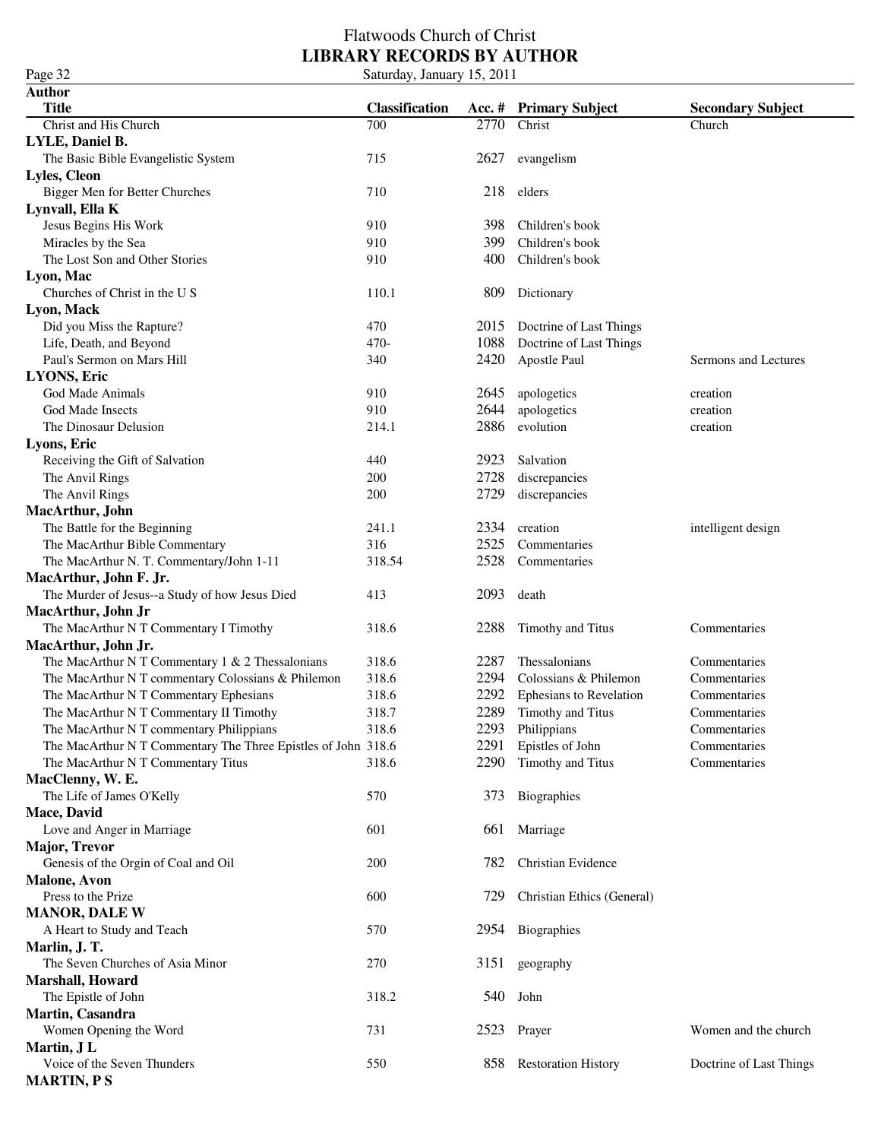| Page 32                                                       | Saturday, January 15, 2011 |      |                              |                          |
|---------------------------------------------------------------|----------------------------|------|------------------------------|--------------------------|
| <b>Author</b>                                                 |                            |      |                              |                          |
| <b>Title</b>                                                  | <b>Classification</b>      |      | Acc. # Primary Subject       | <b>Secondary Subject</b> |
| Christ and His Church                                         | 700                        | 2770 | Christ                       | Church                   |
| LYLE, Daniel B.                                               |                            |      |                              |                          |
| The Basic Bible Evangelistic System                           | 715                        | 2627 | evangelism                   |                          |
| Lyles, Cleon                                                  |                            |      |                              |                          |
| <b>Bigger Men for Better Churches</b>                         | 710                        | 218  | elders                       |                          |
| Lynvall, Ella K                                               |                            |      |                              |                          |
| Jesus Begins His Work                                         | 910                        | 398  | Children's book              |                          |
| Miracles by the Sea                                           | 910                        | 399  | Children's book              |                          |
| The Lost Son and Other Stories                                | 910                        | 400  | Children's book              |                          |
| Lyon, Mac                                                     |                            |      |                              |                          |
| Churches of Christ in the U S                                 | 110.1                      | 809  | Dictionary                   |                          |
| Lyon, Mack                                                    |                            |      |                              |                          |
| Did you Miss the Rapture?                                     | 470                        | 2015 | Doctrine of Last Things      |                          |
| Life, Death, and Beyond                                       | $470-$                     | 1088 | Doctrine of Last Things      |                          |
| Paul's Sermon on Mars Hill                                    | 340                        | 2420 | Apostle Paul                 | Sermons and Lectures     |
| <b>LYONS, Eric</b>                                            |                            |      |                              |                          |
| God Made Animals                                              | 910                        | 2645 | apologetics                  | creation                 |
| God Made Insects                                              | 910                        | 2644 | apologetics                  | creation                 |
| The Dinosaur Delusion                                         | 214.1                      | 2886 | evolution                    | creation                 |
|                                                               |                            |      |                              |                          |
| Lyons, Eric                                                   | 440                        | 2923 |                              |                          |
| Receiving the Gift of Salvation                               |                            |      | Salvation                    |                          |
| The Anvil Rings                                               | 200                        | 2728 | discrepancies                |                          |
| The Anvil Rings                                               | 200                        | 2729 | discrepancies                |                          |
| MacArthur, John                                               |                            |      |                              |                          |
| The Battle for the Beginning                                  | 241.1                      | 2334 | creation                     | intelligent design       |
| The MacArthur Bible Commentary                                | 316                        | 2525 | Commentaries                 |                          |
| The MacArthur N. T. Commentary/John 1-11                      | 318.54                     | 2528 | Commentaries                 |                          |
| MacArthur, John F. Jr.                                        |                            |      |                              |                          |
| The Murder of Jesus--a Study of how Jesus Died                | 413                        | 2093 | death                        |                          |
| MacArthur, John Jr                                            |                            |      |                              |                          |
| The MacArthur N T Commentary I Timothy                        | 318.6                      | 2288 | Timothy and Titus            | Commentaries             |
| MacArthur, John Jr.                                           |                            |      |                              |                          |
| The MacArthur N T Commentary 1 & 2 Thessalonians              | 318.6                      | 2287 | Thessalonians                | Commentaries             |
| The MacArthur N T commentary Colossians & Philemon            | 318.6                      | 2294 | Colossians & Philemon        | Commentaries             |
| The MacArthur N T Commentary Ephesians                        | 318.6                      |      | 2292 Ephesians to Revelation | Commentaries             |
| The MacArthur N T Commentary II Timothy                       | 318.7                      |      | 2289 Timothy and Titus       | Commentaries             |
| The MacArthur N T commentary Philippians                      | 318.6                      | 2293 | Philippians                  | Commentaries             |
| The MacArthur N T Commentary The Three Epistles of John 318.6 |                            | 2291 | Epistles of John             | Commentaries             |
| The MacArthur N T Commentary Titus                            | 318.6                      | 2290 | Timothy and Titus            | Commentaries             |
| MacClenny, W. E.                                              |                            |      |                              |                          |
| The Life of James O'Kelly                                     | 570                        | 373  | Biographies                  |                          |
| Mace, David                                                   |                            |      |                              |                          |
| Love and Anger in Marriage                                    | 601                        | 661  | Marriage                     |                          |
| <b>Major</b> , Trevor                                         |                            |      |                              |                          |
| Genesis of the Orgin of Coal and Oil                          | 200                        | 782  | Christian Evidence           |                          |
| <b>Malone, Avon</b>                                           |                            |      |                              |                          |
| Press to the Prize                                            | 600                        | 729  | Christian Ethics (General)   |                          |
| <b>MANOR, DALE W</b>                                          |                            |      |                              |                          |
| A Heart to Study and Teach                                    | 570                        | 2954 | Biographies                  |                          |
| Marlin, J. T.                                                 |                            |      |                              |                          |
| The Seven Churches of Asia Minor                              | 270                        | 3151 | geography                    |                          |
| Marshall, Howard                                              |                            |      |                              |                          |
| The Epistle of John                                           | 318.2                      | 540  | John                         |                          |
| Martin, Casandra                                              |                            |      |                              |                          |
| Women Opening the Word                                        | 731                        |      | 2523 Prayer                  | Women and the church     |
| Martin, JL                                                    |                            |      |                              |                          |
| Voice of the Seven Thunders                                   | 550                        | 858  | <b>Restoration History</b>   | Doctrine of Last Things  |
| <b>MARTIN, PS</b>                                             |                            |      |                              |                          |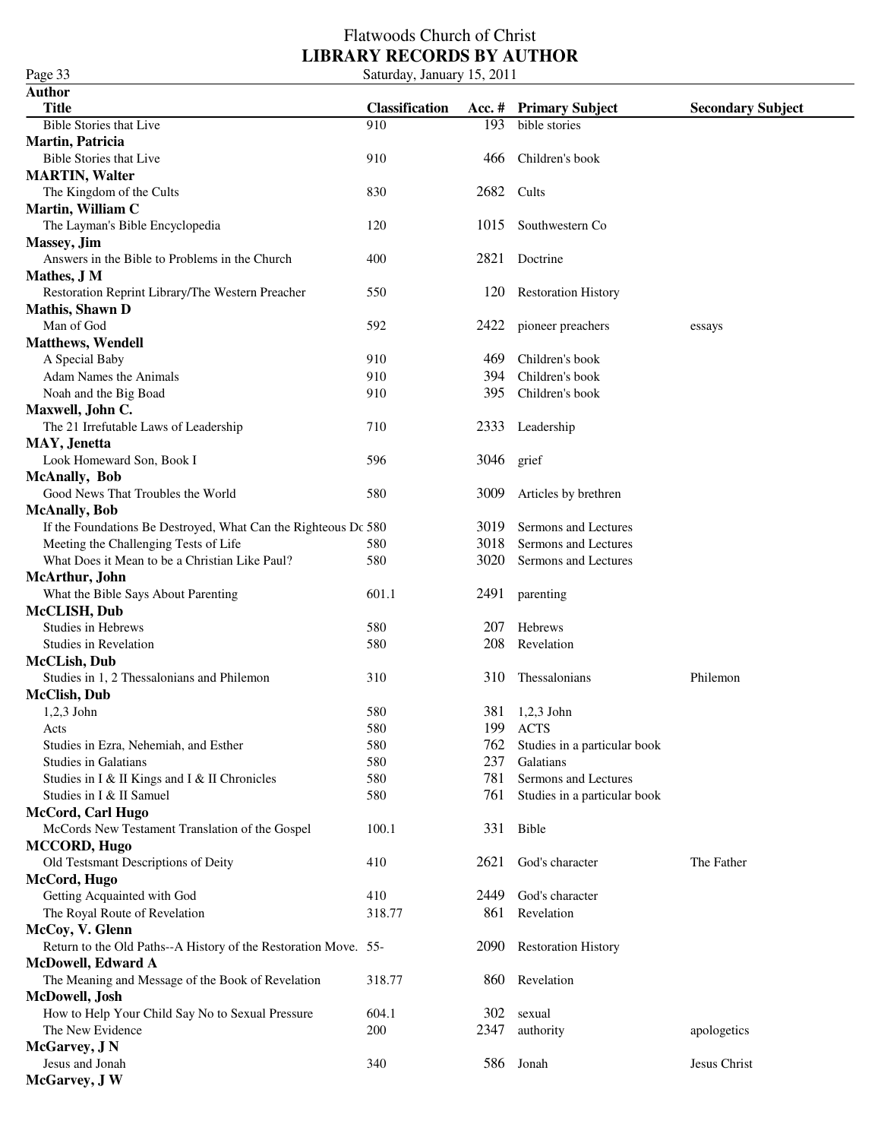#### Flatwoods Church of Christ **LIBRARY RECORDS BY AUTHOR** Page 33 Saturday, January 15, 2011

**Author Title Classification Acc. # Primary Subject Secondary Subject** Bible Stories that Live 193 bible stories  $910$  193 bible stories **Martin, Patricia** Bible Stories that Live 910 910 466 Children's book **MARTIN, Walter** The Kingdom of the Cults 830 2682 Cults **Martin, William C** The Layman's Bible Encyclopedia 120 1015 Southwestern Co **Massey, Jim** Answers in the Bible to Problems in the Church 400 2821 Doctrine **Mathes, J M** Restoration Reprint Library/The Western Preacher 550 120 Restoration History **Mathis, Shawn D** 592 2422 pioneer preachers essays **Matthews, Wendell** A Special Baby 810 910 469 Children's book Adam Names the Animals **394** Children's book **394** Children's book Noah and the Big Boad 910 910 395 Children's book **Maxwell, John C.** The 21 Irrefutable Laws of Leadership 710 2333 Leadership **MAY, Jenetta** Look Homeward Son, Book I 596 596 3046 grief **McAnally, Bob** Good News That Troubles the World 580 580 3009 Articles by brethren **McAnally, Bob** If the Foundations Be Destroyed, What Can the Righteous Dc 580 3019 Sermons and Lectures Meeting the Challenging Tests of Life 580 580 3018 Sermons and Lectures What Does it Mean to be a Christian Like Paul? 580 580 3020 Sermons and Lectures **McArthur, John** What the Bible Says About Parenting 601.1 2491 parenting **McCLISH, Dub** Studies in Hebrews 580 207 Hebrews 580 207 Hebrews Studies in Revelation **580** 208 Revelation **McCLish, Dub** Studies in 1, 2 Thessalonians and Philemon 310 310 Thessalonians Philemon **McClish, Dub** 1,2,3 John 580 381 1,2,3 John Acts 580 199 ACTS Studies in Ezra, Nehemiah, and Esther 580 762 Studies in a particular book Studies in Galatians 580 237 Galatians 580 237 Galatians Studies in I & II Kings and I & II Chronicles 580 781 Sermons and Lectures Studies in I & II Samuel 580 761 Studies in a particular book **McCord, Carl Hugo** McCords New Testament Translation of the Gospel 100.1 331 Bible **MCCORD, Hugo** Old Testsmant Descriptions of Deity 410 2621 God's character The Father **McCord, Hugo** Getting Acquainted with God 410 410 2449 God's character The Royal Route of Revelation 318.77 861 Revelation **McCoy, V. Glenn** Return to the Old Paths--A History of the Restoration Move. 55- 2090 Restoration History **McDowell, Edward A** The Meaning and Message of the Book of Revelation 318.77 860 Revelation **McDowell, Josh** How to Help Your Child Say No to Sexual Pressure 604.1 302 sexual The New Evidence 200 2347 authority apologetics apologetics 200 2347 authority **McGarvey, J N** Jesus and Jonah 340 586 Jonah Jesus Christ **McGarvey, J W**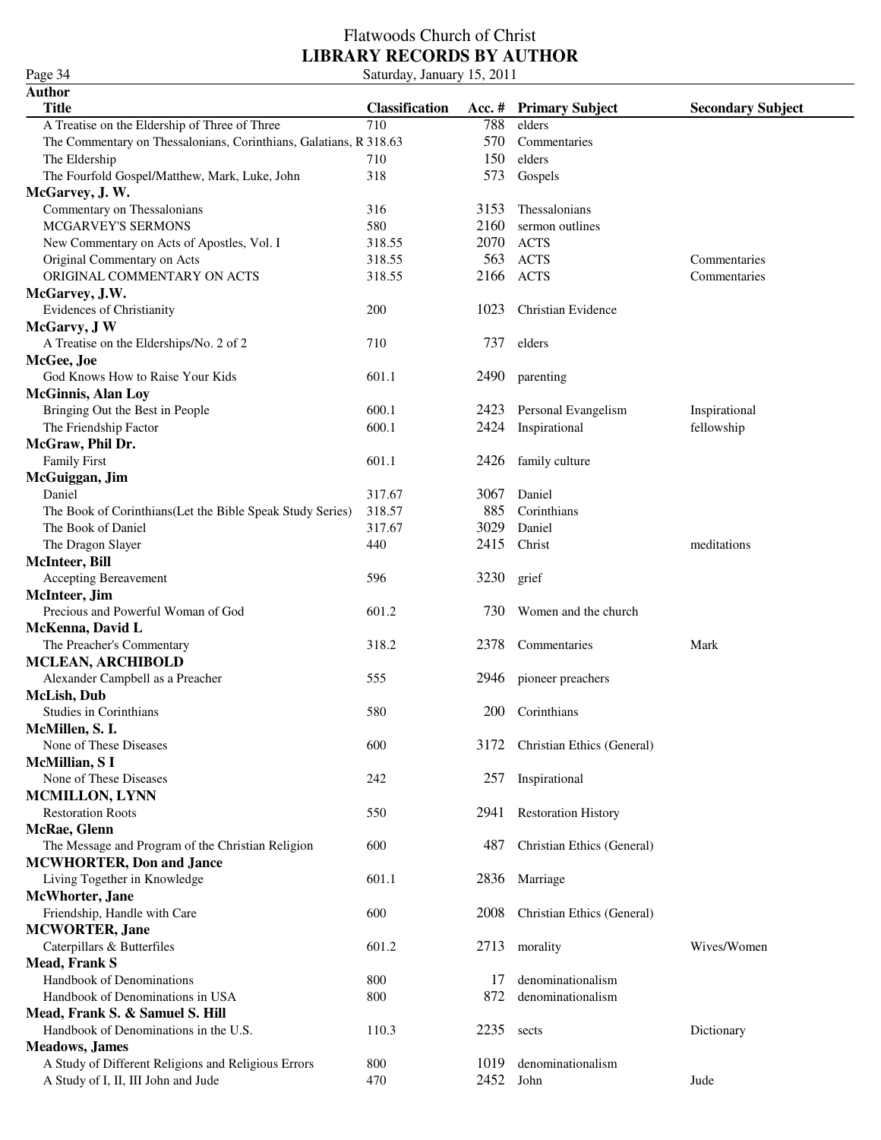#### Flatwoods Church of Christ **LIBRARY RECORDS BY AUTHOR** Page 34 Saturday, January 15, 2011

**Author Title Classification Acc. # Primary Subject Secondary Subject** A Treatise on the Eldership of Three of Three 710 788 elders The Commentary on Thessalonians, Corinthians, Galatians, R 318.63 570 Commentaries The Eldership 210 210 150 elders and the Eldership 210 2150 elders The Fourfold Gospel/Matthew, Mark, Luke, John 318 573 Gospels **McGarvey, J. W.** Commentary on Thessalonians 316 3153 Thessalonians MCGARVEY'S SERMONS 580 2160 sermon outlines New Commentary on Acts of Apostles, Vol. I 318.55 2070 ACTS Original Commentary on Acts 318.55 563 ACTS Commentaries ORIGINAL COMMENTARY ON ACTS 318.55 2166 ACTS Commentaries **McGarvey, J.W.** Evidences of Christianity 200 1023 Christian Evidence **McGarvy, J W** A Treatise on the Elderships/No. 2 of 2 710 737 elders **McGee, Joe** God Knows How to Raise Your Kids 601.1 2490 parenting **McGinnis, Alan Loy** Bringing Out the Best in People 600.1 600.1 2423 Personal Evangelism Inspirational The Friendship Factor **600.1** 2424 Inspirational fellowship **McGraw, Phil Dr.** Family First 601.1 2426 family culture **McGuiggan, Jim** Daniel 317.67 3067 Daniel The Book of Corinthians(Let the Bible Speak Study Series) 318.57 885 Corinthians The Book of Daniel 317.67 3029 Daniel The Dragon Slayer 440 2415 Christ meditations **McInteer, Bill** Accepting Bereavement 596 596 3230 grief **McInteer, Jim** Precious and Powerful Woman of God 601.2 730 Women and the church **McKenna, David L** The Preacher's Commentary The Preacher's Commentary 318.2 2378 Commentaries Mark **MCLEAN, ARCHIBOLD** Alexander Campbell as a Preacher 555 2946 pioneer preachers **McLish, Dub** Studies in Corinthians **580** 200 Corinthians **McMillen, S. I.** None of These Diseases 600 3172 Christian Ethics (General) **McMillian, S I** None of These Diseases 242 257 Inspirational **MCMILLON, LYNN** Restoration Roots 550 2941 Restoration History **McRae, Glenn** The Message and Program of the Christian Religion 600 487 Christian Ethics (General) **MCWHORTER, Don and Jance** Living Together in Knowledge 601.1 2836 Marriage **McWhorter, Jane** Friendship, Handle with Care 600 600 2008 Christian Ethics (General) **MCWORTER, Jane** Caterpillars & Butterfiles 601.2 2713 morality Wives/Women **Mead, Frank S** Handbook of Denominations 800 17 denominationalism Handbook of Denominations in USA 800 872 denominationalism **Mead, Frank S. & Samuel S. Hill** Handbook of Denominations in the U.S. 110.3 2235 sects Dictionary **Meadows, James** A Study of Different Religions and Religious Errors 800 1019 denominationalism A Study of I, II, III John and Jude 470 2452 John Jude Jude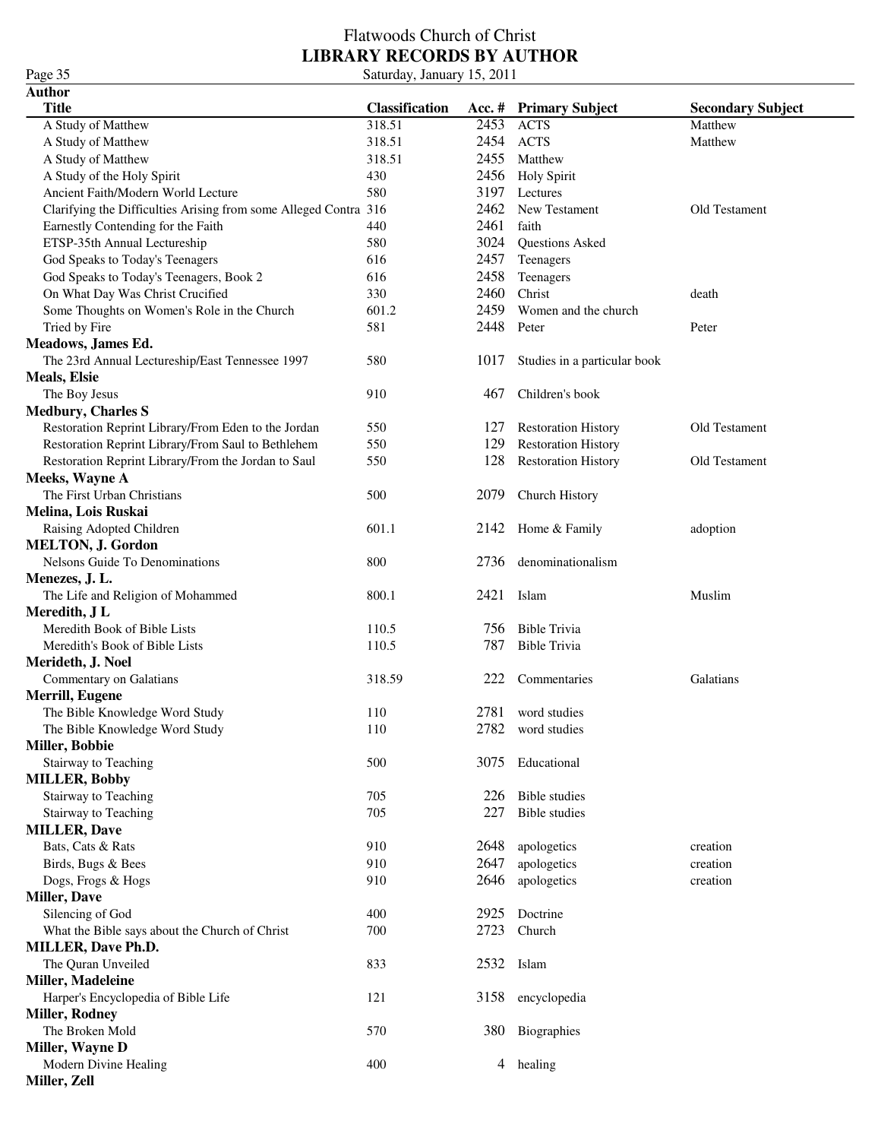### Flatwoods Church of Christ **LIBRARY RECORDS BY AUTHOR** Page 35 Saturday, January 15, 2011

**Miller, Zell**

| Author                                                           |                       |      |                              |                          |
|------------------------------------------------------------------|-----------------------|------|------------------------------|--------------------------|
| <b>Title</b>                                                     | <b>Classification</b> |      | Acc. # Primary Subject       | <b>Secondary Subject</b> |
| A Study of Matthew                                               | 318.51                | 2453 | <b>ACTS</b>                  | Matthew                  |
| A Study of Matthew                                               | 318.51                | 2454 | <b>ACTS</b>                  | Matthew                  |
| A Study of Matthew                                               | 318.51                | 2455 | Matthew                      |                          |
| A Study of the Holy Spirit                                       | 430                   | 2456 | <b>Holy Spirit</b>           |                          |
| Ancient Faith/Modern World Lecture                               | 580                   | 3197 | Lectures                     |                          |
| Clarifying the Difficulties Arising from some Alleged Contra 316 |                       | 2462 | New Testament                | Old Testament            |
| Earnestly Contending for the Faith                               | 440                   | 2461 | faith                        |                          |
| ETSP-35th Annual Lectureship                                     | 580                   | 3024 | <b>Questions Asked</b>       |                          |
| God Speaks to Today's Teenagers                                  | 616                   | 2457 | Teenagers                    |                          |
| God Speaks to Today's Teenagers, Book 2                          | 616                   | 2458 | Teenagers                    |                          |
| On What Day Was Christ Crucified                                 | 330                   | 2460 | Christ                       | death                    |
| Some Thoughts on Women's Role in the Church                      | 601.2                 | 2459 | Women and the church         |                          |
| Tried by Fire                                                    | 581                   | 2448 | Peter                        | Peter                    |
| Meadows, James Ed.                                               |                       |      |                              |                          |
| The 23rd Annual Lectureship/East Tennessee 1997                  | 580                   | 1017 | Studies in a particular book |                          |
| <b>Meals</b> , Elsie                                             |                       |      |                              |                          |
| The Boy Jesus                                                    | 910                   | 467  | Children's book              |                          |
| <b>Medbury, Charles S</b>                                        |                       |      |                              |                          |
| Restoration Reprint Library/From Eden to the Jordan              | 550                   | 127  | <b>Restoration History</b>   | Old Testament            |
| Restoration Reprint Library/From Saul to Bethlehem               | 550                   | 129  | <b>Restoration History</b>   |                          |
| Restoration Reprint Library/From the Jordan to Saul              | 550                   | 128  | <b>Restoration History</b>   | Old Testament            |
| Meeks, Wayne A                                                   |                       |      |                              |                          |
| The First Urban Christians                                       | 500                   | 2079 | Church History               |                          |
| Melina, Lois Ruskai                                              |                       |      |                              |                          |
| Raising Adopted Children                                         | 601.1                 |      | 2142 Home & Family           | adoption                 |
| <b>MELTON, J. Gordon</b>                                         |                       |      |                              |                          |
| Nelsons Guide To Denominations                                   | 800                   | 2736 | denominationalism            |                          |
| Menezes, J. L.                                                   |                       |      |                              |                          |
| The Life and Religion of Mohammed                                | 800.1                 | 2421 | Islam                        | Muslim                   |
| Meredith, J L                                                    |                       |      |                              |                          |
| Meredith Book of Bible Lists                                     | 110.5                 | 756  | <b>Bible Trivia</b>          |                          |
| Meredith's Book of Bible Lists                                   | 110.5                 | 787  | <b>Bible Trivia</b>          |                          |
| Merideth, J. Noel                                                |                       |      |                              |                          |
| Commentary on Galatians                                          | 318.59                | 222  | Commentaries                 | Galatians                |
| Merrill, Eugene                                                  |                       |      |                              |                          |
| The Bible Knowledge Word Study                                   | 110                   |      | 2781 word studies            |                          |
| The Bible Knowledge Word Study                                   | $110\,$               |      | 2782 word studies            |                          |
| <b>Miller, Bobbie</b>                                            |                       |      |                              |                          |
| Stairway to Teaching                                             | 500                   | 3075 | Educational                  |                          |
| <b>MILLER, Bobby</b>                                             |                       |      |                              |                          |
| Stairway to Teaching                                             | 705                   | 226  | <b>Bible</b> studies         |                          |
| Stairway to Teaching                                             | 705                   | 227  | <b>Bible</b> studies         |                          |
|                                                                  |                       |      |                              |                          |
| <b>MILLER, Dave</b>                                              |                       |      |                              |                          |
| Bats, Cats & Rats                                                | 910                   | 2648 | apologetics                  | creation                 |
| Birds, Bugs & Bees                                               | 910                   | 2647 | apologetics                  | creation                 |
| Dogs, Frogs & Hogs                                               | 910                   | 2646 | apologetics                  | creation                 |
| <b>Miller, Dave</b>                                              |                       |      |                              |                          |
| Silencing of God                                                 | 400                   | 2925 | Doctrine                     |                          |
| What the Bible says about the Church of Christ                   | 700                   | 2723 | Church                       |                          |
| <b>MILLER, Dave Ph.D.</b>                                        |                       |      |                              |                          |
| The Quran Unveiled                                               | 833                   | 2532 | Islam                        |                          |
| Miller, Madeleine                                                |                       |      |                              |                          |
| Harper's Encyclopedia of Bible Life                              | 121                   | 3158 | encyclopedia                 |                          |
| <b>Miller, Rodney</b>                                            |                       |      |                              |                          |
| The Broken Mold                                                  | 570                   |      | 380 Biographies              |                          |
| Miller, Wayne D                                                  |                       |      |                              |                          |
| Modern Divine Healing                                            | 400                   |      | 4 healing                    |                          |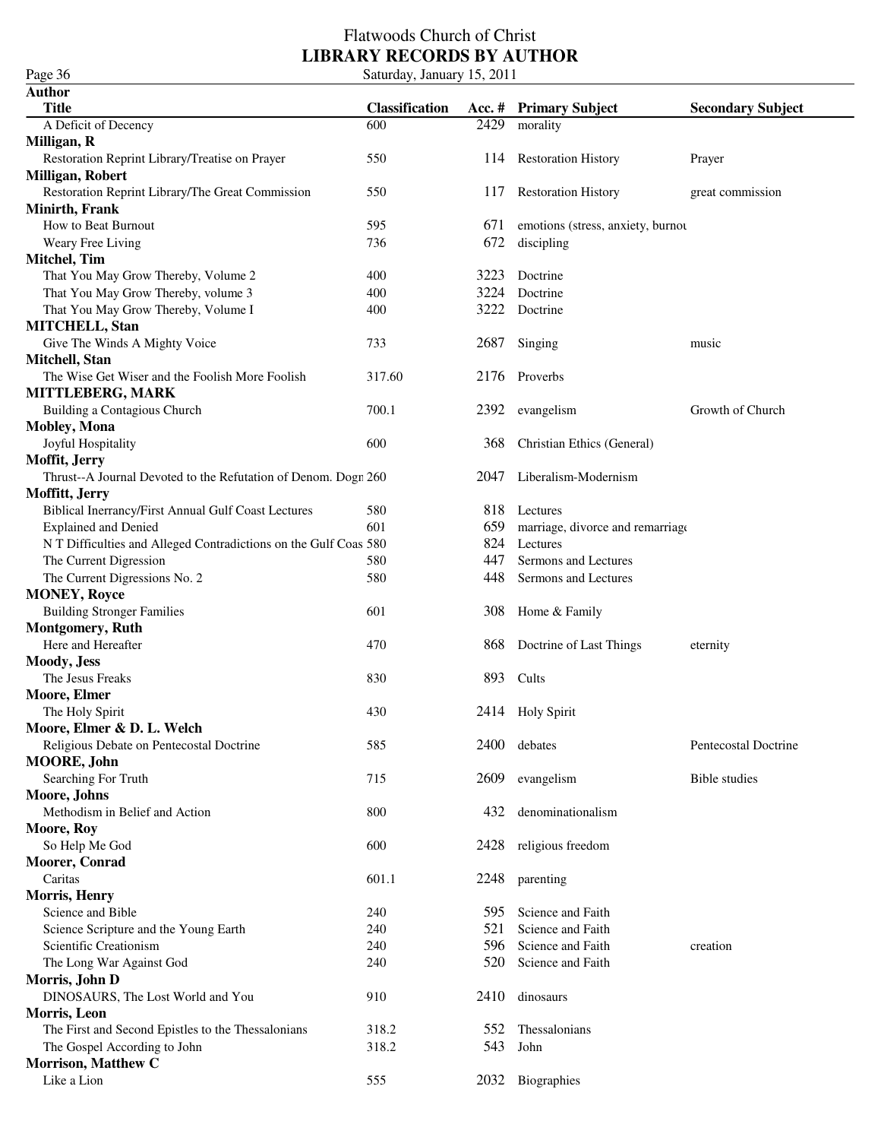Page 36<br>**Author** 

| <b>Title</b>                                                     | <b>Classification</b> |      | Acc. # Primary Subject                | <b>Secondary Subject</b> |
|------------------------------------------------------------------|-----------------------|------|---------------------------------------|--------------------------|
| A Deficit of Decency                                             | 600                   | 2429 | morality                              |                          |
| Milligan, R                                                      |                       |      |                                       |                          |
| Restoration Reprint Library/Treatise on Prayer                   | 550                   |      | 114 Restoration History               | Prayer                   |
| Milligan, Robert                                                 |                       |      |                                       |                          |
| Restoration Reprint Library/The Great Commission                 | 550                   |      | 117 Restoration History               | great commission         |
| Minirth, Frank                                                   |                       |      |                                       |                          |
| How to Beat Burnout                                              | 595                   |      | 671 emotions (stress, anxiety, burnor |                          |
| Weary Free Living                                                | 736                   | 672  | discipling                            |                          |
| Mitchel, Tim                                                     |                       |      |                                       |                          |
| That You May Grow Thereby, Volume 2                              | 400                   | 3223 | Doctrine                              |                          |
| That You May Grow Thereby, volume 3                              | 400                   | 3224 | Doctrine                              |                          |
| That You May Grow Thereby, Volume I                              | 400                   | 3222 | Doctrine                              |                          |
| <b>MITCHELL, Stan</b>                                            |                       |      |                                       |                          |
| Give The Winds A Mighty Voice                                    | 733                   | 2687 | Singing                               | music                    |
| Mitchell, Stan                                                   |                       |      |                                       |                          |
| The Wise Get Wiser and the Foolish More Foolish                  | 317.60                |      | 2176 Proverbs                         |                          |
| <b>MITTLEBERG, MARK</b>                                          |                       |      |                                       |                          |
| Building a Contagious Church                                     | 700.1                 | 2392 | evangelism                            | Growth of Church         |
| <b>Mobley, Mona</b>                                              |                       |      |                                       |                          |
| Joyful Hospitality                                               | 600                   | 368  | Christian Ethics (General)            |                          |
| Moffit, Jerry                                                    |                       |      |                                       |                          |
| Thrust--A Journal Devoted to the Refutation of Denom. Dogn 260   |                       | 2047 | Liberalism-Modernism                  |                          |
| Moffitt, Jerry                                                   |                       |      |                                       |                          |
| Biblical Inerrancy/First Annual Gulf Coast Lectures              | 580                   |      | 818 Lectures                          |                          |
| <b>Explained and Denied</b>                                      | 601                   | 659  | marriage, divorce and remarriage      |                          |
| N T Difficulties and Alleged Contradictions on the Gulf Coas 580 |                       | 824  | Lectures                              |                          |
| The Current Digression                                           | 580                   | 447  | Sermons and Lectures                  |                          |
| The Current Digressions No. 2                                    | 580                   | 448  | Sermons and Lectures                  |                          |
| <b>MONEY, Royce</b>                                              |                       |      |                                       |                          |
| <b>Building Stronger Families</b>                                | 601                   |      | 308 Home & Family                     |                          |
| <b>Montgomery, Ruth</b>                                          |                       |      |                                       |                          |
| Here and Hereafter                                               | 470                   |      | 868 Doctrine of Last Things           | eternity                 |
| <b>Moody</b> , Jess                                              |                       |      |                                       |                          |
| The Jesus Freaks                                                 | 830                   |      | 893 Cults                             |                          |
| <b>Moore, Elmer</b>                                              |                       |      |                                       |                          |
| The Holy Spirit                                                  | 430                   |      | 2414 Holy Spirit                      |                          |
| Moore, Elmer & D. L. Welch                                       |                       |      |                                       |                          |
| Religious Debate on Pentecostal Doctrine                         | 585                   |      | 2400 debates                          | Pentecostal Doctrine     |
| <b>MOORE, John</b>                                               |                       |      |                                       |                          |
| Searching For Truth                                              | 715                   | 2609 | evangelism                            | <b>Bible</b> studies     |
| <b>Moore, Johns</b>                                              |                       |      |                                       |                          |
| Methodism in Belief and Action                                   | 800                   | 432  | denominationalism                     |                          |
| <b>Moore, Roy</b>                                                |                       |      |                                       |                          |
| So Help Me God                                                   | 600                   | 2428 | religious freedom                     |                          |
| <b>Moorer, Conrad</b>                                            |                       |      |                                       |                          |
| Caritas                                                          | 601.1                 | 2248 | parenting                             |                          |
| <b>Morris, Henry</b>                                             |                       |      |                                       |                          |
| Science and Bible                                                | 240                   | 595  | Science and Faith                     |                          |
| Science Scripture and the Young Earth                            | 240                   | 521  | Science and Faith                     |                          |
| Scientific Creationism                                           | 240                   | 596  | Science and Faith                     | creation                 |
| The Long War Against God                                         | 240                   | 520  | Science and Faith                     |                          |
| Morris, John D                                                   |                       |      |                                       |                          |
| DINOSAURS, The Lost World and You                                | 910                   | 2410 | dinosaurs                             |                          |
| Morris, Leon                                                     |                       |      |                                       |                          |
| The First and Second Epistles to the Thessalonians               | 318.2                 | 552  | Thessalonians                         |                          |
| The Gospel According to John                                     | 318.2                 | 543  | John                                  |                          |
| <b>Morrison, Matthew C</b>                                       |                       |      |                                       |                          |
| Like a Lion                                                      | 555                   |      | 2032 Biographies                      |                          |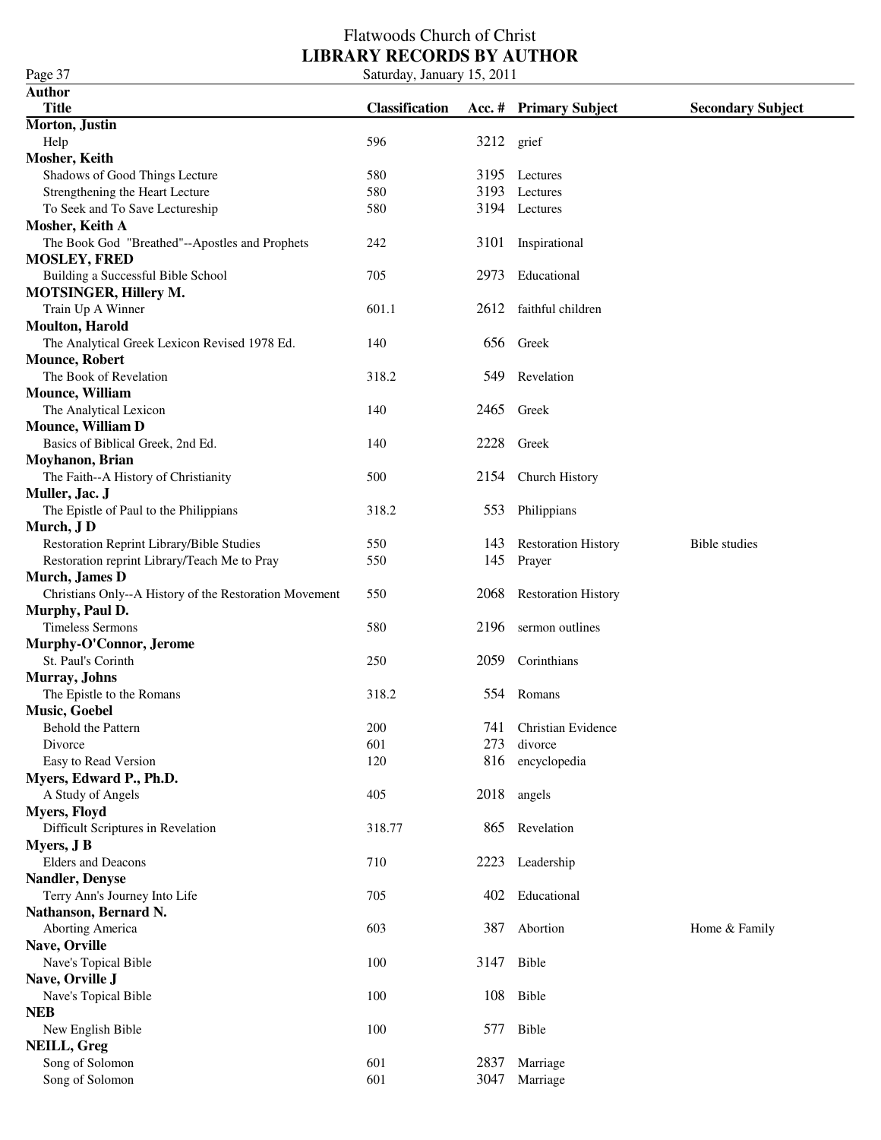#### Flatwoods Church of Christ **LIBRARY RECORDS BY AUTHOR** Page 37 Saturday, January 15, 2011

| $1 \mu_{\odot}$ $0 \nu_{\ell}$                         | saturaa 3, sanaar y   | 1, 7, 4, 0, 1, 1 |                            |                          |
|--------------------------------------------------------|-----------------------|------------------|----------------------------|--------------------------|
| Author                                                 |                       |                  |                            |                          |
| <b>Title</b>                                           | <b>Classification</b> |                  | Acc. # Primary Subject     | <b>Secondary Subject</b> |
| Morton, Justin                                         |                       |                  |                            |                          |
| Help<br><b>Mosher, Keith</b>                           | 596                   | 3212 grief       |                            |                          |
| Shadows of Good Things Lecture                         | 580                   |                  | 3195 Lectures              |                          |
| Strengthening the Heart Lecture                        | 580                   |                  | 3193 Lectures              |                          |
| To Seek and To Save Lectureship                        |                       |                  | 3194 Lectures              |                          |
| Mosher, Keith A                                        | 580                   |                  |                            |                          |
| The Book God "Breathed"--Apostles and Prophets         | 242                   |                  | 3101 Inspirational         |                          |
| <b>MOSLEY, FRED</b>                                    |                       |                  |                            |                          |
| Building a Successful Bible School                     | 705                   | 2973             | Educational                |                          |
| <b>MOTSINGER, Hillery M.</b>                           |                       |                  |                            |                          |
| Train Up A Winner                                      | 601.1                 | 2612             | faithful children          |                          |
| <b>Moulton, Harold</b>                                 |                       |                  |                            |                          |
| The Analytical Greek Lexicon Revised 1978 Ed.          | 140                   |                  | 656 Greek                  |                          |
| <b>Mounce, Robert</b>                                  |                       |                  |                            |                          |
| The Book of Revelation                                 | 318.2                 | 549              | Revelation                 |                          |
| <b>Mounce, William</b>                                 |                       |                  |                            |                          |
| The Analytical Lexicon                                 | 140                   |                  | 2465 Greek                 |                          |
| <b>Mounce, William D</b>                               |                       |                  |                            |                          |
| Basics of Biblical Greek, 2nd Ed.                      | 140                   |                  | 2228 Greek                 |                          |
| Moyhanon, Brian                                        |                       |                  |                            |                          |
| The Faith--A History of Christianity                   | 500                   | 2154             | Church History             |                          |
| Muller, Jac. J                                         |                       |                  |                            |                          |
| The Epistle of Paul to the Philippians                 | 318.2                 |                  | 553 Philippians            |                          |
| Murch, J D                                             |                       |                  |                            |                          |
| Restoration Reprint Library/Bible Studies              | 550                   |                  | 143 Restoration History    | Bible studies            |
| Restoration reprint Library/Teach Me to Pray           | 550                   |                  | 145 Prayer                 |                          |
| Murch, James D                                         |                       |                  |                            |                          |
| Christians Only--A History of the Restoration Movement | 550                   | 2068             | <b>Restoration History</b> |                          |
| Murphy, Paul D.                                        |                       |                  |                            |                          |
| <b>Timeless Sermons</b>                                | 580                   | 2196             | sermon outlines            |                          |
| Murphy-O'Connor, Jerome                                |                       |                  |                            |                          |
| St. Paul's Corinth                                     | 250                   | 2059             | Corinthians                |                          |
| <b>Murray</b> , Johns                                  |                       |                  |                            |                          |
| The Epistle to the Romans                              | 318.2                 |                  | 554 Romans                 |                          |
| <b>Music, Goebel</b>                                   |                       |                  |                            |                          |
| Behold the Pattern                                     | 200                   | 741              | Christian Evidence         |                          |
| Divorce                                                | 601                   | 273              | divorce                    |                          |
| Easy to Read Version                                   | 120                   | 816              | encyclopedia               |                          |
| Myers, Edward P., Ph.D.                                |                       |                  |                            |                          |
| A Study of Angels                                      | 405                   |                  | 2018 angels                |                          |
| <b>Myers, Floyd</b>                                    |                       |                  |                            |                          |
| Difficult Scriptures in Revelation                     | 318.77                |                  | 865 Revelation             |                          |
| Myers, J B                                             |                       |                  |                            |                          |
| <b>Elders and Deacons</b>                              | 710                   | 2223             | Leadership                 |                          |
| <b>Nandler, Denyse</b>                                 |                       |                  |                            |                          |
| Terry Ann's Journey Into Life                          | 705                   | 402              | Educational                |                          |
| Nathanson, Bernard N.                                  |                       |                  |                            |                          |
| <b>Aborting America</b>                                | 603                   |                  | 387 Abortion               | Home & Family            |
| Nave, Orville                                          |                       |                  |                            |                          |
| Nave's Topical Bible                                   | 100                   |                  | 3147 Bible                 |                          |
| Nave, Orville J                                        |                       |                  |                            |                          |
| Nave's Topical Bible                                   | 100                   |                  | 108 Bible                  |                          |
| NEB                                                    |                       |                  |                            |                          |
| New English Bible                                      | 100                   | 577              | Bible                      |                          |
| NEILL, Greg                                            |                       |                  |                            |                          |
| Song of Solomon                                        | 601                   | 2837             | Marriage                   |                          |
| Song of Solomon                                        | 601                   |                  | 3047 Marriage              |                          |
|                                                        |                       |                  |                            |                          |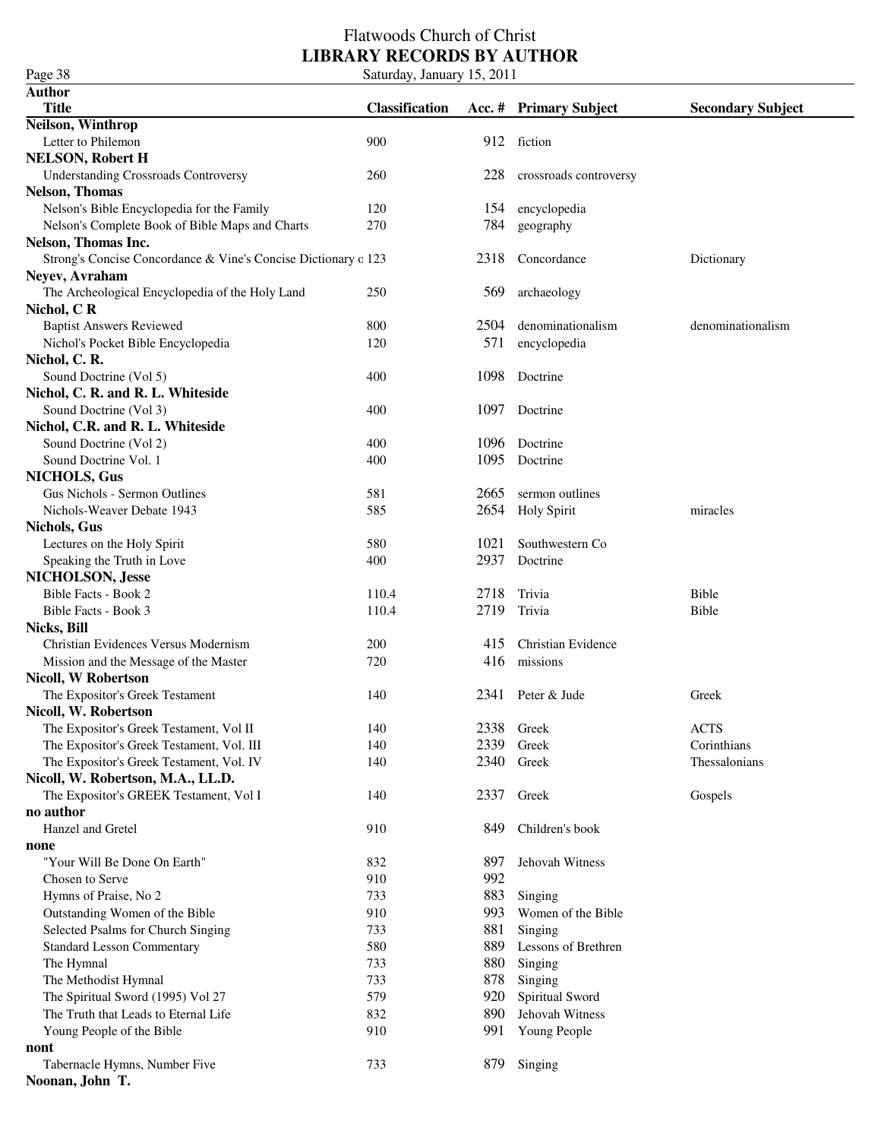| Page 38                                                        | Saturday, January 15, 2011 |      |                        |                          |
|----------------------------------------------------------------|----------------------------|------|------------------------|--------------------------|
| <b>Author</b>                                                  |                            |      |                        |                          |
| <b>Title</b>                                                   | <b>Classification</b>      |      | Acc. # Primary Subject | <b>Secondary Subject</b> |
| Neilson, Winthrop                                              |                            |      |                        |                          |
| Letter to Philemon                                             | 900                        |      | 912 fiction            |                          |
| <b>NELSON, Robert H</b>                                        |                            |      |                        |                          |
| <b>Understanding Crossroads Controversy</b>                    | 260                        | 228  | crossroads controversy |                          |
| <b>Nelson, Thomas</b>                                          |                            |      |                        |                          |
| Nelson's Bible Encyclopedia for the Family                     | 120                        | 154  | encyclopedia           |                          |
| Nelson's Complete Book of Bible Maps and Charts                | 270                        | 784  | geography              |                          |
| <b>Nelson, Thomas Inc.</b>                                     |                            |      |                        |                          |
| Strong's Concise Concordance & Vine's Concise Dictionary o 123 |                            | 2318 | Concordance            | Dictionary               |
| Neyev, Avraham                                                 |                            |      |                        |                          |
| The Archeological Encyclopedia of the Holy Land                | 250                        | 569  | archaeology            |                          |
| Nichol, CR                                                     |                            |      |                        |                          |
| <b>Baptist Answers Reviewed</b>                                | 800                        | 2504 | denominationalism      | denominationalism        |
| Nichol's Pocket Bible Encyclopedia                             | 120                        | 571  | encyclopedia           |                          |
| Nichol, C. R.                                                  |                            |      |                        |                          |
| Sound Doctrine (Vol 5)                                         | 400                        | 1098 | Doctrine               |                          |
| Nichol, C. R. and R. L. Whiteside                              |                            |      |                        |                          |
| Sound Doctrine (Vol 3)                                         | 400                        | 1097 | Doctrine               |                          |
| Nichol, C.R. and R. L. Whiteside                               |                            |      |                        |                          |
| Sound Doctrine (Vol 2)                                         | 400                        | 1096 | Doctrine               |                          |
| Sound Doctrine Vol. 1                                          | 400                        | 1095 | Doctrine               |                          |
|                                                                |                            |      |                        |                          |
| <b>NICHOLS, Gus</b>                                            |                            |      |                        |                          |
| Gus Nichols - Sermon Outlines                                  | 581                        | 2665 | sermon outlines        |                          |
| Nichols-Weaver Debate 1943                                     | 585                        | 2654 | <b>Holy Spirit</b>     | miracles                 |
| <b>Nichols</b> , Gus                                           |                            |      |                        |                          |
| Lectures on the Holy Spirit                                    | 580                        | 1021 | Southwestern Co        |                          |
| Speaking the Truth in Love                                     | 400                        | 2937 | Doctrine               |                          |
| NICHOLSON, Jesse                                               |                            |      |                        |                          |
| Bible Facts - Book 2                                           | 110.4                      | 2718 | Trivia                 | Bible                    |
| Bible Facts - Book 3                                           | 110.4                      | 2719 | Trivia                 | Bible                    |
| Nicks, Bill                                                    |                            |      |                        |                          |
| Christian Evidences Versus Modernism                           | 200                        | 415  | Christian Evidence     |                          |
| Mission and the Message of the Master                          | 720                        | 416  | missions               |                          |
| <b>Nicoll, W Robertson</b>                                     |                            |      |                        |                          |
| The Expositor's Greek Testament                                | 140                        |      | 2341 Peter & Jude      | Greek                    |
| Nicoll, W. Robertson                                           |                            |      |                        |                          |
| The Expositor's Greek Testament, Vol II                        | 140                        |      | 2338 Greek             | <b>ACTS</b>              |
| The Expositor's Greek Testament, Vol. III                      | 140                        | 2339 | Greek                  | Corinthians              |
| The Expositor's Greek Testament, Vol. IV                       | 140                        | 2340 | Greek                  | Thessalonians            |
| Nicoll, W. Robertson, M.A., LL.D.                              |                            |      |                        |                          |
| The Expositor's GREEK Testament, Vol I                         | 140                        | 2337 | Greek                  | Gospels                  |
| no author                                                      |                            |      |                        |                          |
| Hanzel and Gretel                                              | 910                        | 849  | Children's book        |                          |
| none                                                           |                            |      |                        |                          |
| "Your Will Be Done On Earth"                                   | 832                        | 897  | Jehovah Witness        |                          |
| Chosen to Serve                                                | 910                        | 992  |                        |                          |
| Hymns of Praise, No 2                                          | 733                        | 883  | Singing                |                          |
| Outstanding Women of the Bible                                 | 910                        | 993  | Women of the Bible     |                          |
| Selected Psalms for Church Singing                             | 733                        | 881  | Singing                |                          |
| <b>Standard Lesson Commentary</b>                              | 580                        | 889  | Lessons of Brethren    |                          |
| The Hymnal                                                     | 733                        | 880  | Singing                |                          |
| The Methodist Hymnal                                           | 733                        | 878  | Singing                |                          |
| The Spiritual Sword (1995) Vol 27                              | 579                        | 920  | Spiritual Sword        |                          |
| The Truth that Leads to Eternal Life                           | 832                        | 890  | Jehovah Witness        |                          |
| Young People of the Bible                                      | 910                        | 991  | Young People           |                          |
| nont                                                           |                            |      |                        |                          |
| Tabernacle Hymns, Number Five                                  | 733                        | 879  | Singing                |                          |
| Noonan, John T.                                                |                            |      |                        |                          |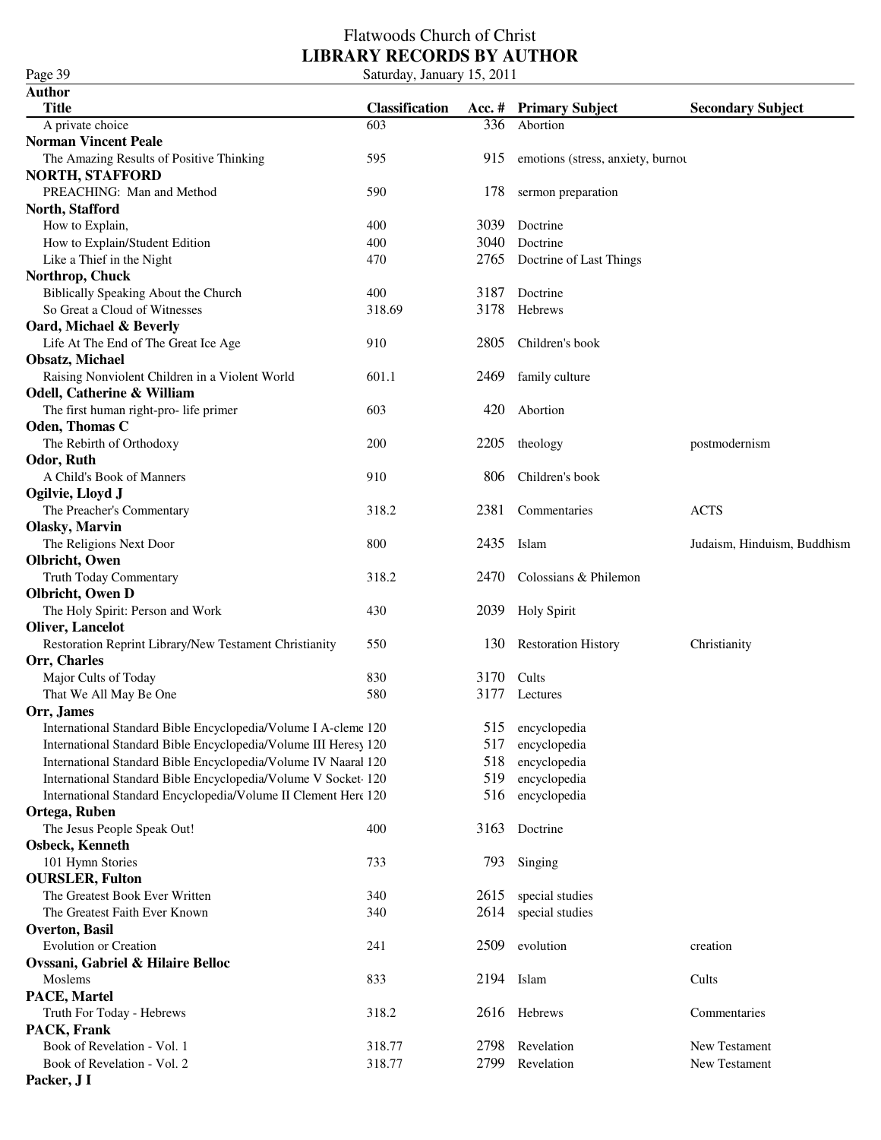Page 39<br>**Author** 

| <b>Title</b>                                                    | <b>Classification</b> |      | Acc. # Primary Subject            | <b>Secondary Subject</b>    |
|-----------------------------------------------------------------|-----------------------|------|-----------------------------------|-----------------------------|
| A private choice                                                | 603                   | 336  | Abortion                          |                             |
| <b>Norman Vincent Peale</b>                                     |                       |      |                                   |                             |
| The Amazing Results of Positive Thinking                        | 595                   | 915  | emotions (stress, anxiety, burnou |                             |
| NORTH, STAFFORD                                                 |                       |      |                                   |                             |
| PREACHING: Man and Method                                       | 590                   | 178  | sermon preparation                |                             |
| North, Stafford                                                 |                       |      |                                   |                             |
| How to Explain,                                                 | 400                   | 3039 | Doctrine                          |                             |
| How to Explain/Student Edition                                  | 400                   | 3040 | Doctrine                          |                             |
| Like a Thief in the Night                                       | 470                   | 2765 | Doctrine of Last Things           |                             |
| Northrop, Chuck                                                 |                       |      |                                   |                             |
| Biblically Speaking About the Church                            | 400                   | 3187 | Doctrine                          |                             |
| So Great a Cloud of Witnesses                                   | 318.69                | 3178 | Hebrews                           |                             |
| Oard, Michael & Beverly                                         |                       |      |                                   |                             |
| Life At The End of The Great Ice Age                            | 910                   | 2805 | Children's book                   |                             |
| <b>Obsatz</b> , Michael                                         |                       |      |                                   |                             |
| Raising Nonviolent Children in a Violent World                  | 601.1                 | 2469 | family culture                    |                             |
| Odell, Catherine & William                                      |                       |      |                                   |                             |
| The first human right-pro-life primer                           | 603                   | 420  | Abortion                          |                             |
| Oden, Thomas C                                                  |                       |      |                                   |                             |
| The Rebirth of Orthodoxy                                        | 200                   | 2205 | theology                          | postmodernism               |
| Odor, Ruth                                                      |                       |      |                                   |                             |
| A Child's Book of Manners                                       | 910                   | 806  | Children's book                   |                             |
| Ogilvie, Lloyd J                                                |                       |      |                                   |                             |
|                                                                 | 318.2                 | 2381 | Commentaries                      | <b>ACTS</b>                 |
| The Preacher's Commentary                                       |                       |      |                                   |                             |
| <b>Olasky</b> , Marvin                                          |                       |      |                                   |                             |
| The Religions Next Door                                         | 800                   | 2435 | Islam                             | Judaism, Hinduism, Buddhism |
| <b>Olbricht</b> , Owen                                          |                       |      |                                   |                             |
| Truth Today Commentary                                          | 318.2                 | 2470 | Colossians & Philemon             |                             |
| <b>Olbricht</b> , Owen D                                        |                       |      |                                   |                             |
| The Holy Spirit: Person and Work                                | 430                   | 2039 | <b>Holy Spirit</b>                |                             |
| <b>Oliver, Lancelot</b>                                         |                       |      |                                   |                             |
| Restoration Reprint Library/New Testament Christianity          | 550                   | 130  | <b>Restoration History</b>        | Christianity                |
| Orr, Charles                                                    |                       |      |                                   |                             |
| Major Cults of Today                                            | 830                   | 3170 | Cults                             |                             |
| That We All May Be One                                          | 580                   | 3177 | Lectures                          |                             |
| Orr, James                                                      |                       |      |                                   |                             |
| International Standard Bible Encyclopedia/Volume I A-cleme 120  |                       | 515  | encyclopedia                      |                             |
| International Standard Bible Encyclopedia/Volume III Heresy 120 |                       |      | 517 encyclopedia                  |                             |
| International Standard Bible Encyclopedia/Volume IV Naaral 120  |                       | 518  | encyclopedia                      |                             |
| International Standard Bible Encyclopedia/Volume V Socket 120   |                       | 519  | encyclopedia                      |                             |
| International Standard Encyclopedia/Volume II Clement Herc 120  |                       | 516  | encyclopedia                      |                             |
| Ortega, Ruben                                                   |                       |      |                                   |                             |
| The Jesus People Speak Out!                                     | 400                   | 3163 | Doctrine                          |                             |
| Osbeck, Kenneth                                                 |                       |      |                                   |                             |
| 101 Hymn Stories                                                | 733                   | 793  | Singing                           |                             |
| <b>OURSLER, Fulton</b>                                          |                       |      |                                   |                             |
| The Greatest Book Ever Written                                  | 340                   | 2615 | special studies                   |                             |
| The Greatest Faith Ever Known                                   | 340                   | 2614 | special studies                   |                             |
| <b>Overton, Basil</b>                                           |                       |      |                                   |                             |
| <b>Evolution or Creation</b>                                    | 241                   | 2509 | evolution                         | creation                    |
| Ovssani, Gabriel & Hilaire Belloc                               |                       |      |                                   |                             |
| Moslems                                                         | 833                   | 2194 | Islam                             | Cults                       |
| PACE, Martel                                                    |                       |      |                                   |                             |
| Truth For Today - Hebrews                                       | 318.2                 | 2616 | Hebrews                           | Commentaries                |
| PACK, Frank                                                     |                       |      |                                   |                             |
| Book of Revelation - Vol. 1                                     | 318.77                | 2798 | Revelation                        | New Testament               |
| Book of Revelation - Vol. 2                                     | 318.77                | 2799 | Revelation                        | New Testament               |
| Packer, J I                                                     |                       |      |                                   |                             |
|                                                                 |                       |      |                                   |                             |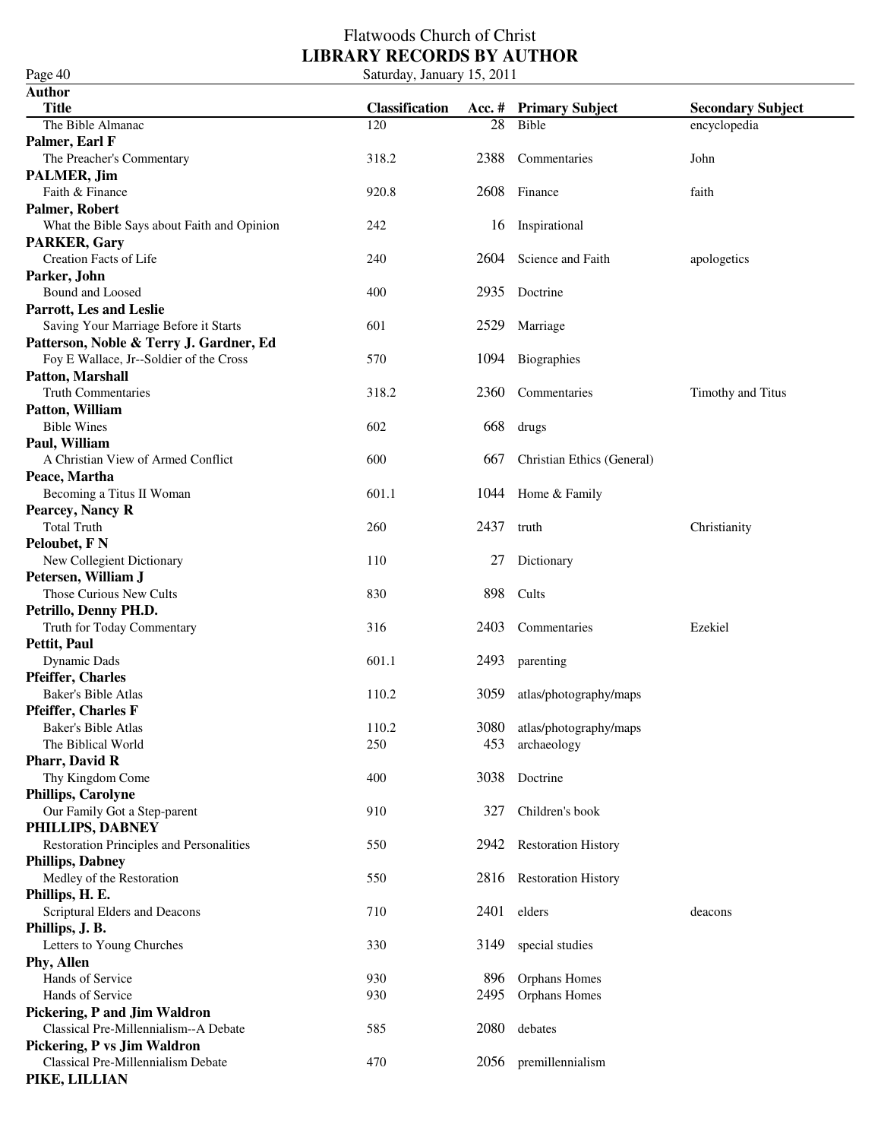| Page 40                                                                            | Saturday, January 15, 2011 |      |                            |                          |
|------------------------------------------------------------------------------------|----------------------------|------|----------------------------|--------------------------|
| <b>Author</b>                                                                      |                            |      |                            |                          |
| <b>Title</b>                                                                       | <b>Classification</b>      |      | Acc. # Primary Subject     | <b>Secondary Subject</b> |
| The Bible Almanac                                                                  | 120                        | 28   | Bible                      | encyclopedia             |
| Palmer, Earl F                                                                     |                            |      |                            |                          |
| The Preacher's Commentary                                                          | 318.2                      | 2388 | Commentaries               | John                     |
| PALMER, Jim                                                                        |                            |      |                            |                          |
| Faith & Finance                                                                    | 920.8                      | 2608 | Finance                    | faith                    |
| Palmer, Robert                                                                     |                            |      |                            |                          |
| What the Bible Says about Faith and Opinion                                        | 242                        | 16   | Inspirational              |                          |
| <b>PARKER, Gary</b>                                                                |                            |      |                            |                          |
| Creation Facts of Life                                                             | 240                        | 2604 | Science and Faith          | apologetics              |
| Parker, John                                                                       |                            |      |                            |                          |
| Bound and Loosed                                                                   | 400                        | 2935 | Doctrine                   |                          |
| <b>Parrott, Les and Leslie</b>                                                     |                            |      |                            |                          |
| Saving Your Marriage Before it Starts                                              | 601                        | 2529 | Marriage                   |                          |
| Patterson, Noble & Terry J. Gardner, Ed<br>Foy E Wallace, Jr--Soldier of the Cross | 570                        | 1094 | Biographies                |                          |
| <b>Patton, Marshall</b>                                                            |                            |      |                            |                          |
| <b>Truth Commentaries</b>                                                          | 318.2                      | 2360 | Commentaries               | Timothy and Titus        |
| Patton, William                                                                    |                            |      |                            |                          |
| <b>Bible Wines</b>                                                                 | 602                        | 668  | drugs                      |                          |
| Paul, William                                                                      |                            |      |                            |                          |
| A Christian View of Armed Conflict                                                 | 600                        | 667  | Christian Ethics (General) |                          |
| Peace, Martha                                                                      |                            |      |                            |                          |
| Becoming a Titus II Woman                                                          | 601.1                      | 1044 | Home & Family              |                          |
| Pearcey, Nancy R                                                                   |                            |      |                            |                          |
| <b>Total Truth</b>                                                                 | 260                        | 2437 | truth                      | Christianity             |
| Peloubet, FN                                                                       |                            |      |                            |                          |
| New Collegient Dictionary                                                          | 110                        | 27   | Dictionary                 |                          |
| Petersen, William J                                                                |                            |      |                            |                          |
| Those Curious New Cults                                                            | 830                        | 898  | Cults                      |                          |
| Petrillo, Denny PH.D.                                                              |                            |      |                            |                          |
| Truth for Today Commentary                                                         | 316                        | 2403 | Commentaries               | Ezekiel                  |
| Pettit, Paul                                                                       |                            |      |                            |                          |
| <b>Dynamic Dads</b>                                                                | 601.1                      | 2493 | parenting                  |                          |
| <b>Pfeiffer, Charles</b>                                                           |                            |      |                            |                          |
| Baker's Bible Atlas                                                                | 110.2                      | 3059 | atlas/photography/maps     |                          |
| Pfeiffer, Charles F                                                                |                            |      |                            |                          |
| <b>Baker's Bible Atlas</b>                                                         | 110.2                      | 3080 | atlas/photography/maps     |                          |
| The Biblical World                                                                 | 250                        | 453  | archaeology                |                          |
| <b>Pharr, David R</b>                                                              |                            |      |                            |                          |
| Thy Kingdom Come                                                                   | 400                        | 3038 | Doctrine                   |                          |
| <b>Phillips, Carolyne</b>                                                          |                            |      |                            |                          |
| Our Family Got a Step-parent                                                       | 910                        | 327  | Children's book            |                          |
| PHILLIPS, DABNEY                                                                   |                            |      |                            |                          |
| Restoration Principles and Personalities                                           | 550                        | 2942 | <b>Restoration History</b> |                          |
| <b>Phillips, Dabney</b>                                                            |                            |      |                            |                          |
| Medley of the Restoration                                                          | 550                        |      | 2816 Restoration History   |                          |
| Phillips, H. E.                                                                    |                            |      |                            |                          |
| Scriptural Elders and Deacons                                                      | 710                        | 2401 | elders                     | deacons                  |
| Phillips, J.B.                                                                     |                            |      |                            |                          |
| Letters to Young Churches                                                          | 330                        | 3149 | special studies            |                          |
| Phy, Allen                                                                         |                            |      |                            |                          |
| Hands of Service                                                                   | 930                        | 896  | Orphans Homes              |                          |
| Hands of Service                                                                   | 930                        | 2495 | Orphans Homes              |                          |
| Pickering, P and Jim Waldron                                                       |                            |      |                            |                          |
| Classical Pre-Millennialism--A Debate                                              | 585                        | 2080 | debates                    |                          |
| Pickering, P vs Jim Waldron                                                        |                            |      |                            |                          |
| Classical Pre-Millennialism Debate                                                 | 470                        | 2056 | premillennialism           |                          |
| PIKE, LILLIAN                                                                      |                            |      |                            |                          |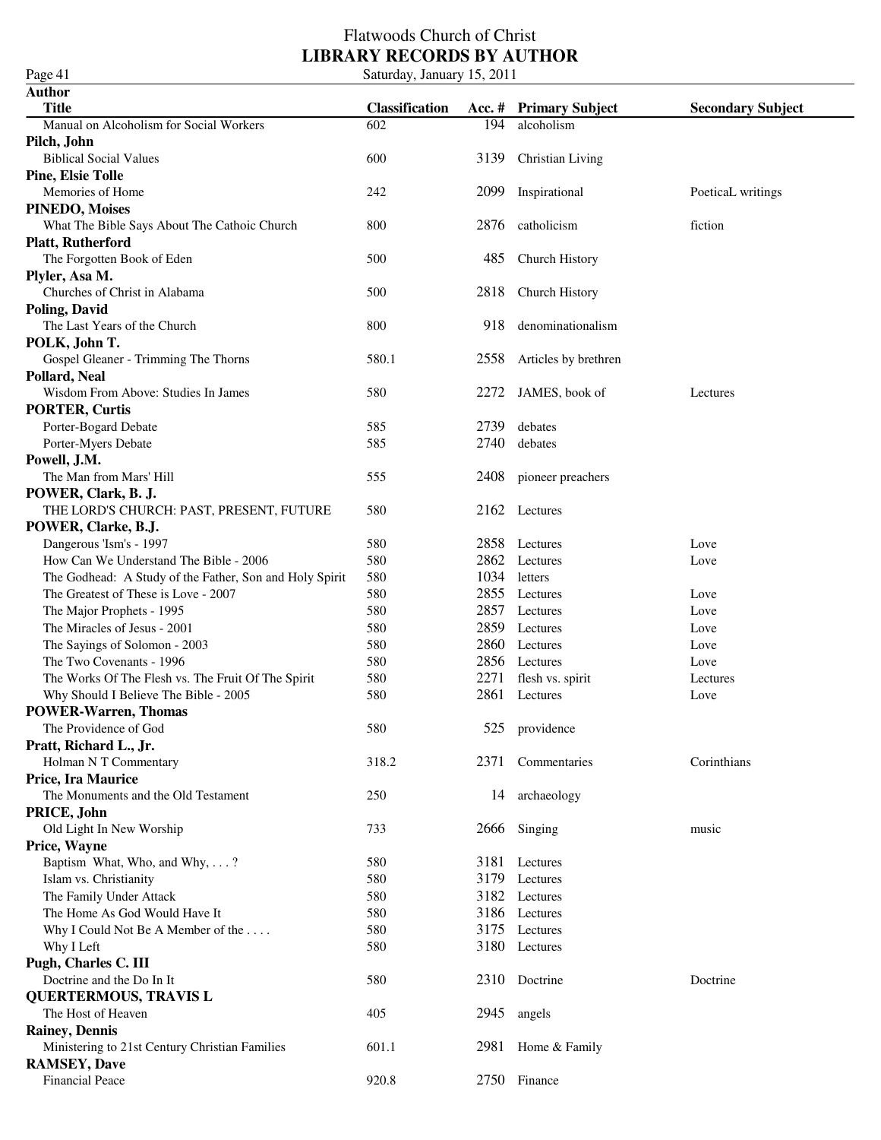#### Flatwoods Church of Christ **LIBRARY RECORDS BY AUTHOR** Page 41 Saturday, January 15, 2011

**Author Title Classification Acc. # Primary Subject Secondary Subject** Manual on Alcoholism for Social Workers 602 194 alcoholism **Pilch, John** Biblical Social Values 600 3139 Christian Living **Pine, Elsie Tolle** Memories of Home 242 2099 Inspirational Poetical writings **PINEDO, Moises** What The Bible Says About The Cathoic Church 800 2876 catholicism fiction **Platt, Rutherford** The Forgotten Book of Eden 500 500 485 Church History **Plyler, Asa M.** Churches of Christ in Alabama 500 2818 Church History **Poling, David** The Last Years of the Church 800 800 918 denominationalism **POLK, John T.** Gospel Gleaner - Trimming The Thorns 580.1 2558 Articles by brethren **Pollard, Neal** Wisdom From Above: Studies In James 580 580 2272 JAMES, book of Lectures **PORTER, Curtis** Porter-Bogard Debate 585 2739 debates Porter-Myers Debate 685 2740 debates 585 2740 debates **Powell, J.M.** The Man from Mars' Hill 555 2408 pioneer preachers **POWER, Clark, B. J.** THE LORD'S CHURCH: PAST, PRESENT, FUTURE 580 2162 Lectures **POWER, Clarke, B.J.** Dangerous 'Ism's - 1997 580 2858 Lectures Love How Can We Understand The Bible - 2006 580 2862 Lectures Love The Godhead: A Study of the Father, Son and Holy Spirit 580 1034 letters The Greatest of These is Love - 2007 580 2855 Lectures Love The Major Prophets - 1995 **580** 2857 Lectures Love The Miracles of Jesus - 2001 580 2859 Lectures Love The Sayings of Solomon - 2003 580 580 2860 Lectures Love The Two Covenants - 1996 580 580 2856 Lectures Love<br>
The Works Of The Flesh vs. The Fruit Of The Spirit 580 2271 flesh vs. spirit Lectu The Works Of The Flesh vs. The Fruit Of The Spirit 580 2271 flesh vs. spirit Lectures Why Should I Believe The Bible - 2005 580 2861 Lectures Love **POWER-Warren, Thomas** The Providence of God 580 525 providence **Pratt, Richard L., Jr.** Holman N T Commentary 2371 Commentaries Corinthians **Price, Ira Maurice** The Monuments and the Old Testament 250 250 14 archaeology **PRICE, John** Old Light In New Worship 2666 Singing music **Price, Wayne** Baptism What, Who, and Why, . . . ? 580 3181 Lectures Islam vs. Christianity 580 3179 Lectures The Family Under Attack 580 580 3182 Lectures The Home As God Would Have It 580 580 3186 Lectures Why I Could Not Be A Member of the .... 580 3175 Lectures Why I Left 580 3180 Lectures **Pugh, Charles C. III** Doctrine and the Do In It 580 2310 Doctrine 2010 2010 Doctrine **QUERTERMOUS, TRAVIS L** The Host of Heaven 2945 angels **Rainey, Dennis** Ministering to 21st Century Christian Families 601.1 2981 Home & Family **RAMSEY, Dave** Financial Peace 920.8 2750 Finance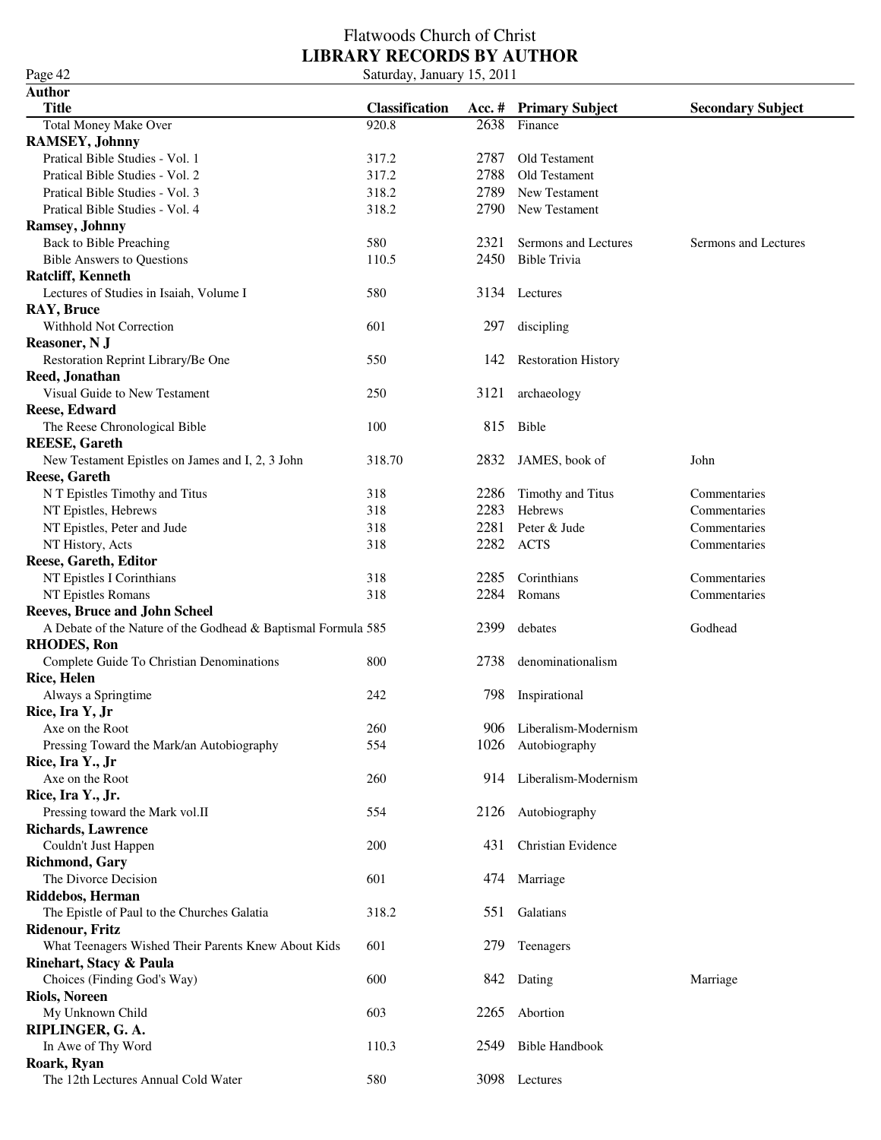### Flatwoods Church of Christ **LIBRARY RECORDS BY AUTHOR** Page 42 Saturday, January 15, 2011

| <b>Author</b>                                                 |                       |      |                          |                          |  |
|---------------------------------------------------------------|-----------------------|------|--------------------------|--------------------------|--|
| <b>Title</b>                                                  | <b>Classification</b> |      | Acc. # Primary Subject   | <b>Secondary Subject</b> |  |
| <b>Total Money Make Over</b>                                  | 920.8                 | 2638 | Finance                  |                          |  |
| <b>RAMSEY, Johnny</b>                                         |                       |      |                          |                          |  |
| Pratical Bible Studies - Vol. 1                               | 317.2                 | 2787 | Old Testament            |                          |  |
| Pratical Bible Studies - Vol. 2                               | 317.2                 | 2788 | Old Testament            |                          |  |
| Pratical Bible Studies - Vol. 3                               | 318.2                 | 2789 | New Testament            |                          |  |
| Pratical Bible Studies - Vol. 4                               | 318.2                 | 2790 | New Testament            |                          |  |
|                                                               |                       |      |                          |                          |  |
| <b>Ramsey, Johnny</b>                                         |                       |      |                          |                          |  |
| <b>Back to Bible Preaching</b>                                | 580                   | 2321 | Sermons and Lectures     | Sermons and Lectures     |  |
| <b>Bible Answers to Questions</b>                             | 110.5                 | 2450 | <b>Bible Trivia</b>      |                          |  |
| <b>Ratcliff, Kenneth</b>                                      |                       |      |                          |                          |  |
| Lectures of Studies in Isaiah, Volume I                       | 580                   |      | 3134 Lectures            |                          |  |
| <b>RAY, Bruce</b>                                             |                       |      |                          |                          |  |
| <b>Withhold Not Correction</b>                                | 601                   | 297  | discipling               |                          |  |
| Reasoner, N J                                                 |                       |      |                          |                          |  |
| Restoration Reprint Library/Be One                            | 550                   |      | 142 Restoration History  |                          |  |
| Reed, Jonathan                                                |                       |      |                          |                          |  |
| Visual Guide to New Testament                                 | 250                   | 3121 | archaeology              |                          |  |
| <b>Reese, Edward</b>                                          |                       |      |                          |                          |  |
| The Reese Chronological Bible                                 | 100                   | 815  | Bible                    |                          |  |
| <b>REESE, Gareth</b>                                          |                       |      |                          |                          |  |
| New Testament Epistles on James and I, 2, 3 John              | 318.70                |      | 2832 JAMES, book of      | John                     |  |
| Reese, Gareth                                                 |                       |      |                          |                          |  |
| N T Epistles Timothy and Titus                                | 318                   | 2286 | Timothy and Titus        | Commentaries             |  |
|                                                               |                       | 2283 |                          |                          |  |
| NT Epistles, Hebrews                                          | 318                   |      | <b>Hebrews</b>           | Commentaries             |  |
| NT Epistles, Peter and Jude                                   | 318                   | 2281 | Peter & Jude             | Commentaries             |  |
| NT History, Acts                                              | 318                   | 2282 | <b>ACTS</b>              | Commentaries             |  |
| <b>Reese, Gareth, Editor</b>                                  |                       |      |                          |                          |  |
| NT Epistles I Corinthians                                     | 318                   | 2285 | Corinthians              | Commentaries             |  |
| NT Epistles Romans                                            | 318                   | 2284 | Romans                   | Commentaries             |  |
| <b>Reeves, Bruce and John Scheel</b>                          |                       |      |                          |                          |  |
| A Debate of the Nature of the Godhead & Baptismal Formula 585 |                       | 2399 | debates                  | Godhead                  |  |
| <b>RHODES, Ron</b>                                            |                       |      |                          |                          |  |
| Complete Guide To Christian Denominations                     | 800                   | 2738 | denominationalism        |                          |  |
| <b>Rice, Helen</b>                                            |                       |      |                          |                          |  |
| Always a Springtime                                           | 242                   |      | 798 Inspirational        |                          |  |
| Rice, Ira Y, Jr                                               |                       |      |                          |                          |  |
| Axe on the Root                                               | 260                   |      | 906 Liberalism-Modernism |                          |  |
| Pressing Toward the Mark/an Autobiography                     | 554                   |      | 1026 Autobiography       |                          |  |
| Rice, Ira Y., Jr                                              |                       |      |                          |                          |  |
| Axe on the Root                                               | 260                   |      | 914 Liberalism-Modernism |                          |  |
|                                                               |                       |      |                          |                          |  |
| Rice, Ira Y., Jr.                                             |                       |      |                          |                          |  |
| Pressing toward the Mark vol.II                               | 554                   | 2126 | Autobiography            |                          |  |
| <b>Richards, Lawrence</b>                                     |                       |      |                          |                          |  |
| Couldn't Just Happen                                          | 200                   | 431  | Christian Evidence       |                          |  |
| <b>Richmond, Gary</b>                                         |                       |      |                          |                          |  |
| The Divorce Decision                                          | 601                   |      | 474 Marriage             |                          |  |
| Riddebos, Herman                                              |                       |      |                          |                          |  |
| The Epistle of Paul to the Churches Galatia                   | 318.2                 | 551  | Galatians                |                          |  |
| <b>Ridenour, Fritz</b>                                        |                       |      |                          |                          |  |
| What Teenagers Wished Their Parents Knew About Kids           | 601                   |      | 279 Teenagers            |                          |  |
| Rinehart, Stacy & Paula                                       |                       |      |                          |                          |  |
| Choices (Finding God's Way)                                   | 600                   |      | 842 Dating               | Marriage                 |  |
| <b>Riols, Noreen</b>                                          |                       |      |                          |                          |  |
| My Unknown Child                                              | 603                   | 2265 | Abortion                 |                          |  |
| RIPLINGER, G. A.                                              |                       |      |                          |                          |  |
| In Awe of Thy Word                                            | 110.3                 | 2549 | <b>Bible Handbook</b>    |                          |  |
|                                                               |                       |      |                          |                          |  |
| Roark, Ryan                                                   |                       |      |                          |                          |  |
| The 12th Lectures Annual Cold Water                           | 580                   |      | 3098 Lectures            |                          |  |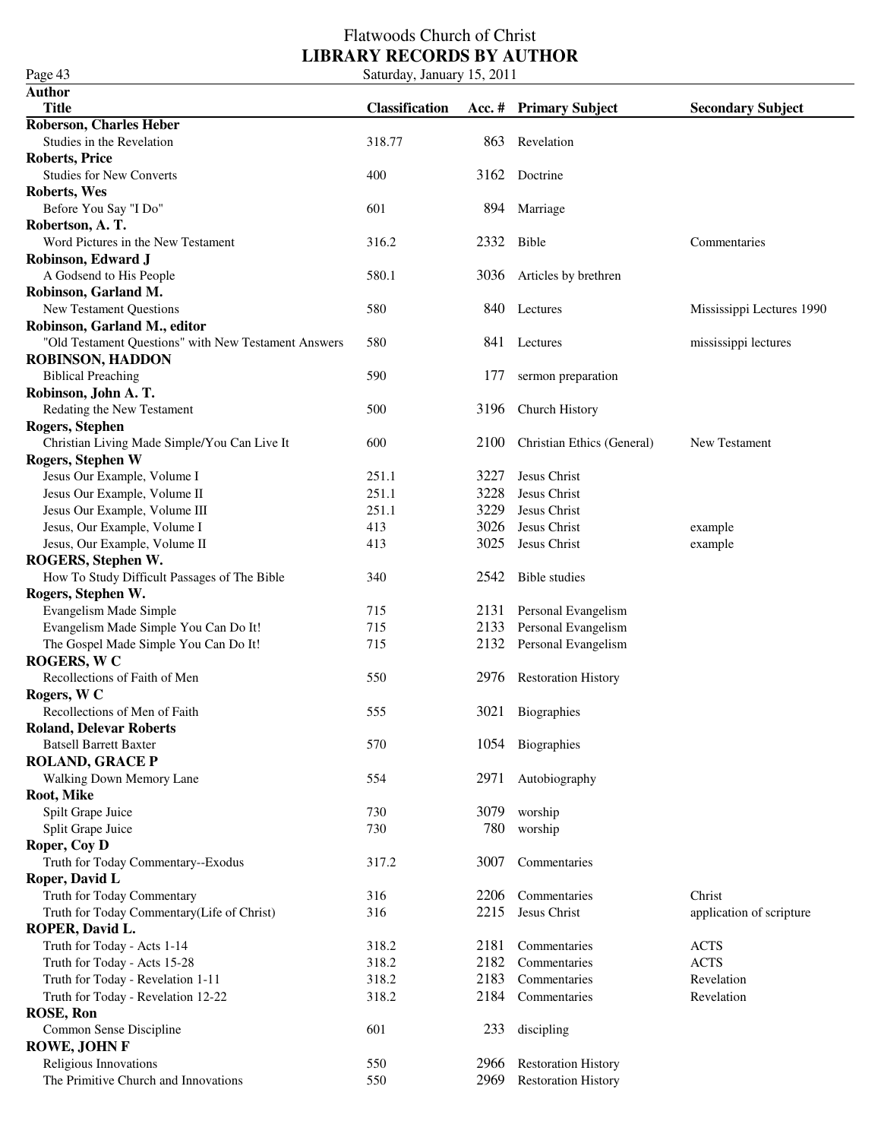| Page 43                                              | Saturday, January 15, 2011 |      |                            |                           |
|------------------------------------------------------|----------------------------|------|----------------------------|---------------------------|
| <b>Author</b>                                        |                            |      |                            |                           |
| <b>Title</b>                                         | <b>Classification</b>      |      | Acc. # Primary Subject     | <b>Secondary Subject</b>  |
| <b>Roberson, Charles Heber</b>                       |                            |      |                            |                           |
| Studies in the Revelation                            | 318.77                     | 863  | Revelation                 |                           |
| <b>Roberts, Price</b>                                |                            |      |                            |                           |
| <b>Studies for New Converts</b>                      | 400                        | 3162 | Doctrine                   |                           |
| Roberts, Wes                                         |                            |      |                            |                           |
| Before You Say "I Do"                                | 601                        | 894  | Marriage                   |                           |
| Robertson, A.T.                                      |                            |      |                            |                           |
| Word Pictures in the New Testament                   | 316.2                      | 2332 | Bible                      | Commentaries              |
| Robinson, Edward J                                   |                            |      |                            |                           |
| A Godsend to His People                              | 580.1                      | 3036 | Articles by brethren       |                           |
| Robinson, Garland M.                                 |                            |      |                            |                           |
| <b>New Testament Questions</b>                       | 580                        | 840  | Lectures                   | Mississippi Lectures 1990 |
| Robinson, Garland M., editor                         |                            |      |                            |                           |
| "Old Testament Questions" with New Testament Answers | 580                        |      | 841 Lectures               | mississippi lectures      |
| <b>ROBINSON, HADDON</b>                              |                            |      |                            |                           |
| <b>Biblical Preaching</b>                            | 590                        | 177  | sermon preparation         |                           |
| Robinson, John A. T.                                 |                            |      |                            |                           |
| Redating the New Testament                           | 500                        | 3196 | Church History             |                           |
| Rogers, Stephen                                      |                            |      |                            |                           |
| Christian Living Made Simple/You Can Live It         | 600                        | 2100 | Christian Ethics (General) | New Testament             |
| Rogers, Stephen W                                    |                            |      |                            |                           |
| Jesus Our Example, Volume I                          | 251.1                      | 3227 | Jesus Christ               |                           |
| Jesus Our Example, Volume II                         | 251.1                      | 3228 | Jesus Christ               |                           |
| Jesus Our Example, Volume III                        | 251.1                      | 3229 | Jesus Christ               |                           |
| Jesus, Our Example, Volume I                         | 413                        | 3026 | Jesus Christ               |                           |
|                                                      | 413                        | 3025 | Jesus Christ               | example                   |
| Jesus, Our Example, Volume II                        |                            |      |                            | example                   |
| ROGERS, Stephen W.                                   |                            |      |                            |                           |
| How To Study Difficult Passages of The Bible         | 340                        | 2542 | <b>Bible studies</b>       |                           |
| Rogers, Stephen W.                                   |                            |      |                            |                           |
| Evangelism Made Simple                               | 715                        |      | 2131 Personal Evangelism   |                           |
| Evangelism Made Simple You Can Do It!                | 715                        | 2133 | Personal Evangelism        |                           |
| The Gospel Made Simple You Can Do It!                | 715                        |      | 2132 Personal Evangelism   |                           |
| <b>ROGERS, WC</b>                                    |                            |      |                            |                           |
| Recollections of Faith of Men                        | 550                        |      | 2976 Restoration History   |                           |
| Rogers, W C                                          |                            |      |                            |                           |
| Recollections of Men of Faith                        | 555                        |      | 3021 Biographies           |                           |
| <b>Roland, Delevar Roberts</b>                       |                            |      |                            |                           |
| <b>Batsell Barrett Baxter</b>                        | 570                        | 1054 | Biographies                |                           |
| <b>ROLAND, GRACE P</b>                               |                            |      |                            |                           |
| Walking Down Memory Lane                             | 554                        | 2971 | Autobiography              |                           |
| Root, Mike                                           |                            |      |                            |                           |
| Spilt Grape Juice                                    | 730                        | 3079 | worship                    |                           |
| Split Grape Juice                                    | 730                        | 780  | worship                    |                           |
| Roper, Coy D                                         |                            |      |                            |                           |
| Truth for Today Commentary--Exodus                   | 317.2                      | 3007 | Commentaries               |                           |
| Roper, David L                                       |                            |      |                            |                           |
| Truth for Today Commentary                           | 316                        | 2206 | Commentaries               | Christ                    |
| Truth for Today Commentary(Life of Christ)           | 316                        | 2215 | Jesus Christ               | application of scripture  |
| ROPER, David L.                                      |                            |      |                            |                           |
| Truth for Today - Acts 1-14                          | 318.2                      | 2181 | Commentaries               | <b>ACTS</b>               |
| Truth for Today - Acts 15-28                         | 318.2                      | 2182 | Commentaries               | <b>ACTS</b>               |
| Truth for Today - Revelation 1-11                    | 318.2                      | 2183 | Commentaries               | Revelation                |
| Truth for Today - Revelation 12-22                   | 318.2                      | 2184 | Commentaries               | Revelation                |
| <b>ROSE, Ron</b>                                     |                            |      |                            |                           |
| Common Sense Discipline                              | 601                        | 233  | discipling                 |                           |
| <b>ROWE, JOHN F</b>                                  |                            |      |                            |                           |
| Religious Innovations                                | 550                        | 2966 | <b>Restoration History</b> |                           |
| The Primitive Church and Innovations                 | 550                        | 2969 | <b>Restoration History</b> |                           |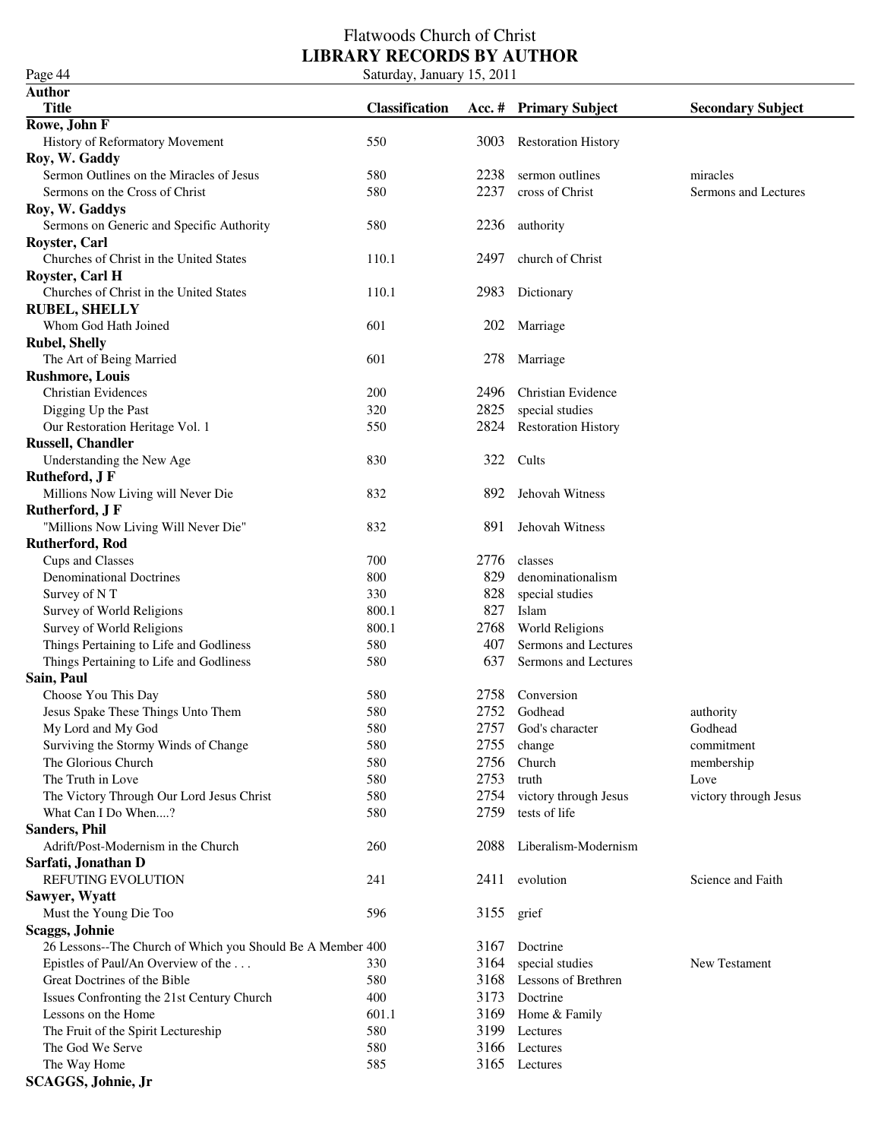Page 44 Saturday, January 15, 2011

**Author Title Classification Acc. # Primary Subject Secondary Subject Rowe, John F** History of Reformatory Movement 550 3003 Restoration History **Roy, W. Gaddy** Sermon Outlines on the Miracles of Jesus 580 2238 sermon outlines miracles Sermons on the Cross of Christ 580 580 2237 cross of Christ Sermons and Lectures **Roy, W. Gaddys** Sermons on Generic and Specific Authority 580 2236 authority **Royster, Carl** Churches of Christ in the United States 110.1 2497 church of Christ **Royster, Carl H** Churches of Christ in the United States 110.1 2983 Dictionary **RUBEL, SHELLY** Whom God Hath Joined 601 202 Marriage **Rubel, Shelly** The Art of Being Married **601** 278 Marriage **Rushmore, Louis** Christian Evidences 200 2496 Christian Evidence Digging Up the Past 320 2825 special studies Our Restoration Heritage Vol. 1 550 2824 Restoration History **Russell, Chandler** Understanding the New Age 830 830 322 Cults **Rutheford, J F** Millions Now Living will Never Die 832 892 Jehovah Witness **Rutherford, J F** "Millions Now Living Will Never Die" 832 891 Jehovah Witness **Rutherford, Rod** Cups and Classes 700 2776 classes Denominational Doctrines 800 829 denominationalism Survey of N T 330 828 special studies Survey of World Religions 800.1 827 Islam Survey of World Religions 800.1 2768 World Religions Things Pertaining to Life and Godliness 580 580 407 Sermons and Lectures Things Pertaining to Life and Godliness 580 637 Sermons and Lectures **Sain, Paul** Choose You This Day 580 2758 Conversion Jesus Spake These Things Unto Them 580 2752 Godhead authority My Lord and My God 580 2757 God's character Godhead Surviving the Stormy Winds of Change 580 580 2755 change commitment The Glorious Church **1980** 2756 Church membership The Truth in Love **1988** 580 2753 truth Love **Love** The Victory Through Our Lord Jesus Christ 580 2754 victory through Jesus victory through Jesus What Can I Do When....? 580 580 2759 tests of life **Sanders, Phil** Adrift/Post-Modernism in the Church 260 2088 Liberalism-Modernism **Sarfati, Jonathan D** REFUTING EVOLUTION 241 241 2411 evolution Science and Faith **Sawyer, Wyatt** Must the Young Die Too 596 596 3155 grief **Scaggs, Johnie** 26 Lessons--The Church of Which you Should Be A Member 400 3167 Doctrine Epistles of Paul/An Overview of the . . . 330 3164 special studies New Testament Great Doctrines of the Bible 580 580 3168 Lessons of Brethren Issues Confronting the 21st Century Church 400 3173 Doctrine Lessons on the Home 601.1 3169 Home & Family The Fruit of the Spirit Lectureship 580 580 3199 Lectures The God We Serve 580 580 3166 Lectures The Way Home 585 3165 Lectures **SCAGGS, Johnie, Jr**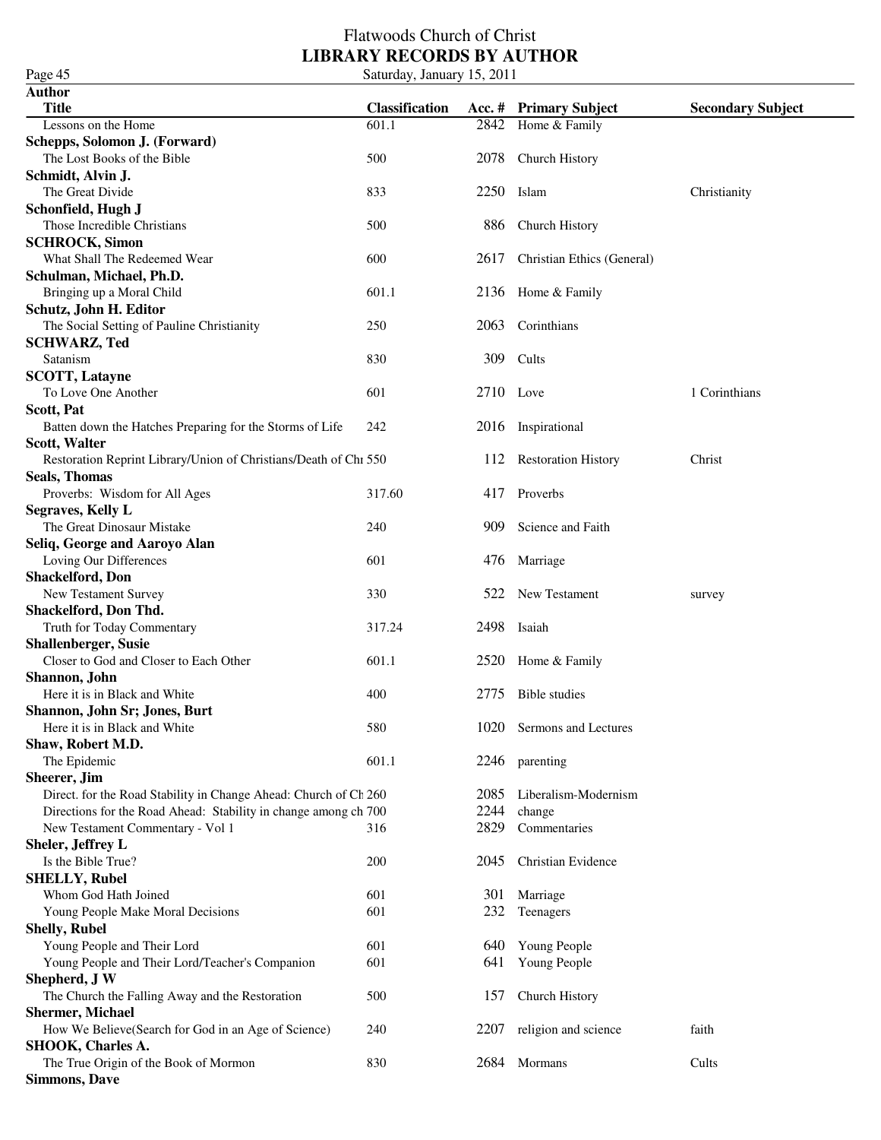#### Flatwoods Church of Christ **LIBRARY RECORDS BY AUTHOR** Page 45 Saturday, January 15, 2011

**Author Title Classification Acc. # Primary Subject Secondary Subject** Lessons on the Home 601.1 2842 Home & Family **Schepps, Solomon J. (Forward)** The Lost Books of the Bible 500 500 2078 Church History **Schmidt, Alvin J.** The Great Divide **833** 2250 Islam Christianity **833** 2250 Islam Christianity **Schonfield, Hugh J** Those Incredible Christians **500** 500 886 Church History **SCHROCK, Simon** What Shall The Redeemed Wear 600 2617 Christian Ethics (General) **Schulman, Michael, Ph.D.** Bringing up a Moral Child 601.1 2136 Home & Family **Schutz, John H. Editor** The Social Setting of Pauline Christianity 250 2063 Corinthians **SCHWARZ, Ted** Satanism 830 309 Cults **SCOTT, Latayne** To Love One Another 1 2710 Love 1 Corinthians **Scott, Pat** Batten down the Hatches Preparing for the Storms of Life 242 2016 Inspirational **Scott, Walter** Restoration Reprint Library/Union of Christians/Death of Chr 550 112 Restoration History Christ **Seals, Thomas** Proverbs: Wisdom for All Ages 317.60 417 Proverbs **Segraves, Kelly L** The Great Dinosaur Mistake 240 909 Science and Faith **Seliq, George and Aaroyo Alan** Loving Our Differences 601 476 Marriage **Shackelford, Don** New Testament Survey **330** 522 New Testament survey **Shackelford, Don Thd.** Truth for Today Commentary 317.24 2498 Isaiah **Shallenberger, Susie** Closer to God and Closer to Each Other 601.1 2520 Home & Family **Shannon, John** Here it is in Black and White  $\begin{array}{ccc} 400 & 2775 & \text{Bible studies} \end{array}$ **Shannon, John Sr; Jones, Burt** 580 1020 Sermons and Lectures **Shaw, Robert M.D.** 601.1 2246 parenting **Sheerer, Jim** Direct. for the Road Stability in Change Ahead: Church of Ch 260 2085 Liberalism-Modernism Directions for the Road Ahead: Stability in change among ch 700 2244 change New Testament Commentary - Vol 1 316 2829 Commentaries **Sheler, Jeffrey L** Is the Bible True? 200 2045 Christian Evidence **SHELLY, Rubel** Whom God Hath Joined 601 301 Marriage Young People Make Moral Decisions 601 601 232 Teenagers **Shelly, Rubel** Young People and Their Lord 601 601 640 Young People Young People and Their Lord/Teacher's Companion 601 641 Young People **Shepherd, J W** The Church the Falling Away and the Restoration 500 157 Church History **Shermer, Michael** How We Believe(Search for God in an Age of Science) 240 2207 religion and science faith **SHOOK, Charles A.** The True Origin of the Book of Mormon 830 2684 Mormans Cults

**Simmons, Dave**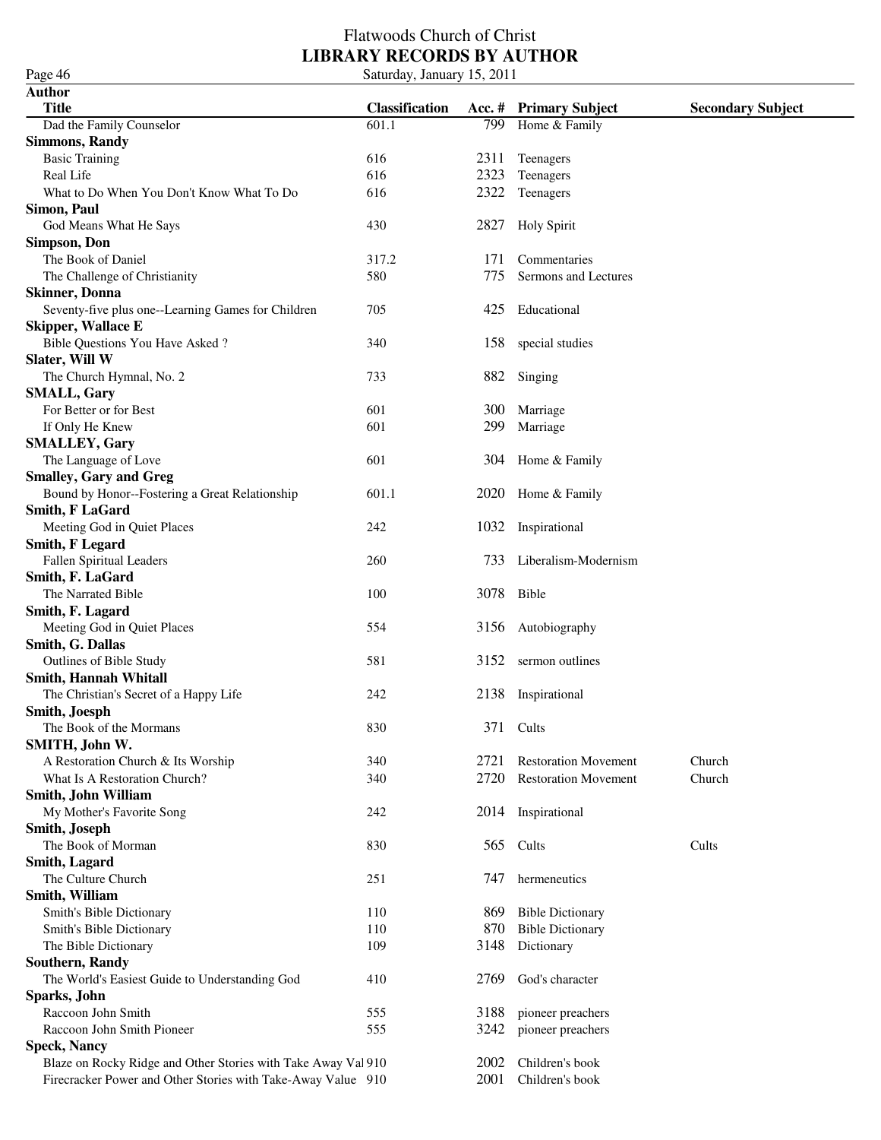#### Flatwoods Church of Christ **LIBRARY RECORDS BY AUTHOR** Page 46 Saturday, January 15, 2011

| Author<br><b>Title</b>                                        | <b>Classification</b> |      |                             |                          |
|---------------------------------------------------------------|-----------------------|------|-----------------------------|--------------------------|
|                                                               |                       | 799  | Acc. # Primary Subject      | <b>Secondary Subject</b> |
| Dad the Family Counselor                                      | 601.1                 |      | Home & Family               |                          |
| <b>Simmons, Randy</b><br><b>Basic Training</b>                | 616                   | 2311 | Teenagers                   |                          |
| Real Life                                                     | 616                   | 2323 | Teenagers                   |                          |
| What to Do When You Don't Know What To Do                     | 616                   | 2322 | Teenagers                   |                          |
| Simon, Paul                                                   |                       |      |                             |                          |
| God Means What He Says                                        | 430                   | 2827 | <b>Holy Spirit</b>          |                          |
| Simpson, Don                                                  |                       |      |                             |                          |
| The Book of Daniel                                            | 317.2                 | 171  | Commentaries                |                          |
| The Challenge of Christianity                                 | 580                   | 775  | Sermons and Lectures        |                          |
| Skinner, Donna                                                |                       |      |                             |                          |
| Seventy-five plus one--Learning Games for Children            | 705                   | 425  | Educational                 |                          |
| <b>Skipper, Wallace E</b>                                     |                       |      |                             |                          |
| <b>Bible Questions You Have Asked?</b>                        | 340                   | 158  | special studies             |                          |
| Slater, Will W                                                |                       |      |                             |                          |
| The Church Hymnal, No. 2                                      | 733                   | 882  | Singing                     |                          |
| <b>SMALL, Gary</b>                                            |                       |      |                             |                          |
| For Better or for Best                                        | 601                   | 300  | Marriage                    |                          |
| If Only He Knew                                               | 601                   | 299  | Marriage                    |                          |
| <b>SMALLEY, Gary</b>                                          |                       |      |                             |                          |
| The Language of Love                                          | 601                   |      | 304 Home & Family           |                          |
| <b>Smalley, Gary and Greg</b>                                 |                       |      |                             |                          |
| Bound by Honor--Fostering a Great Relationship                | 601.1                 |      | 2020 Home & Family          |                          |
| Smith, F LaGard                                               |                       |      |                             |                          |
| Meeting God in Quiet Places                                   | 242                   |      | 1032 Inspirational          |                          |
| <b>Smith, F Legard</b>                                        |                       |      |                             |                          |
| <b>Fallen Spiritual Leaders</b><br>Smith, F. LaGard           | 260                   | 733  | Liberalism-Modernism        |                          |
| The Narrated Bible                                            | 100                   |      | 3078 Bible                  |                          |
| Smith, F. Lagard                                              |                       |      |                             |                          |
| Meeting God in Quiet Places                                   | 554                   |      | 3156 Autobiography          |                          |
| <b>Smith, G. Dallas</b>                                       |                       |      |                             |                          |
| Outlines of Bible Study                                       | 581                   | 3152 | sermon outlines             |                          |
| Smith, Hannah Whitall                                         |                       |      |                             |                          |
| The Christian's Secret of a Happy Life                        | 242                   |      | 2138 Inspirational          |                          |
| Smith, Joesph                                                 |                       |      |                             |                          |
| The Book of the Mormans                                       | 830                   |      | 371 Cults                   |                          |
| SMITH, John W.                                                |                       |      |                             |                          |
| A Restoration Church & Its Worship                            | 340                   | 2721 | <b>Restoration Movement</b> | Church                   |
| What Is A Restoration Church?                                 | 340                   | 2720 | <b>Restoration Movement</b> | Church                   |
| Smith, John William                                           |                       |      |                             |                          |
| My Mother's Favorite Song                                     | 242                   |      | 2014 Inspirational          |                          |
| Smith, Joseph                                                 |                       |      |                             |                          |
| The Book of Morman                                            | 830                   |      | 565 Cults                   | Cults                    |
| <b>Smith, Lagard</b>                                          |                       |      |                             |                          |
| The Culture Church                                            | 251                   | 747  | hermeneutics                |                          |
| Smith, William                                                |                       |      |                             |                          |
| Smith's Bible Dictionary                                      | 110                   | 869  | <b>Bible Dictionary</b>     |                          |
| Smith's Bible Dictionary                                      | 110                   | 870  | <b>Bible Dictionary</b>     |                          |
| The Bible Dictionary                                          | 109                   | 3148 | Dictionary                  |                          |
| Southern, Randy                                               |                       |      |                             |                          |
| The World's Easiest Guide to Understanding God                | 410                   | 2769 | God's character             |                          |
| Sparks, John                                                  |                       |      |                             |                          |
| Raccoon John Smith                                            | 555                   | 3188 | pioneer preachers           |                          |
| Raccoon John Smith Pioneer<br><b>Speck, Nancy</b>             | 555                   | 3242 | pioneer preachers           |                          |
| Blaze on Rocky Ridge and Other Stories with Take Away Val 910 |                       | 2002 | Children's book             |                          |
|                                                               |                       |      |                             |                          |

Firecracker Power and Other Stories with Take-Away Value 910 2001 Children's book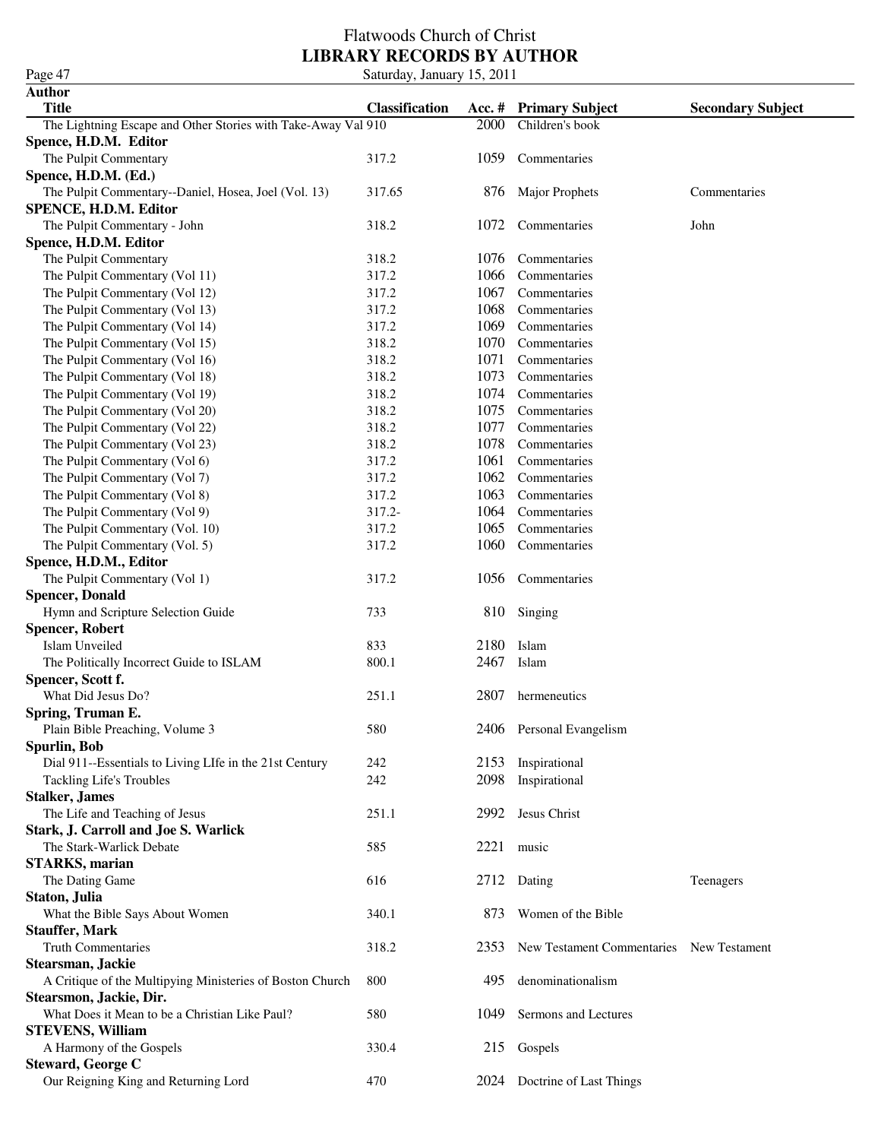| Page 47                                                       | Saturday, January 15, 2011 |      |                                          |                          |  |
|---------------------------------------------------------------|----------------------------|------|------------------------------------------|--------------------------|--|
| <b>Author</b>                                                 |                            |      |                                          |                          |  |
| <b>Title</b>                                                  | <b>Classification</b>      |      | Acc. # Primary Subject                   | <b>Secondary Subject</b> |  |
| The Lightning Escape and Other Stories with Take-Away Val 910 |                            | 2000 | Children's book                          |                          |  |
| Spence, H.D.M. Editor                                         |                            |      |                                          |                          |  |
| The Pulpit Commentary                                         | 317.2                      | 1059 | Commentaries                             |                          |  |
| Spence, H.D.M. (Ed.)                                          |                            |      |                                          |                          |  |
| The Pulpit Commentary--Daniel, Hosea, Joel (Vol. 13)          | 317.65                     | 876  | <b>Major Prophets</b>                    | Commentaries             |  |
| SPENCE, H.D.M. Editor                                         |                            |      |                                          |                          |  |
| The Pulpit Commentary - John                                  | 318.2                      | 1072 | Commentaries                             | John                     |  |
| Spence, H.D.M. Editor                                         |                            |      |                                          |                          |  |
| The Pulpit Commentary                                         | 318.2                      | 1076 | Commentaries                             |                          |  |
| The Pulpit Commentary (Vol 11)                                | 317.2                      | 1066 | Commentaries                             |                          |  |
| The Pulpit Commentary (Vol 12)                                | 317.2                      | 1067 | Commentaries                             |                          |  |
| The Pulpit Commentary (Vol 13)                                | 317.2                      | 1068 | Commentaries                             |                          |  |
| The Pulpit Commentary (Vol 14)                                | 317.2                      | 1069 | Commentaries                             |                          |  |
| The Pulpit Commentary (Vol 15)                                | 318.2                      | 1070 | Commentaries                             |                          |  |
| The Pulpit Commentary (Vol 16)                                | 318.2                      | 1071 | Commentaries                             |                          |  |
| The Pulpit Commentary (Vol 18)                                | 318.2                      | 1073 | Commentaries                             |                          |  |
| The Pulpit Commentary (Vol 19)                                | 318.2                      | 1074 | Commentaries                             |                          |  |
| The Pulpit Commentary (Vol 20)                                | 318.2                      | 1075 | Commentaries                             |                          |  |
| The Pulpit Commentary (Vol 22)                                | 318.2                      | 1077 | Commentaries                             |                          |  |
| The Pulpit Commentary (Vol 23)                                | 318.2                      | 1078 | Commentaries                             |                          |  |
| The Pulpit Commentary (Vol 6)                                 | 317.2                      | 1061 | Commentaries                             |                          |  |
| The Pulpit Commentary (Vol 7)                                 | 317.2                      | 1062 | Commentaries                             |                          |  |
| The Pulpit Commentary (Vol 8)                                 | 317.2                      | 1063 | Commentaries                             |                          |  |
| The Pulpit Commentary (Vol 9)                                 | 317.2-                     | 1064 | Commentaries                             |                          |  |
| The Pulpit Commentary (Vol. 10)                               | 317.2                      | 1065 | Commentaries                             |                          |  |
| The Pulpit Commentary (Vol. 5)                                | 317.2                      | 1060 | Commentaries                             |                          |  |
| Spence, H.D.M., Editor                                        |                            |      |                                          |                          |  |
| The Pulpit Commentary (Vol 1)                                 | 317.2                      | 1056 | Commentaries                             |                          |  |
| <b>Spencer, Donald</b>                                        |                            |      |                                          |                          |  |
| Hymn and Scripture Selection Guide                            | 733                        | 810  | Singing                                  |                          |  |
| <b>Spencer, Robert</b>                                        |                            |      |                                          |                          |  |
| Islam Unveiled                                                | 833                        | 2180 | Islam<br>Islam                           |                          |  |
| The Politically Incorrect Guide to ISLAM                      | 800.1                      | 2467 |                                          |                          |  |
| Spencer, Scott f.<br>What Did Jesus Do?                       | 251.1                      | 2807 |                                          |                          |  |
| Spring, Truman E.                                             |                            |      | hermeneutics                             |                          |  |
| Plain Bible Preaching, Volume 3                               | 580                        |      | 2406 Personal Evangelism                 |                          |  |
| Spurlin, Bob                                                  |                            |      |                                          |                          |  |
| Dial 911--Essentials to Living LIfe in the 21st Century       | 242                        | 2153 | Inspirational                            |                          |  |
| Tackling Life's Troubles                                      | 242                        | 2098 | Inspirational                            |                          |  |
| <b>Stalker</b> , James                                        |                            |      |                                          |                          |  |
| The Life and Teaching of Jesus                                | 251.1                      | 2992 | Jesus Christ                             |                          |  |
| Stark, J. Carroll and Joe S. Warlick                          |                            |      |                                          |                          |  |
| The Stark-Warlick Debate                                      | 585                        | 2221 | music                                    |                          |  |
| <b>STARKS</b> , marian                                        |                            |      |                                          |                          |  |
| The Dating Game                                               | 616                        |      | 2712 Dating                              | Teenagers                |  |
| Staton, Julia                                                 |                            |      |                                          |                          |  |
| What the Bible Says About Women                               | 340.1                      | 873  | Women of the Bible                       |                          |  |
| <b>Stauffer, Mark</b>                                         |                            |      |                                          |                          |  |
| <b>Truth Commentaries</b>                                     | 318.2                      | 2353 | New Testament Commentaries New Testament |                          |  |
| Stearsman, Jackie                                             |                            |      |                                          |                          |  |
| A Critique of the Multipying Ministeries of Boston Church     | 800                        | 495  | denominationalism                        |                          |  |
| Stearsmon, Jackie, Dir.                                       |                            |      |                                          |                          |  |
| What Does it Mean to be a Christian Like Paul?                | 580                        | 1049 | Sermons and Lectures                     |                          |  |
| <b>STEVENS, William</b>                                       |                            |      |                                          |                          |  |
| A Harmony of the Gospels                                      | 330.4                      | 215  | Gospels                                  |                          |  |
| <b>Steward, George C</b>                                      |                            |      |                                          |                          |  |
| Our Reigning King and Returning Lord                          | 470                        |      | 2024 Doctrine of Last Things             |                          |  |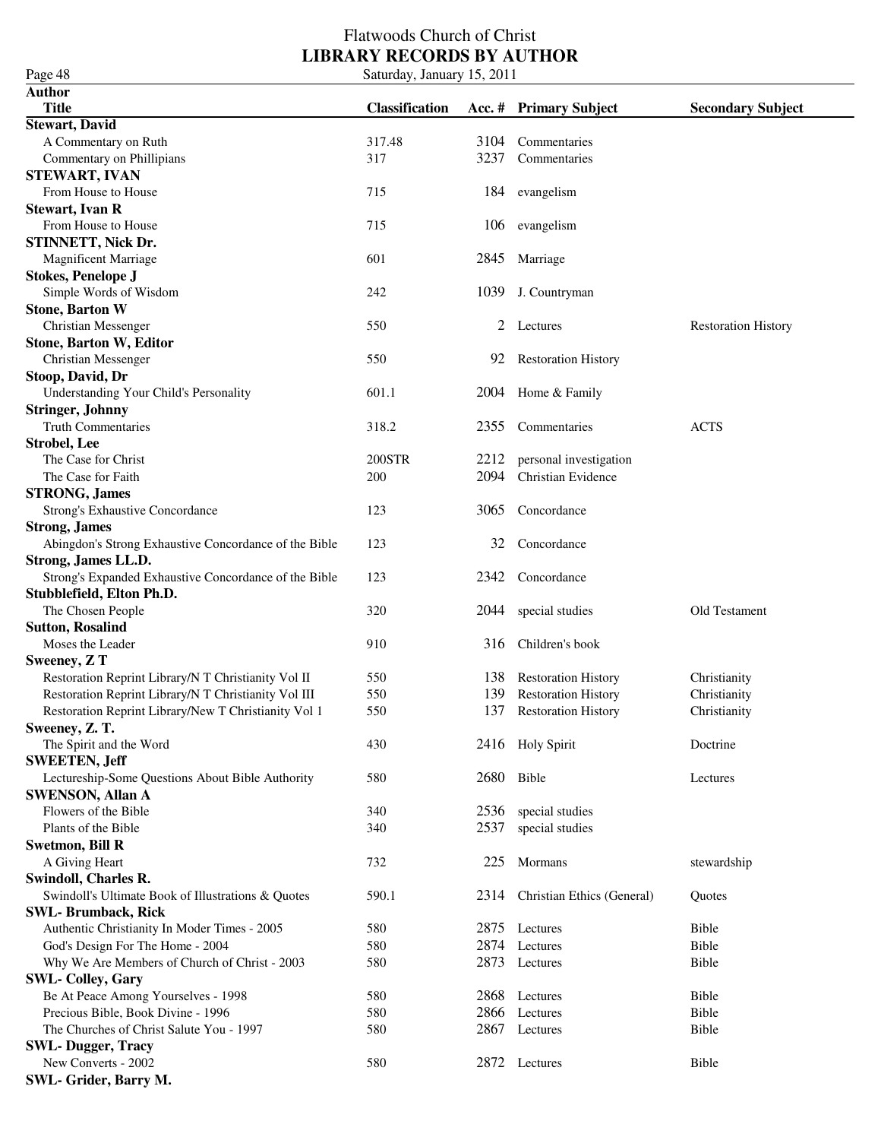Page 48 Saturday, January 15, 2011

| <b>Author</b>                                         |                       |      |                            |                            |
|-------------------------------------------------------|-----------------------|------|----------------------------|----------------------------|
| <b>Title</b>                                          | <b>Classification</b> |      | Acc. # Primary Subject     | <b>Secondary Subject</b>   |
| Stewart, David                                        |                       |      |                            |                            |
| A Commentary on Ruth                                  | 317.48                | 3104 | Commentaries               |                            |
| Commentary on Phillipians                             | 317                   | 3237 | Commentaries               |                            |
| STEWART, IVAN                                         |                       |      |                            |                            |
| From House to House                                   | 715                   |      | 184 evangelism             |                            |
| <b>Stewart, Ivan R</b>                                |                       |      |                            |                            |
| From House to House                                   | 715                   | 106  | evangelism                 |                            |
| STINNETT, Nick Dr.                                    |                       |      |                            |                            |
| <b>Magnificent Marriage</b>                           | 601                   | 2845 | Marriage                   |                            |
| <b>Stokes, Penelope J</b>                             |                       |      |                            |                            |
| Simple Words of Wisdom                                | 242                   | 1039 | J. Countryman              |                            |
| <b>Stone, Barton W</b>                                |                       |      |                            |                            |
| <b>Christian Messenger</b>                            | 550                   | 2    | Lectures                   | <b>Restoration History</b> |
| <b>Stone, Barton W, Editor</b>                        |                       |      |                            |                            |
| <b>Christian Messenger</b>                            | 550                   | 92   | <b>Restoration History</b> |                            |
| Stoop, David, Dr                                      |                       |      |                            |                            |
| Understanding Your Child's Personality                | 601.1                 |      | 2004 Home & Family         |                            |
| <b>Stringer, Johnny</b>                               |                       |      |                            |                            |
| <b>Truth Commentaries</b>                             | 318.2                 | 2355 | Commentaries               | <b>ACTS</b>                |
| Strobel, Lee                                          |                       |      |                            |                            |
| The Case for Christ                                   | 200STR                | 2212 | personal investigation     |                            |
| The Case for Faith                                    | 200                   | 2094 | Christian Evidence         |                            |
| <b>STRONG, James</b>                                  |                       |      |                            |                            |
| <b>Strong's Exhaustive Concordance</b>                | 123                   | 3065 | Concordance                |                            |
| <b>Strong, James</b>                                  |                       |      |                            |                            |
| Abingdon's Strong Exhaustive Concordance of the Bible | 123                   | 32   | Concordance                |                            |
| Strong, James LL.D.                                   |                       |      |                            |                            |
| Strong's Expanded Exhaustive Concordance of the Bible | 123                   | 2342 | Concordance                |                            |
| Stubblefield, Elton Ph.D.                             |                       |      |                            |                            |
| The Chosen People                                     | 320                   | 2044 | special studies            | Old Testament              |
| <b>Sutton, Rosalind</b>                               |                       |      |                            |                            |
| Moses the Leader                                      | 910                   | 316  | Children's book            |                            |
| Sweeney, ZT                                           |                       |      |                            |                            |
| Restoration Reprint Library/N T Christianity Vol II   | 550                   | 138  | <b>Restoration History</b> | Christianity               |
| Restoration Reprint Library/N T Christianity Vol III  | 550                   | 139  | <b>Restoration History</b> | Christianity               |
| Restoration Reprint Library/New T Christianity Vol 1  | 550                   | 137  | <b>Restoration History</b> | Christianity               |
| Sweeney, Z.T.                                         |                       |      |                            |                            |
| The Spirit and the Word                               | 430                   |      | 2416 Holy Spirit           | Doctrine                   |
| <b>SWEETEN, Jeff</b>                                  |                       |      |                            |                            |
| Lectureship-Some Questions About Bible Authority      | 580                   | 2680 | Bible                      | Lectures                   |
| <b>SWENSON, Allan A</b>                               |                       |      |                            |                            |
| Flowers of the Bible                                  | 340                   | 2536 | special studies            |                            |
| Plants of the Bible                                   | 340                   | 2537 | special studies            |                            |
| <b>Swetmon, Bill R</b>                                |                       |      |                            |                            |
| A Giving Heart                                        | 732                   | 225  | Mormans                    | stewardship                |
| <b>Swindoll, Charles R.</b>                           |                       |      |                            |                            |
| Swindoll's Ultimate Book of Illustrations & Quotes    | 590.1                 | 2314 | Christian Ethics (General) | Quotes                     |
| <b>SWL-Brumback, Rick</b>                             |                       |      |                            |                            |
| Authentic Christianity In Moder Times - 2005          | 580                   |      | 2875 Lectures              | <b>Bible</b>               |
| God's Design For The Home - 2004                      | 580                   |      | 2874 Lectures              | Bible                      |
| Why We Are Members of Church of Christ - 2003         | 580                   |      | 2873 Lectures              | Bible                      |
| <b>SWL- Colley, Gary</b>                              |                       |      |                            |                            |
| Be At Peace Among Yourselves - 1998                   | 580                   | 2868 | Lectures                   | Bible                      |
| Precious Bible, Book Divine - 1996                    | 580                   | 2866 | Lectures                   | Bible                      |
| The Churches of Christ Salute You - 1997              | 580                   |      | 2867 Lectures              | Bible                      |
| <b>SWL-Dugger, Tracy</b>                              |                       |      |                            |                            |
| New Converts - 2002                                   | 580                   |      | 2872 Lectures              | Bible                      |
| SWL- Grider, Barry M.                                 |                       |      |                            |                            |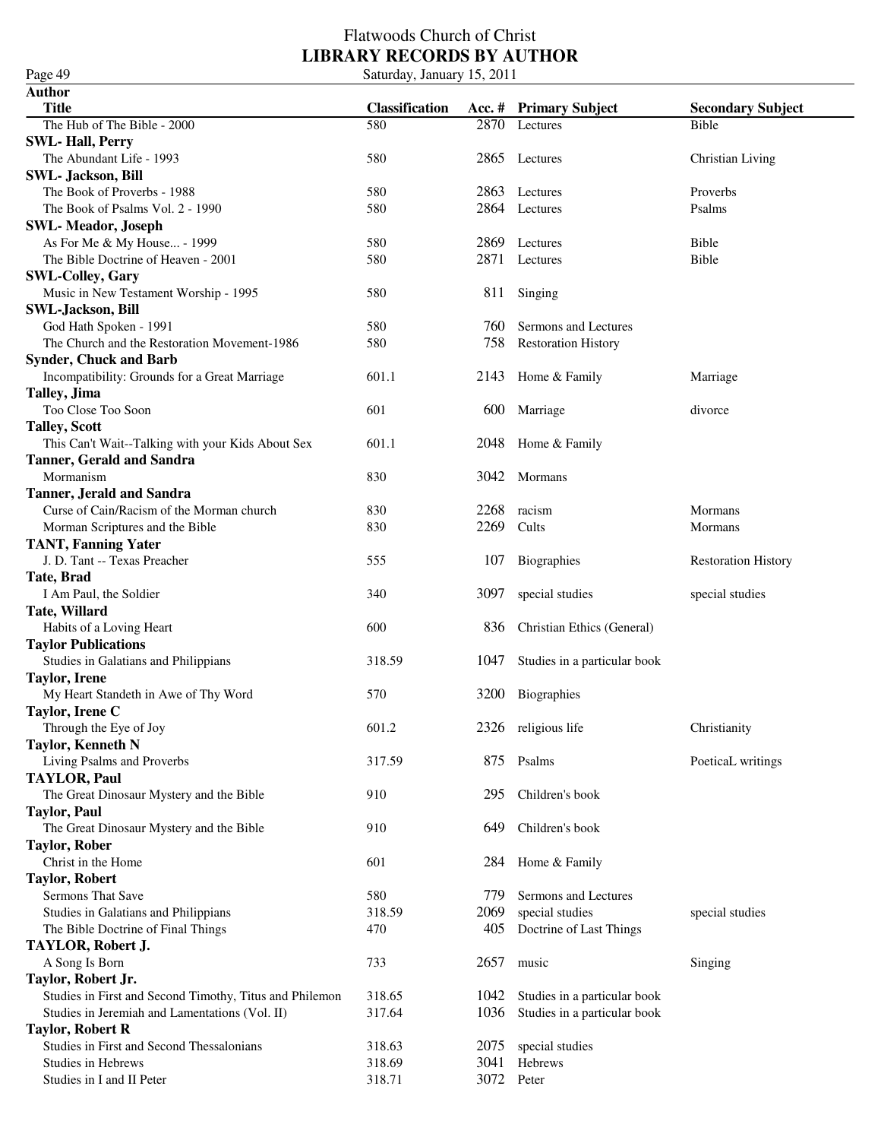### Flatwoods Church of Christ **LIBRARY RECORDS BY AUTHOR** Saturday, January 15, 2011

| Page 49                                                 | Saturday, January 15, 2011 |      |                              |                            |  |
|---------------------------------------------------------|----------------------------|------|------------------------------|----------------------------|--|
| <b>Author</b>                                           |                            |      |                              |                            |  |
| <b>Title</b>                                            | <b>Classification</b>      |      | Acc. # Primary Subject       | <b>Secondary Subject</b>   |  |
| The Hub of The Bible - 2000                             | 580                        | 2870 | Lectures                     | Bible                      |  |
| <b>SWL-Hall, Perry</b>                                  |                            |      |                              |                            |  |
| The Abundant Life - 1993                                | 580                        | 2865 | Lectures                     | Christian Living           |  |
| <b>SWL- Jackson, Bill</b>                               |                            |      |                              |                            |  |
| The Book of Proverbs - 1988                             | 580                        | 2863 | Lectures                     | Proverbs                   |  |
| The Book of Psalms Vol. 2 - 1990                        | 580                        | 2864 | Lectures                     | Psalms                     |  |
| <b>SWL-Meador, Joseph</b>                               |                            |      |                              |                            |  |
| As For Me & My House - 1999                             | 580                        | 2869 | Lectures                     | <b>Bible</b>               |  |
| The Bible Doctrine of Heaven - 2001                     | 580                        | 2871 | Lectures                     | Bible                      |  |
| <b>SWL-Colley, Gary</b>                                 |                            |      |                              |                            |  |
| Music in New Testament Worship - 1995                   | 580                        | 811  | Singing                      |                            |  |
| <b>SWL-Jackson, Bill</b>                                |                            |      |                              |                            |  |
| God Hath Spoken - 1991                                  | 580                        | 760. | Sermons and Lectures         |                            |  |
|                                                         | 580                        |      |                              |                            |  |
| The Church and the Restoration Movement-1986            |                            | 758  | <b>Restoration History</b>   |                            |  |
| <b>Synder, Chuck and Barb</b>                           |                            |      |                              |                            |  |
| Incompatibility: Grounds for a Great Marriage           | 601.1                      | 2143 | Home & Family                | Marriage                   |  |
| Talley, Jima                                            |                            |      |                              |                            |  |
| Too Close Too Soon                                      | 601                        | 600  | Marriage                     | divorce                    |  |
| <b>Talley, Scott</b>                                    |                            |      |                              |                            |  |
| This Can't Wait--Talking with your Kids About Sex       | 601.1                      | 2048 | Home & Family                |                            |  |
| <b>Tanner, Gerald and Sandra</b>                        |                            |      |                              |                            |  |
| Mormanism                                               | 830                        | 3042 | Mormans                      |                            |  |
| <b>Tanner, Jerald and Sandra</b>                        |                            |      |                              |                            |  |
| Curse of Cain/Racism of the Morman church               | 830                        | 2268 | racism                       | <b>Mormans</b>             |  |
| Morman Scriptures and the Bible                         | 830                        | 2269 | Cults                        | Mormans                    |  |
| <b>TANT, Fanning Yater</b>                              |                            |      |                              |                            |  |
| J. D. Tant -- Texas Preacher                            | 555                        | 107  | Biographies                  | <b>Restoration History</b> |  |
| Tate, Brad                                              |                            |      |                              |                            |  |
| I Am Paul, the Soldier                                  | 340                        | 3097 | special studies              | special studies            |  |
| Tate, Willard                                           |                            |      |                              |                            |  |
| Habits of a Loving Heart                                | 600                        | 836  | Christian Ethics (General)   |                            |  |
| <b>Taylor Publications</b>                              |                            |      |                              |                            |  |
| Studies in Galatians and Philippians                    | 318.59                     | 1047 | Studies in a particular book |                            |  |
|                                                         |                            |      |                              |                            |  |
| <b>Taylor, Irene</b>                                    |                            |      |                              |                            |  |
| My Heart Standeth in Awe of Thy Word                    | 570                        | 3200 | Biographies                  |                            |  |
| Taylor, Irene C                                         |                            |      |                              |                            |  |
| Through the Eye of Joy                                  | 601.2                      |      | 2326 religious life          | Christianity               |  |
| <b>Taylor, Kenneth N</b>                                |                            |      |                              |                            |  |
| Living Psalms and Proverbs                              | 317.59                     | 875  | Psalms                       | PoeticaL writings          |  |
| <b>TAYLOR, Paul</b>                                     |                            |      |                              |                            |  |
| The Great Dinosaur Mystery and the Bible                | 910                        | 295  | Children's book              |                            |  |
| <b>Taylor, Paul</b>                                     |                            |      |                              |                            |  |
| The Great Dinosaur Mystery and the Bible                | 910                        | 649  | Children's book              |                            |  |
| <b>Taylor, Rober</b>                                    |                            |      |                              |                            |  |
| Christ in the Home                                      | 601                        | 284  | Home & Family                |                            |  |
| <b>Taylor, Robert</b>                                   |                            |      |                              |                            |  |
| Sermons That Save                                       | 580                        | 779  | Sermons and Lectures         |                            |  |
| Studies in Galatians and Philippians                    | 318.59                     | 2069 | special studies              | special studies            |  |
| The Bible Doctrine of Final Things                      | 470                        | 405  | Doctrine of Last Things      |                            |  |
| TAYLOR, Robert J.                                       |                            |      |                              |                            |  |
| A Song Is Born                                          | 733                        | 2657 | music                        | Singing                    |  |
| Taylor, Robert Jr.                                      |                            |      |                              |                            |  |
|                                                         |                            |      |                              |                            |  |
| Studies in First and Second Timothy, Titus and Philemon | 318.65                     | 1042 | Studies in a particular book |                            |  |
| Studies in Jeremiah and Lamentations (Vol. II)          | 317.64                     | 1036 | Studies in a particular book |                            |  |
| <b>Taylor, Robert R</b>                                 |                            |      |                              |                            |  |
| Studies in First and Second Thessalonians               | 318.63                     | 2075 | special studies              |                            |  |
| Studies in Hebrews                                      | 318.69                     | 3041 | Hebrews                      |                            |  |
| Studies in I and II Peter                               | 318.71                     |      | 3072 Peter                   |                            |  |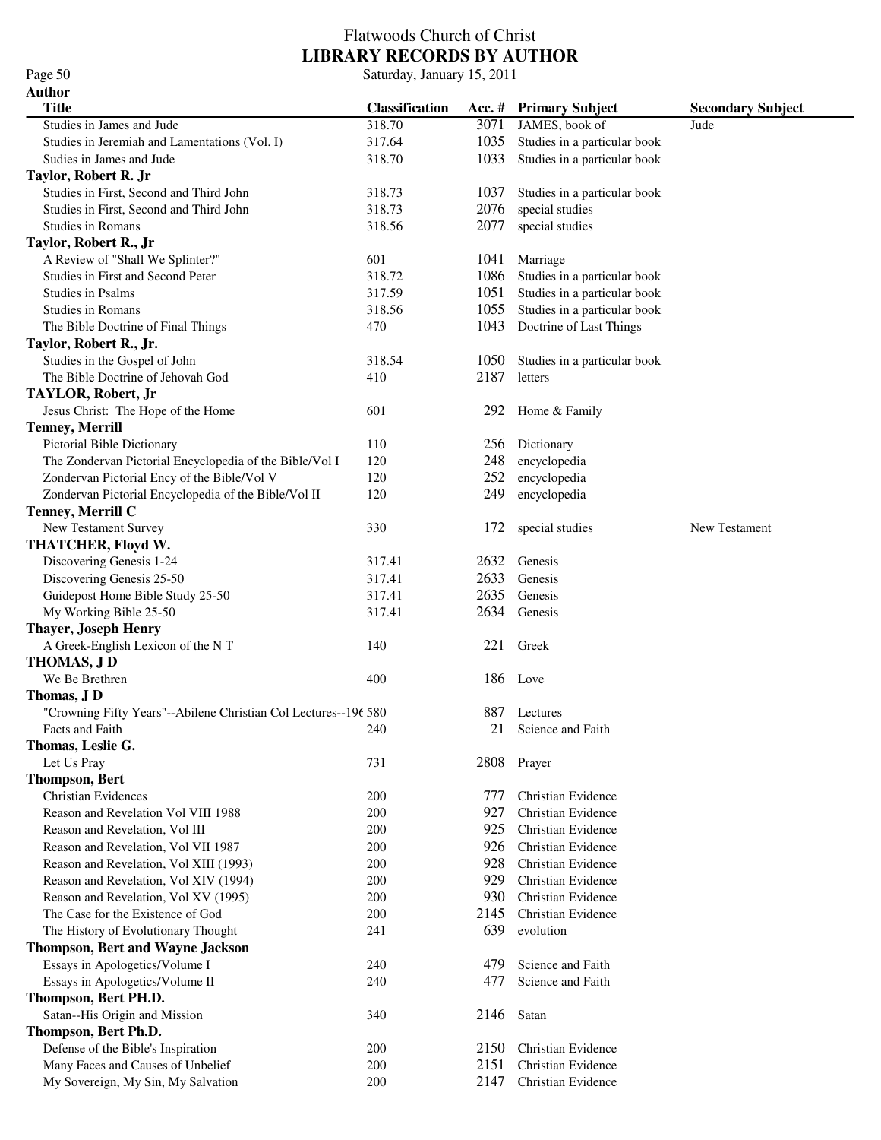### Flatwoods Church of Christ **LIBRARY RECORDS BY AUTHOR** Page 50 Saturday, January 15, 2011

| <b>Author</b>                                                   |                       |          |                              |                          |
|-----------------------------------------------------------------|-----------------------|----------|------------------------------|--------------------------|
| <b>Title</b>                                                    | <b>Classification</b> | Acc. $#$ | <b>Primary Subject</b>       | <b>Secondary Subject</b> |
| Studies in James and Jude                                       | 318.70                | 3071     | JAMES, book of               | Jude                     |
| Studies in Jeremiah and Lamentations (Vol. I)                   | 317.64                | 1035     | Studies in a particular book |                          |
| Sudies in James and Jude                                        | 318.70                | 1033     | Studies in a particular book |                          |
| Taylor, Robert R. Jr                                            |                       |          |                              |                          |
| Studies in First, Second and Third John                         | 318.73                | 1037     | Studies in a particular book |                          |
| Studies in First, Second and Third John                         | 318.73                | 2076     | special studies              |                          |
| <b>Studies in Romans</b>                                        | 318.56                | 2077     | special studies              |                          |
| Taylor, Robert R., Jr                                           |                       |          |                              |                          |
| A Review of "Shall We Splinter?"                                | 601                   | 1041     | Marriage                     |                          |
| Studies in First and Second Peter                               | 318.72                | 1086     | Studies in a particular book |                          |
| <b>Studies in Psalms</b>                                        | 317.59                | 1051     | Studies in a particular book |                          |
| <b>Studies in Romans</b>                                        | 318.56                | 1055     | Studies in a particular book |                          |
| The Bible Doctrine of Final Things                              | 470                   | 1043     | Doctrine of Last Things      |                          |
| Taylor, Robert R., Jr.                                          |                       |          |                              |                          |
| Studies in the Gospel of John                                   | 318.54                | 1050     | Studies in a particular book |                          |
| The Bible Doctrine of Jehovah God                               | 410                   | 2187     | letters                      |                          |
| TAYLOR, Robert, Jr                                              |                       |          |                              |                          |
| Jesus Christ: The Hope of the Home                              | 601                   | 292      | Home & Family                |                          |
| <b>Tenney, Merrill</b>                                          |                       |          |                              |                          |
| Pictorial Bible Dictionary                                      | 110                   | 256      | Dictionary                   |                          |
| The Zondervan Pictorial Encyclopedia of the Bible/Vol I         | 120                   | 248      | encyclopedia                 |                          |
| Zondervan Pictorial Ency of the Bible/Vol V                     | 120                   | 252      | encyclopedia                 |                          |
| Zondervan Pictorial Encyclopedia of the Bible/Vol II            | 120                   | 249      | encyclopedia                 |                          |
| Tenney, Merrill C                                               |                       |          |                              |                          |
| New Testament Survey                                            | 330                   | 172      | special studies              | New Testament            |
| <b>THATCHER, Floyd W.</b>                                       |                       |          |                              |                          |
| Discovering Genesis 1-24                                        | 317.41                | 2632     | Genesis                      |                          |
| Discovering Genesis 25-50                                       | 317.41                | 2633     | Genesis                      |                          |
| Guidepost Home Bible Study 25-50                                | 317.41                | 2635     | Genesis                      |                          |
| My Working Bible 25-50                                          | 317.41                | 2634     | Genesis                      |                          |
| <b>Thayer, Joseph Henry</b>                                     |                       |          |                              |                          |
| A Greek-English Lexicon of the NT                               | 140                   | 221      | Greek                        |                          |
| <b>THOMAS, JD</b>                                               |                       |          |                              |                          |
| We Be Brethren                                                  | 400                   |          | 186 Love                     |                          |
| Thomas, J D                                                     |                       |          |                              |                          |
| "Crowning Fifty Years"--Abilene Christian Col Lectures--196 580 |                       | 887      | Lectures                     |                          |
| Facts and Faith                                                 | 240                   |          | 21 Science and Faith         |                          |
| Thomas, Leslie G.                                               |                       |          |                              |                          |
| Let Us Pray                                                     | 731                   | 2808     | Prayer                       |                          |
| <b>Thompson</b> , Bert                                          |                       |          |                              |                          |
| <b>Christian Evidences</b>                                      | 200                   | 777      | Christian Evidence           |                          |
| Reason and Revelation Vol VIII 1988                             | 200                   | 927      | Christian Evidence           |                          |
| Reason and Revelation, Vol III                                  | 200                   | 925      | Christian Evidence           |                          |
| Reason and Revelation, Vol VII 1987                             | 200                   | 926      | Christian Evidence           |                          |
| Reason and Revelation, Vol XIII (1993)                          | 200                   | 928      | Christian Evidence           |                          |
| Reason and Revelation, Vol XIV (1994)                           | 200                   | 929      | Christian Evidence           |                          |
| Reason and Revelation, Vol XV (1995)                            | 200                   | 930      | Christian Evidence           |                          |
| The Case for the Existence of God                               | 200                   | 2145     | Christian Evidence           |                          |
| The History of Evolutionary Thought                             | 241                   | 639      | evolution                    |                          |
| <b>Thompson, Bert and Wayne Jackson</b>                         |                       |          |                              |                          |
| Essays in Apologetics/Volume I                                  | 240                   | 479      | Science and Faith            |                          |
| Essays in Apologetics/Volume II                                 | 240                   | 477      | Science and Faith            |                          |
| Thompson, Bert PH.D.                                            |                       |          |                              |                          |
| Satan--His Origin and Mission                                   | 340                   | 2146     | Satan                        |                          |
| Thompson, Bert Ph.D.                                            |                       |          |                              |                          |
| Defense of the Bible's Inspiration                              | 200                   | 2150     | Christian Evidence           |                          |
| Many Faces and Causes of Unbelief                               | 200                   | 2151     | Christian Evidence           |                          |
| My Sovereign, My Sin, My Salvation                              | 200                   | 2147     | Christian Evidence           |                          |
|                                                                 |                       |          |                              |                          |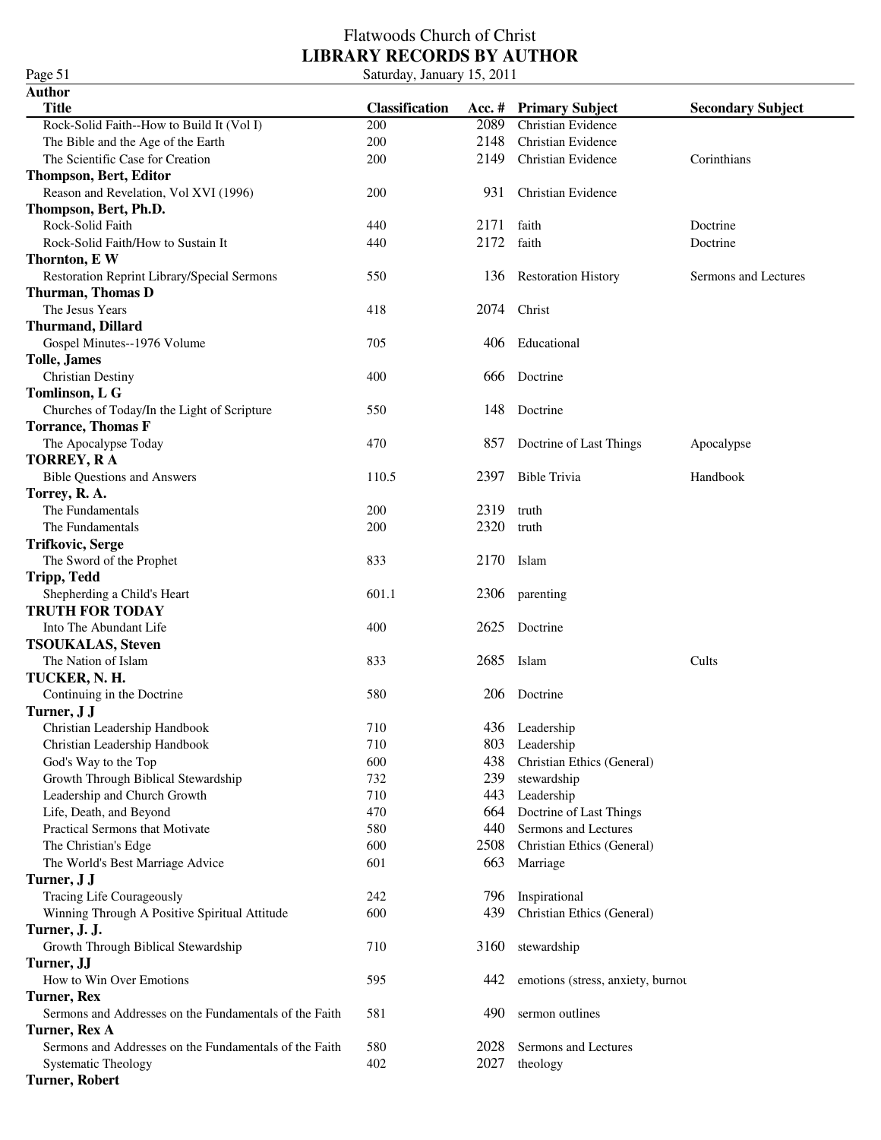### Flatwoods Church of Christ **LIBRARY RECORDS BY AUTHOR** Page 51 Saturday, January 15, 2011

| <b>Author</b>                                          |                       |      |                                   |                          |
|--------------------------------------------------------|-----------------------|------|-----------------------------------|--------------------------|
| <b>Title</b>                                           | <b>Classification</b> |      | Acc. # Primary Subject            | <b>Secondary Subject</b> |
| Rock-Solid Faith--How to Build It (Vol I)              | 200                   | 2089 | Christian Evidence                |                          |
| The Bible and the Age of the Earth                     | 200                   | 2148 | Christian Evidence                |                          |
| The Scientific Case for Creation                       | 200                   | 2149 | Christian Evidence                | Corinthians              |
| <b>Thompson, Bert, Editor</b>                          |                       |      |                                   |                          |
| Reason and Revelation, Vol XVI (1996)                  | 200                   | 931  | Christian Evidence                |                          |
| Thompson, Bert, Ph.D.                                  |                       |      |                                   |                          |
| Rock-Solid Faith                                       | 440                   | 2171 | faith                             | Doctrine                 |
| Rock-Solid Faith/How to Sustain It                     | 440                   | 2172 | faith                             | Doctrine                 |
|                                                        |                       |      |                                   |                          |
| Thornton, E W                                          |                       |      |                                   |                          |
| Restoration Reprint Library/Special Sermons            | 550                   | 136  | <b>Restoration History</b>        | Sermons and Lectures     |
| Thurman, Thomas D                                      |                       |      |                                   |                          |
| The Jesus Years                                        | 418                   | 2074 | Christ                            |                          |
| <b>Thurmand</b> , Dillard                              |                       |      |                                   |                          |
| Gospel Minutes--1976 Volume                            | 705                   | 406  | Educational                       |                          |
| <b>Tolle, James</b>                                    |                       |      |                                   |                          |
| <b>Christian Destiny</b>                               | 400                   | 666  | Doctrine                          |                          |
| Tomlinson, L G                                         |                       |      |                                   |                          |
| Churches of Today/In the Light of Scripture            | 550                   | 148  | Doctrine                          |                          |
| <b>Torrance, Thomas F</b>                              |                       |      |                                   |                          |
| The Apocalypse Today                                   | 470                   | 857  | Doctrine of Last Things           | Apocalypse               |
| <b>TORREY, RA</b>                                      |                       |      |                                   |                          |
| <b>Bible Questions and Answers</b>                     | 110.5                 | 2397 | <b>Bible Trivia</b>               | Handbook                 |
| Torrey, R. A.                                          |                       |      |                                   |                          |
| The Fundamentals                                       | 200                   | 2319 | truth                             |                          |
| The Fundamentals                                       | 200                   | 2320 | truth                             |                          |
| <b>Trifkovic, Serge</b>                                |                       |      |                                   |                          |
| The Sword of the Prophet                               | 833                   |      | 2170 Islam                        |                          |
| <b>Tripp, Tedd</b>                                     |                       |      |                                   |                          |
|                                                        | 601.1                 |      |                                   |                          |
| Shepherding a Child's Heart                            |                       |      | 2306 parenting                    |                          |
| <b>TRUTH FOR TODAY</b>                                 |                       |      |                                   |                          |
| Into The Abundant Life                                 | 400                   | 2625 | Doctrine                          |                          |
| <b>TSOUKALAS, Steven</b>                               |                       |      |                                   |                          |
| The Nation of Islam                                    | 833                   | 2685 | Islam                             | Cults                    |
| TUCKER, N. H.                                          |                       |      |                                   |                          |
| Continuing in the Doctrine                             | 580                   |      | 206 Doctrine                      |                          |
| Turner, J J                                            |                       |      |                                   |                          |
| Christian Leadership Handbook                          | 710                   |      | 436 Leadership                    |                          |
| Christian Leadership Handbook                          | 710                   |      | 803 Leadership                    |                          |
| God's Way to the Top                                   | 600                   | 438  | Christian Ethics (General)        |                          |
| Growth Through Biblical Stewardship                    | 732                   | 239  | stewardship                       |                          |
| Leadership and Church Growth                           | 710                   |      | 443 Leadership                    |                          |
| Life, Death, and Beyond                                | 470                   | 664  | Doctrine of Last Things           |                          |
| Practical Sermons that Motivate                        | 580                   | 440  | Sermons and Lectures              |                          |
| The Christian's Edge                                   | 600                   | 2508 | Christian Ethics (General)        |                          |
| The World's Best Marriage Advice                       | 601                   | 663  | Marriage                          |                          |
| Turner, J J                                            |                       |      |                                   |                          |
| Tracing Life Courageously                              | 242                   |      | 796 Inspirational                 |                          |
| Winning Through A Positive Spiritual Attitude          | 600                   | 439  | Christian Ethics (General)        |                          |
| Turner, J. J.                                          |                       |      |                                   |                          |
|                                                        | 710                   |      |                                   |                          |
| Growth Through Biblical Stewardship<br>Turner, JJ      |                       | 3160 | stewardship                       |                          |
|                                                        |                       |      |                                   |                          |
| How to Win Over Emotions                               | 595                   | 442  | emotions (stress, anxiety, burnou |                          |
| <b>Turner</b> , Rex                                    |                       |      |                                   |                          |
| Sermons and Addresses on the Fundamentals of the Faith | 581                   | 490  | sermon outlines                   |                          |
| Turner, Rex A                                          |                       |      |                                   |                          |
| Sermons and Addresses on the Fundamentals of the Faith | 580                   | 2028 | Sermons and Lectures              |                          |
| <b>Systematic Theology</b>                             | 402                   | 2027 | theology                          |                          |
| <b>Turner, Robert</b>                                  |                       |      |                                   |                          |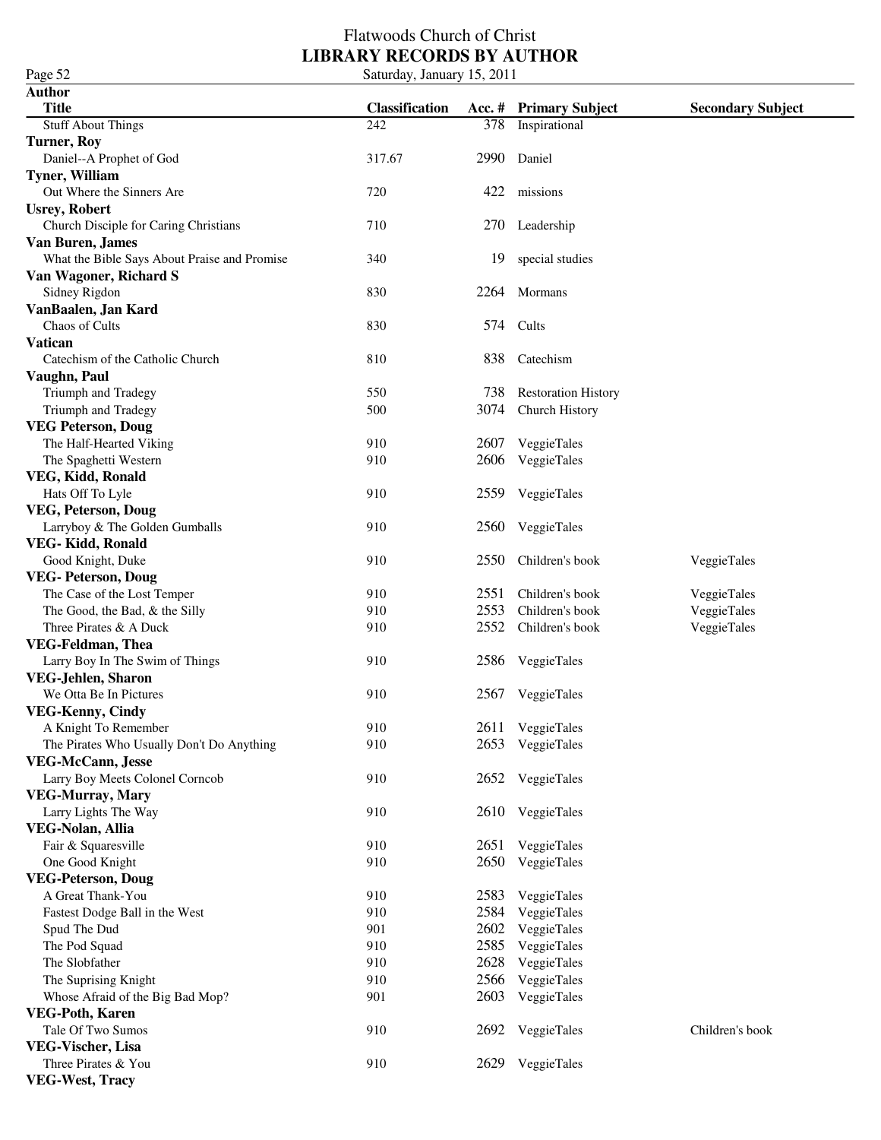| Page 52                                                    | Saturday, January 15, 2011 |      |                            |                          |
|------------------------------------------------------------|----------------------------|------|----------------------------|--------------------------|
| <b>Author</b>                                              |                            |      |                            |                          |
| <b>Title</b>                                               | <b>Classification</b>      |      | Acc. # Primary Subject     | <b>Secondary Subject</b> |
| <b>Stuff About Things</b>                                  | 242                        | 378  | Inspirational              |                          |
| <b>Turner, Roy</b>                                         |                            |      |                            |                          |
| Daniel--A Prophet of God                                   | 317.67                     | 2990 | Daniel                     |                          |
| Tyner, William                                             |                            |      |                            |                          |
| Out Where the Sinners Are                                  | 720                        | 422  | missions                   |                          |
| <b>Usrey, Robert</b>                                       |                            |      |                            |                          |
| Church Disciple for Caring Christians                      | 710                        | 270  | Leadership                 |                          |
| Van Buren, James                                           |                            |      |                            |                          |
| What the Bible Says About Praise and Promise               | 340                        | 19   | special studies            |                          |
| Van Wagoner, Richard S                                     |                            |      |                            |                          |
| Sidney Rigdon                                              | 830                        | 2264 | Mormans                    |                          |
| VanBaalen, Jan Kard                                        |                            |      |                            |                          |
| Chaos of Cults                                             | 830                        |      | 574 Cults                  |                          |
| Vatican                                                    |                            |      |                            |                          |
| Catechism of the Catholic Church                           | 810                        | 838  | Catechism                  |                          |
| Vaughn, Paul                                               |                            |      |                            |                          |
| Triumph and Tradegy                                        | 550                        | 738  | <b>Restoration History</b> |                          |
| Triumph and Tradegy                                        | 500                        | 3074 | Church History             |                          |
| <b>VEG Peterson, Doug</b>                                  |                            |      |                            |                          |
| The Half-Hearted Viking                                    | 910                        | 2607 | VeggieTales                |                          |
| The Spaghetti Western                                      | 910                        | 2606 | VeggieTales                |                          |
| VEG, Kidd, Ronald                                          |                            |      |                            |                          |
| Hats Off To Lyle                                           | 910                        | 2559 | VeggieTales                |                          |
| VEG, Peterson, Doug                                        |                            |      |                            |                          |
| Larryboy & The Golden Gumballs                             | 910                        | 2560 | VeggieTales                |                          |
| VEG-Kidd, Ronald                                           |                            |      |                            |                          |
| Good Knight, Duke                                          | 910                        | 2550 | Children's book            | VeggieTales              |
| <b>VEG-Peterson, Doug</b>                                  |                            |      |                            |                          |
| The Case of the Lost Temper                                | 910                        | 2551 | Children's book            | VeggieTales              |
| The Good, the Bad, & the Silly                             | 910                        | 2553 | Children's book            | VeggieTales              |
| Three Pirates & A Duck                                     | 910                        | 2552 | Children's book            | VeggieTales              |
| <b>VEG-Feldman</b> , Thea                                  |                            |      |                            |                          |
| Larry Boy In The Swim of Things                            | 910                        |      | 2586 VeggieTales           |                          |
| VEG-Jehlen, Sharon                                         |                            |      |                            |                          |
| We Otta Be In Pictures                                     | 910                        |      | 2567 VeggieTales           |                          |
| VEG-Kenny, Cindy                                           |                            |      |                            |                          |
| A Knight To Remember                                       | 910                        | 2611 | VeggieTales                |                          |
| The Pirates Who Usually Don't Do Anything                  | 910                        | 2653 | VeggieTales                |                          |
| <b>VEG-McCann</b> , Jesse                                  |                            |      |                            |                          |
| Larry Boy Meets Colonel Corncob                            | 910                        | 2652 | VeggieTales                |                          |
| <b>VEG-Murray, Mary</b>                                    |                            |      |                            |                          |
| Larry Lights The Way                                       | 910                        |      | 2610 VeggieTales           |                          |
| VEG-Nolan, Allia                                           |                            |      |                            |                          |
| Fair & Squaresville                                        | 910                        | 2651 | VeggieTales                |                          |
| One Good Knight                                            | 910                        | 2650 | VeggieTales                |                          |
| <b>VEG-Peterson, Doug</b>                                  |                            |      |                            |                          |
| A Great Thank-You                                          | 910                        | 2583 | VeggieTales                |                          |
| Fastest Dodge Ball in the West                             | 910                        | 2584 | VeggieTales                |                          |
| Spud The Dud                                               | 901                        | 2602 | VeggieTales                |                          |
| The Pod Squad                                              | 910                        | 2585 | VeggieTales                |                          |
| The Slobfather                                             | 910                        | 2628 | VeggieTales                |                          |
| The Suprising Knight                                       | 910                        | 2566 | VeggieTales                |                          |
|                                                            | 901                        | 2603 | VeggieTales                |                          |
| Whose Afraid of the Big Bad Mop?<br><b>VEG-Poth, Karen</b> |                            |      |                            |                          |
|                                                            |                            |      |                            |                          |
| Tale Of Two Sumos                                          | 910                        | 2692 | VeggieTales                | Children's book          |
| <b>VEG-Vischer, Lisa</b><br>Three Pirates & You            | 910                        |      |                            |                          |
| <b>VEG-West, Tracy</b>                                     |                            | 2629 | VeggieTales                |                          |
|                                                            |                            |      |                            |                          |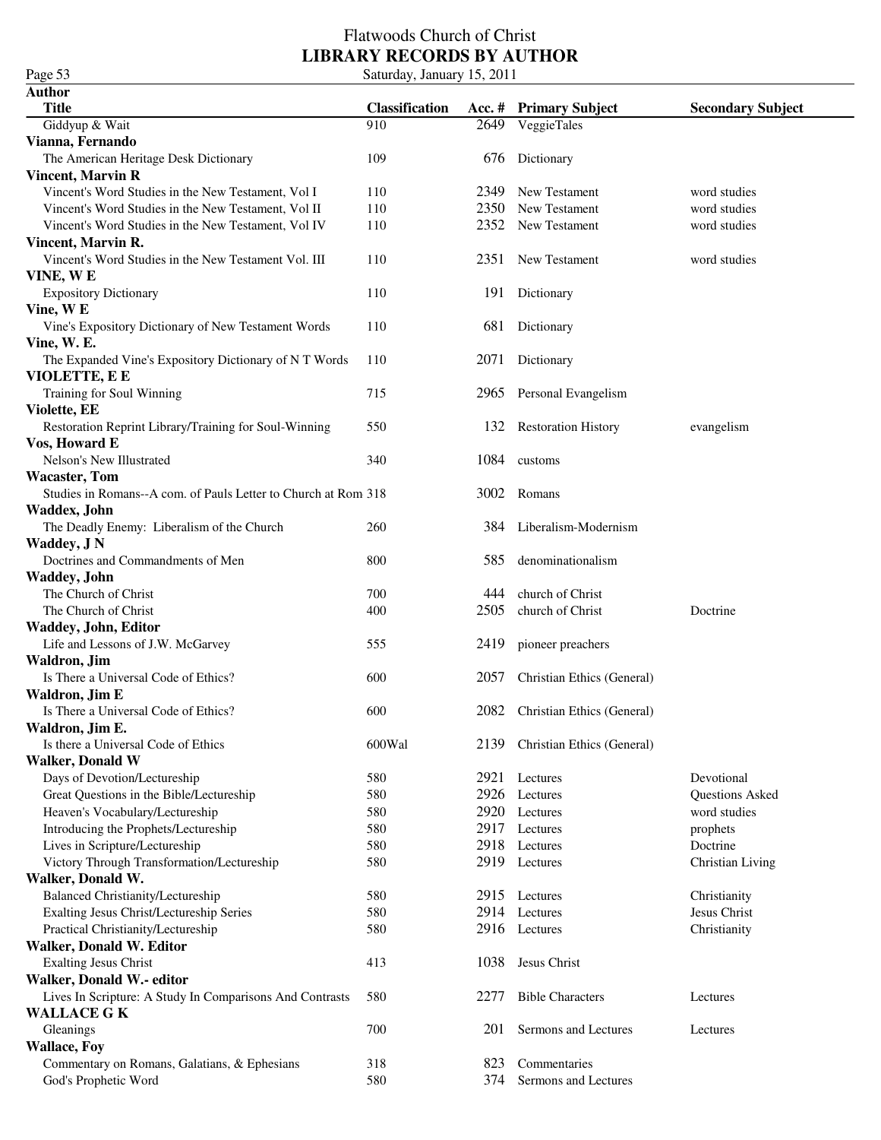### Flatwoods Church of Christ **LIBRARY RECORDS BY AUTHOR** Page 53 Saturday, January 15, 2011

| <b>Author</b>                                                  |                       |      |                            |                          |
|----------------------------------------------------------------|-----------------------|------|----------------------------|--------------------------|
| <b>Title</b>                                                   | <b>Classification</b> |      | Acc. # Primary Subject     | <b>Secondary Subject</b> |
| Giddyup & Wait                                                 | 910                   | 2649 | VeggieTales                |                          |
| Vianna, Fernando                                               |                       |      |                            |                          |
| The American Heritage Desk Dictionary                          | 109                   | 676  | Dictionary                 |                          |
| <b>Vincent, Marvin R</b>                                       |                       |      |                            |                          |
| Vincent's Word Studies in the New Testament, Vol I             | 110                   | 2349 | New Testament              | word studies             |
| Vincent's Word Studies in the New Testament, Vol II            | 110                   | 2350 | New Testament              | word studies             |
| Vincent's Word Studies in the New Testament, Vol IV            | 110                   | 2352 | New Testament              | word studies             |
| Vincent, Marvin R.                                             |                       |      |                            |                          |
| Vincent's Word Studies in the New Testament Vol. III           | 110                   | 2351 | New Testament              | word studies             |
|                                                                |                       |      |                            |                          |
| VINE, WE                                                       |                       |      |                            |                          |
| <b>Expository Dictionary</b>                                   | 110                   | 191  | Dictionary                 |                          |
| Vine, WE                                                       |                       |      |                            |                          |
| Vine's Expository Dictionary of New Testament Words            | 110                   | 681  | Dictionary                 |                          |
| Vine, W. E.                                                    |                       |      |                            |                          |
| The Expanded Vine's Expository Dictionary of N T Words         | 110                   | 2071 | Dictionary                 |                          |
| VIOLETTE, E E                                                  |                       |      |                            |                          |
| Training for Soul Winning                                      | 715                   | 2965 | Personal Evangelism        |                          |
| Violette, EE                                                   |                       |      |                            |                          |
| Restoration Reprint Library/Training for Soul-Winning          | 550                   | 132  | <b>Restoration History</b> | evangelism               |
| Vos, Howard E                                                  |                       |      |                            |                          |
| Nelson's New Illustrated                                       | 340                   | 1084 | customs                    |                          |
| <b>Wacaster</b> , Tom                                          |                       |      |                            |                          |
| Studies in Romans--A com. of Pauls Letter to Church at Rom 318 |                       | 3002 | Romans                     |                          |
| Waddex, John                                                   |                       |      |                            |                          |
|                                                                |                       |      |                            |                          |
| The Deadly Enemy: Liberalism of the Church                     | 260                   | 384  | Liberalism-Modernism       |                          |
| Waddey, J N                                                    |                       |      |                            |                          |
| Doctrines and Commandments of Men                              | 800                   | 585  | denominationalism          |                          |
| <b>Waddey</b> , John                                           |                       |      |                            |                          |
| The Church of Christ                                           | 700                   | 444  | church of Christ           |                          |
| The Church of Christ                                           | 400                   | 2505 | church of Christ           | Doctrine                 |
| Waddey, John, Editor                                           |                       |      |                            |                          |
| Life and Lessons of J.W. McGarvey                              | 555                   | 2419 | pioneer preachers          |                          |
| Waldron, Jim                                                   |                       |      |                            |                          |
| Is There a Universal Code of Ethics?                           | 600                   | 2057 | Christian Ethics (General) |                          |
| Waldron, Jim E                                                 |                       |      |                            |                          |
| Is There a Universal Code of Ethics?                           | 600                   | 2082 | Christian Ethics (General) |                          |
| Waldron, Jim E.                                                |                       |      |                            |                          |
| Is there a Universal Code of Ethics                            | 600Wal                | 2139 | Christian Ethics (General) |                          |
| <b>Walker, Donald W</b>                                        |                       |      |                            |                          |
|                                                                |                       |      |                            |                          |
| Days of Devotion/Lectureship                                   | 580                   |      | 2921 Lectures              | Devotional               |
| Great Questions in the Bible/Lectureship                       | 580                   | 2926 | Lectures                   | Questions Asked          |
| Heaven's Vocabulary/Lectureship                                | 580                   | 2920 | Lectures                   | word studies             |
| Introducing the Prophets/Lectureship                           | 580                   | 2917 | Lectures                   | prophets                 |
| Lives in Scripture/Lectureship                                 | 580                   | 2918 | Lectures                   | Doctrine                 |
| Victory Through Transformation/Lectureship                     | 580                   | 2919 | Lectures                   | Christian Living         |
| Walker, Donald W.                                              |                       |      |                            |                          |
| <b>Balanced Christianity/Lectureship</b>                       | 580                   |      | 2915 Lectures              | Christianity             |
| Exalting Jesus Christ/Lectureship Series                       | 580                   |      | 2914 Lectures              | Jesus Christ             |
| Practical Christianity/Lectureship                             | 580                   |      | 2916 Lectures              | Christianity             |
| Walker, Donald W. Editor                                       |                       |      |                            |                          |
| <b>Exalting Jesus Christ</b>                                   | 413                   | 1038 | Jesus Christ               |                          |
| Walker, Donald W.- editor                                      |                       |      |                            |                          |
| Lives In Scripture: A Study In Comparisons And Contrasts       | 580                   | 2277 | <b>Bible Characters</b>    | Lectures                 |
|                                                                |                       |      |                            |                          |
| <b>WALLACE G K</b>                                             |                       |      |                            |                          |
| Gleanings                                                      | 700                   | 201  | Sermons and Lectures       | Lectures                 |
| <b>Wallace, Foy</b>                                            |                       |      |                            |                          |
| Commentary on Romans, Galatians, & Ephesians                   | 318                   | 823  | Commentaries               |                          |
| God's Prophetic Word                                           | 580                   | 374  | Sermons and Lectures       |                          |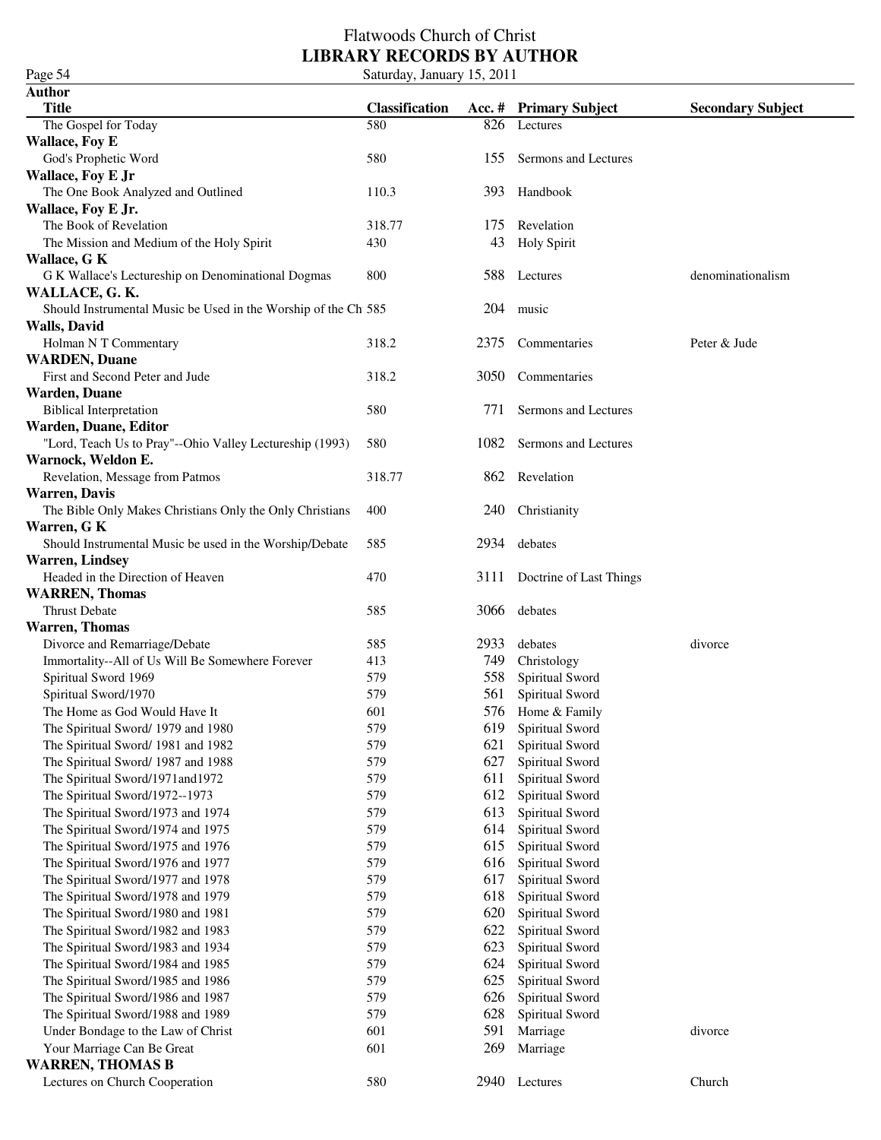### Flatwoods Church of Christ **LIBRARY RECORDS BY AUTHOR** Page 54 Saturday, January 15, 2011

| <b>Author</b>                                                  |                       |      |                              |                          |
|----------------------------------------------------------------|-----------------------|------|------------------------------|--------------------------|
| <b>Title</b>                                                   | <b>Classification</b> |      | Acc. # Primary Subject       | <b>Secondary Subject</b> |
| The Gospel for Today                                           | 580                   | 826  | Lectures                     |                          |
| <b>Wallace, Foy E</b>                                          |                       |      |                              |                          |
| God's Prophetic Word                                           | 580                   | 155  | Sermons and Lectures         |                          |
| <b>Wallace, Foy E Jr</b>                                       |                       |      |                              |                          |
| The One Book Analyzed and Outlined                             | 110.3                 | 393  | Handbook                     |                          |
| Wallace, Foy E Jr.                                             |                       |      |                              |                          |
| The Book of Revelation                                         | 318.77                | 175  | Revelation                   |                          |
|                                                                |                       | 43   | <b>Holy Spirit</b>           |                          |
| The Mission and Medium of the Holy Spirit                      | 430                   |      |                              |                          |
| Wallace, G K                                                   |                       |      |                              |                          |
| G K Wallace's Lectureship on Denominational Dogmas             | 800                   | 588  | Lectures                     | denominationalism        |
| WALLACE, G. K.                                                 |                       |      |                              |                          |
| Should Instrumental Music be Used in the Worship of the Ch 585 |                       | 204  | music                        |                          |
| <b>Walls, David</b>                                            |                       |      |                              |                          |
| Holman N T Commentary                                          | 318.2                 | 2375 | Commentaries                 | Peter & Jude             |
| <b>WARDEN</b> , Duane                                          |                       |      |                              |                          |
| First and Second Peter and Jude                                | 318.2                 | 3050 | Commentaries                 |                          |
| <b>Warden</b> , Duane                                          |                       |      |                              |                          |
| <b>Biblical Interpretation</b>                                 | 580                   | 771  | Sermons and Lectures         |                          |
| Warden, Duane, Editor                                          |                       |      |                              |                          |
| "Lord, Teach Us to Pray"--Ohio Valley Lectureship (1993)       | 580                   | 1082 | Sermons and Lectures         |                          |
| Warnock, Weldon E.                                             |                       |      |                              |                          |
| Revelation, Message from Patmos                                | 318.77                |      | 862 Revelation               |                          |
| <b>Warren</b> , Davis                                          |                       |      |                              |                          |
|                                                                | 400                   |      |                              |                          |
| The Bible Only Makes Christians Only the Only Christians       |                       | 240  | Christianity                 |                          |
| Warren, G K                                                    |                       |      |                              |                          |
| Should Instrumental Music be used in the Worship/Debate        | 585                   | 2934 | debates                      |                          |
| <b>Warren, Lindsey</b>                                         |                       |      |                              |                          |
| Headed in the Direction of Heaven                              | 470                   |      | 3111 Doctrine of Last Things |                          |
| <b>WARREN, Thomas</b>                                          |                       |      |                              |                          |
| <b>Thrust Debate</b>                                           | 585                   | 3066 | debates                      |                          |
| <b>Warren</b> , Thomas                                         |                       |      |                              |                          |
| Divorce and Remarriage/Debate                                  | 585                   | 2933 | debates                      | divorce                  |
| Immortality--All of Us Will Be Somewhere Forever               | 413                   | 749  | Christology                  |                          |
| Spiritual Sword 1969                                           | 579                   | 558  | Spiritual Sword              |                          |
| Spiritual Sword/1970                                           | 579                   | 561  | Spiritual Sword              |                          |
| The Home as God Would Have It                                  | 601                   | 576  | Home & Family                |                          |
| The Spiritual Sword/ 1979 and 1980                             | 579                   |      | 619 Spiritual Sword          |                          |
| The Spiritual Sword/ 1981 and 1982                             | 579                   | 621  | Spiritual Sword              |                          |
| The Spiritual Sword/ 1987 and 1988                             |                       | 627  |                              |                          |
|                                                                | 579                   |      | Spiritual Sword              |                          |
| The Spiritual Sword/1971and1972                                | 579                   | 611  | Spiritual Sword              |                          |
| The Spiritual Sword/1972--1973                                 | 579                   | 612  | Spiritual Sword              |                          |
| The Spiritual Sword/1973 and 1974                              | 579                   | 613  | Spiritual Sword              |                          |
| The Spiritual Sword/1974 and 1975                              | 579                   | 614  | Spiritual Sword              |                          |
| The Spiritual Sword/1975 and 1976                              | 579                   | 615  | Spiritual Sword              |                          |
| The Spiritual Sword/1976 and 1977                              | 579                   | 616  | Spiritual Sword              |                          |
| The Spiritual Sword/1977 and 1978                              | 579                   | 617  | Spiritual Sword              |                          |
| The Spiritual Sword/1978 and 1979                              | 579                   | 618  | Spiritual Sword              |                          |
| The Spiritual Sword/1980 and 1981                              | 579                   | 620  | Spiritual Sword              |                          |
| The Spiritual Sword/1982 and 1983                              | 579                   | 622  | Spiritual Sword              |                          |
| The Spiritual Sword/1983 and 1934                              | 579                   | 623  | Spiritual Sword              |                          |
| The Spiritual Sword/1984 and 1985                              | 579                   | 624  | Spiritual Sword              |                          |
| The Spiritual Sword/1985 and 1986                              | 579                   | 625  | Spiritual Sword              |                          |
|                                                                |                       |      |                              |                          |
| The Spiritual Sword/1986 and 1987                              | 579                   | 626  | Spiritual Sword              |                          |
| The Spiritual Sword/1988 and 1989                              | 579                   | 628  | Spiritual Sword              |                          |
| Under Bondage to the Law of Christ                             | 601                   | 591  | Marriage                     | divorce                  |
| Your Marriage Can Be Great                                     | 601                   | 269  | Marriage                     |                          |
| <b>WARREN, THOMAS B</b>                                        |                       |      |                              |                          |
| Lectures on Church Cooperation                                 | 580                   | 2940 | Lectures                     | Church                   |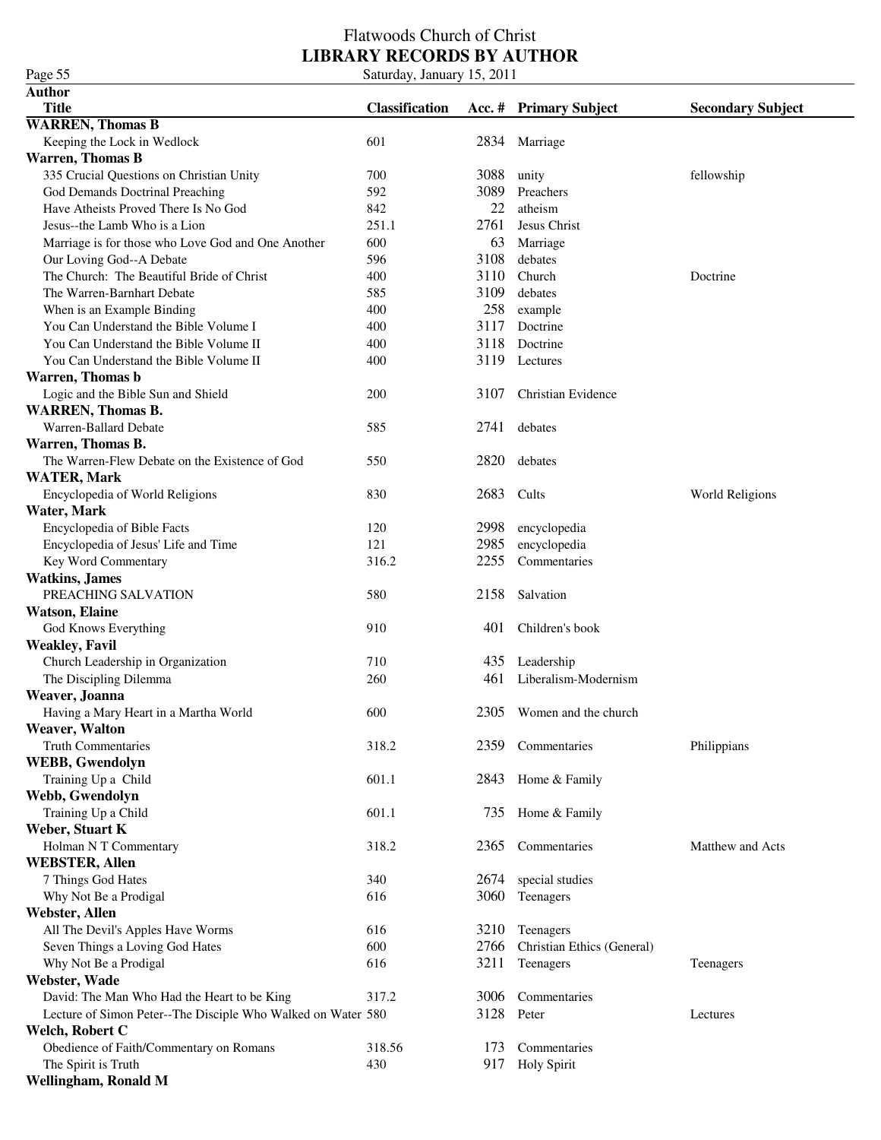Page 55<br>**Author**<br>Title

Saturday, January 15, 2011 **Titles Classification Acc. # Primary Subject Secondary Subject WARREN, Thomas B** Keeping the Lock in Wedlock 601 2834 Marriage **Warren, Thomas B** 335 Crucial Questions on Christian Unity 700 3088 unity fellowship

| God Demands Doctrinal Preaching                              | 592    | 3089 | Preachers                  |                  |
|--------------------------------------------------------------|--------|------|----------------------------|------------------|
| Have Atheists Proved There Is No God                         | 842    | 22   | atheism                    |                  |
| Jesus--the Lamb Who is a Lion                                | 251.1  | 2761 | Jesus Christ               |                  |
| Marriage is for those who Love God and One Another           | 600    | 63   | Marriage                   |                  |
| Our Loving God--A Debate                                     | 596    | 3108 | debates                    |                  |
| The Church: The Beautiful Bride of Christ                    | 400    | 3110 | Church                     | Doctrine         |
| The Warren-Barnhart Debate                                   | 585    | 3109 | debates                    |                  |
| When is an Example Binding                                   | 400    | 258  | example                    |                  |
| You Can Understand the Bible Volume I                        | 400    | 3117 | Doctrine                   |                  |
| You Can Understand the Bible Volume II                       | 400    | 3118 | Doctrine                   |                  |
| You Can Understand the Bible Volume II                       | 400    | 3119 | Lectures                   |                  |
| <b>Warren</b> , Thomas b                                     |        |      |                            |                  |
| Logic and the Bible Sun and Shield                           | 200    | 3107 | Christian Evidence         |                  |
| <b>WARREN, Thomas B.</b>                                     |        |      |                            |                  |
| Warren-Ballard Debate                                        | 585    | 2741 | debates                    |                  |
| Warren, Thomas B.                                            |        |      |                            |                  |
| The Warren-Flew Debate on the Existence of God               | 550    | 2820 | debates                    |                  |
| <b>WATER, Mark</b>                                           |        |      |                            |                  |
| Encyclopedia of World Religions                              | 830    | 2683 | Cults                      | World Religions  |
| Water, Mark                                                  |        |      |                            |                  |
| Encyclopedia of Bible Facts                                  | 120    | 2998 | encyclopedia               |                  |
| Encyclopedia of Jesus' Life and Time                         | 121    | 2985 | encyclopedia               |                  |
| Key Word Commentary                                          | 316.2  | 2255 | Commentaries               |                  |
| <b>Watkins</b> , James                                       |        |      |                            |                  |
| PREACHING SALVATION                                          | 580    | 2158 | Salvation                  |                  |
| <b>Watson, Elaine</b>                                        |        |      |                            |                  |
| God Knows Everything                                         | 910    | 401  | Children's book            |                  |
| <b>Weakley, Favil</b>                                        |        |      |                            |                  |
| Church Leadership in Organization                            | 710    |      | 435 Leadership             |                  |
| The Discipling Dilemma                                       | 260    | 461  | Liberalism-Modernism       |                  |
| Weaver, Joanna                                               |        |      |                            |                  |
| Having a Mary Heart in a Martha World                        | 600    | 2305 | Women and the church       |                  |
| <b>Weaver, Walton</b>                                        |        |      |                            |                  |
| <b>Truth Commentaries</b>                                    | 318.2  | 2359 | Commentaries               | Philippians      |
| <b>WEBB, Gwendolyn</b>                                       |        |      |                            |                  |
| Training Up a Child                                          | 601.1  |      | 2843 Home & Family         |                  |
| Webb, Gwendolyn                                              |        |      |                            |                  |
| Training Up a Child                                          | 601.1  |      | 735 Home & Family          |                  |
| Weber, Stuart K                                              |        |      |                            |                  |
| Holman N T Commentary                                        | 318.2  |      | 2365 Commentaries          | Matthew and Acts |
| <b>WEBSTER, Allen</b>                                        |        |      |                            |                  |
| 7 Things God Hates                                           | 340    | 2674 | special studies            |                  |
| Why Not Be a Prodigal                                        | 616    | 3060 | Teenagers                  |                  |
| Webster, Allen                                               |        |      |                            |                  |
| All The Devil's Apples Have Worms                            | 616    | 3210 | Teenagers                  |                  |
| Seven Things a Loving God Hates                              | 600    | 2766 | Christian Ethics (General) |                  |
| Why Not Be a Prodigal                                        | 616    | 3211 | Teenagers                  | Teenagers        |
| Webster, Wade                                                |        |      |                            |                  |
| David: The Man Who Had the Heart to be King                  | 317.2  | 3006 | Commentaries               |                  |
| Lecture of Simon Peter--The Disciple Who Walked on Water 580 |        | 3128 | Peter                      | Lectures         |
| Welch, Robert C                                              |        |      |                            |                  |
| Obedience of Faith/Commentary on Romans                      | 318.56 | 173  | Commentaries               |                  |
| The Spirit is Truth                                          | 430    | 917  | <b>Holy Spirit</b>         |                  |
| <b>Wellingham, Ronald M</b>                                  |        |      |                            |                  |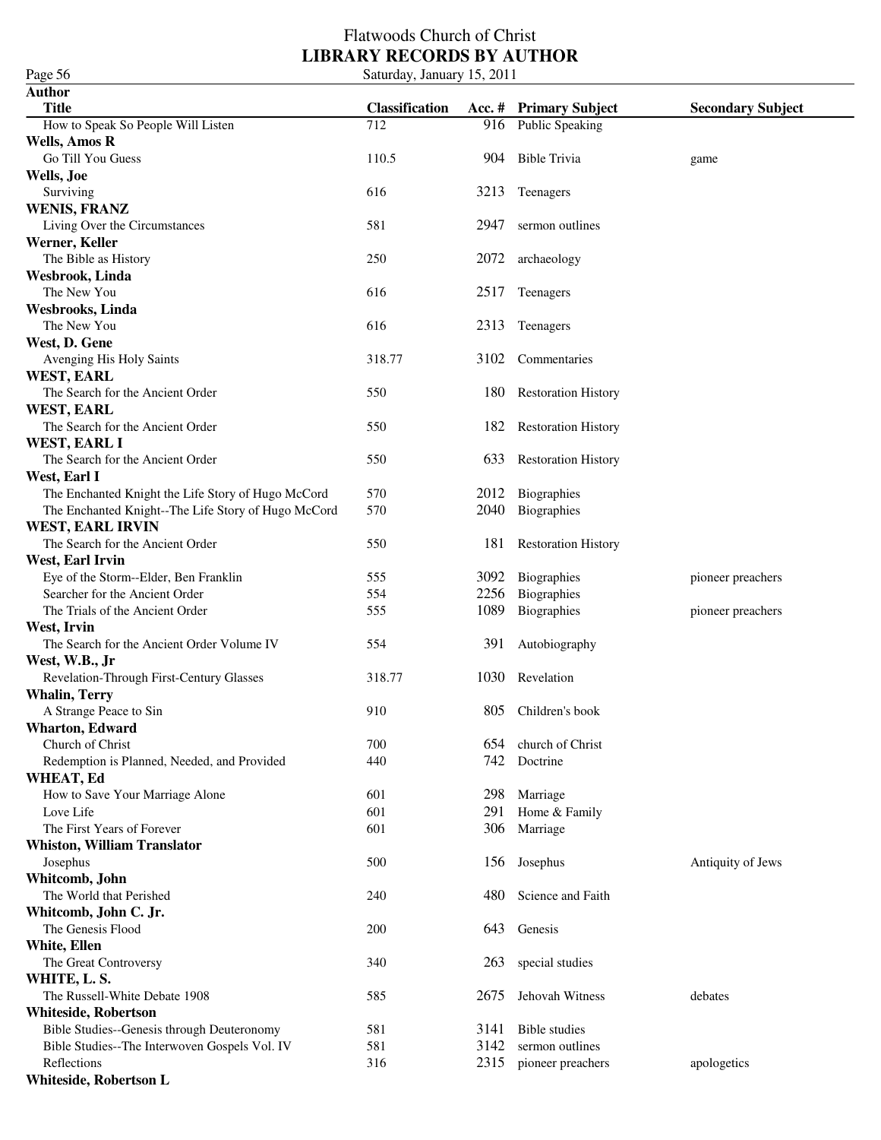| Page 56                                             | Saturday, January 15, 2011 |      |                            |                          |
|-----------------------------------------------------|----------------------------|------|----------------------------|--------------------------|
| <b>Author</b>                                       |                            |      |                            |                          |
| <b>Title</b>                                        | <b>Classification</b>      |      | Acc. # Primary Subject     | <b>Secondary Subject</b> |
| How to Speak So People Will Listen                  | 712                        |      | 916 Public Speaking        |                          |
| <b>Wells, Amos R</b>                                |                            |      |                            |                          |
| Go Till You Guess                                   | 110.5                      | 904  | Bible Trivia               | game                     |
| Wells, Joe                                          |                            |      |                            |                          |
| Surviving                                           | 616                        |      | 3213 Teenagers             |                          |
| <b>WENIS, FRANZ</b>                                 |                            |      |                            |                          |
| Living Over the Circumstances                       | 581                        | 2947 | sermon outlines            |                          |
| Werner, Keller                                      |                            |      |                            |                          |
| The Bible as History                                | 250                        | 2072 | archaeology                |                          |
| Wesbrook, Linda                                     |                            |      |                            |                          |
| The New You                                         | 616                        | 2517 | Teenagers                  |                          |
| Wesbrooks, Linda                                    |                            |      |                            |                          |
| The New You                                         | 616                        |      | 2313 Teenagers             |                          |
| West, D. Gene                                       |                            |      |                            |                          |
| Avenging His Holy Saints                            | 318.77                     | 3102 | Commentaries               |                          |
| <b>WEST, EARL</b>                                   |                            |      |                            |                          |
| The Search for the Ancient Order                    | 550                        |      | 180 Restoration History    |                          |
|                                                     |                            |      |                            |                          |
| <b>WEST, EARL</b>                                   |                            |      |                            |                          |
| The Search for the Ancient Order                    | 550                        |      | 182 Restoration History    |                          |
| <b>WEST, EARL I</b>                                 |                            |      |                            |                          |
| The Search for the Ancient Order                    | 550                        | 633  | <b>Restoration History</b> |                          |
| West, Earl I                                        |                            |      |                            |                          |
| The Enchanted Knight the Life Story of Hugo McCord  | 570                        | 2012 | Biographies                |                          |
| The Enchanted Knight--The Life Story of Hugo McCord | 570                        | 2040 | Biographies                |                          |
| <b>WEST, EARL IRVIN</b>                             |                            |      |                            |                          |
| The Search for the Ancient Order                    | 550                        |      | 181 Restoration History    |                          |
| West, Earl Irvin                                    |                            |      |                            |                          |
| Eye of the Storm--Elder, Ben Franklin               | 555                        | 3092 | Biographies                | pioneer preachers        |
| Searcher for the Ancient Order                      | 554                        | 2256 | Biographies                |                          |
| The Trials of the Ancient Order                     | 555                        | 1089 | Biographies                | pioneer preachers        |
| West, Irvin                                         |                            |      |                            |                          |
| The Search for the Ancient Order Volume IV          | 554                        | 391  | Autobiography              |                          |
| West, W.B., Jr                                      |                            |      |                            |                          |
| Revelation-Through First-Century Glasses            | 318.77                     |      | 1030 Revelation            |                          |
| Whalin, Terry                                       |                            |      |                            |                          |
| A Strange Peace to Sin                              | 910                        |      | 805 Children's book        |                          |
| <b>Wharton, Edward</b>                              |                            |      |                            |                          |
| Church of Christ                                    | 700                        | 654  | church of Christ           |                          |
| Redemption is Planned, Needed, and Provided         | 440                        | 742  | Doctrine                   |                          |
| WHEAT, Ed                                           |                            |      |                            |                          |
| How to Save Your Marriage Alone                     | 601                        | 298  | Marriage                   |                          |
| Love Life                                           | 601                        | 291  |                            |                          |
|                                                     |                            |      | Home & Family              |                          |
| The First Years of Forever                          | 601                        | 306  | Marriage                   |                          |
| <b>Whiston, William Translator</b>                  |                            |      |                            |                          |
| Josephus                                            | 500                        |      | 156 Josephus               | Antiquity of Jews        |
| Whitcomb, John                                      |                            |      |                            |                          |
| The World that Perished                             | 240                        | 480  | Science and Faith          |                          |
| Whitcomb, John C. Jr.                               |                            |      |                            |                          |
| The Genesis Flood                                   | 200                        | 643  | Genesis                    |                          |
| White, Ellen                                        |                            |      |                            |                          |
| The Great Controversy                               | 340                        | 263  | special studies            |                          |
| WHITE, L. S.                                        |                            |      |                            |                          |
| The Russell-White Debate 1908                       | 585                        | 2675 | Jehovah Witness            | debates                  |
| <b>Whiteside, Robertson</b>                         |                            |      |                            |                          |
| Bible Studies--Genesis through Deuteronomy          | 581                        | 3141 | <b>Bible</b> studies       |                          |
| Bible Studies--The Interwoven Gospels Vol. IV       | 581                        | 3142 | sermon outlines            |                          |
| Reflections                                         | 316                        | 2315 | pioneer preachers          | apologetics              |
| Whiteside, Robertson L                              |                            |      |                            |                          |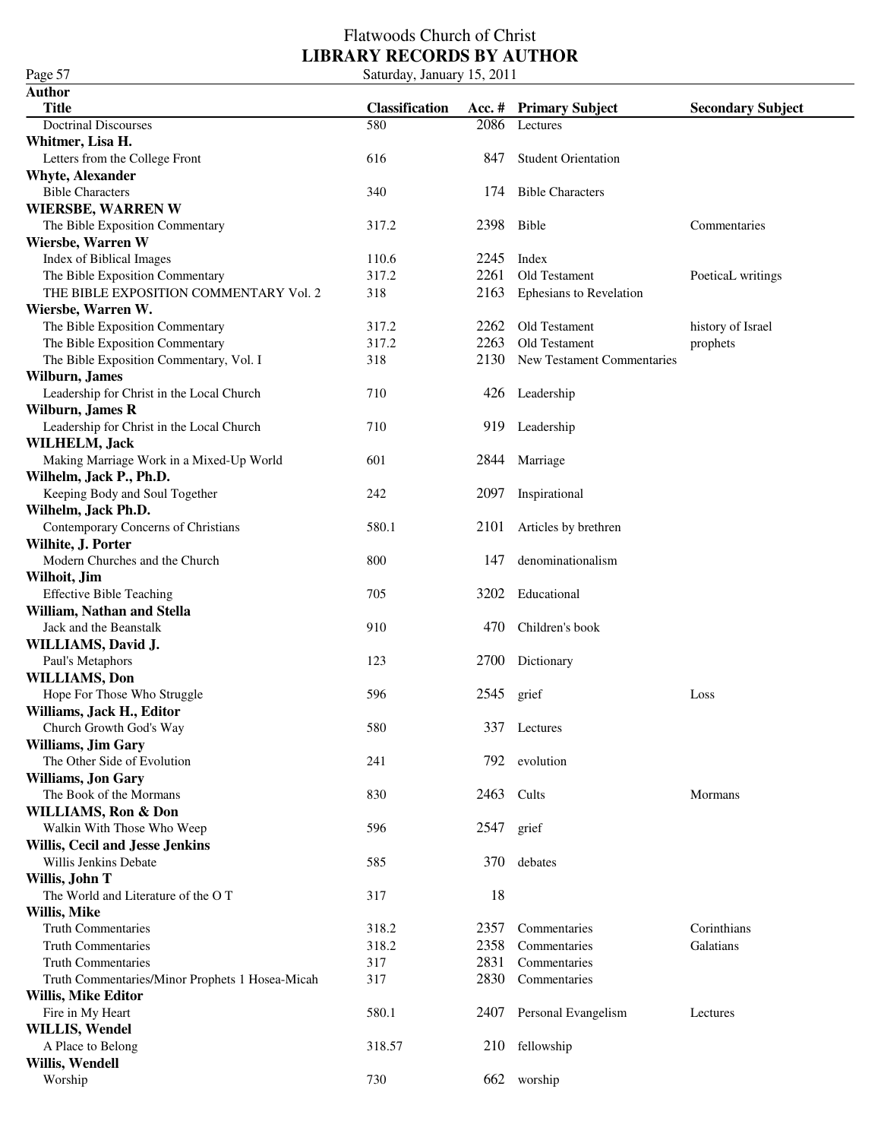Page 57<br>**Author** 

| <b>Title</b>                                    | <b>Classification</b> |            | Acc. # Primary Subject         | <b>Secondary Subject</b> |
|-------------------------------------------------|-----------------------|------------|--------------------------------|--------------------------|
| <b>Doctrinal Discourses</b>                     | 580                   | 2086       | Lectures                       |                          |
| Whitmer, Lisa H.                                |                       |            |                                |                          |
| Letters from the College Front                  | 616                   | 847        | <b>Student Orientation</b>     |                          |
| <b>Whyte, Alexander</b>                         |                       |            |                                |                          |
| <b>Bible Characters</b>                         | 340                   | 174        | <b>Bible Characters</b>        |                          |
| <b>WIERSBE, WARREN W</b>                        |                       |            |                                |                          |
| The Bible Exposition Commentary                 | 317.2                 | 2398       | Bible                          | Commentaries             |
| Wiersbe, Warren W                               |                       |            |                                |                          |
| Index of Biblical Images                        | 110.6                 | 2245       | Index                          |                          |
|                                                 | 317.2                 | 2261       | Old Testament                  |                          |
| The Bible Exposition Commentary                 |                       |            |                                | PoeticaL writings        |
| THE BIBLE EXPOSITION COMMENTARY Vol. 2          | 318                   | 2163       | <b>Ephesians to Revelation</b> |                          |
| Wiersbe, Warren W.                              |                       |            |                                |                          |
| The Bible Exposition Commentary                 | 317.2                 | 2262       | Old Testament                  | history of Israel        |
| The Bible Exposition Commentary                 | 317.2                 | 2263       | Old Testament                  | prophets                 |
| The Bible Exposition Commentary, Vol. I         | 318                   | 2130       | New Testament Commentaries     |                          |
| Wilburn, James                                  |                       |            |                                |                          |
| Leadership for Christ in the Local Church       | 710                   | 426        | Leadership                     |                          |
| Wilburn, James R                                |                       |            |                                |                          |
| Leadership for Christ in the Local Church       | 710                   | 919        | Leadership                     |                          |
| WILHELM, Jack                                   |                       |            |                                |                          |
| Making Marriage Work in a Mixed-Up World        | 601                   | 2844       | Marriage                       |                          |
| Wilhelm, Jack P., Ph.D.                         |                       |            |                                |                          |
| Keeping Body and Soul Together                  | 242                   | 2097       | Inspirational                  |                          |
| Wilhelm, Jack Ph.D.                             |                       |            |                                |                          |
| Contemporary Concerns of Christians             | 580.1                 | 2101       | Articles by brethren           |                          |
| Wilhite, J. Porter                              |                       |            |                                |                          |
| Modern Churches and the Church                  | 800                   | 147        | denominationalism              |                          |
|                                                 |                       |            |                                |                          |
| Wilhoit, Jim                                    |                       |            |                                |                          |
| <b>Effective Bible Teaching</b>                 | 705                   | 3202       | Educational                    |                          |
| William, Nathan and Stella                      |                       |            |                                |                          |
| Jack and the Beanstalk                          | 910                   | 470        | Children's book                |                          |
| WILLIAMS, David J.                              |                       |            |                                |                          |
| Paul's Metaphors                                | 123                   | 2700       | Dictionary                     |                          |
| <b>WILLIAMS, Don</b>                            |                       |            |                                |                          |
| Hope For Those Who Struggle                     | 596                   | 2545       | grief                          | Loss                     |
| Williams, Jack H., Editor                       |                       |            |                                |                          |
| Church Growth God's Way                         | 580                   | 337        | Lectures                       |                          |
| Williams, Jim Gary                              |                       |            |                                |                          |
| The Other Side of Evolution                     | 241                   |            | 792 evolution                  |                          |
| <b>Williams, Jon Gary</b>                       |                       |            |                                |                          |
| The Book of the Mormans                         | 830                   |            | 2463 Cults                     | <b>Mormans</b>           |
| <b>WILLIAMS, Ron &amp; Don</b>                  |                       |            |                                |                          |
| Walkin With Those Who Weep                      | 596                   | 2547 grief |                                |                          |
|                                                 |                       |            |                                |                          |
| Willis, Cecil and Jesse Jenkins                 |                       |            |                                |                          |
| Willis Jenkins Debate                           | 585                   | 370        | debates                        |                          |
| Willis, John T                                  |                       |            |                                |                          |
| The World and Literature of the OT              | 317                   | 18         |                                |                          |
| Willis, Mike                                    |                       |            |                                |                          |
| <b>Truth Commentaries</b>                       | 318.2                 | 2357       | Commentaries                   | Corinthians              |
| <b>Truth Commentaries</b>                       | 318.2                 | 2358       | Commentaries                   | Galatians                |
| <b>Truth Commentaries</b>                       | 317                   | 2831       | Commentaries                   |                          |
| Truth Commentaries/Minor Prophets 1 Hosea-Micah | 317                   | 2830       | Commentaries                   |                          |
| Willis, Mike Editor                             |                       |            |                                |                          |
| Fire in My Heart                                | 580.1                 | 2407       | Personal Evangelism            | Lectures                 |
| <b>WILLIS, Wendel</b>                           |                       |            |                                |                          |
| A Place to Belong                               | 318.57                | 210        | fellowship                     |                          |
| Willis, Wendell                                 |                       |            |                                |                          |
| Worship                                         | 730                   |            | 662 worship                    |                          |
|                                                 |                       |            |                                |                          |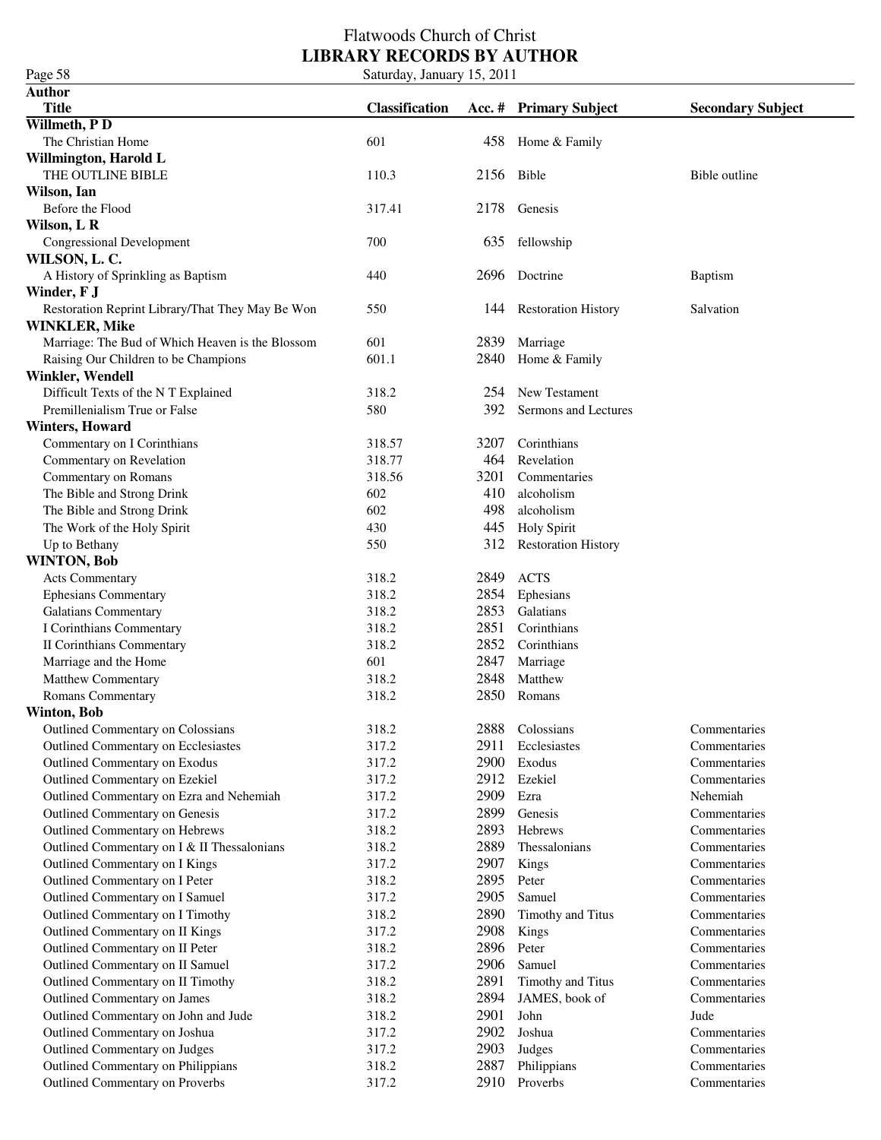| <b>Author</b><br><b>Title</b><br><b>Classification</b><br>Acc. # Primary Subject<br><b>Secondary Subject</b><br>Willmeth, PD<br>The Christian Home<br>601<br>458<br>Home & Family<br>Willmington, Harold L<br>2156<br>THE OUTLINE BIBLE<br>110.3<br>Bible<br>Bible outline<br>Wilson, Ian<br>317.41<br>2178<br>Before the Flood<br>Genesis<br>Wilson, L R<br><b>Congressional Development</b><br>700<br>635<br>fellowship<br>WILSON, L. C.<br>2696<br>Doctrine<br>A History of Sprinkling as Baptism<br>440<br><b>Baptism</b><br>Winder, F J<br>Restoration Reprint Library/That They May Be Won<br>550<br>144<br>Salvation<br><b>Restoration History</b><br><b>WINKLER, Mike</b><br>Marriage: The Bud of Which Heaven is the Blossom<br>601<br>2839<br>Marriage<br>Raising Our Children to be Champions<br>601.1<br>2840<br>Home & Family<br>Winkler, Wendell<br>Difficult Texts of the NT Explained<br>318.2<br>254<br>New Testament<br>Premillenialism True or False<br>580<br>392<br>Sermons and Lectures<br><b>Winters, Howard</b><br>318.57<br>Corinthians<br>Commentary on I Corinthians<br>3207<br>Commentary on Revelation<br>318.77<br>464<br>Revelation<br>3201<br>318.56<br>Commentary on Romans<br>Commentaries<br>602<br>410<br>The Bible and Strong Drink<br>alcoholism<br>The Bible and Strong Drink<br>602<br>498<br>alcoholism<br>430<br>445<br>The Work of the Holy Spirit<br><b>Holy Spirit</b><br>312<br>Up to Bethany<br>550<br><b>Restoration History</b><br><b>WINTON, Bob</b><br>318.2<br>2849<br><b>ACTS</b><br><b>Acts Commentary</b><br>318.2<br>2854<br><b>Ephesians Commentary</b><br>Ephesians<br>2853<br>318.2<br>Galatians<br><b>Galatians Commentary</b><br>2851<br>318.2<br>I Corinthians Commentary<br>Corinthians<br>2852<br>318.2<br>Corinthians<br>II Corinthians Commentary<br>2847<br>Marriage and the Home<br>601<br>Marriage<br>2848<br>318.2<br>Matthew<br><b>Matthew Commentary</b><br>2850<br>318.2<br>Romans Commentary<br>Romans<br>Winton, Bob<br>318.2<br>2888<br>Outlined Commentary on Colossians<br>Colossians<br>Commentaries<br>Outlined Commentary on Ecclesiastes<br>317.2<br>2911<br>Ecclesiastes<br>Commentaries<br>2900<br>Outlined Commentary on Exodus<br>317.2<br>Exodus<br>Commentaries<br>2912<br>Outlined Commentary on Ezekiel<br>317.2<br>Ezekiel<br>Commentaries<br>2909<br>Outlined Commentary on Ezra and Nehemiah<br>317.2<br>Ezra<br>Nehemiah<br>2899<br>Outlined Commentary on Genesis<br>317.2<br>Genesis<br>Commentaries<br>Outlined Commentary on Hebrews<br>2893<br>318.2<br>Hebrews<br>Commentaries<br>Outlined Commentary on I & II Thessalonians<br>2889<br>318.2<br>Thessalonians<br>Commentaries<br>Outlined Commentary on I Kings<br>2907<br>317.2<br>Kings<br>Commentaries<br>2895<br>Outlined Commentary on I Peter<br>318.2<br>Peter<br>Commentaries<br>2905<br>Outlined Commentary on I Samuel<br>317.2<br>Samuel<br>Commentaries<br>Outlined Commentary on I Timothy<br>318.2<br>2890<br>Timothy and Titus<br>Commentaries<br>2908<br>Outlined Commentary on II Kings<br>317.2<br>Commentaries<br>Kings<br>2896<br>Outlined Commentary on II Peter<br>318.2<br>Peter<br>Commentaries<br>2906<br>Outlined Commentary on II Samuel<br>317.2<br>Samuel<br>Commentaries<br>2891<br>Outlined Commentary on II Timothy<br>318.2<br>Commentaries<br>Timothy and Titus<br>2894<br>Outlined Commentary on James<br>318.2<br>JAMES, book of<br>Commentaries<br>2901<br>Outlined Commentary on John and Jude<br>John<br>318.2<br>Jude<br>Outlined Commentary on Joshua<br>2902<br>Joshua<br>317.2<br>Commentaries<br>317.2<br>2903<br>Outlined Commentary on Judges<br>Commentaries<br>Judges<br>Outlined Commentary on Philippians<br>2887<br>318.2<br>Philippians<br>Commentaries<br>2910 Proverbs<br>Outlined Commentary on Proverbs<br>317.2<br>Commentaries | Page 58 | Saturday, January 15, 2011 |  |  |  |
|------------------------------------------------------------------------------------------------------------------------------------------------------------------------------------------------------------------------------------------------------------------------------------------------------------------------------------------------------------------------------------------------------------------------------------------------------------------------------------------------------------------------------------------------------------------------------------------------------------------------------------------------------------------------------------------------------------------------------------------------------------------------------------------------------------------------------------------------------------------------------------------------------------------------------------------------------------------------------------------------------------------------------------------------------------------------------------------------------------------------------------------------------------------------------------------------------------------------------------------------------------------------------------------------------------------------------------------------------------------------------------------------------------------------------------------------------------------------------------------------------------------------------------------------------------------------------------------------------------------------------------------------------------------------------------------------------------------------------------------------------------------------------------------------------------------------------------------------------------------------------------------------------------------------------------------------------------------------------------------------------------------------------------------------------------------------------------------------------------------------------------------------------------------------------------------------------------------------------------------------------------------------------------------------------------------------------------------------------------------------------------------------------------------------------------------------------------------------------------------------------------------------------------------------------------------------------------------------------------------------------------------------------------------------------------------------------------------------------------------------------------------------------------------------------------------------------------------------------------------------------------------------------------------------------------------------------------------------------------------------------------------------------------------------------------------------------------------------------------------------------------------------------------------------------------------------------------------------------------------------------------------------------------------------------------------------------------------------------------------------------------------------------------------------------------------------------------------------------------------------------------------------------------------------------------------------------------------------------------------------------------------------------------------------------------------------------------------------------------------------------------------------------------------------------------------------------------------------|---------|----------------------------|--|--|--|
|                                                                                                                                                                                                                                                                                                                                                                                                                                                                                                                                                                                                                                                                                                                                                                                                                                                                                                                                                                                                                                                                                                                                                                                                                                                                                                                                                                                                                                                                                                                                                                                                                                                                                                                                                                                                                                                                                                                                                                                                                                                                                                                                                                                                                                                                                                                                                                                                                                                                                                                                                                                                                                                                                                                                                                                                                                                                                                                                                                                                                                                                                                                                                                                                                                                                                                                                                                                                                                                                                                                                                                                                                                                                                                                                                                                                                                                |         |                            |  |  |  |
|                                                                                                                                                                                                                                                                                                                                                                                                                                                                                                                                                                                                                                                                                                                                                                                                                                                                                                                                                                                                                                                                                                                                                                                                                                                                                                                                                                                                                                                                                                                                                                                                                                                                                                                                                                                                                                                                                                                                                                                                                                                                                                                                                                                                                                                                                                                                                                                                                                                                                                                                                                                                                                                                                                                                                                                                                                                                                                                                                                                                                                                                                                                                                                                                                                                                                                                                                                                                                                                                                                                                                                                                                                                                                                                                                                                                                                                |         |                            |  |  |  |
|                                                                                                                                                                                                                                                                                                                                                                                                                                                                                                                                                                                                                                                                                                                                                                                                                                                                                                                                                                                                                                                                                                                                                                                                                                                                                                                                                                                                                                                                                                                                                                                                                                                                                                                                                                                                                                                                                                                                                                                                                                                                                                                                                                                                                                                                                                                                                                                                                                                                                                                                                                                                                                                                                                                                                                                                                                                                                                                                                                                                                                                                                                                                                                                                                                                                                                                                                                                                                                                                                                                                                                                                                                                                                                                                                                                                                                                |         |                            |  |  |  |
|                                                                                                                                                                                                                                                                                                                                                                                                                                                                                                                                                                                                                                                                                                                                                                                                                                                                                                                                                                                                                                                                                                                                                                                                                                                                                                                                                                                                                                                                                                                                                                                                                                                                                                                                                                                                                                                                                                                                                                                                                                                                                                                                                                                                                                                                                                                                                                                                                                                                                                                                                                                                                                                                                                                                                                                                                                                                                                                                                                                                                                                                                                                                                                                                                                                                                                                                                                                                                                                                                                                                                                                                                                                                                                                                                                                                                                                |         |                            |  |  |  |
|                                                                                                                                                                                                                                                                                                                                                                                                                                                                                                                                                                                                                                                                                                                                                                                                                                                                                                                                                                                                                                                                                                                                                                                                                                                                                                                                                                                                                                                                                                                                                                                                                                                                                                                                                                                                                                                                                                                                                                                                                                                                                                                                                                                                                                                                                                                                                                                                                                                                                                                                                                                                                                                                                                                                                                                                                                                                                                                                                                                                                                                                                                                                                                                                                                                                                                                                                                                                                                                                                                                                                                                                                                                                                                                                                                                                                                                |         |                            |  |  |  |
|                                                                                                                                                                                                                                                                                                                                                                                                                                                                                                                                                                                                                                                                                                                                                                                                                                                                                                                                                                                                                                                                                                                                                                                                                                                                                                                                                                                                                                                                                                                                                                                                                                                                                                                                                                                                                                                                                                                                                                                                                                                                                                                                                                                                                                                                                                                                                                                                                                                                                                                                                                                                                                                                                                                                                                                                                                                                                                                                                                                                                                                                                                                                                                                                                                                                                                                                                                                                                                                                                                                                                                                                                                                                                                                                                                                                                                                |         |                            |  |  |  |
|                                                                                                                                                                                                                                                                                                                                                                                                                                                                                                                                                                                                                                                                                                                                                                                                                                                                                                                                                                                                                                                                                                                                                                                                                                                                                                                                                                                                                                                                                                                                                                                                                                                                                                                                                                                                                                                                                                                                                                                                                                                                                                                                                                                                                                                                                                                                                                                                                                                                                                                                                                                                                                                                                                                                                                                                                                                                                                                                                                                                                                                                                                                                                                                                                                                                                                                                                                                                                                                                                                                                                                                                                                                                                                                                                                                                                                                |         |                            |  |  |  |
|                                                                                                                                                                                                                                                                                                                                                                                                                                                                                                                                                                                                                                                                                                                                                                                                                                                                                                                                                                                                                                                                                                                                                                                                                                                                                                                                                                                                                                                                                                                                                                                                                                                                                                                                                                                                                                                                                                                                                                                                                                                                                                                                                                                                                                                                                                                                                                                                                                                                                                                                                                                                                                                                                                                                                                                                                                                                                                                                                                                                                                                                                                                                                                                                                                                                                                                                                                                                                                                                                                                                                                                                                                                                                                                                                                                                                                                |         |                            |  |  |  |
|                                                                                                                                                                                                                                                                                                                                                                                                                                                                                                                                                                                                                                                                                                                                                                                                                                                                                                                                                                                                                                                                                                                                                                                                                                                                                                                                                                                                                                                                                                                                                                                                                                                                                                                                                                                                                                                                                                                                                                                                                                                                                                                                                                                                                                                                                                                                                                                                                                                                                                                                                                                                                                                                                                                                                                                                                                                                                                                                                                                                                                                                                                                                                                                                                                                                                                                                                                                                                                                                                                                                                                                                                                                                                                                                                                                                                                                |         |                            |  |  |  |
|                                                                                                                                                                                                                                                                                                                                                                                                                                                                                                                                                                                                                                                                                                                                                                                                                                                                                                                                                                                                                                                                                                                                                                                                                                                                                                                                                                                                                                                                                                                                                                                                                                                                                                                                                                                                                                                                                                                                                                                                                                                                                                                                                                                                                                                                                                                                                                                                                                                                                                                                                                                                                                                                                                                                                                                                                                                                                                                                                                                                                                                                                                                                                                                                                                                                                                                                                                                                                                                                                                                                                                                                                                                                                                                                                                                                                                                |         |                            |  |  |  |
|                                                                                                                                                                                                                                                                                                                                                                                                                                                                                                                                                                                                                                                                                                                                                                                                                                                                                                                                                                                                                                                                                                                                                                                                                                                                                                                                                                                                                                                                                                                                                                                                                                                                                                                                                                                                                                                                                                                                                                                                                                                                                                                                                                                                                                                                                                                                                                                                                                                                                                                                                                                                                                                                                                                                                                                                                                                                                                                                                                                                                                                                                                                                                                                                                                                                                                                                                                                                                                                                                                                                                                                                                                                                                                                                                                                                                                                |         |                            |  |  |  |
|                                                                                                                                                                                                                                                                                                                                                                                                                                                                                                                                                                                                                                                                                                                                                                                                                                                                                                                                                                                                                                                                                                                                                                                                                                                                                                                                                                                                                                                                                                                                                                                                                                                                                                                                                                                                                                                                                                                                                                                                                                                                                                                                                                                                                                                                                                                                                                                                                                                                                                                                                                                                                                                                                                                                                                                                                                                                                                                                                                                                                                                                                                                                                                                                                                                                                                                                                                                                                                                                                                                                                                                                                                                                                                                                                                                                                                                |         |                            |  |  |  |
|                                                                                                                                                                                                                                                                                                                                                                                                                                                                                                                                                                                                                                                                                                                                                                                                                                                                                                                                                                                                                                                                                                                                                                                                                                                                                                                                                                                                                                                                                                                                                                                                                                                                                                                                                                                                                                                                                                                                                                                                                                                                                                                                                                                                                                                                                                                                                                                                                                                                                                                                                                                                                                                                                                                                                                                                                                                                                                                                                                                                                                                                                                                                                                                                                                                                                                                                                                                                                                                                                                                                                                                                                                                                                                                                                                                                                                                |         |                            |  |  |  |
|                                                                                                                                                                                                                                                                                                                                                                                                                                                                                                                                                                                                                                                                                                                                                                                                                                                                                                                                                                                                                                                                                                                                                                                                                                                                                                                                                                                                                                                                                                                                                                                                                                                                                                                                                                                                                                                                                                                                                                                                                                                                                                                                                                                                                                                                                                                                                                                                                                                                                                                                                                                                                                                                                                                                                                                                                                                                                                                                                                                                                                                                                                                                                                                                                                                                                                                                                                                                                                                                                                                                                                                                                                                                                                                                                                                                                                                |         |                            |  |  |  |
|                                                                                                                                                                                                                                                                                                                                                                                                                                                                                                                                                                                                                                                                                                                                                                                                                                                                                                                                                                                                                                                                                                                                                                                                                                                                                                                                                                                                                                                                                                                                                                                                                                                                                                                                                                                                                                                                                                                                                                                                                                                                                                                                                                                                                                                                                                                                                                                                                                                                                                                                                                                                                                                                                                                                                                                                                                                                                                                                                                                                                                                                                                                                                                                                                                                                                                                                                                                                                                                                                                                                                                                                                                                                                                                                                                                                                                                |         |                            |  |  |  |
|                                                                                                                                                                                                                                                                                                                                                                                                                                                                                                                                                                                                                                                                                                                                                                                                                                                                                                                                                                                                                                                                                                                                                                                                                                                                                                                                                                                                                                                                                                                                                                                                                                                                                                                                                                                                                                                                                                                                                                                                                                                                                                                                                                                                                                                                                                                                                                                                                                                                                                                                                                                                                                                                                                                                                                                                                                                                                                                                                                                                                                                                                                                                                                                                                                                                                                                                                                                                                                                                                                                                                                                                                                                                                                                                                                                                                                                |         |                            |  |  |  |
|                                                                                                                                                                                                                                                                                                                                                                                                                                                                                                                                                                                                                                                                                                                                                                                                                                                                                                                                                                                                                                                                                                                                                                                                                                                                                                                                                                                                                                                                                                                                                                                                                                                                                                                                                                                                                                                                                                                                                                                                                                                                                                                                                                                                                                                                                                                                                                                                                                                                                                                                                                                                                                                                                                                                                                                                                                                                                                                                                                                                                                                                                                                                                                                                                                                                                                                                                                                                                                                                                                                                                                                                                                                                                                                                                                                                                                                |         |                            |  |  |  |
|                                                                                                                                                                                                                                                                                                                                                                                                                                                                                                                                                                                                                                                                                                                                                                                                                                                                                                                                                                                                                                                                                                                                                                                                                                                                                                                                                                                                                                                                                                                                                                                                                                                                                                                                                                                                                                                                                                                                                                                                                                                                                                                                                                                                                                                                                                                                                                                                                                                                                                                                                                                                                                                                                                                                                                                                                                                                                                                                                                                                                                                                                                                                                                                                                                                                                                                                                                                                                                                                                                                                                                                                                                                                                                                                                                                                                                                |         |                            |  |  |  |
|                                                                                                                                                                                                                                                                                                                                                                                                                                                                                                                                                                                                                                                                                                                                                                                                                                                                                                                                                                                                                                                                                                                                                                                                                                                                                                                                                                                                                                                                                                                                                                                                                                                                                                                                                                                                                                                                                                                                                                                                                                                                                                                                                                                                                                                                                                                                                                                                                                                                                                                                                                                                                                                                                                                                                                                                                                                                                                                                                                                                                                                                                                                                                                                                                                                                                                                                                                                                                                                                                                                                                                                                                                                                                                                                                                                                                                                |         |                            |  |  |  |
|                                                                                                                                                                                                                                                                                                                                                                                                                                                                                                                                                                                                                                                                                                                                                                                                                                                                                                                                                                                                                                                                                                                                                                                                                                                                                                                                                                                                                                                                                                                                                                                                                                                                                                                                                                                                                                                                                                                                                                                                                                                                                                                                                                                                                                                                                                                                                                                                                                                                                                                                                                                                                                                                                                                                                                                                                                                                                                                                                                                                                                                                                                                                                                                                                                                                                                                                                                                                                                                                                                                                                                                                                                                                                                                                                                                                                                                |         |                            |  |  |  |
|                                                                                                                                                                                                                                                                                                                                                                                                                                                                                                                                                                                                                                                                                                                                                                                                                                                                                                                                                                                                                                                                                                                                                                                                                                                                                                                                                                                                                                                                                                                                                                                                                                                                                                                                                                                                                                                                                                                                                                                                                                                                                                                                                                                                                                                                                                                                                                                                                                                                                                                                                                                                                                                                                                                                                                                                                                                                                                                                                                                                                                                                                                                                                                                                                                                                                                                                                                                                                                                                                                                                                                                                                                                                                                                                                                                                                                                |         |                            |  |  |  |
|                                                                                                                                                                                                                                                                                                                                                                                                                                                                                                                                                                                                                                                                                                                                                                                                                                                                                                                                                                                                                                                                                                                                                                                                                                                                                                                                                                                                                                                                                                                                                                                                                                                                                                                                                                                                                                                                                                                                                                                                                                                                                                                                                                                                                                                                                                                                                                                                                                                                                                                                                                                                                                                                                                                                                                                                                                                                                                                                                                                                                                                                                                                                                                                                                                                                                                                                                                                                                                                                                                                                                                                                                                                                                                                                                                                                                                                |         |                            |  |  |  |
|                                                                                                                                                                                                                                                                                                                                                                                                                                                                                                                                                                                                                                                                                                                                                                                                                                                                                                                                                                                                                                                                                                                                                                                                                                                                                                                                                                                                                                                                                                                                                                                                                                                                                                                                                                                                                                                                                                                                                                                                                                                                                                                                                                                                                                                                                                                                                                                                                                                                                                                                                                                                                                                                                                                                                                                                                                                                                                                                                                                                                                                                                                                                                                                                                                                                                                                                                                                                                                                                                                                                                                                                                                                                                                                                                                                                                                                |         |                            |  |  |  |
|                                                                                                                                                                                                                                                                                                                                                                                                                                                                                                                                                                                                                                                                                                                                                                                                                                                                                                                                                                                                                                                                                                                                                                                                                                                                                                                                                                                                                                                                                                                                                                                                                                                                                                                                                                                                                                                                                                                                                                                                                                                                                                                                                                                                                                                                                                                                                                                                                                                                                                                                                                                                                                                                                                                                                                                                                                                                                                                                                                                                                                                                                                                                                                                                                                                                                                                                                                                                                                                                                                                                                                                                                                                                                                                                                                                                                                                |         |                            |  |  |  |
|                                                                                                                                                                                                                                                                                                                                                                                                                                                                                                                                                                                                                                                                                                                                                                                                                                                                                                                                                                                                                                                                                                                                                                                                                                                                                                                                                                                                                                                                                                                                                                                                                                                                                                                                                                                                                                                                                                                                                                                                                                                                                                                                                                                                                                                                                                                                                                                                                                                                                                                                                                                                                                                                                                                                                                                                                                                                                                                                                                                                                                                                                                                                                                                                                                                                                                                                                                                                                                                                                                                                                                                                                                                                                                                                                                                                                                                |         |                            |  |  |  |
|                                                                                                                                                                                                                                                                                                                                                                                                                                                                                                                                                                                                                                                                                                                                                                                                                                                                                                                                                                                                                                                                                                                                                                                                                                                                                                                                                                                                                                                                                                                                                                                                                                                                                                                                                                                                                                                                                                                                                                                                                                                                                                                                                                                                                                                                                                                                                                                                                                                                                                                                                                                                                                                                                                                                                                                                                                                                                                                                                                                                                                                                                                                                                                                                                                                                                                                                                                                                                                                                                                                                                                                                                                                                                                                                                                                                                                                |         |                            |  |  |  |
|                                                                                                                                                                                                                                                                                                                                                                                                                                                                                                                                                                                                                                                                                                                                                                                                                                                                                                                                                                                                                                                                                                                                                                                                                                                                                                                                                                                                                                                                                                                                                                                                                                                                                                                                                                                                                                                                                                                                                                                                                                                                                                                                                                                                                                                                                                                                                                                                                                                                                                                                                                                                                                                                                                                                                                                                                                                                                                                                                                                                                                                                                                                                                                                                                                                                                                                                                                                                                                                                                                                                                                                                                                                                                                                                                                                                                                                |         |                            |  |  |  |
|                                                                                                                                                                                                                                                                                                                                                                                                                                                                                                                                                                                                                                                                                                                                                                                                                                                                                                                                                                                                                                                                                                                                                                                                                                                                                                                                                                                                                                                                                                                                                                                                                                                                                                                                                                                                                                                                                                                                                                                                                                                                                                                                                                                                                                                                                                                                                                                                                                                                                                                                                                                                                                                                                                                                                                                                                                                                                                                                                                                                                                                                                                                                                                                                                                                                                                                                                                                                                                                                                                                                                                                                                                                                                                                                                                                                                                                |         |                            |  |  |  |
|                                                                                                                                                                                                                                                                                                                                                                                                                                                                                                                                                                                                                                                                                                                                                                                                                                                                                                                                                                                                                                                                                                                                                                                                                                                                                                                                                                                                                                                                                                                                                                                                                                                                                                                                                                                                                                                                                                                                                                                                                                                                                                                                                                                                                                                                                                                                                                                                                                                                                                                                                                                                                                                                                                                                                                                                                                                                                                                                                                                                                                                                                                                                                                                                                                                                                                                                                                                                                                                                                                                                                                                                                                                                                                                                                                                                                                                |         |                            |  |  |  |
|                                                                                                                                                                                                                                                                                                                                                                                                                                                                                                                                                                                                                                                                                                                                                                                                                                                                                                                                                                                                                                                                                                                                                                                                                                                                                                                                                                                                                                                                                                                                                                                                                                                                                                                                                                                                                                                                                                                                                                                                                                                                                                                                                                                                                                                                                                                                                                                                                                                                                                                                                                                                                                                                                                                                                                                                                                                                                                                                                                                                                                                                                                                                                                                                                                                                                                                                                                                                                                                                                                                                                                                                                                                                                                                                                                                                                                                |         |                            |  |  |  |
|                                                                                                                                                                                                                                                                                                                                                                                                                                                                                                                                                                                                                                                                                                                                                                                                                                                                                                                                                                                                                                                                                                                                                                                                                                                                                                                                                                                                                                                                                                                                                                                                                                                                                                                                                                                                                                                                                                                                                                                                                                                                                                                                                                                                                                                                                                                                                                                                                                                                                                                                                                                                                                                                                                                                                                                                                                                                                                                                                                                                                                                                                                                                                                                                                                                                                                                                                                                                                                                                                                                                                                                                                                                                                                                                                                                                                                                |         |                            |  |  |  |
|                                                                                                                                                                                                                                                                                                                                                                                                                                                                                                                                                                                                                                                                                                                                                                                                                                                                                                                                                                                                                                                                                                                                                                                                                                                                                                                                                                                                                                                                                                                                                                                                                                                                                                                                                                                                                                                                                                                                                                                                                                                                                                                                                                                                                                                                                                                                                                                                                                                                                                                                                                                                                                                                                                                                                                                                                                                                                                                                                                                                                                                                                                                                                                                                                                                                                                                                                                                                                                                                                                                                                                                                                                                                                                                                                                                                                                                |         |                            |  |  |  |
|                                                                                                                                                                                                                                                                                                                                                                                                                                                                                                                                                                                                                                                                                                                                                                                                                                                                                                                                                                                                                                                                                                                                                                                                                                                                                                                                                                                                                                                                                                                                                                                                                                                                                                                                                                                                                                                                                                                                                                                                                                                                                                                                                                                                                                                                                                                                                                                                                                                                                                                                                                                                                                                                                                                                                                                                                                                                                                                                                                                                                                                                                                                                                                                                                                                                                                                                                                                                                                                                                                                                                                                                                                                                                                                                                                                                                                                |         |                            |  |  |  |
|                                                                                                                                                                                                                                                                                                                                                                                                                                                                                                                                                                                                                                                                                                                                                                                                                                                                                                                                                                                                                                                                                                                                                                                                                                                                                                                                                                                                                                                                                                                                                                                                                                                                                                                                                                                                                                                                                                                                                                                                                                                                                                                                                                                                                                                                                                                                                                                                                                                                                                                                                                                                                                                                                                                                                                                                                                                                                                                                                                                                                                                                                                                                                                                                                                                                                                                                                                                                                                                                                                                                                                                                                                                                                                                                                                                                                                                |         |                            |  |  |  |
|                                                                                                                                                                                                                                                                                                                                                                                                                                                                                                                                                                                                                                                                                                                                                                                                                                                                                                                                                                                                                                                                                                                                                                                                                                                                                                                                                                                                                                                                                                                                                                                                                                                                                                                                                                                                                                                                                                                                                                                                                                                                                                                                                                                                                                                                                                                                                                                                                                                                                                                                                                                                                                                                                                                                                                                                                                                                                                                                                                                                                                                                                                                                                                                                                                                                                                                                                                                                                                                                                                                                                                                                                                                                                                                                                                                                                                                |         |                            |  |  |  |
|                                                                                                                                                                                                                                                                                                                                                                                                                                                                                                                                                                                                                                                                                                                                                                                                                                                                                                                                                                                                                                                                                                                                                                                                                                                                                                                                                                                                                                                                                                                                                                                                                                                                                                                                                                                                                                                                                                                                                                                                                                                                                                                                                                                                                                                                                                                                                                                                                                                                                                                                                                                                                                                                                                                                                                                                                                                                                                                                                                                                                                                                                                                                                                                                                                                                                                                                                                                                                                                                                                                                                                                                                                                                                                                                                                                                                                                |         |                            |  |  |  |
|                                                                                                                                                                                                                                                                                                                                                                                                                                                                                                                                                                                                                                                                                                                                                                                                                                                                                                                                                                                                                                                                                                                                                                                                                                                                                                                                                                                                                                                                                                                                                                                                                                                                                                                                                                                                                                                                                                                                                                                                                                                                                                                                                                                                                                                                                                                                                                                                                                                                                                                                                                                                                                                                                                                                                                                                                                                                                                                                                                                                                                                                                                                                                                                                                                                                                                                                                                                                                                                                                                                                                                                                                                                                                                                                                                                                                                                |         |                            |  |  |  |
|                                                                                                                                                                                                                                                                                                                                                                                                                                                                                                                                                                                                                                                                                                                                                                                                                                                                                                                                                                                                                                                                                                                                                                                                                                                                                                                                                                                                                                                                                                                                                                                                                                                                                                                                                                                                                                                                                                                                                                                                                                                                                                                                                                                                                                                                                                                                                                                                                                                                                                                                                                                                                                                                                                                                                                                                                                                                                                                                                                                                                                                                                                                                                                                                                                                                                                                                                                                                                                                                                                                                                                                                                                                                                                                                                                                                                                                |         |                            |  |  |  |
|                                                                                                                                                                                                                                                                                                                                                                                                                                                                                                                                                                                                                                                                                                                                                                                                                                                                                                                                                                                                                                                                                                                                                                                                                                                                                                                                                                                                                                                                                                                                                                                                                                                                                                                                                                                                                                                                                                                                                                                                                                                                                                                                                                                                                                                                                                                                                                                                                                                                                                                                                                                                                                                                                                                                                                                                                                                                                                                                                                                                                                                                                                                                                                                                                                                                                                                                                                                                                                                                                                                                                                                                                                                                                                                                                                                                                                                |         |                            |  |  |  |
|                                                                                                                                                                                                                                                                                                                                                                                                                                                                                                                                                                                                                                                                                                                                                                                                                                                                                                                                                                                                                                                                                                                                                                                                                                                                                                                                                                                                                                                                                                                                                                                                                                                                                                                                                                                                                                                                                                                                                                                                                                                                                                                                                                                                                                                                                                                                                                                                                                                                                                                                                                                                                                                                                                                                                                                                                                                                                                                                                                                                                                                                                                                                                                                                                                                                                                                                                                                                                                                                                                                                                                                                                                                                                                                                                                                                                                                |         |                            |  |  |  |
|                                                                                                                                                                                                                                                                                                                                                                                                                                                                                                                                                                                                                                                                                                                                                                                                                                                                                                                                                                                                                                                                                                                                                                                                                                                                                                                                                                                                                                                                                                                                                                                                                                                                                                                                                                                                                                                                                                                                                                                                                                                                                                                                                                                                                                                                                                                                                                                                                                                                                                                                                                                                                                                                                                                                                                                                                                                                                                                                                                                                                                                                                                                                                                                                                                                                                                                                                                                                                                                                                                                                                                                                                                                                                                                                                                                                                                                |         |                            |  |  |  |
|                                                                                                                                                                                                                                                                                                                                                                                                                                                                                                                                                                                                                                                                                                                                                                                                                                                                                                                                                                                                                                                                                                                                                                                                                                                                                                                                                                                                                                                                                                                                                                                                                                                                                                                                                                                                                                                                                                                                                                                                                                                                                                                                                                                                                                                                                                                                                                                                                                                                                                                                                                                                                                                                                                                                                                                                                                                                                                                                                                                                                                                                                                                                                                                                                                                                                                                                                                                                                                                                                                                                                                                                                                                                                                                                                                                                                                                |         |                            |  |  |  |
|                                                                                                                                                                                                                                                                                                                                                                                                                                                                                                                                                                                                                                                                                                                                                                                                                                                                                                                                                                                                                                                                                                                                                                                                                                                                                                                                                                                                                                                                                                                                                                                                                                                                                                                                                                                                                                                                                                                                                                                                                                                                                                                                                                                                                                                                                                                                                                                                                                                                                                                                                                                                                                                                                                                                                                                                                                                                                                                                                                                                                                                                                                                                                                                                                                                                                                                                                                                                                                                                                                                                                                                                                                                                                                                                                                                                                                                |         |                            |  |  |  |
|                                                                                                                                                                                                                                                                                                                                                                                                                                                                                                                                                                                                                                                                                                                                                                                                                                                                                                                                                                                                                                                                                                                                                                                                                                                                                                                                                                                                                                                                                                                                                                                                                                                                                                                                                                                                                                                                                                                                                                                                                                                                                                                                                                                                                                                                                                                                                                                                                                                                                                                                                                                                                                                                                                                                                                                                                                                                                                                                                                                                                                                                                                                                                                                                                                                                                                                                                                                                                                                                                                                                                                                                                                                                                                                                                                                                                                                |         |                            |  |  |  |
|                                                                                                                                                                                                                                                                                                                                                                                                                                                                                                                                                                                                                                                                                                                                                                                                                                                                                                                                                                                                                                                                                                                                                                                                                                                                                                                                                                                                                                                                                                                                                                                                                                                                                                                                                                                                                                                                                                                                                                                                                                                                                                                                                                                                                                                                                                                                                                                                                                                                                                                                                                                                                                                                                                                                                                                                                                                                                                                                                                                                                                                                                                                                                                                                                                                                                                                                                                                                                                                                                                                                                                                                                                                                                                                                                                                                                                                |         |                            |  |  |  |
|                                                                                                                                                                                                                                                                                                                                                                                                                                                                                                                                                                                                                                                                                                                                                                                                                                                                                                                                                                                                                                                                                                                                                                                                                                                                                                                                                                                                                                                                                                                                                                                                                                                                                                                                                                                                                                                                                                                                                                                                                                                                                                                                                                                                                                                                                                                                                                                                                                                                                                                                                                                                                                                                                                                                                                                                                                                                                                                                                                                                                                                                                                                                                                                                                                                                                                                                                                                                                                                                                                                                                                                                                                                                                                                                                                                                                                                |         |                            |  |  |  |
|                                                                                                                                                                                                                                                                                                                                                                                                                                                                                                                                                                                                                                                                                                                                                                                                                                                                                                                                                                                                                                                                                                                                                                                                                                                                                                                                                                                                                                                                                                                                                                                                                                                                                                                                                                                                                                                                                                                                                                                                                                                                                                                                                                                                                                                                                                                                                                                                                                                                                                                                                                                                                                                                                                                                                                                                                                                                                                                                                                                                                                                                                                                                                                                                                                                                                                                                                                                                                                                                                                                                                                                                                                                                                                                                                                                                                                                |         |                            |  |  |  |
|                                                                                                                                                                                                                                                                                                                                                                                                                                                                                                                                                                                                                                                                                                                                                                                                                                                                                                                                                                                                                                                                                                                                                                                                                                                                                                                                                                                                                                                                                                                                                                                                                                                                                                                                                                                                                                                                                                                                                                                                                                                                                                                                                                                                                                                                                                                                                                                                                                                                                                                                                                                                                                                                                                                                                                                                                                                                                                                                                                                                                                                                                                                                                                                                                                                                                                                                                                                                                                                                                                                                                                                                                                                                                                                                                                                                                                                |         |                            |  |  |  |
|                                                                                                                                                                                                                                                                                                                                                                                                                                                                                                                                                                                                                                                                                                                                                                                                                                                                                                                                                                                                                                                                                                                                                                                                                                                                                                                                                                                                                                                                                                                                                                                                                                                                                                                                                                                                                                                                                                                                                                                                                                                                                                                                                                                                                                                                                                                                                                                                                                                                                                                                                                                                                                                                                                                                                                                                                                                                                                                                                                                                                                                                                                                                                                                                                                                                                                                                                                                                                                                                                                                                                                                                                                                                                                                                                                                                                                                |         |                            |  |  |  |
|                                                                                                                                                                                                                                                                                                                                                                                                                                                                                                                                                                                                                                                                                                                                                                                                                                                                                                                                                                                                                                                                                                                                                                                                                                                                                                                                                                                                                                                                                                                                                                                                                                                                                                                                                                                                                                                                                                                                                                                                                                                                                                                                                                                                                                                                                                                                                                                                                                                                                                                                                                                                                                                                                                                                                                                                                                                                                                                                                                                                                                                                                                                                                                                                                                                                                                                                                                                                                                                                                                                                                                                                                                                                                                                                                                                                                                                |         |                            |  |  |  |
|                                                                                                                                                                                                                                                                                                                                                                                                                                                                                                                                                                                                                                                                                                                                                                                                                                                                                                                                                                                                                                                                                                                                                                                                                                                                                                                                                                                                                                                                                                                                                                                                                                                                                                                                                                                                                                                                                                                                                                                                                                                                                                                                                                                                                                                                                                                                                                                                                                                                                                                                                                                                                                                                                                                                                                                                                                                                                                                                                                                                                                                                                                                                                                                                                                                                                                                                                                                                                                                                                                                                                                                                                                                                                                                                                                                                                                                |         |                            |  |  |  |
|                                                                                                                                                                                                                                                                                                                                                                                                                                                                                                                                                                                                                                                                                                                                                                                                                                                                                                                                                                                                                                                                                                                                                                                                                                                                                                                                                                                                                                                                                                                                                                                                                                                                                                                                                                                                                                                                                                                                                                                                                                                                                                                                                                                                                                                                                                                                                                                                                                                                                                                                                                                                                                                                                                                                                                                                                                                                                                                                                                                                                                                                                                                                                                                                                                                                                                                                                                                                                                                                                                                                                                                                                                                                                                                                                                                                                                                |         |                            |  |  |  |
|                                                                                                                                                                                                                                                                                                                                                                                                                                                                                                                                                                                                                                                                                                                                                                                                                                                                                                                                                                                                                                                                                                                                                                                                                                                                                                                                                                                                                                                                                                                                                                                                                                                                                                                                                                                                                                                                                                                                                                                                                                                                                                                                                                                                                                                                                                                                                                                                                                                                                                                                                                                                                                                                                                                                                                                                                                                                                                                                                                                                                                                                                                                                                                                                                                                                                                                                                                                                                                                                                                                                                                                                                                                                                                                                                                                                                                                |         |                            |  |  |  |
|                                                                                                                                                                                                                                                                                                                                                                                                                                                                                                                                                                                                                                                                                                                                                                                                                                                                                                                                                                                                                                                                                                                                                                                                                                                                                                                                                                                                                                                                                                                                                                                                                                                                                                                                                                                                                                                                                                                                                                                                                                                                                                                                                                                                                                                                                                                                                                                                                                                                                                                                                                                                                                                                                                                                                                                                                                                                                                                                                                                                                                                                                                                                                                                                                                                                                                                                                                                                                                                                                                                                                                                                                                                                                                                                                                                                                                                |         |                            |  |  |  |
|                                                                                                                                                                                                                                                                                                                                                                                                                                                                                                                                                                                                                                                                                                                                                                                                                                                                                                                                                                                                                                                                                                                                                                                                                                                                                                                                                                                                                                                                                                                                                                                                                                                                                                                                                                                                                                                                                                                                                                                                                                                                                                                                                                                                                                                                                                                                                                                                                                                                                                                                                                                                                                                                                                                                                                                                                                                                                                                                                                                                                                                                                                                                                                                                                                                                                                                                                                                                                                                                                                                                                                                                                                                                                                                                                                                                                                                |         |                            |  |  |  |
|                                                                                                                                                                                                                                                                                                                                                                                                                                                                                                                                                                                                                                                                                                                                                                                                                                                                                                                                                                                                                                                                                                                                                                                                                                                                                                                                                                                                                                                                                                                                                                                                                                                                                                                                                                                                                                                                                                                                                                                                                                                                                                                                                                                                                                                                                                                                                                                                                                                                                                                                                                                                                                                                                                                                                                                                                                                                                                                                                                                                                                                                                                                                                                                                                                                                                                                                                                                                                                                                                                                                                                                                                                                                                                                                                                                                                                                |         |                            |  |  |  |
|                                                                                                                                                                                                                                                                                                                                                                                                                                                                                                                                                                                                                                                                                                                                                                                                                                                                                                                                                                                                                                                                                                                                                                                                                                                                                                                                                                                                                                                                                                                                                                                                                                                                                                                                                                                                                                                                                                                                                                                                                                                                                                                                                                                                                                                                                                                                                                                                                                                                                                                                                                                                                                                                                                                                                                                                                                                                                                                                                                                                                                                                                                                                                                                                                                                                                                                                                                                                                                                                                                                                                                                                                                                                                                                                                                                                                                                |         |                            |  |  |  |
|                                                                                                                                                                                                                                                                                                                                                                                                                                                                                                                                                                                                                                                                                                                                                                                                                                                                                                                                                                                                                                                                                                                                                                                                                                                                                                                                                                                                                                                                                                                                                                                                                                                                                                                                                                                                                                                                                                                                                                                                                                                                                                                                                                                                                                                                                                                                                                                                                                                                                                                                                                                                                                                                                                                                                                                                                                                                                                                                                                                                                                                                                                                                                                                                                                                                                                                                                                                                                                                                                                                                                                                                                                                                                                                                                                                                                                                |         |                            |  |  |  |
|                                                                                                                                                                                                                                                                                                                                                                                                                                                                                                                                                                                                                                                                                                                                                                                                                                                                                                                                                                                                                                                                                                                                                                                                                                                                                                                                                                                                                                                                                                                                                                                                                                                                                                                                                                                                                                                                                                                                                                                                                                                                                                                                                                                                                                                                                                                                                                                                                                                                                                                                                                                                                                                                                                                                                                                                                                                                                                                                                                                                                                                                                                                                                                                                                                                                                                                                                                                                                                                                                                                                                                                                                                                                                                                                                                                                                                                |         |                            |  |  |  |
|                                                                                                                                                                                                                                                                                                                                                                                                                                                                                                                                                                                                                                                                                                                                                                                                                                                                                                                                                                                                                                                                                                                                                                                                                                                                                                                                                                                                                                                                                                                                                                                                                                                                                                                                                                                                                                                                                                                                                                                                                                                                                                                                                                                                                                                                                                                                                                                                                                                                                                                                                                                                                                                                                                                                                                                                                                                                                                                                                                                                                                                                                                                                                                                                                                                                                                                                                                                                                                                                                                                                                                                                                                                                                                                                                                                                                                                |         |                            |  |  |  |
|                                                                                                                                                                                                                                                                                                                                                                                                                                                                                                                                                                                                                                                                                                                                                                                                                                                                                                                                                                                                                                                                                                                                                                                                                                                                                                                                                                                                                                                                                                                                                                                                                                                                                                                                                                                                                                                                                                                                                                                                                                                                                                                                                                                                                                                                                                                                                                                                                                                                                                                                                                                                                                                                                                                                                                                                                                                                                                                                                                                                                                                                                                                                                                                                                                                                                                                                                                                                                                                                                                                                                                                                                                                                                                                                                                                                                                                |         |                            |  |  |  |
|                                                                                                                                                                                                                                                                                                                                                                                                                                                                                                                                                                                                                                                                                                                                                                                                                                                                                                                                                                                                                                                                                                                                                                                                                                                                                                                                                                                                                                                                                                                                                                                                                                                                                                                                                                                                                                                                                                                                                                                                                                                                                                                                                                                                                                                                                                                                                                                                                                                                                                                                                                                                                                                                                                                                                                                                                                                                                                                                                                                                                                                                                                                                                                                                                                                                                                                                                                                                                                                                                                                                                                                                                                                                                                                                                                                                                                                |         |                            |  |  |  |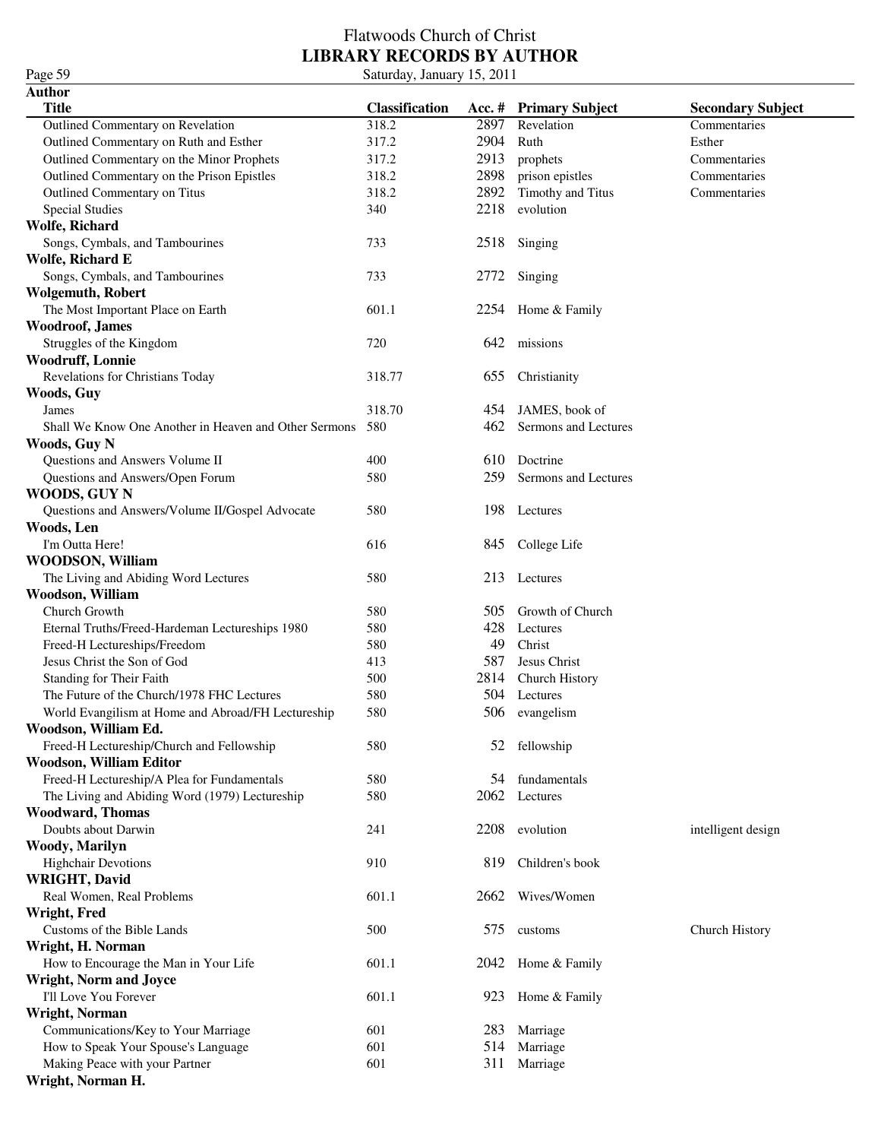### Flatwoods Church of Christ **LIBRARY RECORDS BY AUTHOR** Page 59 Saturday, January 15, 2011

| Author                                                |                       |      |                        |                          |
|-------------------------------------------------------|-----------------------|------|------------------------|--------------------------|
| <b>Title</b>                                          | <b>Classification</b> |      | Acc. # Primary Subject | <b>Secondary Subject</b> |
| Outlined Commentary on Revelation                     | 318.2                 | 2897 | Revelation             | Commentaries             |
| Outlined Commentary on Ruth and Esther                | 317.2                 | 2904 | Ruth                   | Esther                   |
| Outlined Commentary on the Minor Prophets             | 317.2                 | 2913 | prophets               | Commentaries             |
| Outlined Commentary on the Prison Epistles            | 318.2                 | 2898 | prison epistles        | Commentaries             |
| Outlined Commentary on Titus                          | 318.2                 | 2892 | Timothy and Titus      | Commentaries             |
| <b>Special Studies</b>                                | 340                   | 2218 | evolution              |                          |
|                                                       |                       |      |                        |                          |
| <b>Wolfe, Richard</b>                                 |                       |      |                        |                          |
| Songs, Cymbals, and Tambourines                       | 733                   |      | 2518 Singing           |                          |
| Wolfe, Richard E                                      |                       |      |                        |                          |
| Songs, Cymbals, and Tambourines                       | 733                   |      | 2772 Singing           |                          |
| <b>Wolgemuth, Robert</b>                              |                       |      |                        |                          |
| The Most Important Place on Earth                     | 601.1                 |      | 2254 Home & Family     |                          |
| <b>Woodroof, James</b>                                |                       |      |                        |                          |
| Struggles of the Kingdom                              | 720                   |      | 642 missions           |                          |
| <b>Woodruff, Lonnie</b>                               |                       |      |                        |                          |
| Revelations for Christians Today                      | 318.77                | 655  | Christianity           |                          |
| Woods, Guy                                            |                       |      |                        |                          |
| James                                                 | 318.70                | 454  | JAMES, book of         |                          |
| Shall We Know One Another in Heaven and Other Sermons | 580                   | 462  | Sermons and Lectures   |                          |
| Woods, Guy N                                          |                       |      |                        |                          |
| Questions and Answers Volume II                       | 400                   |      | 610 Doctrine           |                          |
|                                                       |                       | 259  |                        |                          |
| Questions and Answers/Open Forum                      | 580                   |      | Sermons and Lectures   |                          |
| WOODS, GUY N                                          |                       |      |                        |                          |
| Questions and Answers/Volume II/Gospel Advocate       | 580                   |      | 198 Lectures           |                          |
| Woods, Len                                            |                       |      |                        |                          |
| I'm Outta Here!                                       | 616                   |      | 845 College Life       |                          |
| <b>WOODSON, William</b>                               |                       |      |                        |                          |
| The Living and Abiding Word Lectures                  | 580                   |      | 213 Lectures           |                          |
| Woodson, William                                      |                       |      |                        |                          |
| Church Growth                                         | 580                   | 505  | Growth of Church       |                          |
| Eternal Truths/Freed-Hardeman Lectureships 1980       | 580                   | 428  | Lectures               |                          |
| Freed-H Lectureships/Freedom                          | 580                   | 49   | Christ                 |                          |
| Jesus Christ the Son of God                           | 413                   | 587  | Jesus Christ           |                          |
| Standing for Their Faith                              | 500                   | 2814 | Church History         |                          |
| The Future of the Church/1978 FHC Lectures            | 580                   | 504  | Lectures               |                          |
| World Evangilism at Home and Abroad/FH Lectureship    | 580                   |      | 506 evangelism         |                          |
|                                                       |                       |      |                        |                          |
| Woodson, William Ed.                                  |                       |      |                        |                          |
| Freed-H Lectureship/Church and Fellowship             | 580                   |      | 52 fellowship          |                          |
| <b>Woodson, William Editor</b>                        |                       |      |                        |                          |
| Freed-H Lectureship/A Plea for Fundamentals           | 580                   |      | 54 fundamentals        |                          |
| The Living and Abiding Word (1979) Lectureship        | 580                   | 2062 | Lectures               |                          |
| <b>Woodward, Thomas</b>                               |                       |      |                        |                          |
| Doubts about Darwin                                   | 241                   | 2208 | evolution              | intelligent design       |
| <b>Woody, Marilyn</b>                                 |                       |      |                        |                          |
| <b>Highchair Devotions</b>                            | 910                   | 819. | Children's book        |                          |
| <b>WRIGHT, David</b>                                  |                       |      |                        |                          |
| Real Women, Real Problems                             | 601.1                 | 2662 | Wives/Women            |                          |
| Wright, Fred                                          |                       |      |                        |                          |
| Customs of the Bible Lands                            | 500                   | 575  | customs                | Church History           |
| Wright, H. Norman                                     |                       |      |                        |                          |
| How to Encourage the Man in Your Life                 | 601.1                 | 2042 | Home & Family          |                          |
|                                                       |                       |      |                        |                          |
| <b>Wright, Norm and Joyce</b>                         |                       |      |                        |                          |
| I'll Love You Forever                                 | 601.1                 | 923  | Home & Family          |                          |
| Wright, Norman                                        |                       |      |                        |                          |
| Communications/Key to Your Marriage                   | 601                   | 283  | Marriage               |                          |
| How to Speak Your Spouse's Language                   | 601                   | 514  | Marriage               |                          |
| Making Peace with your Partner                        | 601                   | 311  | Marriage               |                          |
| Wright, Norman H.                                     |                       |      |                        |                          |